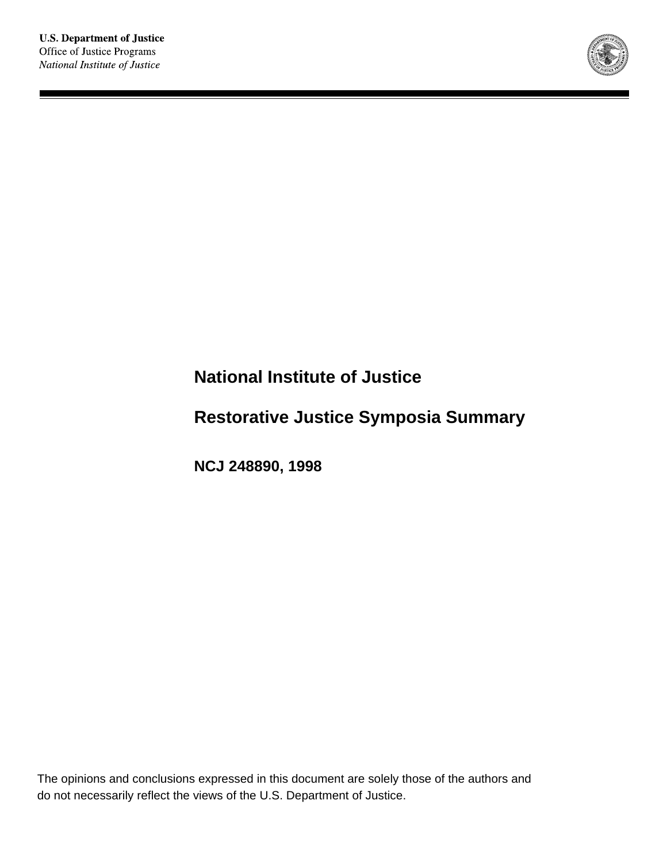

# **National Institute of Justice**

# **Restorative Justice Symposia Summary**

**NCJ 248890, 1998**

The opinions and conclusions expressed in this document are solely those of the authors and do not necessarily reflect the views of the U.S. Department of Justice.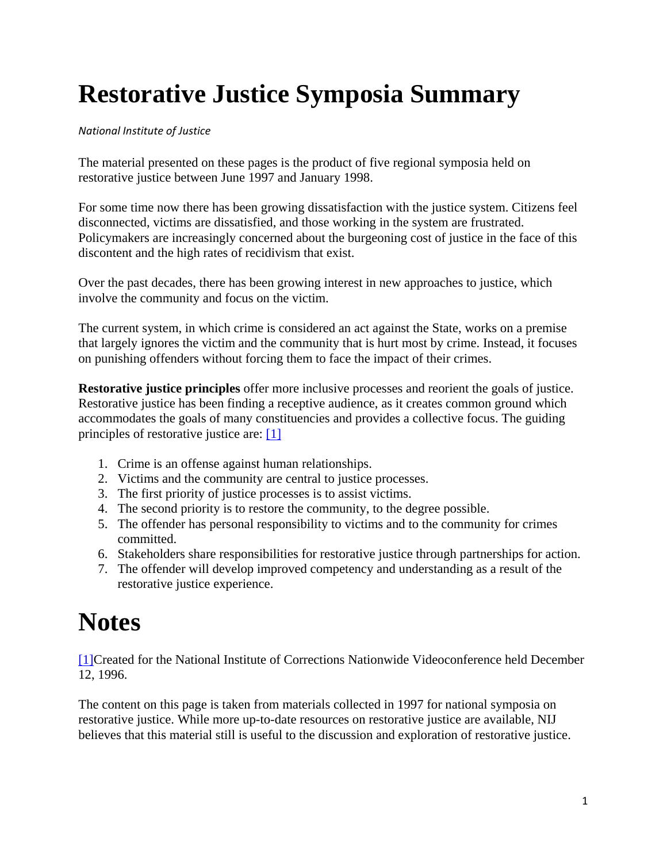# **Restorative Justice Symposia Summary**

#### *National Institute of Justice*

The material presented on these pages is the product of five regional symposia held on restorative justice between June 1997 and January 1998.

For some time now there has been growing dissatisfaction with the justice system. Citizens feel disconnected, victims are dissatisfied, and those working in the system are frustrated. Policymakers are increasingly concerned about the burgeoning cost of justice in the face of this discontent and the high rates of recidivism that exist.

Over the past decades, there has been growing interest in new approaches to justice, which involve the community and focus on the victim.

The current system, in which crime is considered an act against the State, works on a premise that largely ignores the victim and the community that is hurt most by crime. Instead, it focuses on punishing offenders without forcing them to face the impact of their crimes.

**Restorative justice principles** offer more inclusive processes and reorient the goals of justice. Restorative justice has been finding a receptive audience, as it creates common ground which accommodates the goals of many constituencies and provides a collective focus. The guiding principles of restorative justice are: [\[1](#page-111-0)]

- 1. Crime is an offense against human relationships.
- 2. Victims and the community are central to justice processes.
- 3. The first priority of justice processes is to assist victims.
- 4. The second priority is to restore the community, to the degree possible.
- 5. The offender has personal responsibility to victims and to the community for crimes committed.
- 6. Stakeholders share responsibilities for restorative justice through partnerships for action.
- 7. The offender will develop improved competency and understanding as a result of the restorative justice experience.

# **Notes**

[1]Created for the National Institute of Corrections Nationwide Videoconference held December 12, 1996.

The content on this page is taken from materials collected in 1997 for national symposia on restorative justice. While more up-to-date resources on restorative justice are available, NIJ believes that this material still is useful to the discussion and exploration of restorative justice.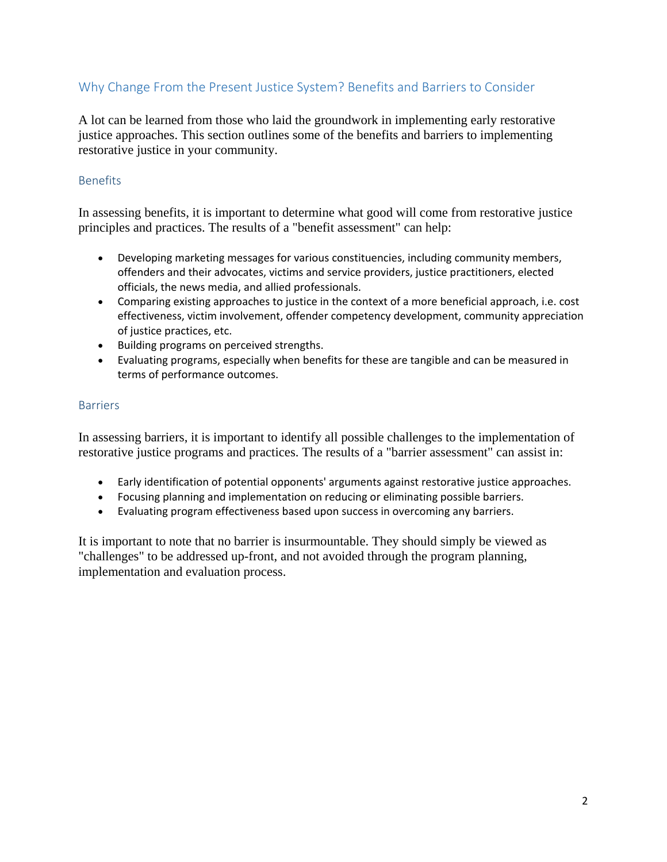## Why Change From the Present Justice System? Benefits and Barriers to Consider

A lot can be learned from those who laid the groundwork in implementing early restorative justice approaches. This section outlines some of the benefits and barriers to implementing restorative justice in your community.

#### **Benefits**

In assessing benefits, it is important to determine what good will come from restorative justice principles and practices. The results of a "benefit assessment" can help:

- Developing marketing messages for various constituencies, including community members, offenders and their advocates, victims and service providers, justice practitioners, elected officials, the news media, and allied professionals.
- Comparing existing approaches to justice in the context of a more beneficial approach, i.e. cost effectiveness, victim involvement, offender competency development, community appreciation of justice practices, etc.
- Building programs on perceived strengths.
- Evaluating programs, especially when benefits for these are tangible and can be measured in terms of performance outcomes.

#### **Barriers**

In assessing barriers, it is important to identify all possible challenges to the implementation of restorative justice programs and practices. The results of a "barrier assessment" can assist in:

- Early identification of potential opponents' arguments against restorative justice approaches.
- Focusing planning and implementation on reducing or eliminating possible barriers.
- Evaluating program effectiveness based upon success in overcoming any barriers.

It is important to note that no barrier is insurmountable. They should simply be viewed as "challenges" to be addressed up-front, and not avoided through the program planning, implementation and evaluation process.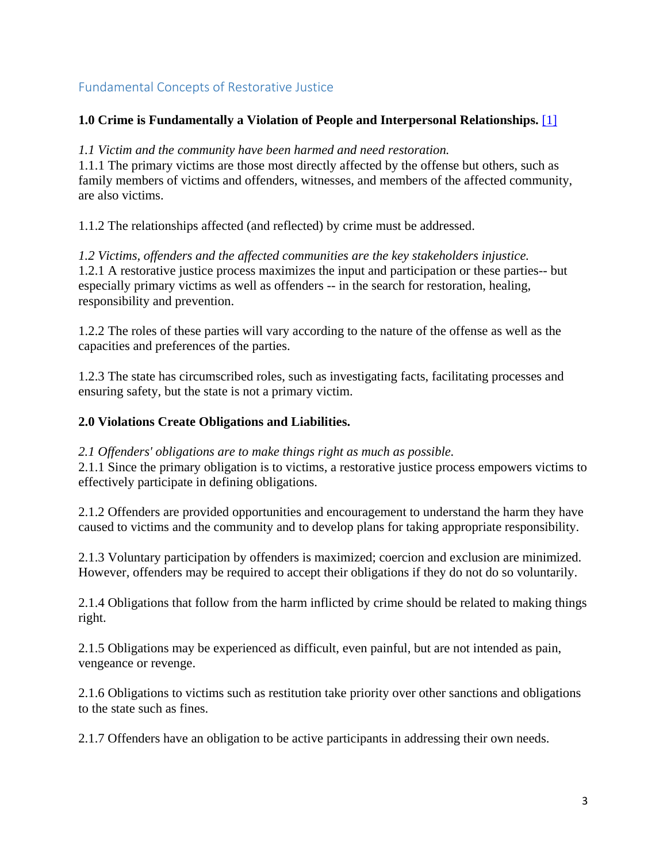## Fundamental Concepts of Restorative Justice

#### **[1](#page-111-0).0 Crime is Fundamentally a Violation of People and Interpersonal Relationships.** [1]

#### *1.1 Victim and the community have been harmed and need restoration.*

1.1.1 The primary victims are those most directly affected by the offense but others, such as family members of victims and offenders, witnesses, and members of the affected community, are also victims.

1.1.2 The relationships affected (and reflected) by crime must be addressed.

 *1.2 Victims, offenders and the affected communities are the key stakeholders injustice.* 1.2.1 A restorative justice process maximizes the input and participation or these parties-- but especially primary victims as well as offenders -- in the search for restoration, healing, responsibility and prevention.

1.2.2 The roles of these parties will vary according to the nature of the offense as well as the capacities and preferences of the parties.

1.2.3 The state has circumscribed roles, such as investigating facts, facilitating processes and ensuring safety, but the state is not a primary victim.

#### **2.0 Violations Create Obligations and Liabilities.**

#### *2.1 Offenders' obligations are to make things right as much as possible.*

2.1.1 Since the primary obligation is to victims, a restorative justice process empowers victims to effectively participate in defining obligations.

2.1.2 Offenders are provided opportunities and encouragement to understand the harm they have caused to victims and the community and to develop plans for taking appropriate responsibility.

2.1.3 Voluntary participation by offenders is maximized; coercion and exclusion are minimized. However, offenders may be required to accept their obligations if they do not do so voluntarily.

2.1.4 Obligations that follow from the harm inflicted by crime should be related to making things right.

2.1.5 Obligations may be experienced as difficult, even painful, but are not intended as pain, vengeance or revenge.

2.1.6 Obligations to victims such as restitution take priority over other sanctions and obligations to the state such as fines.

2.1.7 Offenders have an obligation to be active participants in addressing their own needs.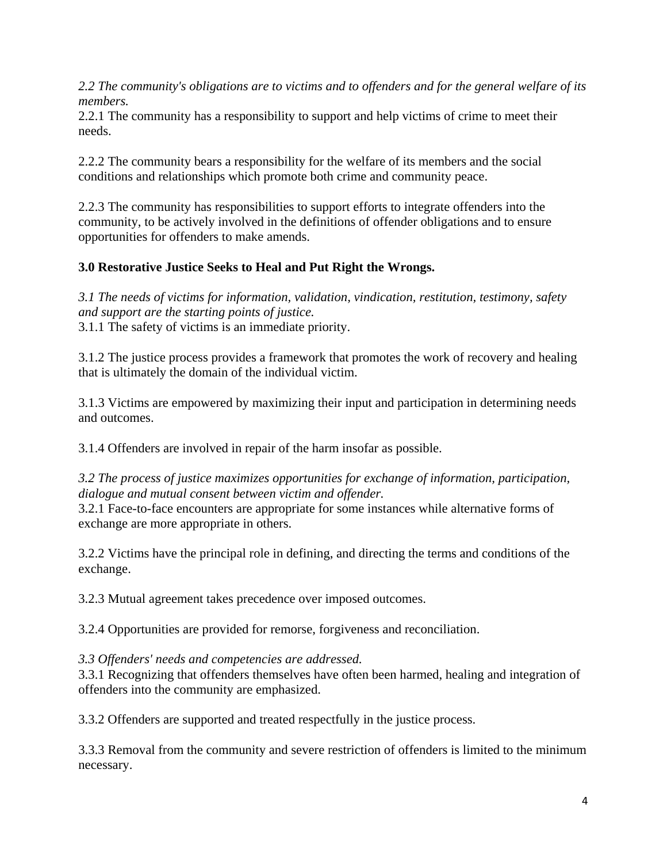*members. 2.2 The community's obligations are to victims and to offenders and for the general welfare of its* 

2.2.1 The community has a responsibility to support and help victims of crime to meet their needs.

2.2.2 The community bears a responsibility for the welfare of its members and the social conditions and relationships which promote both crime and community peace.

2.2.3 The community has responsibilities to support efforts to integrate offenders into the community, to be actively involved in the definitions of offender obligations and to ensure opportunities for offenders to make amends.

#### **3.0 Restorative Justice Seeks to Heal and Put Right the Wrongs.**

 *and support are the starting points of justice. 3.1 The needs of victims for information, validation, vindication, restitution, testimony, safety*  3.1.1 The safety of victims is an immediate priority.

3.1.2 The justice process provides a framework that promotes the work of recovery and healing that is ultimately the domain of the individual victim.

3.1.3 Victims are empowered by maximizing their input and participation in determining needs and outcomes.

3.1.4 Offenders are involved in repair of the harm insofar as possible.

#### *dialogue and mutual consent between victim and offender. 3.2 The process of justice maximizes opportunities for exchange of information, participation,*

3.2.1 Face-to-face encounters are appropriate for some instances while alternative forms of exchange are more appropriate in others.

3.2.2 Victims have the principal role in defining, and directing the terms and conditions of the exchange.

3.2.3 Mutual agreement takes precedence over imposed outcomes.

3.2.4 Opportunities are provided for remorse, forgiveness and reconciliation.

#### *3.3 Offenders' needs and competencies are addressed.*

3.3.1 Recognizing that offenders themselves have often been harmed, healing and integration of offenders into the community are emphasized.

3.3.2 Offenders are supported and treated respectfully in the justice process.

3.3.3 Removal from the community and severe restriction of offenders is limited to the minimum necessary.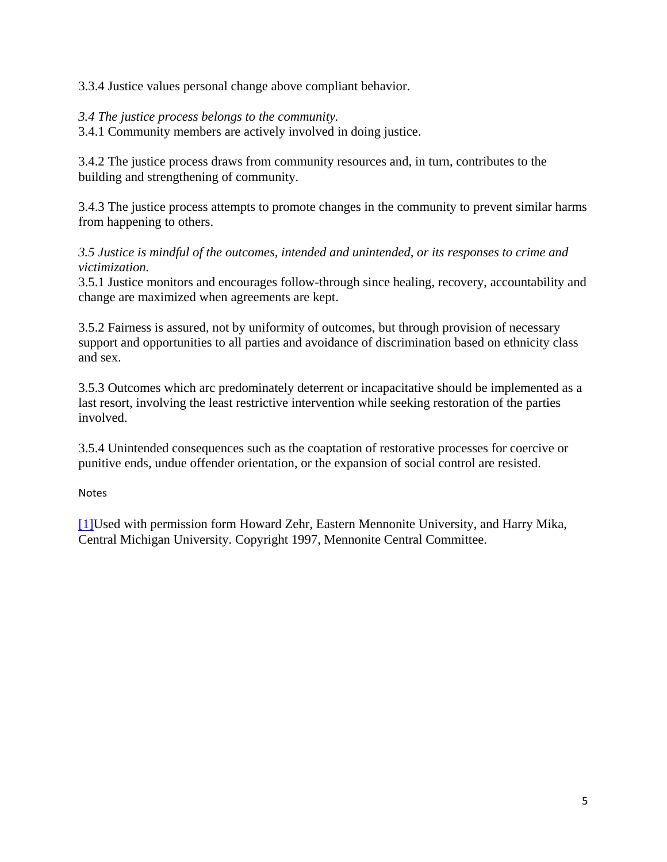3.3.4 Justice values personal change above compliant behavior.

*3.4 The justice process belongs to the community.* 

3.4.1 Community members are actively involved in doing justice.

3.4.2 The justice process draws from community resources and, in turn, contributes to the building and strengthening of community.

3.4.3 The justice process attempts to promote changes in the community to prevent similar harms from happening to others.

 *victimization. 3.5 Justice is mindful of the outcomes, intended and unintended, or its responses to crime and* 

3.5.1 Justice monitors and encourages follow-through since healing, recovery, accountability and change are maximized when agreements are kept.

3.5.2 Fairness is assured, not by uniformity of outcomes, but through provision of necessary support and opportunities to all parties and avoidance of discrimination based on ethnicity class and sex.

3.5.3 Outcomes which arc predominately deterrent or incapacitative should be implemented as a last resort, involving the least restrictive intervention while seeking restoration of the parties involved.

3.5.4 Unintended consequences such as the coaptation of restorative processes for coercive or punitive ends, undue offender orientation, or the expansion of social control are resisted.

Notes

[1]Used with permission form Howard Zehr, Eastern Mennonite University, and Harry Mika, Central Michigan University. Copyright 1997, Mennonite Central Committee.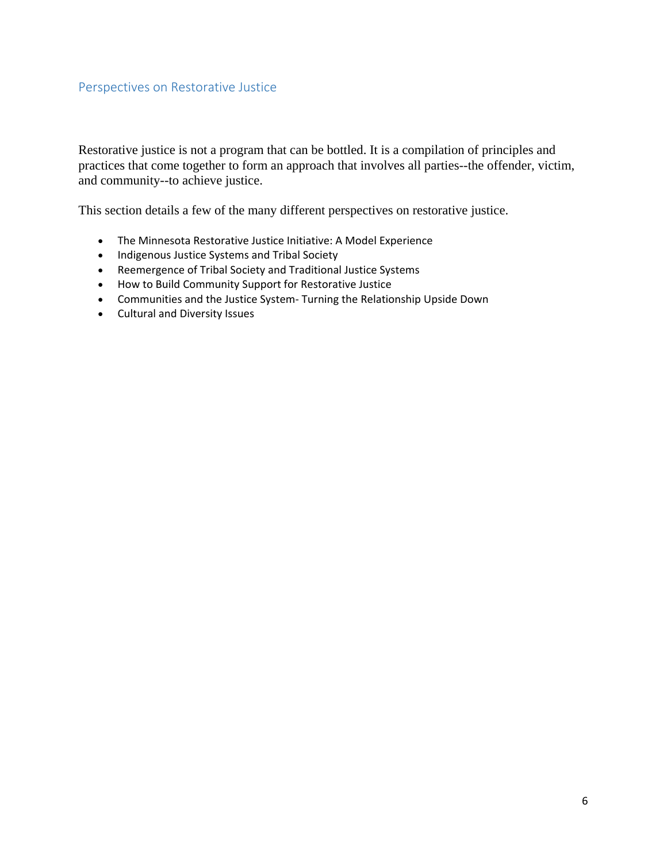### Perspectives on Restorative Justice

Restorative justice is not a program that can be bottled. It is a compilation of principles and practices that come together to form an approach that involves all parties--the offender, victim, and community--to achieve justice.

This section details a few of the many different perspectives on restorative justice.

- The Minnesota Restorative Justice Initiative: A Model Experience
- Indigenous Justice Systems and Tribal Society
- Reemergence of Tribal Society and Traditional Justice Systems
- How to Build Community Support for Restorative Justice
- Communities and the Justice System- Turning the Relationship Upside Down
- Cultural and Diversity Issues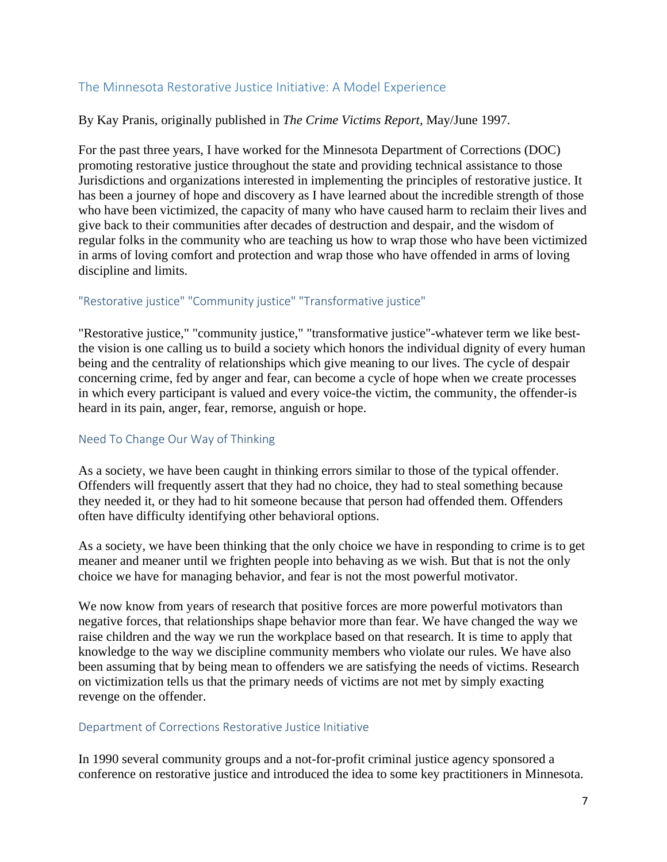### The Minnesota Restorative Justice Initiative: A Model Experience

#### By Kay Pranis, originally published in *The Crime Victims Report,* May/June 1997.

For the past three years, I have worked for the Minnesota Department of Corrections (DOC) promoting restorative justice throughout the state and providing technical assistance to those Jurisdictions and organizations interested in implementing the principles of restorative justice. It has been a journey of hope and discovery as I have learned about the incredible strength of those who have been victimized, the capacity of many who have caused harm to reclaim their lives and give back to their communities after decades of destruction and despair, and the wisdom of regular folks in the community who are teaching us how to wrap those who have been victimized in arms of loving comfort and protection and wrap those who have offended in arms of loving discipline and limits.

#### "Restorative justice" "Community justice" "Transformative justice"

"Restorative justice," "community justice," "transformative justice"-whatever term we like bestthe vision is one calling us to build a society which honors the individual dignity of every human being and the centrality of relationships which give meaning to our lives. The cycle of despair concerning crime, fed by anger and fear, can become a cycle of hope when we create processes in which every participant is valued and every voice-the victim, the community, the offender-is heard in its pain, anger, fear, remorse, anguish or hope.

#### Need To Change Our Way of Thinking

As a society, we have been caught in thinking errors similar to those of the typical offender. Offenders will frequently assert that they had no choice, they had to steal something because they needed it, or they had to hit someone because that person had offended them. Offenders often have difficulty identifying other behavioral options.

As a society, we have been thinking that the only choice we have in responding to crime is to get meaner and meaner until we frighten people into behaving as we wish. But that is not the only choice we have for managing behavior, and fear is not the most powerful motivator.

We now know from years of research that positive forces are more powerful motivators than negative forces, that relationships shape behavior more than fear. We have changed the way we raise children and the way we run the workplace based on that research. It is time to apply that knowledge to the way we discipline community members who violate our rules. We have also been assuming that by being mean to offenders we are satisfying the needs of victims. Research on victimization tells us that the primary needs of victims are not met by simply exacting revenge on the offender.

#### Department of Corrections Restorative Justice Initiative

In 1990 several community groups and a not-for-profit criminal justice agency sponsored a conference on restorative justice and introduced the idea to some key practitioners in Minnesota.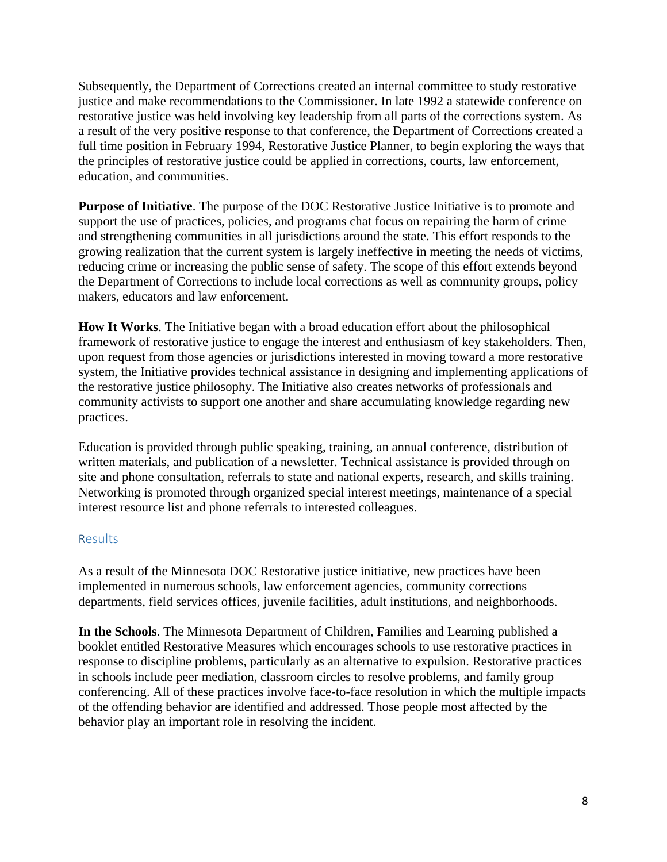Subsequently, the Department of Corrections created an internal committee to study restorative justice and make recommendations to the Commissioner. In late 1992 a statewide conference on restorative justice was held involving key leadership from all parts of the corrections system. As a result of the very positive response to that conference, the Department of Corrections created a full time position in February 1994, Restorative Justice Planner, to begin exploring the ways that the principles of restorative justice could be applied in corrections, courts, law enforcement, education, and communities.

**Purpose of Initiative**. The purpose of the DOC Restorative Justice Initiative is to promote and support the use of practices, policies, and programs chat focus on repairing the harm of crime and strengthening communities in all jurisdictions around the state. This effort responds to the growing realization that the current system is largely ineffective in meeting the needs of victims, reducing crime or increasing the public sense of safety. The scope of this effort extends beyond the Department of Corrections to include local corrections as well as community groups, policy makers, educators and law enforcement.

**How It Works**. The Initiative began with a broad education effort about the philosophical framework of restorative justice to engage the interest and enthusiasm of key stakeholders. Then, upon request from those agencies or jurisdictions interested in moving toward a more restorative system, the Initiative provides technical assistance in designing and implementing applications of the restorative justice philosophy. The Initiative also creates networks of professionals and community activists to support one another and share accumulating knowledge regarding new practices.

Education is provided through public speaking, training, an annual conference, distribution of written materials, and publication of a newsletter. Technical assistance is provided through on site and phone consultation, referrals to state and national experts, research, and skills training. Networking is promoted through organized special interest meetings, maintenance of a special interest resource list and phone referrals to interested colleagues.

#### Results

As a result of the Minnesota DOC Restorative justice initiative, new practices have been implemented in numerous schools, law enforcement agencies, community corrections departments, field services offices, juvenile facilities, adult institutions, and neighborhoods.

**In the Schools**. The Minnesota Department of Children, Families and Learning published a booklet entitled Restorative Measures which encourages schools to use restorative practices in response to discipline problems, particularly as an alternative to expulsion. Restorative practices in schools include peer mediation, classroom circles to resolve problems, and family group conferencing. All of these practices involve face-to-face resolution in which the multiple impacts of the offending behavior are identified and addressed. Those people most affected by the behavior play an important role in resolving the incident.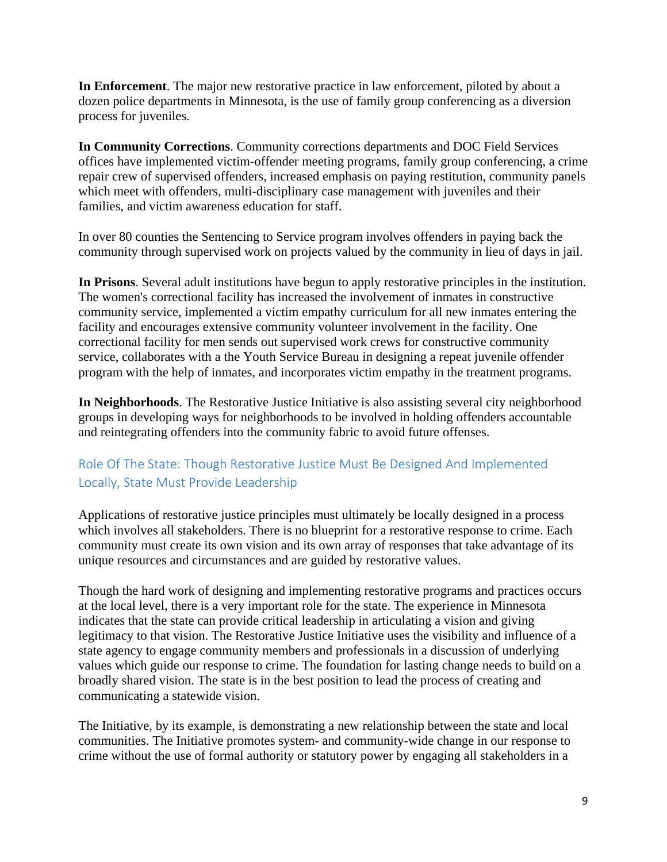**In Enforcement**. The major new restorative practice in law enforcement, piloted by about a dozen police departments in Minnesota, is the use of family group conferencing as a diversion process for juveniles.

families, and victim awareness education for staff. **In Community Corrections**. Community corrections departments and DOC Field Services offices have implemented victim-offender meeting programs, family group conferencing, a crime repair crew of supervised offenders, increased emphasis on paying restitution, community panels which meet with offenders, multi-disciplinary case management with juveniles and their

In over 80 counties the Sentencing to Service program involves offenders in paying back the community through supervised work on projects valued by the community in lieu of days in jail.

**In Prisons**. Several adult institutions have begun to apply restorative principles in the institution. The women's correctional facility has increased the involvement of inmates in constructive community service, implemented a victim empathy curriculum for all new inmates entering the facility and encourages extensive community volunteer involvement in the facility. One correctional facility for men sends out supervised work crews for constructive community service, collaborates with a the Youth Service Bureau in designing a repeat juvenile offender program with the help of inmates, and incorporates victim empathy in the treatment programs.

**In Neighborhoods**. The Restorative Justice Initiative is also assisting several city neighborhood groups in developing ways for neighborhoods to be involved in holding offenders accountable and reintegrating offenders into the community fabric to avoid future offenses.

# Role Of The State: Though Restorative Justice Must Be Designed And Implemented Locally, State Must Provide Leadership

unique resources and circumstances and are guided by restorative values. Applications of restorative justice principles must ultimately be locally designed in a process which involves all stakeholders. There is no blueprint for a restorative response to crime. Each community must create its own vision and its own array of responses that take advantage of its

Though the hard work of designing and implementing restorative programs and practices occurs. at the local level, there is a very important role for the state. The experience in Minnesota indicates that the state can provide critical leadership in articulating a vision and giving legitimacy to that vision. The Restorative Justice Initiative uses the visibility and influence of a state agency to engage community members and professionals in a discussion of underlying values which guide our response to crime. The foundation for lasting change needs to build on a broadly shared vision. The state is in the best position to lead the process of creating and communicating a statewide vision.

The Initiative, by its example, is demonstrating a new relationship between the state and local communities. The Initiative promotes system- and community-wide change in our response to crime without the use of formal authority or statutory power by engaging all stakeholders in a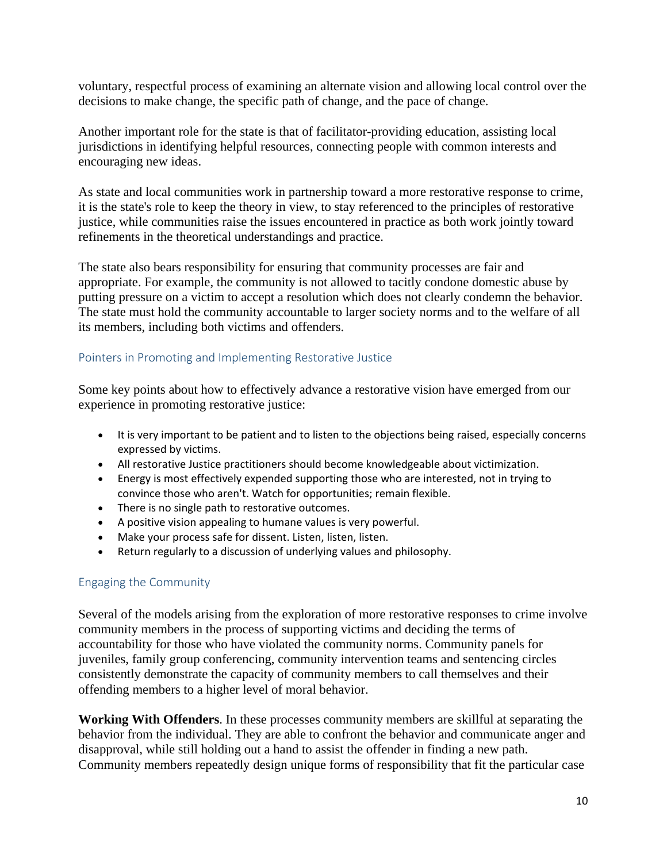voluntary, respectful process of examining an alternate vision and allowing local control over the decisions to make change, the specific path of change, and the pace of change.

Another important role for the state is that of facilitator-providing education, assisting local jurisdictions in identifying helpful resources, connecting people with common interests and encouraging new ideas.

As state and local communities work in partnership toward a more restorative response to crime, it is the state's role to keep the theory in view, to stay referenced to the principles of restorative justice, while communities raise the issues encountered in practice as both work jointly toward refinements in the theoretical understandings and practice.

The state also bears responsibility for ensuring that community processes are fair and appropriate. For example, the community is not allowed to tacitly condone domestic abuse by putting pressure on a victim to accept a resolution which does not clearly condemn the behavior. The state must hold the community accountable to larger society norms and to the welfare of all its members, including both victims and offenders.

#### Pointers in Promoting and Implementing Restorative Justice

Some key points about how to effectively advance a restorative vision have emerged from our experience in promoting restorative justice:

- It is very important to be patient and to listen to the objections being raised, especially concerns expressed by victims.
- All restorative Justice practitioners should become knowledgeable about victimization.
- Energy is most effectively expended supporting those who are interested, not in trying to convince those who aren't. Watch for opportunities; remain flexible.
- There is no single path to restorative outcomes.
- A positive vision appealing to humane values is very powerful.
- Make your process safe for dissent. Listen, listen, listen.
- Return regularly to a discussion of underlying values and philosophy.

#### Engaging the Community

Several of the models arising from the exploration of more restorative responses to crime involve community members in the process of supporting victims and deciding the terms of accountability for those who have violated the community norms. Community panels for juveniles, family group conferencing, community intervention teams and sentencing circles consistently demonstrate the capacity of community members to call themselves and their offending members to a higher level of moral behavior.

**Working With Offenders**. In these processes community members are skillful at separating the behavior from the individual. They are able to confront the behavior and communicate anger and disapproval, while still holding out a hand to assist the offender in finding a new path. Community members repeatedly design unique forms of responsibility that fit the particular case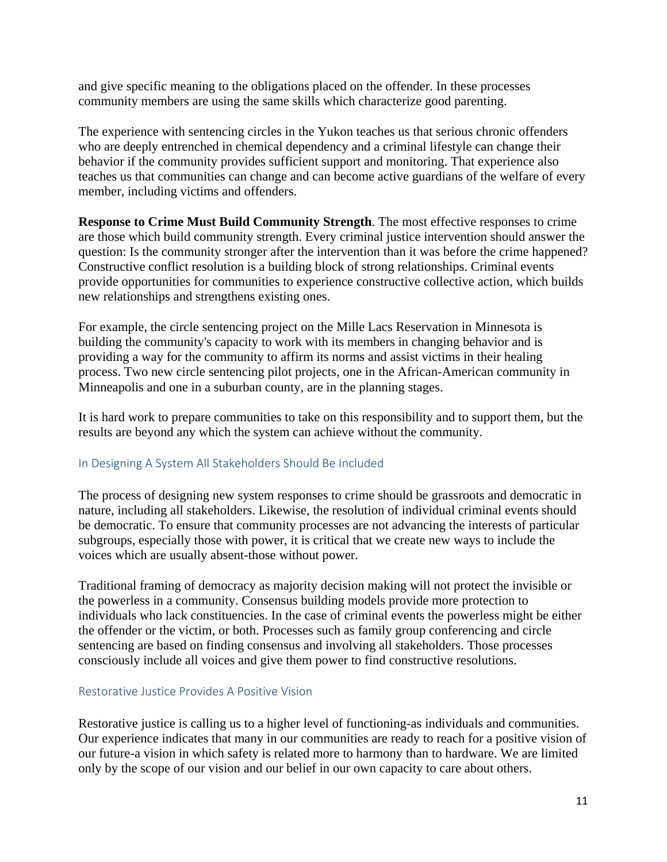and give specific meaning to the obligations placed on the offender. In these processes community members are using the same skills which characterize good parenting.

The experience with sentencing circles in the Yukon teaches us that serious chronic offenders who are deeply entrenched in chemical dependency and a criminal lifestyle can change their behavior if the community provides sufficient support and monitoring. That experience also teaches us that communities can change and can become active guardians of the welfare of every member, including victims and offenders.

**Response to Crime Must Build Community Strength**. The most effective responses to crime are those which build community strength. Every criminal justice intervention should answer the question: Is the community stronger after the intervention than it was before the crime happened? Constructive conflict resolution is a building block of strong relationships. Criminal events provide opportunities for communities to experience constructive collective action, which builds new relationships and strengthens existing ones.

For example, the circle sentencing project on the Mille Lacs Reservation in Minnesota is building the community's capacity to work with its members in changing behavior and is providing a way for the community to affirm its norms and assist victims in their healing process. Two new circle sentencing pilot projects, one in the African-American community in Minneapolis and one in a suburban county, are in the planning stages.

It is hard work to prepare communities to take on this responsibility and to support them, but the results are beyond any which the system can achieve without the community.

#### In Designing A System All Stakeholders Should Be Included

The process of designing new system responses to crime should be grassroots and democratic in nature, including all stakeholders. Likewise, the resolution of individual criminal events should be democratic. To ensure that community processes are not advancing the interests of particular subgroups, especially those with power, it is critical that we create new ways to include the voices which are usually absent-those without power.

Traditional framing of democracy as majority decision making will not protect the invisible or the powerless in a community. Consensus building models provide more protection to individuals who lack constituencies. In the case of criminal events the powerless might be either the offender or the victim, or both. Processes such as family group conferencing and circle sentencing are based on finding consensus and involving all stakeholders. Those processes consciously include all voices and give them power to find constructive resolutions.

#### Restorative Justice Provides A Positive Vision

Restorative justice is calling us to a higher level of functioning-as individuals and communities. Our experience indicates that many in our communities are ready to reach for a positive vision of our future-a vision in which safety is related more to harmony than to hardware. We are limited only by the scope of our vision and our belief in our own capacity to care about others.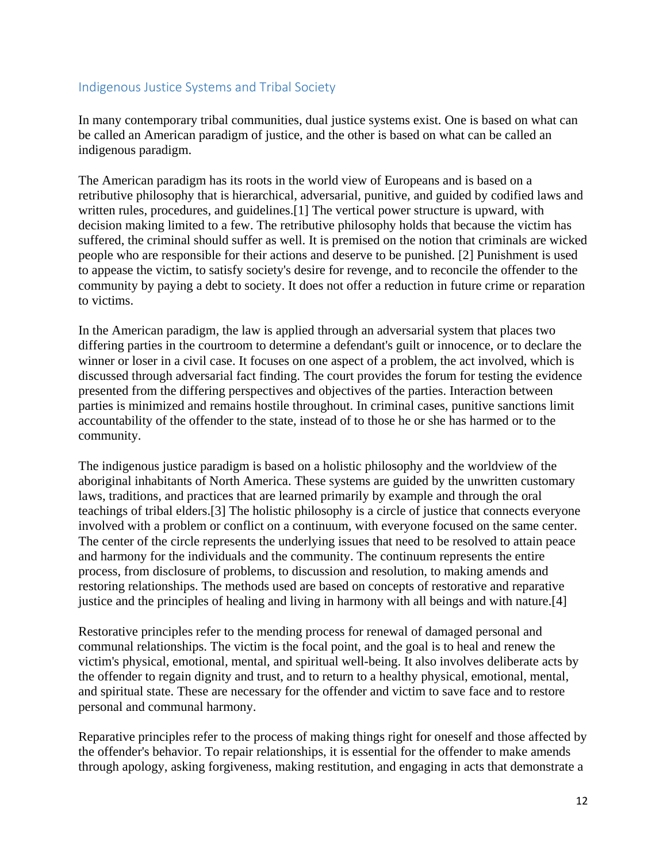#### Indigenous Justice Systems and Tribal Society

In many contemporary tribal communities, dual justice systems exist. One is based on what can be called an American paradigm of justice, and the other is based on what can be called an indigenous paradigm.

The American paradigm has its roots in the world view of Europeans and is based on a retributive philosophy that is hierarchical, adversarial, punitive, and guided by codified laws and written rules, procedures, and guidelines.[1] The vertical power structure is upward, with decision making limited to a few. The retributive philosophy holds that because the victim has suffered, the criminal should suffer as well. It is premised on the notion that criminals are wicked people who are responsible for their actions and deserve to be punished. [[2\]](#page-111-0) Punishment is used to appease the victim, to satisfy society's desire for revenge, and to reconcile the offender to the community by paying a debt to society. It does not offer a reduction in future crime or reparation to victims.

In the American paradigm, the law is applied through an adversarial system that places two differing parties in the courtroom to determine a defendant's guilt or innocence, or to declare the winner or loser in a civil case. It focuses on one aspect of a problem, the act involved, which is discussed through adversarial fact finding. The court provides the forum for testing the evidence presented from the differing perspectives and objectives of the parties. Interaction between parties is minimized and remains hostile throughout. In criminal cases, punitive sanctions limit accountability of the offender to the state, instead of to those he or she has harmed or to the community.

The indigenous justice paradigm is based on a holistic philosophy and the worldview of the aboriginal inhabitants of North America. These systems are guided by the unwritten customary laws, traditions, and practices that are learned primarily by example and through the oral teachings of tribal elders.[3] The holistic philosophy is a circle of justice that connects everyone involved with a problem or conflict on a continuum, with everyone focused on the same center. The center of the circle represents the underlying issues that need to be resolved to attain peace and harmony for the individuals and the community. The continuum represents the entire process, from disclosure of problems, to discussion and resolution, to making amends and restoring relationships. The methods used are based on concepts of restorative and reparative justice and the principles of healing and living in harmony with all beings and with nature.[4]

Restorative principles refer to the mending process for renewal of damaged personal and communal relationships. The victim is the focal point, and the goal is to heal and renew the victim's physical, emotional, mental, and spiritual well-being. It also involves deliberate acts by the offender to regain dignity and trust, and to return to a healthy physical, emotional, mental, and spiritual state. These are necessary for the offender and victim to save face and to restore personal and communal harmony.

Reparative principles refer to the process of making things right for oneself and those affected by the offender's behavior. To repair relationships, it is essential for the offender to make amends through apology, asking forgiveness, making restitution, and engaging in acts that demonstrate a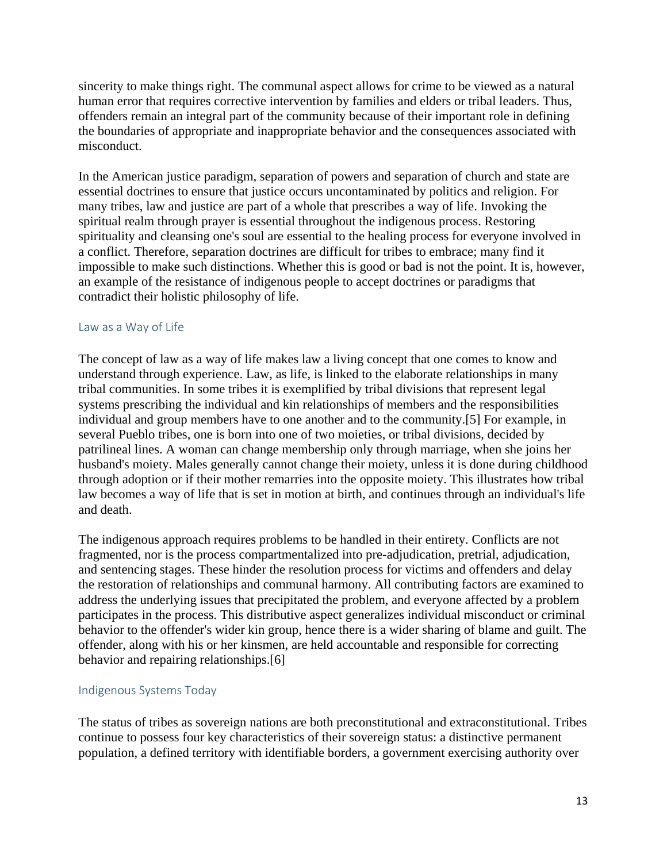sincerity to make things right. The communal aspect allows for crime to be viewed as a natural human error that requires corrective intervention by families and elders or tribal leaders. Thus, offenders remain an integral part of the community because of their important role in defining the boundaries of appropriate and inappropriate behavior and the consequences associated with misconduct.

In the American justice paradigm, separation of powers and separation of church and state are essential doctrines to ensure that justice occurs uncontaminated by politics and religion. For many tribes, law and justice are part of a whole that prescribes a way of life. Invoking the spiritual realm through prayer is essential throughout the indigenous process. Restoring spirituality and cleansing one's soul are essential to the healing process for everyone involved in a conflict. Therefore, separation doctrines are difficult for tribes to embrace; many find it impossible to make such distinctions. Whether this is good or bad is not the point. It is, however, an example of the resistance of indigenous people to accept doctrines or paradigms that contradict their holistic philosophy of life.

#### Law as a Way of Life

The concept of law as a way of life makes law a living concept that one comes to know and understand through experience. Law, as life, is linked to the elaborate relationships in many tribal communities. In some tribes it is exemplified by tribal divisions that represent legal systems prescribing the individual and kin relationships of members and the responsibilities individual and group members have to one another and to the community.[5] For example, in several Pueblo tribes, one is born into one of two moieties, or tribal divisions, decided by patrilineal lines. A woman can change membership only through marriage, when she joins her husband's moiety. Males generally cannot change their moiety, unless it is done during childhood through adoption or if their mother remarries into the opposite moiety. This illustrates how tribal law becomes a way of life that is set in motion at birth, and continues through an individual's life and death.

The indigenous approach requires problems to be handled in their entirety. Conflicts are not fragmented, nor is the process compartmentalized into pre-adjudication, pretrial, adjudication, and sentencing stages. These hinder the resolution process for victims and offenders and delay the restoration of relationships and communal harmony. All contributing factors are examined to address the underlying issues that precipitated the problem, and everyone affected by a problem participates in the process. This distributive aspect generalizes individual misconduct or criminal behavior to the offender's wider kin group, hence there is a wider sharing of blame and guilt. The offender, along with his or her kinsmen, are held accountable and responsible for correcting behavior and repairing relationships.[6]

#### Indigenous Systems Today

The status of tribes as sovereign nations are both preconstitutional and extraconstitutional. Tribes continue to possess four key characteristics of their sovereign status: a distinctive permanent population, a defined territory with identifiable borders, a government exercising authority over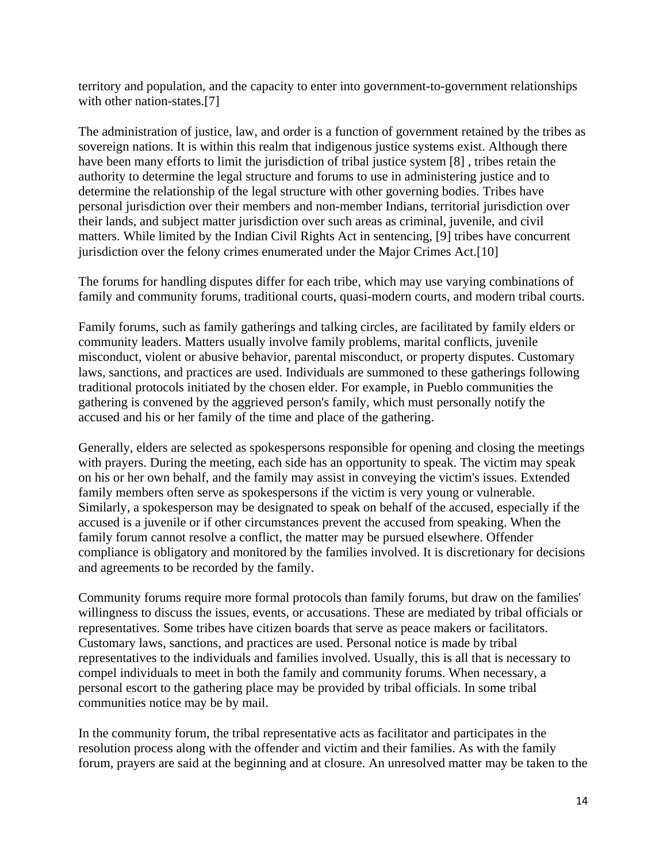territory and population, and the capacity to enter into government-to-government relationships with other nation-states.[7]

The administration of justice, law, and order is a function of government retained by the tribes as sovereign nations. It is within this realm that indigenous justice systems exist. Although there have been many efforts to limit the jurisdiction of tribal justice system [[8\]](#page-111-0) , tribes retain the authority to determine the legal structure and forums to use in administering justice and to determine the relationship of the legal structure with other governing bodies. Tribes have personal jurisdiction over their members and non-member Indians, territorial jurisdiction over their lands, and subject matter jurisdiction over such areas as criminal, juvenile, and civil matters. While limited by the Indian Civil Rights Act in sentencing, [\[9](#page-111-0)] tribes have concurrent jurisdiction over the felony crimes enumerated under the Major Crimes Act.<sup>[10]</sup>

The forums for handling disputes differ for each tribe, which may use varying combinations of family and community forums, traditional courts, quasi-modern courts, and modern tribal courts.

Family forums, such as family gatherings and talking circles, are facilitated by family elders or community leaders. Matters usually involve family problems, marital conflicts, juvenile misconduct, violent or abusive behavior, parental misconduct, or property disputes. Customary laws, sanctions, and practices are used. Individuals are summoned to these gatherings following traditional protocols initiated by the chosen elder. For example, in Pueblo communities the gathering is convened by the aggrieved person's family, which must personally notify the accused and his or her family of the time and place of the gathering.

Generally, elders are selected as spokespersons responsible for opening and closing the meetings with prayers. During the meeting, each side has an opportunity to speak. The victim may speak on his or her own behalf, and the family may assist in conveying the victim's issues. Extended family members often serve as spokespersons if the victim is very young or vulnerable. Similarly, a spokesperson may be designated to speak on behalf of the accused, especially if the accused is a juvenile or if other circumstances prevent the accused from speaking. When the family forum cannot resolve a conflict, the matter may be pursued elsewhere. Offender compliance is obligatory and monitored by the families involved. It is discretionary for decisions and agreements to be recorded by the family.

Community forums require more formal protocols than family forums, but draw on the families' willingness to discuss the issues, events, or accusations. These are mediated by tribal officials or representatives. Some tribes have citizen boards that serve as peace makers or facilitators. Customary laws, sanctions, and practices are used. Personal notice is made by tribal representatives to the individuals and families involved. Usually, this is all that is necessary to compel individuals to meet in both the family and community forums. When necessary, a personal escort to the gathering place may be provided by tribal officials. In some tribal communities notice may be by mail.

In the community forum, the tribal representative acts as facilitator and participates in the resolution process along with the offender and victim and their families. As with the family forum, prayers are said at the beginning and at closure. An unresolved matter may be taken to the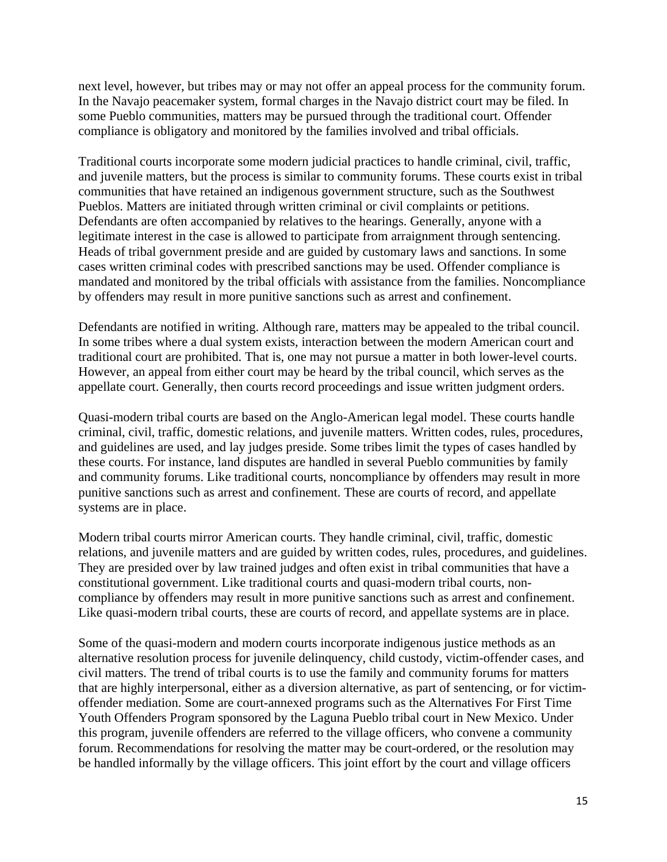next level, however, but tribes may or may not offer an appeal process for the community forum. In the Navajo peacemaker system, formal charges in the Navajo district court may be filed. In some Pueblo communities, matters may be pursued through the traditional court. Offender compliance is obligatory and monitored by the families involved and tribal officials.

Traditional courts incorporate some modern judicial practices to handle criminal, civil, traffic, and juvenile matters, but the process is similar to community forums. These courts exist in tribal communities that have retained an indigenous government structure, such as the Southwest Pueblos. Matters are initiated through written criminal or civil complaints or petitions. Defendants are often accompanied by relatives to the hearings. Generally, anyone with a legitimate interest in the case is allowed to participate from arraignment through sentencing. Heads of tribal government preside and are guided by customary laws and sanctions. In some cases written criminal codes with prescribed sanctions may be used. Offender compliance is mandated and monitored by the tribal officials with assistance from the families. Noncompliance by offenders may result in more punitive sanctions such as arrest and confinement.

Defendants are notified in writing. Although rare, matters may be appealed to the tribal council. In some tribes where a dual system exists, interaction between the modern American court and traditional court are prohibited. That is, one may not pursue a matter in both lower-level courts. However, an appeal from either court may be heard by the tribal council, which serves as the appellate court. Generally, then courts record proceedings and issue written judgment orders.

Quasi-modern tribal courts are based on the Anglo-American legal model. These courts handle criminal, civil, traffic, domestic relations, and juvenile matters. Written codes, rules, procedures, and guidelines are used, and lay judges preside. Some tribes limit the types of cases handled by these courts. For instance, land disputes are handled in several Pueblo communities by family and community forums. Like traditional courts, noncompliance by offenders may result in more punitive sanctions such as arrest and confinement. These are courts of record, and appellate systems are in place.

Modern tribal courts mirror American courts. They handle criminal, civil, traffic, domestic relations, and juvenile matters and are guided by written codes, rules, procedures, and guidelines. They are presided over by law trained judges and often exist in tribal communities that have a constitutional government. Like traditional courts and quasi-modern tribal courts, noncompliance by offenders may result in more punitive sanctions such as arrest and confinement. Like quasi-modern tribal courts, these are courts of record, and appellate systems are in place.

Some of the quasi-modern and modern courts incorporate indigenous justice methods as an alternative resolution process for juvenile delinquency, child custody, victim-offender cases, and civil matters. The trend of tribal courts is to use the family and community forums for matters that are highly interpersonal, either as a diversion alternative, as part of sentencing, or for victimoffender mediation. Some are court-annexed programs such as the Alternatives For First Time Youth Offenders Program sponsored by the Laguna Pueblo tribal court in New Mexico. Under this program, juvenile offenders are referred to the village officers, who convene a community forum. Recommendations for resolving the matter may be court-ordered, or the resolution may be handled informally by the village officers. This joint effort by the court and village officers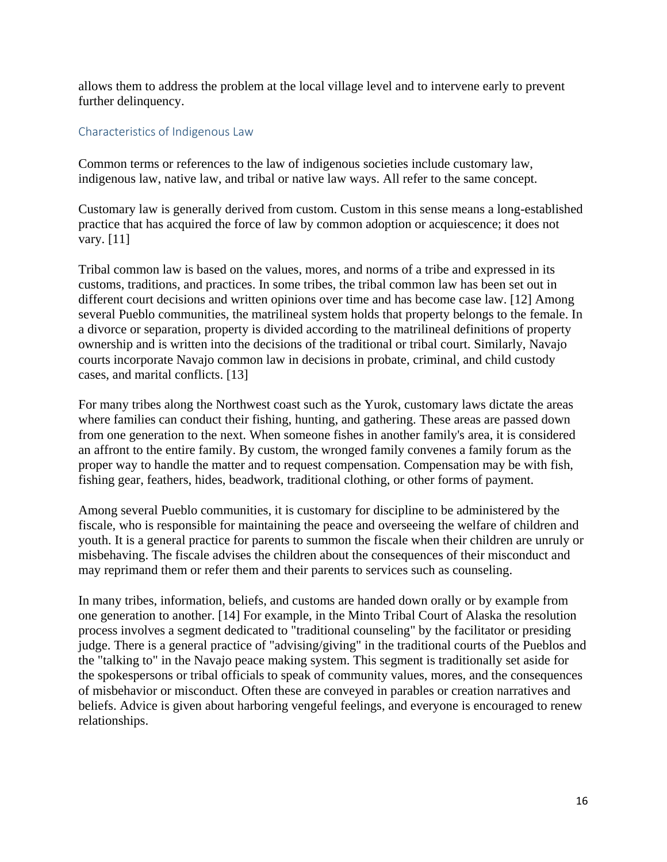allows them to address the problem at the local village level and to intervene early to prevent further delinquency.

#### Characteristics of Indigenous Law

Common terms or references to the law of indigenous societies include customary law, indigenous law, native law, and tribal or native law ways. All refer to the same concept.

Customary law is generally derived from custom. Custom in this sense means a long-established practice that has acquired the force of law by common adoption or acquiescence; it does not vary. [11]

Tribal common law is based on the values, mores, and norms of a tribe and expressed in its customs, traditions, and practices. In some tribes, the tribal common law has been set out in different court decisions and written opinions over time and has become case law. [12] Among several Pueblo communities, the matrilineal system holds that property belongs to the female. In a divorce or separation, property is divided according to the matrilineal definitions of property ownership and is written into the decisions of the traditional or tribal court. Similarly, Navajo courts incorporate Navajo common law in decisions in probate, criminal, and child custody cases, and marital conflicts. [[13\]](#page-22-0)

For many tribes along the Northwest coast such as the Yurok, customary laws dictate the areas where families can conduct their fishing, hunting, and gathering. These areas are passed down from one generation to the next. When someone fishes in another family's area, it is considered an affront to the entire family. By custom, the wronged family convenes a family forum as the proper way to handle the matter and to request compensation. Compensation may be with fish, fishing gear, feathers, hides, beadwork, traditional clothing, or other forms of payment.

Among several Pueblo communities, it is customary for discipline to be administered by the fiscale, who is responsible for maintaining the peace and overseeing the welfare of children and youth. It is a general practice for parents to summon the fiscale when their children are unruly or misbehaving. The fiscale advises the children about the consequences of their misconduct and may reprimand them or refer them and their parents to services such as counseling.

In many tribes, information, beliefs, and customs are handed down orally or by example from one generation to another. [\[14](#page-22-0)] For example, in the Minto Tribal Court of Alaska the resolution process involves a segment dedicated to "traditional counseling" by the facilitator or presiding judge. There is a general practice of "advising/giving" in the traditional courts of the Pueblos and the "talking to" in the Navajo peace making system. This segment is traditionally set aside for the spokespersons or tribal officials to speak of community values, mores, and the consequences of misbehavior or misconduct. Often these are conveyed in parables or creation narratives and beliefs. Advice is given about harboring vengeful feelings, and everyone is encouraged to renew relationships.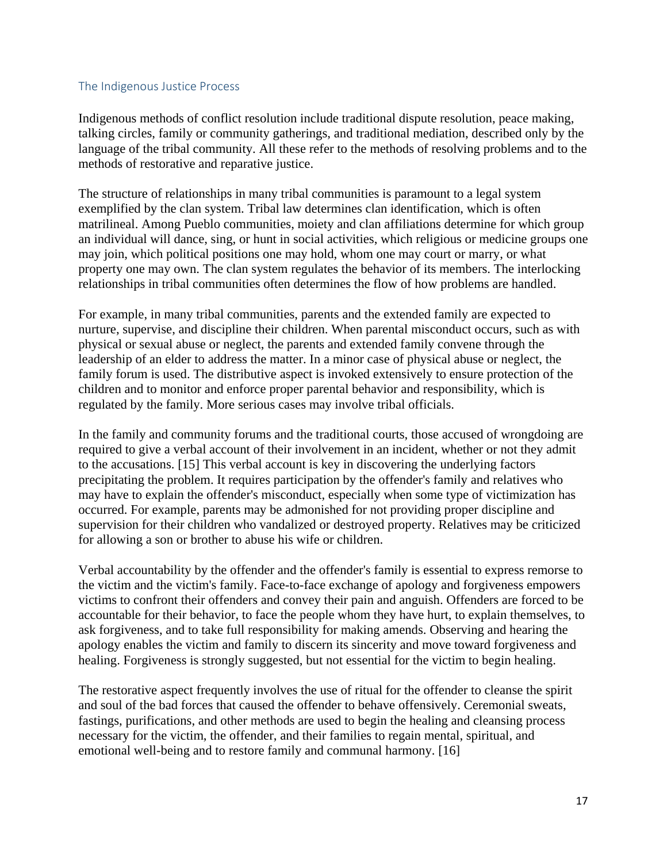#### The Indigenous Justice Process

Indigenous methods of conflict resolution include traditional dispute resolution, peace making, talking circles, family or community gatherings, and traditional mediation, described only by the language of the tribal community. All these refer to the methods of resolving problems and to the methods of restorative and reparative justice.

The structure of relationships in many tribal communities is paramount to a legal system exemplified by the clan system. Tribal law determines clan identification, which is often matrilineal. Among Pueblo communities, moiety and clan affiliations determine for which group an individual will dance, sing, or hunt in social activities, which religious or medicine groups one may join, which political positions one may hold, whom one may court or marry, or what property one may own. The clan system regulates the behavior of its members. The interlocking relationships in tribal communities often determines the flow of how problems are handled.

For example, in many tribal communities, parents and the extended family are expected to nurture, supervise, and discipline their children. When parental misconduct occurs, such as with physical or sexual abuse or neglect, the parents and extended family convene through the leadership of an elder to address the matter. In a minor case of physical abuse or neglect, the family forum is used. The distributive aspect is invoked extensively to ensure protection of the children and to monitor and enforce proper parental behavior and responsibility, which is regulated by the family. More serious cases may involve tribal officials.

In the family and community forums and the traditional courts, those accused of wrongdoing are required to give a verbal account of their involvement in an incident, whether or not they admit to the accusations. [\[15](#page-22-0)] This verbal account is key in discovering the underlying factors precipitating the problem. It requires participation by the offender's family and relatives who may have to explain the offender's misconduct, especially when some type of victimization has occurred. For example, parents may be admonished for not providing proper discipline and supervision for their children who vandalized or destroyed property. Relatives may be criticized for allowing a son or brother to abuse his wife or children.

Verbal accountability by the offender and the offender's family is essential to express remorse to the victim and the victim's family. Face-to-face exchange of apology and forgiveness empowers victims to confront their offenders and convey their pain and anguish. Offenders are forced to be accountable for their behavior, to face the people whom they have hurt, to explain themselves, to ask forgiveness, and to take full responsibility for making amends. Observing and hearing the apology enables the victim and family to discern its sincerity and move toward forgiveness and healing. Forgiveness is strongly suggested, but not essential for the victim to begin healing.

The restorative aspect frequently involves the use of ritual for the offender to cleanse the spirit and soul of the bad forces that caused the offender to behave offensively. Ceremonial sweats, fastings, purifications, and other methods are used to begin the healing and cleansing process necessary for the victim, the offender, and their families to regain mental, spiritual, and emotional well-being and to restore family and communal harmony. [[16\]](#page-22-0)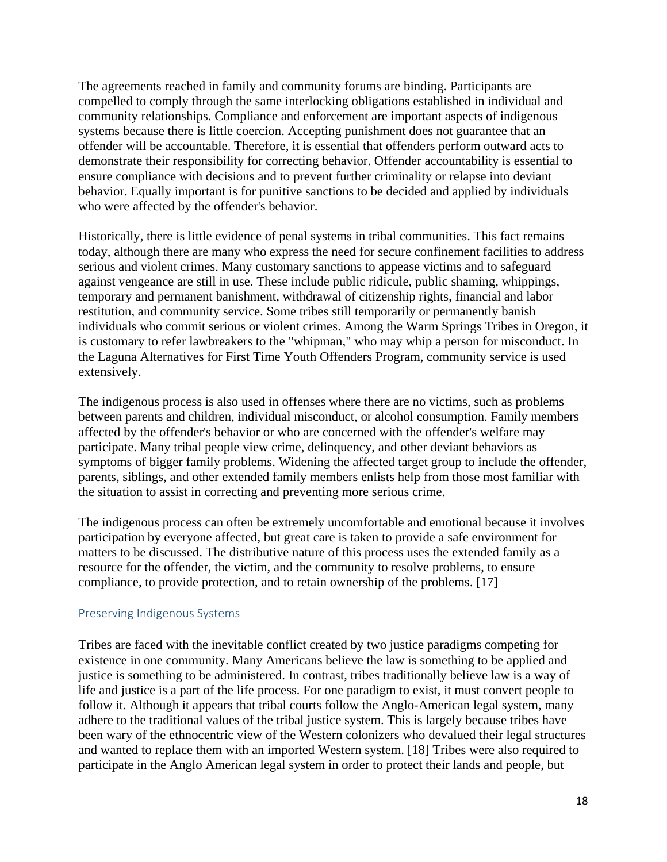The agreements reached in family and community forums are binding. Participants are compelled to comply through the same interlocking obligations established in individual and community relationships. Compliance and enforcement are important aspects of indigenous systems because there is little coercion. Accepting punishment does not guarantee that an offender will be accountable. Therefore, it is essential that offenders perform outward acts to demonstrate their responsibility for correcting behavior. Offender accountability is essential to ensure compliance with decisions and to prevent further criminality or relapse into deviant behavior. Equally important is for punitive sanctions to be decided and applied by individuals who were affected by the offender's behavior.

Historically, there is little evidence of penal systems in tribal communities. This fact remains today, although there are many who express the need for secure confinement facilities to address serious and violent crimes. Many customary sanctions to appease victims and to safeguard against vengeance are still in use. These include public ridicule, public shaming, whippings, temporary and permanent banishment, withdrawal of citizenship rights, financial and labor restitution, and community service. Some tribes still temporarily or permanently banish individuals who commit serious or violent crimes. Among the Warm Springs Tribes in Oregon, it is customary to refer lawbreakers to the "whipman," who may whip a person for misconduct. In the Laguna Alternatives for First Time Youth Offenders Program, community service is used extensively.

The indigenous process is also used in offenses where there are no victims, such as problems between parents and children, individual misconduct, or alcohol consumption. Family members affected by the offender's behavior or who are concerned with the offender's welfare may participate. Many tribal people view crime, delinquency, and other deviant behaviors as symptoms of bigger family problems. Widening the affected target group to include the offender, parents, siblings, and other extended family members enlists help from those most familiar with the situation to assist in correcting and preventing more serious crime.

The indigenous process can often be extremely uncomfortable and emotional because it involves participation by everyone affected, but great care is taken to provide a safe environment for matters to be discussed. The distributive nature of this process uses the extended family as a resource for the offender, the victim, and the community to resolve problems, to ensure compliance, to provide protection, and to retain ownership of the problems. [\[17](#page-22-0)]

#### Preserving Indigenous Systems

Tribes are faced with the inevitable conflict created by two justice paradigms competing for existence in one community. Many Americans believe the law is something to be applied and justice is something to be administered. In contrast, tribes traditionally believe law is a way of life and justice is a part of the life process. For one paradigm to exist, it must convert people to follow it. Although it appears that tribal courts follow the Anglo-American legal system, many adhere to the traditional values of the tribal justice system. This is largely because tribes have been wary of the ethnocentric view of the Western colonizers who devalued their legal structures and wanted to replace them with an imported Western system. [\[18](#page-22-0)] Tribes were also required to participate in the Anglo American legal system in order to protect their lands and people, but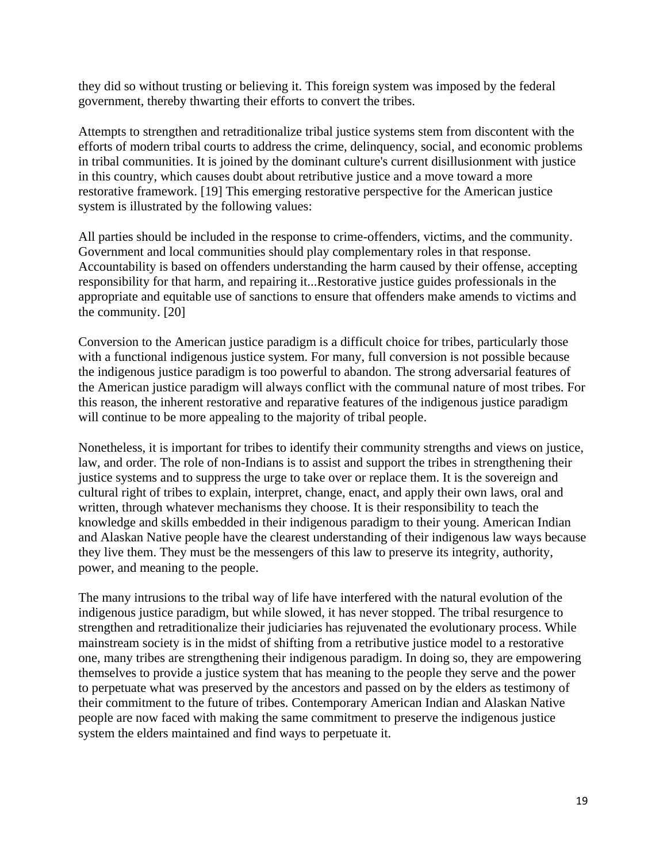they did so without trusting or believing it. This foreign system was imposed by the federal government, thereby thwarting their efforts to convert the tribes.

Attempts to strengthen and retraditionalize tribal justice systems stem from discontent with the efforts of modern tribal courts to address the crime, delinquency, social, and economic problems in tribal communities. It is joined by the dominant culture's current disillusionment with justice in this country, which causes doubt about retributive justice and a move toward a more restorative framework. [\[19](#page-22-0)] This emerging restorative perspective for the American justice system is illustrated by the following values:

All parties should be included in the response to crime-offenders, victims, and the community. Government and local communities should play complementary roles in that response. Accountability is based on offenders understanding the harm caused by their offense, accepting responsibility for that harm, and repairing it...Restorative justice guides professionals in the appropriate and equitable use of sanctions to ensure that offenders make amends to victims and the community. [\[20](#page-22-0)]

Conversion to the American justice paradigm is a difficult choice for tribes, particularly those with a functional indigenous justice system. For many, full conversion is not possible because the indigenous justice paradigm is too powerful to abandon. The strong adversarial features of the American justice paradigm will always conflict with the communal nature of most tribes. For this reason, the inherent restorative and reparative features of the indigenous justice paradigm will continue to be more appealing to the majority of tribal people.

Nonetheless, it is important for tribes to identify their community strengths and views on justice, law, and order. The role of non-Indians is to assist and support the tribes in strengthening their justice systems and to suppress the urge to take over or replace them. It is the sovereign and cultural right of tribes to explain, interpret, change, enact, and apply their own laws, oral and written, through whatever mechanisms they choose. It is their responsibility to teach the knowledge and skills embedded in their indigenous paradigm to their young. American Indian and Alaskan Native people have the clearest understanding of their indigenous law ways because they live them. They must be the messengers of this law to preserve its integrity, authority, power, and meaning to the people.

The many intrusions to the tribal way of life have interfered with the natural evolution of the indigenous justice paradigm, but while slowed, it has never stopped. The tribal resurgence to strengthen and retraditionalize their judiciaries has rejuvenated the evolutionary process. While mainstream society is in the midst of shifting from a retributive justice model to a restorative one, many tribes are strengthening their indigenous paradigm. In doing so, they are empowering themselves to provide a justice system that has meaning to the people they serve and the power to perpetuate what was preserved by the ancestors and passed on by the elders as testimony of their commitment to the future of tribes. Contemporary American Indian and Alaskan Native people are now faced with making the same commitment to preserve the indigenous justice system the elders maintained and find ways to perpetuate it.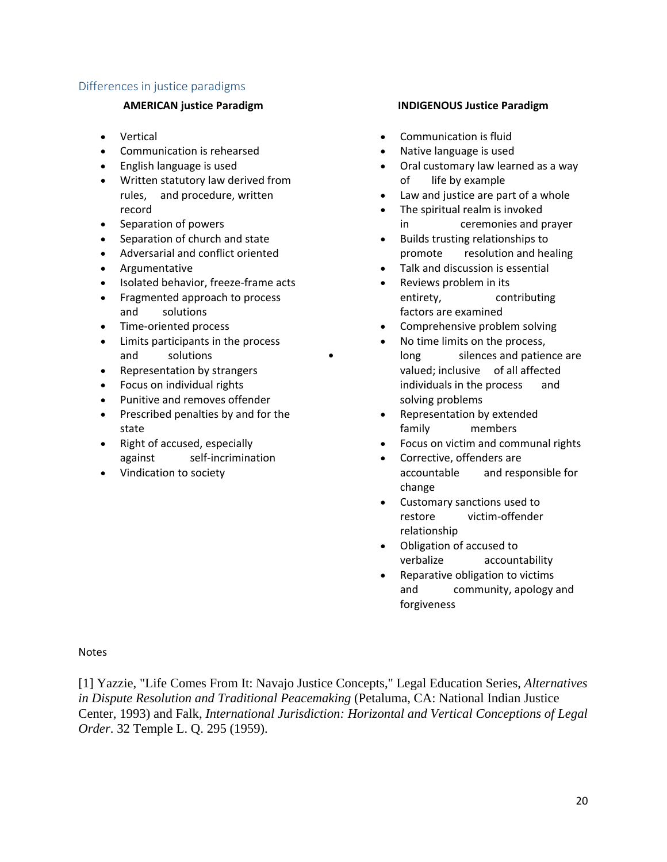#### Differences in justice paradigms

#### **AMERICAN justice Paradigm**

- Vertical
- Communication is rehearsed
- **English language is used**
- Written statutory law derived from rules, and procedure, written record
- Separation of powers
- Separation of church and state
- Adversarial and conflict oriented
- **•** Argumentative
- Isolated behavior, freeze-frame acts
- Fragmented approach to process and solutions
- Time-oriented process
- Limits participants in the process and solutions
- Representation by strangers
- Focus on individual rights
- Punitive and removes offender
- Prescribed penalties by and for the state
- Right of accused, especially against self-incrimination
- Vindication to society

#### **INDIGENOUS Justice Paradigm**

- Communication is fluid
- Native language is used
- Oral customary law learned as a way of life by example
- Law and justice are part of a whole
- The spiritual realm is invoked in ceremonies and prayer
- Builds trusting relationships to promote resolution and healing
- Talk and discussion is essential
- Reviews problem in its factors are examined entirety, contributing
- Comprehensive problem solving
- No time limits on the process, **•** long silences and patience are valued; inclusive of all affected individuals in the process and solving problems
	- Representation by extended family members
	- Focus on victim and communal rights
	- Corrective, offenders are accountable and responsible for change
	- Customary sanctions used to restore victim‐offender relationship
	- Obligation of accused to verbalize accountability
	- Reparative obligation to victims and community, apology and forgiveness

#### Notes

[1] Yazzie, "Life Comes From It: Navajo Justice Concepts," Legal Education Series, *Alternatives in Dispute Resolution and Traditional Peacemaking* (Petaluma, CA: National Indian Justice Center, 1993) and Falk, *International Jurisdiction: Horizontal and Vertical Conceptions of Legal Order*. 32 Temple L. Q. 295 (1959).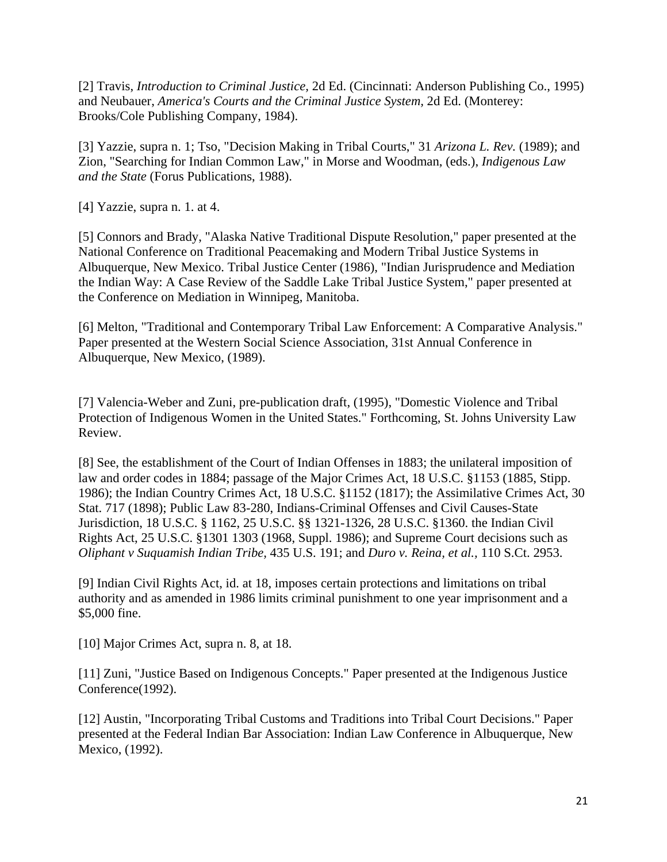[2] Travis, *Introduction to Criminal Justice,* 2d Ed. (Cincinnati: Anderson Publishing Co., 1995) and Neubauer, *America's Courts and the Criminal Justice System,* 2d Ed. (Monterey: Brooks/Cole Publishing Company, 1984).

[3] Yazzie, supra n. 1; Tso, "Decision Making in Tribal Courts," 31 *Arizona L. Rev.* (1989); and Zion, "Searching for Indian Common Law," in Morse and Woodman, (eds.), *Indigenous Law and the State* (Forus Publications, 1988).

[4] Yazzie, supra n. 1. at 4.

[5] Connors and Brady, "Alaska Native Traditional Dispute Resolution," paper presented at the National Conference on Traditional Peacemaking and Modern Tribal Justice Systems in Albuquerque, New Mexico. Tribal Justice Center (1986), "Indian Jurisprudence and Mediation the Indian Way: A Case Review of the Saddle Lake Tribal Justice System," paper presented at the Conference on Mediation in Winnipeg, Manitoba.

[6] Melton, "Traditional and Contemporary Tribal Law Enforcement: A Comparative Analysis." Paper presented at the Western Social Science Association, 31st Annual Conference in Albuquerque, New Mexico, (1989).

[7] Valencia-Weber and Zuni, pre-publication draft, (1995), "Domestic Violence and Tribal Protection of Indigenous Women in the United States." Forthcoming, St. Johns University Law Review.

[8] See, the establishment of the Court of Indian Offenses in 1883; the unilateral imposition of law and order codes in 1884; passage of the Major Crimes Act, 18 U.S.C. §1153 (1885, Stipp. 1986); the Indian Country Crimes Act, 18 U.S.C. §1152 (1817); the Assimilative Crimes Act, 30 Stat. 717 (1898); Public Law 83-280, Indians-Criminal Offenses and Civil Causes-State Jurisdiction, 18 U.S.C. § 1162, 25 U.S.C. §§ 1321-1326, 28 U.S.C. §1360. the Indian Civil Rights Act, 25 U.S.C. §1301 1303 (1968, Suppl. 1986); and Supreme Court decisions such as *Oliphant v Suquamish Indian Tribe,* 435 U.S. 191; and *Duro v. Reina, et al.,* 110 S.Ct. 2953.

[9] Indian Civil Rights Act, id. at 18, imposes certain protections and limitations on tribal authority and as amended in 1986 limits criminal punishment to one year imprisonment and a \$5,000 fine.

[10] Major Crimes Act, supra n. 8, at 18.

[11] Zuni, "Justice Based on Indigenous Concepts." Paper presented at the Indigenous Justice Conference(1992).

[12] Austin, "Incorporating Tribal Customs and Traditions into Tribal Court Decisions." Paper presented at the Federal Indian Bar Association: Indian Law Conference in Albuquerque, New Mexico, (1992).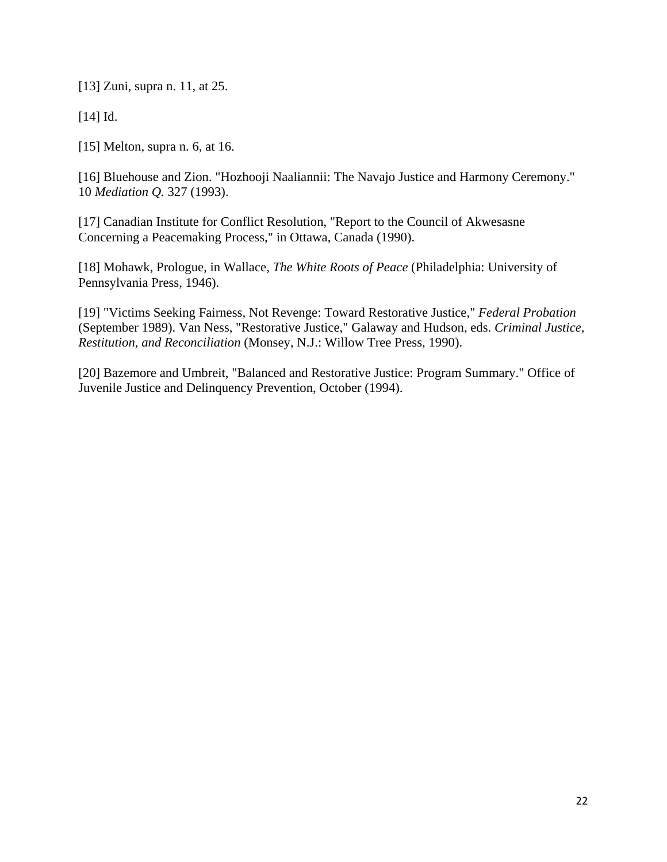<span id="page-22-0"></span>[13] Zuni, supra n. 11, at 25.

[14] **Id.** 

[15] Melton, supra n. 6, at 16.

[16] Bluehouse and Zion. "Hozhooji Naaliannii: The Navajo Justice and Harmony Ceremony." 10 *Mediation Q.* 327 (1993).

[17] Canadian Institute for Conflict Resolution, "Report to the Council of Akwesasne Concerning a Peacemaking Process," in Ottawa, Canada (1990).

[18] Mohawk, Prologue, in Wallace, *The White Roots of Peace* (Philadelphia: University of Pennsylvania Press, 1946).

[19] "Victims Seeking Fairness, Not Revenge: Toward Restorative Justice," *Federal Probation*  (September 1989). Van Ness, "Restorative Justice," Galaway and Hudson, eds. *Criminal Justice, Restitution, and Reconciliation* (Monsey, N.J.: Willow Tree Press, 1990).

[20] Bazemore and Umbreit, "Balanced and Restorative Justice: Program Summary." Office of Juvenile Justice and Delinquency Prevention, October (1994).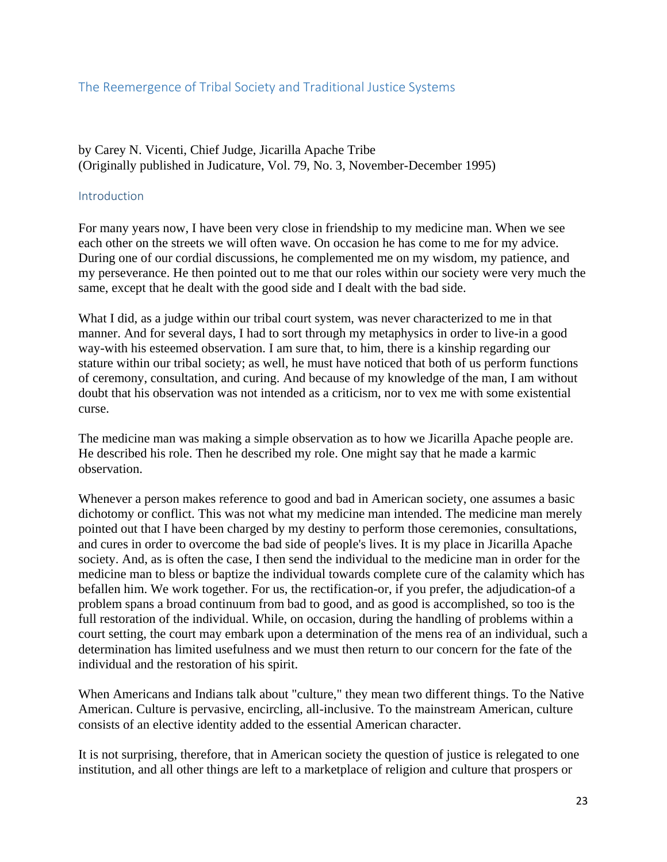#### The Reemergence of Tribal Society and Traditional Justice Systems

#### by Carey N. Vicenti, Chief Judge, Jicarilla Apache Tribe (Originally published in Judicature, Vol. 79, No. 3, November-December 1995)

#### Introduction

For many years now, I have been very close in friendship to my medicine man. When we see each other on the streets we will often wave. On occasion he has come to me for my advice. During one of our cordial discussions, he complemented me on my wisdom, my patience, and my perseverance. He then pointed out to me that our roles within our society were very much the same, except that he dealt with the good side and I dealt with the bad side.

What I did, as a judge within our tribal court system, was never characterized to me in that manner. And for several days, I had to sort through my metaphysics in order to live-in a good way-with his esteemed observation. I am sure that, to him, there is a kinship regarding our stature within our tribal society; as well, he must have noticed that both of us perform functions of ceremony, consultation, and curing. And because of my knowledge of the man, I am without doubt that his observation was not intended as a criticism, nor to vex me with some existential curse.

The medicine man was making a simple observation as to how we Jicarilla Apache people are. He described his role. Then he described my role. One might say that he made a karmic observation.

Whenever a person makes reference to good and bad in American society, one assumes a basic dichotomy or conflict. This was not what my medicine man intended. The medicine man merely pointed out that I have been charged by my destiny to perform those ceremonies, consultations, and cures in order to overcome the bad side of people's lives. It is my place in Jicarilla Apache society. And, as is often the case, I then send the individual to the medicine man in order for the medicine man to bless or baptize the individual towards complete cure of the calamity which has befallen him. We work together. For us, the rectification-or, if you prefer, the adjudication-of a problem spans a broad continuum from bad to good, and as good is accomplished, so too is the full restoration of the individual. While, on occasion, during the handling of problems within a court setting, the court may embark upon a determination of the mens rea of an individual, such a determination has limited usefulness and we must then return to our concern for the fate of the individual and the restoration of his spirit.

When Americans and Indians talk about "culture," they mean two different things. To the Native American. Culture is pervasive, encircling, all-inclusive. To the mainstream American, culture consists of an elective identity added to the essential American character.

It is not surprising, therefore, that in American society the question of justice is relegated to one institution, and all other things are left to a marketplace of religion and culture that prospers or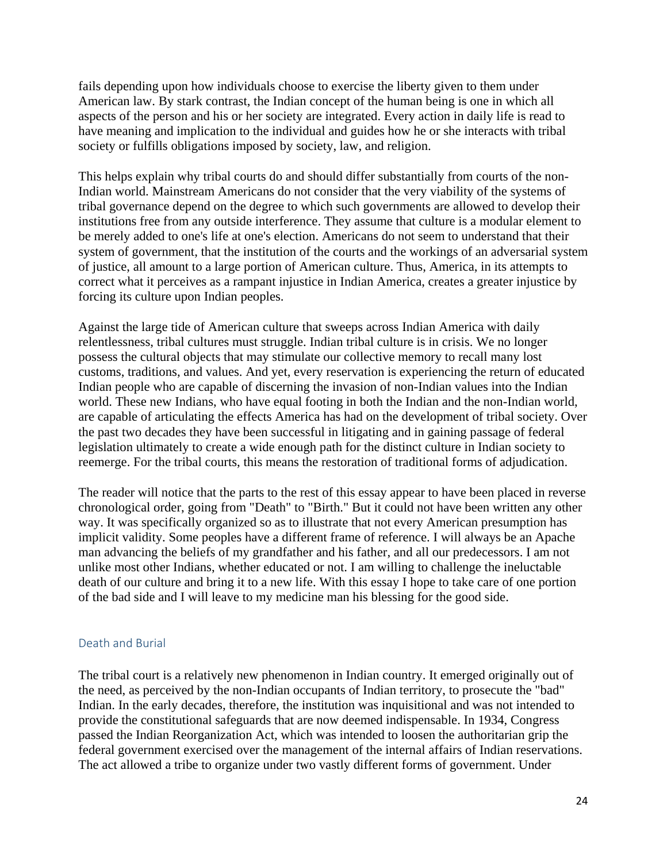fails depending upon how individuals choose to exercise the liberty given to them under American law. By stark contrast, the Indian concept of the human being is one in which all aspects of the person and his or her society are integrated. Every action in daily life is read to have meaning and implication to the individual and guides how he or she interacts with tribal society or fulfills obligations imposed by society, law, and religion.

This helps explain why tribal courts do and should differ substantially from courts of the non-Indian world. Mainstream Americans do not consider that the very viability of the systems of tribal governance depend on the degree to which such governments are allowed to develop their institutions free from any outside interference. They assume that culture is a modular element to be merely added to one's life at one's election. Americans do not seem to understand that their system of government, that the institution of the courts and the workings of an adversarial system of justice, all amount to a large portion of American culture. Thus, America, in its attempts to correct what it perceives as a rampant injustice in Indian America, creates a greater injustice by forcing its culture upon Indian peoples.

Against the large tide of American culture that sweeps across Indian America with daily relentlessness, tribal cultures must struggle. Indian tribal culture is in crisis. We no longer possess the cultural objects that may stimulate our collective memory to recall many lost customs, traditions, and values. And yet, every reservation is experiencing the return of educated Indian people who are capable of discerning the invasion of non-Indian values into the Indian world. These new Indians, who have equal footing in both the Indian and the non-Indian world, are capable of articulating the effects America has had on the development of tribal society. Over the past two decades they have been successful in litigating and in gaining passage of federal legislation ultimately to create a wide enough path for the distinct culture in Indian society to reemerge. For the tribal courts, this means the restoration of traditional forms of adjudication.

The reader will notice that the parts to the rest of this essay appear to have been placed in reverse chronological order, going from "Death" to "Birth." But it could not have been written any other way. It was specifically organized so as to illustrate that not every American presumption has implicit validity. Some peoples have a different frame of reference. I will always be an Apache man advancing the beliefs of my grandfather and his father, and all our predecessors. I am not unlike most other Indians, whether educated or not. I am willing to challenge the ineluctable death of our culture and bring it to a new life. With this essay I hope to take care of one portion of the bad side and I will leave to my medicine man his blessing for the good side.

#### Death and Burial

The tribal court is a relatively new phenomenon in Indian country. It emerged originally out of the need, as perceived by the non-Indian occupants of Indian territory, to prosecute the "bad" Indian. In the early decades, therefore, the institution was inquisitional and was not intended to provide the constitutional safeguards that are now deemed indispensable. In 1934, Congress passed the Indian Reorganization Act, which was intended to loosen the authoritarian grip the federal government exercised over the management of the internal affairs of Indian reservations. The act allowed a tribe to organize under two vastly different forms of government. Under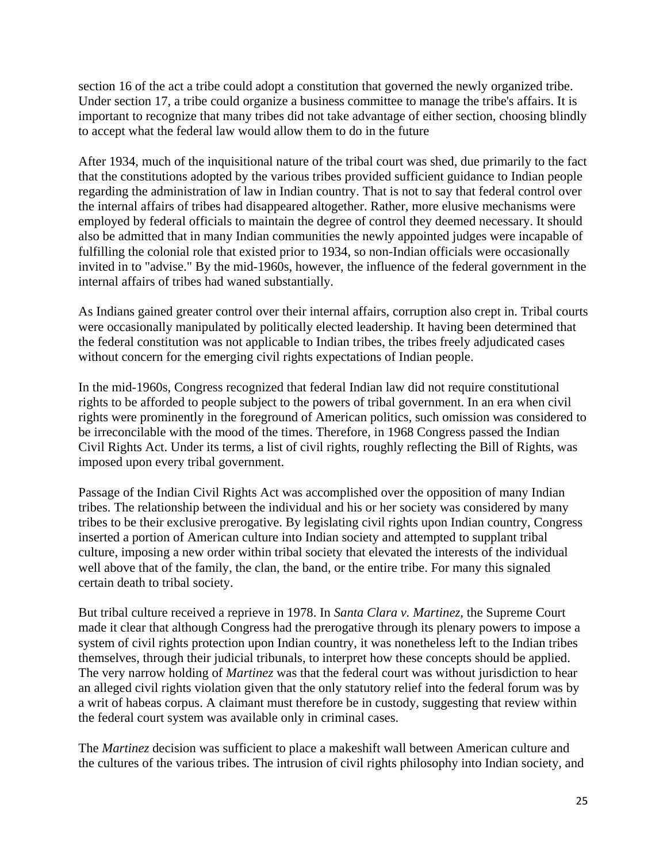section 16 of the act a tribe could adopt a constitution that governed the newly organized tribe. Under section 17, a tribe could organize a business committee to manage the tribe's affairs. It is important to recognize that many tribes did not take advantage of either section, choosing blindly to accept what the federal law would allow them to do in the future

After 1934, much of the inquisitional nature of the tribal court was shed, due primarily to the fact that the constitutions adopted by the various tribes provided sufficient guidance to Indian people regarding the administration of law in Indian country. That is not to say that federal control over the internal affairs of tribes had disappeared altogether. Rather, more elusive mechanisms were employed by federal officials to maintain the degree of control they deemed necessary. It should also be admitted that in many Indian communities the newly appointed judges were incapable of fulfilling the colonial role that existed prior to 1934, so non-Indian officials were occasionally invited in to "advise." By the mid-1960s, however, the influence of the federal government in the internal affairs of tribes had waned substantially.

As Indians gained greater control over their internal affairs, corruption also crept in. Tribal courts were occasionally manipulated by politically elected leadership. It having been determined that the federal constitution was not applicable to Indian tribes, the tribes freely adjudicated cases without concern for the emerging civil rights expectations of Indian people.

In the mid-1960s, Congress recognized that federal Indian law did not require constitutional rights to be afforded to people subject to the powers of tribal government. In an era when civil rights were prominently in the foreground of American politics, such omission was considered to be irreconcilable with the mood of the times. Therefore, in 1968 Congress passed the Indian Civil Rights Act. Under its terms, a list of civil rights, roughly reflecting the Bill of Rights, was imposed upon every tribal government.

Passage of the Indian Civil Rights Act was accomplished over the opposition of many Indian tribes. The relationship between the individual and his or her society was considered by many tribes to be their exclusive prerogative. By legislating civil rights upon Indian country, Congress inserted a portion of American culture into Indian society and attempted to supplant tribal culture, imposing a new order within tribal society that elevated the interests of the individual well above that of the family, the clan, the band, or the entire tribe. For many this signaled certain death to tribal society.

the federal court system was available only in criminal cases. But tribal culture received a reprieve in 1978. In *Santa Clara v. Martinez,* the Supreme Court made it clear that although Congress had the prerogative through its plenary powers to impose a system of civil rights protection upon Indian country, it was nonetheless left to the Indian tribes themselves, through their judicial tribunals, to interpret how these concepts should be applied. The very narrow holding of *Martinez* was that the federal court was without jurisdiction to hear an alleged civil rights violation given that the only statutory relief into the federal forum was by a writ of habeas corpus. A claimant must therefore be in custody, suggesting that review within

The *Martinez* decision was sufficient to place a makeshift wall between American culture and the cultures of the various tribes. The intrusion of civil rights philosophy into Indian society, and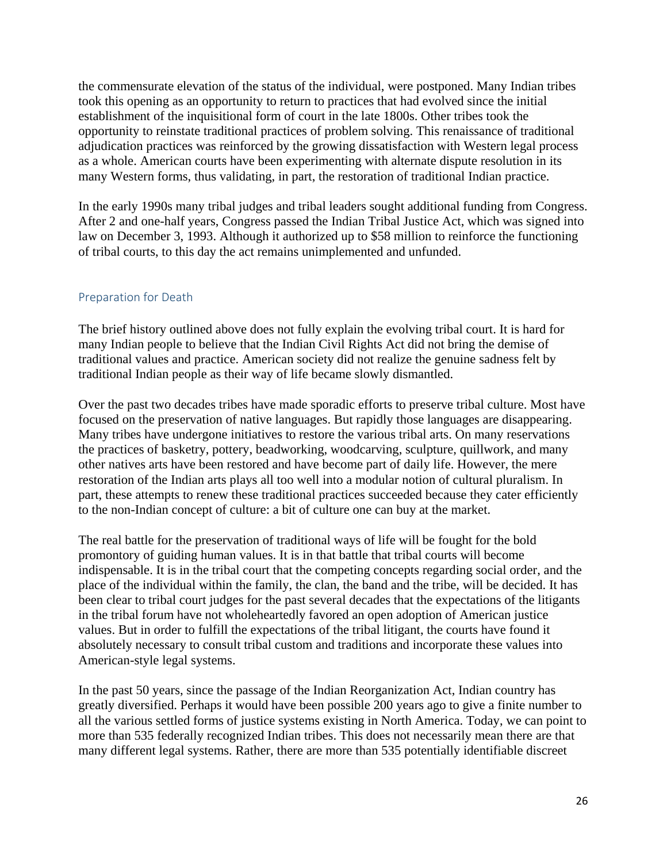the commensurate elevation of the status of the individual, were postponed. Many Indian tribes took this opening as an opportunity to return to practices that had evolved since the initial establishment of the inquisitional form of court in the late 1800s. Other tribes took the opportunity to reinstate traditional practices of problem solving. This renaissance of traditional adjudication practices was reinforced by the growing dissatisfaction with Western legal process as a whole. American courts have been experimenting with alternate dispute resolution in its many Western forms, thus validating, in part, the restoration of traditional Indian practice.

In the early 1990s many tribal judges and tribal leaders sought additional funding from Congress. After 2 and one-half years, Congress passed the Indian Tribal Justice Act, which was signed into law on December 3, 1993. Although it authorized up to \$58 million to reinforce the functioning of tribal courts, to this day the act remains unimplemented and unfunded.

#### Preparation for Death

The brief history outlined above does not fully explain the evolving tribal court. It is hard for many Indian people to believe that the Indian Civil Rights Act did not bring the demise of traditional values and practice. American society did not realize the genuine sadness felt by traditional Indian people as their way of life became slowly dismantled.

Over the past two decades tribes have made sporadic efforts to preserve tribal culture. Most have focused on the preservation of native languages. But rapidly those languages are disappearing. Many tribes have undergone initiatives to restore the various tribal arts. On many reservations the practices of basketry, pottery, beadworking, woodcarving, sculpture, quillwork, and many other natives arts have been restored and have become part of daily life. However, the mere restoration of the Indian arts plays all too well into a modular notion of cultural pluralism. In part, these attempts to renew these traditional practices succeeded because they cater efficiently to the non-Indian concept of culture: a bit of culture one can buy at the market.

The real battle for the preservation of traditional ways of life will be fought for the bold promontory of guiding human values. It is in that battle that tribal courts will become indispensable. It is in the tribal court that the competing concepts regarding social order, and the place of the individual within the family, the clan, the band and the tribe, will be decided. It has been clear to tribal court judges for the past several decades that the expectations of the litigants in the tribal forum have not wholeheartedly favored an open adoption of American justice values. But in order to fulfill the expectations of the tribal litigant, the courts have found it absolutely necessary to consult tribal custom and traditions and incorporate these values into American-style legal systems.

In the past 50 years, since the passage of the Indian Reorganization Act, Indian country has greatly diversified. Perhaps it would have been possible 200 years ago to give a finite number to all the various settled forms of justice systems existing in North America. Today, we can point to more than 535 federally recognized Indian tribes. This does not necessarily mean there are that many different legal systems. Rather, there are more than 535 potentially identifiable discreet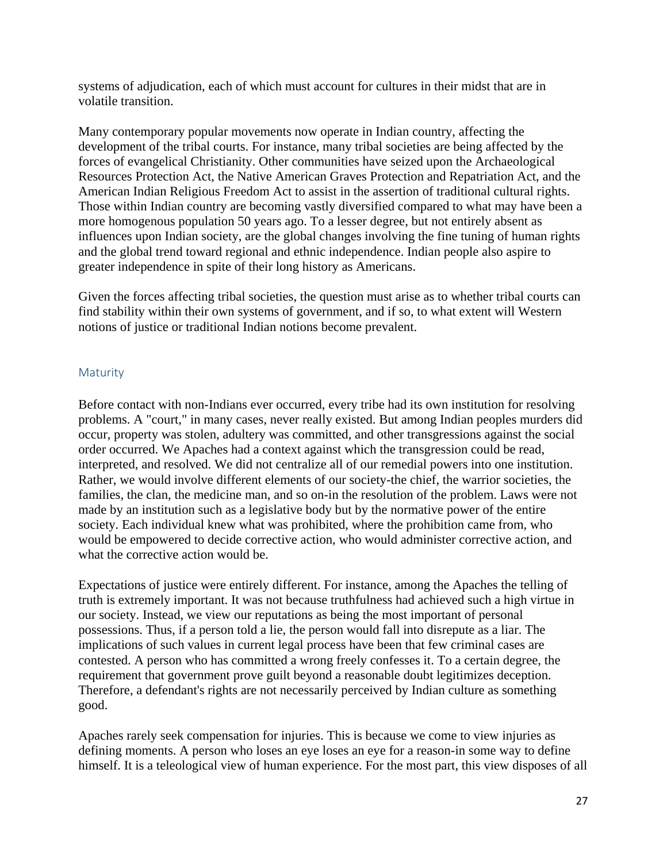systems of adjudication, each of which must account for cultures in their midst that are in volatile transition.

Many contemporary popular movements now operate in Indian country, affecting the development of the tribal courts. For instance, many tribal societies are being affected by the forces of evangelical Christianity. Other communities have seized upon the Archaeological Resources Protection Act, the Native American Graves Protection and Repatriation Act, and the American Indian Religious Freedom Act to assist in the assertion of traditional cultural rights. Those within Indian country are becoming vastly diversified compared to what may have been a more homogenous population 50 years ago. To a lesser degree, but not entirely absent as influences upon Indian society, are the global changes involving the fine tuning of human rights and the global trend toward regional and ethnic independence. Indian people also aspire to greater independence in spite of their long history as Americans.

Given the forces affecting tribal societies, the question must arise as to whether tribal courts can find stability within their own systems of government, and if so, to what extent will Western notions of justice or traditional Indian notions become prevalent.

#### **Maturity**

Before contact with non-Indians ever occurred, every tribe had its own institution for resolving problems. A "court," in many cases, never really existed. But among Indian peoples murders did occur, property was stolen, adultery was committed, and other transgressions against the social order occurred. We Apaches had a context against which the transgression could be read, interpreted, and resolved. We did not centralize all of our remedial powers into one institution. Rather, we would involve different elements of our society-the chief, the warrior societies, the families, the clan, the medicine man, and so on-in the resolution of the problem. Laws were not made by an institution such as a legislative body but by the normative power of the entire society. Each individual knew what was prohibited, where the prohibition came from, who would be empowered to decide corrective action, who would administer corrective action, and what the corrective action would be.

Expectations of justice were entirely different. For instance, among the Apaches the telling of truth is extremely important. It was not because truthfulness had achieved such a high virtue in our society. Instead, we view our reputations as being the most important of personal possessions. Thus, if a person told a lie, the person would fall into disrepute as a liar. The implications of such values in current legal process have been that few criminal cases are contested. A person who has committed a wrong freely confesses it. To a certain degree, the requirement that government prove guilt beyond a reasonable doubt legitimizes deception. Therefore, a defendant's rights are not necessarily perceived by Indian culture as something good.

Apaches rarely seek compensation for injuries. This is because we come to view injuries as defining moments. A person who loses an eye loses an eye for a reason-in some way to define himself. It is a teleological view of human experience. For the most part, this view disposes of all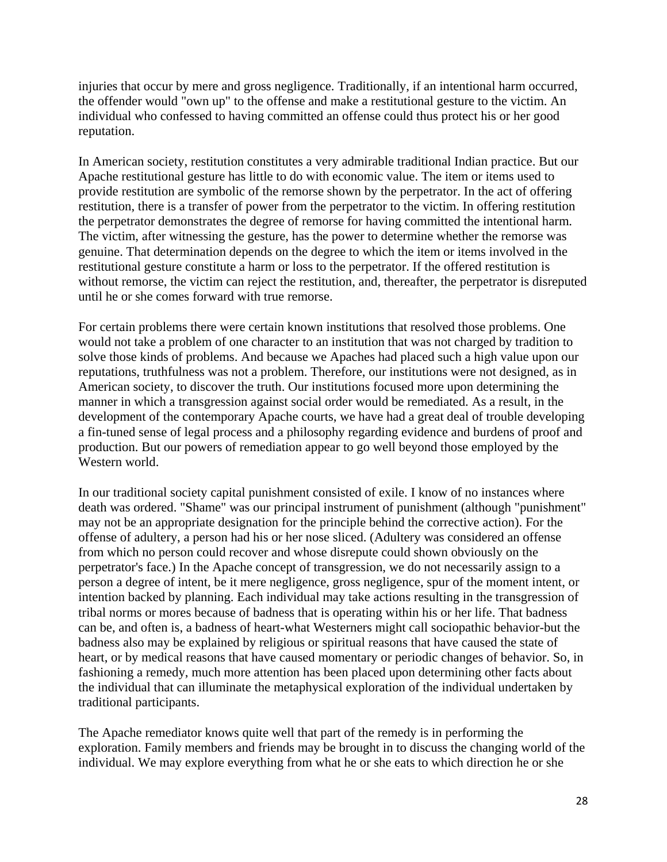injuries that occur by mere and gross negligence. Traditionally, if an intentional harm occurred, the offender would "own up" to the offense and make a restitutional gesture to the victim. An individual who confessed to having committed an offense could thus protect his or her good reputation.

until he or she comes forward with true remorse. In American society, restitution constitutes a very admirable traditional Indian practice. But our Apache restitutional gesture has little to do with economic value. The item or items used to provide restitution are symbolic of the remorse shown by the perpetrator. In the act of offering restitution, there is a transfer of power from the perpetrator to the victim. In offering restitution the perpetrator demonstrates the degree of remorse for having committed the intentional harm. The victim, after witnessing the gesture, has the power to determine whether the remorse was genuine. That determination depends on the degree to which the item or items involved in the restitutional gesture constitute a harm or loss to the perpetrator. If the offered restitution is without remorse, the victim can reject the restitution, and, thereafter, the perpetrator is disreputed

For certain problems there were certain known institutions that resolved those problems. One would not take a problem of one character to an institution that was not charged by tradition to solve those kinds of problems. And because we Apaches had placed such a high value upon our reputations, truthfulness was not a problem. Therefore, our institutions were not designed, as in American society, to discover the truth. Our institutions focused more upon determining the manner in which a transgression against social order would be remediated. As a result, in the development of the contemporary Apache courts, we have had a great deal of trouble developing a fin-tuned sense of legal process and a philosophy regarding evidence and burdens of proof and production. But our powers of remediation appear to go well beyond those employed by the Western world.

In our traditional society capital punishment consisted of exile. I know of no instances where death was ordered. "Shame" was our principal instrument of punishment (although "punishment" may not be an appropriate designation for the principle behind the corrective action). For the offense of adultery, a person had his or her nose sliced. (Adultery was considered an offense from which no person could recover and whose disrepute could shown obviously on the perpetrator's face.) In the Apache concept of transgression, we do not necessarily assign to a person a degree of intent, be it mere negligence, gross negligence, spur of the moment intent, or intention backed by planning. Each individual may take actions resulting in the transgression of tribal norms or mores because of badness that is operating within his or her life. That badness can be, and often is, a badness of heart-what Westerners might call sociopathic behavior-but the badness also may be explained by religious or spiritual reasons that have caused the state of heart, or by medical reasons that have caused momentary or periodic changes of behavior. So, in fashioning a remedy, much more attention has been placed upon determining other facts about the individual that can illuminate the metaphysical exploration of the individual undertaken by traditional participants.

The Apache remediator knows quite well that part of the remedy is in performing the exploration. Family members and friends may be brought in to discuss the changing world of the individual. We may explore everything from what he or she eats to which direction he or she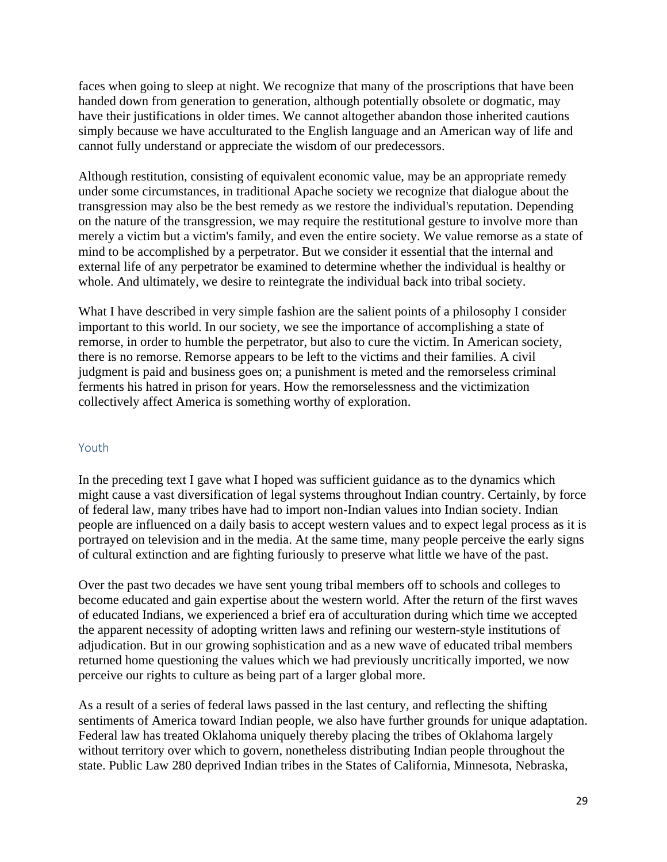faces when going to sleep at night. We recognize that many of the proscriptions that have been handed down from generation to generation, although potentially obsolete or dogmatic, may have their justifications in older times. We cannot altogether abandon those inherited cautions simply because we have acculturated to the English language and an American way of life and cannot fully understand or appreciate the wisdom of our predecessors.

Although restitution, consisting of equivalent economic value, may be an appropriate remedy under some circumstances, in traditional Apache society we recognize that dialogue about the transgression may also be the best remedy as we restore the individual's reputation. Depending on the nature of the transgression, we may require the restitutional gesture to involve more than merely a victim but a victim's family, and even the entire society. We value remorse as a state of mind to be accomplished by a perpetrator. But we consider it essential that the internal and external life of any perpetrator be examined to determine whether the individual is healthy or whole. And ultimately, we desire to reintegrate the individual back into tribal society.

What I have described in very simple fashion are the salient points of a philosophy I consider important to this world. In our society, we see the importance of accomplishing a state of remorse, in order to humble the perpetrator, but also to cure the victim. In American society, there is no remorse. Remorse appears to be left to the victims and their families. A civil judgment is paid and business goes on; a punishment is meted and the remorseless criminal ferments his hatred in prison for years. How the remorselessness and the victimization collectively affect America is something worthy of exploration.

#### Youth

In the preceding text I gave what I hoped was sufficient guidance as to the dynamics which might cause a vast diversification of legal systems throughout Indian country. Certainly, by force of federal law, many tribes have had to import non-Indian values into Indian society. Indian people are influenced on a daily basis to accept western values and to expect legal process as it is portrayed on television and in the media. At the same time, many people perceive the early signs of cultural extinction and are fighting furiously to preserve what little we have of the past.

Over the past two decades we have sent young tribal members off to schools and colleges to become educated and gain expertise about the western world. After the return of the first waves of educated Indians, we experienced a brief era of acculturation during which time we accepted the apparent necessity of adopting written laws and refining our western-style institutions of adjudication. But in our growing sophistication and as a new wave of educated tribal members returned home questioning the values which we had previously uncritically imported, we now perceive our rights to culture as being part of a larger global more.

As a result of a series of federal laws passed in the last century, and reflecting the shifting sentiments of America toward Indian people, we also have further grounds for unique adaptation. Federal law has treated Oklahoma uniquely thereby placing the tribes of Oklahoma largely without territory over which to govern, nonetheless distributing Indian people throughout the state. Public Law 280 deprived Indian tribes in the States of California, Minnesota, Nebraska,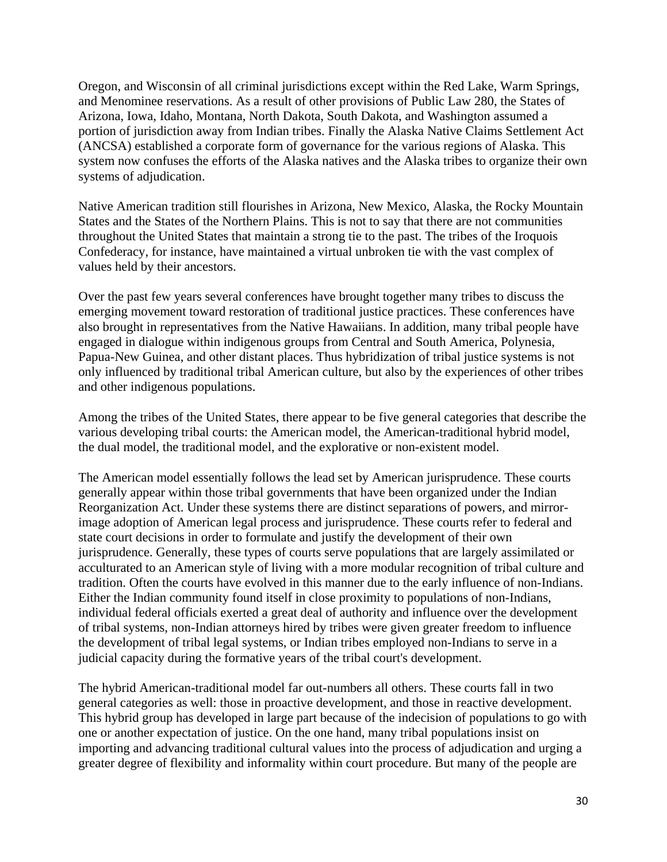Oregon, and Wisconsin of all criminal jurisdictions except within the Red Lake, Warm Springs, and Menominee reservations. As a result of other provisions of Public Law 280, the States of Arizona, Iowa, Idaho, Montana, North Dakota, South Dakota, and Washington assumed a portion of jurisdiction away from Indian tribes. Finally the Alaska Native Claims Settlement Act (ANCSA) established a corporate form of governance for the various regions of Alaska. This system now confuses the efforts of the Alaska natives and the Alaska tribes to organize their own systems of adjudication.

Native American tradition still flourishes in Arizona, New Mexico, Alaska, the Rocky Mountain States and the States of the Northern Plains. This is not to say that there are not communities throughout the United States that maintain a strong tie to the past. The tribes of the Iroquois Confederacy, for instance, have maintained a virtual unbroken tie with the vast complex of values held by their ancestors.

Over the past few years several conferences have brought together many tribes to discuss the emerging movement toward restoration of traditional justice practices. These conferences have also brought in representatives from the Native Hawaiians. In addition, many tribal people have engaged in dialogue within indigenous groups from Central and South America, Polynesia, Papua-New Guinea, and other distant places. Thus hybridization of tribal justice systems is not only influenced by traditional tribal American culture, but also by the experiences of other tribes and other indigenous populations.

Among the tribes of the United States, there appear to be five general categories that describe the various developing tribal courts: the American model, the American-traditional hybrid model, the dual model, the traditional model, and the explorative or non-existent model.

The American model essentially follows the lead set by American jurisprudence. These courts generally appear within those tribal governments that have been organized under the Indian Reorganization Act. Under these systems there are distinct separations of powers, and mirrorimage adoption of American legal process and jurisprudence. These courts refer to federal and state court decisions in order to formulate and justify the development of their own jurisprudence. Generally, these types of courts serve populations that are largely assimilated or acculturated to an American style of living with a more modular recognition of tribal culture and tradition. Often the courts have evolved in this manner due to the early influence of non-Indians. Either the Indian community found itself in close proximity to populations of non-Indians, individual federal officials exerted a great deal of authority and influence over the development of tribal systems, non-Indian attorneys hired by tribes were given greater freedom to influence the development of tribal legal systems, or Indian tribes employed non-Indians to serve in a judicial capacity during the formative years of the tribal court's development.

The hybrid American-traditional model far out-numbers all others. These courts fall in two general categories as well: those in proactive development, and those in reactive development. This hybrid group has developed in large part because of the indecision of populations to go with one or another expectation of justice. On the one hand, many tribal populations insist on importing and advancing traditional cultural values into the process of adjudication and urging a greater degree of flexibility and informality within court procedure. But many of the people are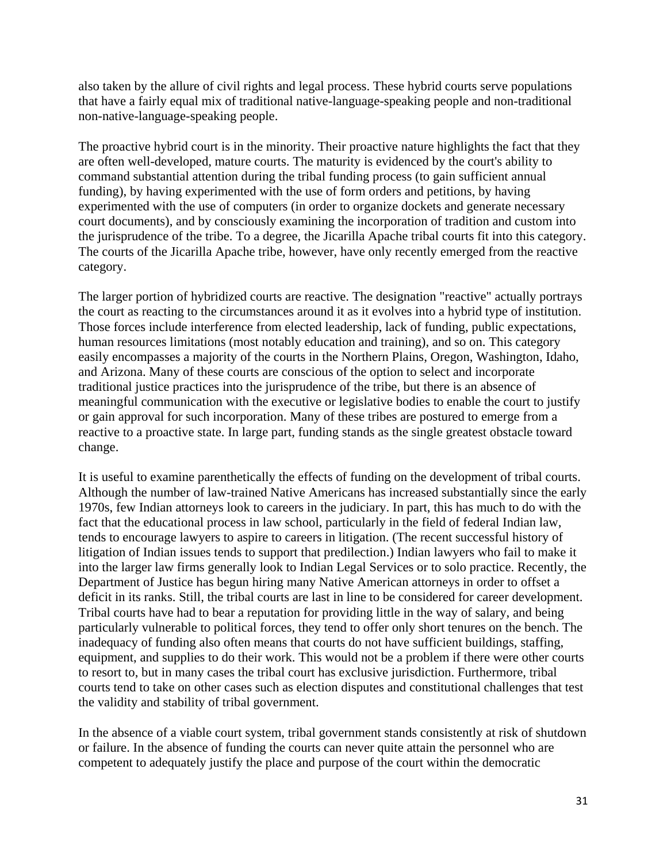also taken by the allure of civil rights and legal process. These hybrid courts serve populations that have a fairly equal mix of traditional native-language-speaking people and non-traditional non-native-language-speaking people.

The proactive hybrid court is in the minority. Their proactive nature highlights the fact that they are often well-developed, mature courts. The maturity is evidenced by the court's ability to command substantial attention during the tribal funding process (to gain sufficient annual funding), by having experimented with the use of form orders and petitions, by having experimented with the use of computers (in order to organize dockets and generate necessary court documents), and by consciously examining the incorporation of tradition and custom into the jurisprudence of the tribe. To a degree, the Jicarilla Apache tribal courts fit into this category. The courts of the Jicarilla Apache tribe, however, have only recently emerged from the reactive category.

The larger portion of hybridized courts are reactive. The designation "reactive" actually portrays the court as reacting to the circumstances around it as it evolves into a hybrid type of institution. Those forces include interference from elected leadership, lack of funding, public expectations, human resources limitations (most notably education and training), and so on. This category easily encompasses a majority of the courts in the Northern Plains, Oregon, Washington, Idaho, and Arizona. Many of these courts are conscious of the option to select and incorporate traditional justice practices into the jurisprudence of the tribe, but there is an absence of meaningful communication with the executive or legislative bodies to enable the court to justify or gain approval for such incorporation. Many of these tribes are postured to emerge from a reactive to a proactive state. In large part, funding stands as the single greatest obstacle toward change.

It is useful to examine parenthetically the effects of funding on the development of tribal courts. Although the number of law-trained Native Americans has increased substantially since the early 1970s, few Indian attorneys look to careers in the judiciary. In part, this has much to do with the fact that the educational process in law school, particularly in the field of federal Indian law, tends to encourage lawyers to aspire to careers in litigation. (The recent successful history of litigation of Indian issues tends to support that predilection.) Indian lawyers who fail to make it into the larger law firms generally look to Indian Legal Services or to solo practice. Recently, the Department of Justice has begun hiring many Native American attorneys in order to offset a deficit in its ranks. Still, the tribal courts are last in line to be considered for career development. Tribal courts have had to bear a reputation for providing little in the way of salary, and being particularly vulnerable to political forces, they tend to offer only short tenures on the bench. The inadequacy of funding also often means that courts do not have sufficient buildings, staffing, equipment, and supplies to do their work. This would not be a problem if there were other courts to resort to, but in many cases the tribal court has exclusive jurisdiction. Furthermore, tribal courts tend to take on other cases such as election disputes and constitutional challenges that test the validity and stability of tribal government.

In the absence of a viable court system, tribal government stands consistently at risk of shutdown or failure. In the absence of funding the courts can never quite attain the personnel who are competent to adequately justify the place and purpose of the court within the democratic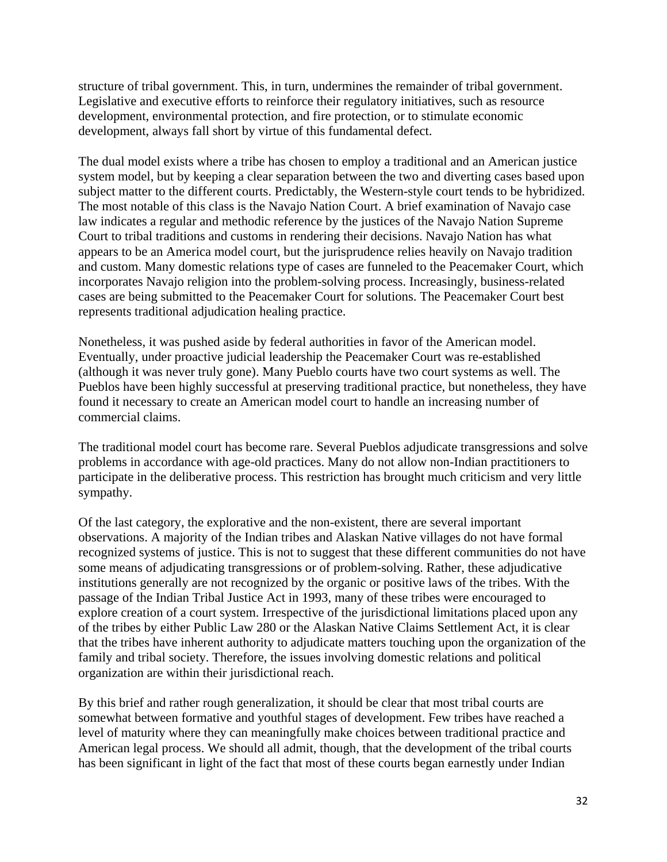structure of tribal government. This, in turn, undermines the remainder of tribal government. Legislative and executive efforts to reinforce their regulatory initiatives, such as resource development, environmental protection, and fire protection, or to stimulate economic development, always fall short by virtue of this fundamental defect.

The dual model exists where a tribe has chosen to employ a traditional and an American justice system model, but by keeping a clear separation between the two and diverting cases based upon subject matter to the different courts. Predictably, the Western-style court tends to be hybridized. The most notable of this class is the Navajo Nation Court. A brief examination of Navajo case law indicates a regular and methodic reference by the justices of the Navajo Nation Supreme Court to tribal traditions and customs in rendering their decisions. Navajo Nation has what appears to be an America model court, but the jurisprudence relies heavily on Navajo tradition and custom. Many domestic relations type of cases are funneled to the Peacemaker Court, which incorporates Navajo religion into the problem-solving process. Increasingly, business-related cases are being submitted to the Peacemaker Court for solutions. The Peacemaker Court best represents traditional adjudication healing practice.

Nonetheless, it was pushed aside by federal authorities in favor of the American model. Eventually, under proactive judicial leadership the Peacemaker Court was re-established (although it was never truly gone). Many Pueblo courts have two court systems as well. The Pueblos have been highly successful at preserving traditional practice, but nonetheless, they have found it necessary to create an American model court to handle an increasing number of commercial claims.

The traditional model court has become rare. Several Pueblos adjudicate transgressions and solve problems in accordance with age-old practices. Many do not allow non-Indian practitioners to participate in the deliberative process. This restriction has brought much criticism and very little sympathy.

Of the last category, the explorative and the non-existent, there are several important observations. A majority of the Indian tribes and Alaskan Native villages do not have formal recognized systems of justice. This is not to suggest that these different communities do not have some means of adjudicating transgressions or of problem-solving. Rather, these adjudicative institutions generally are not recognized by the organic or positive laws of the tribes. With the passage of the Indian Tribal Justice Act in 1993, many of these tribes were encouraged to explore creation of a court system. Irrespective of the jurisdictional limitations placed upon any of the tribes by either Public Law 280 or the Alaskan Native Claims Settlement Act, it is clear that the tribes have inherent authority to adjudicate matters touching upon the organization of the family and tribal society. Therefore, the issues involving domestic relations and political organization are within their jurisdictional reach.

By this brief and rather rough generalization, it should be clear that most tribal courts are somewhat between formative and youthful stages of development. Few tribes have reached a level of maturity where they can meaningfully make choices between traditional practice and American legal process. We should all admit, though, that the development of the tribal courts has been significant in light of the fact that most of these courts began earnestly under Indian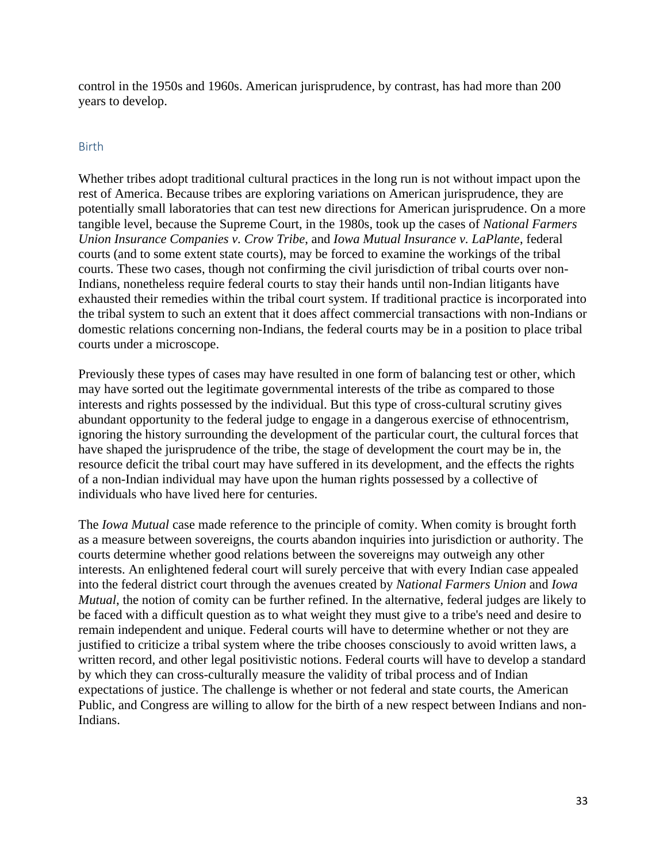control in the 1950s and 1960s. American jurisprudence, by contrast, has had more than 200 years to develop.

#### Birth

Whether tribes adopt traditional cultural practices in the long run is not without impact upon the rest of America. Because tribes are exploring variations on American jurisprudence, they are potentially small laboratories that can test new directions for American jurisprudence. On a more tangible level, because the Supreme Court, in the 1980s, took up the cases of *National Farmers Union Insurance Companies v. Crow Tribe*, and *Iowa Mutual Insurance v. LaPlante*, federal courts (and to some extent state courts), may be forced to examine the workings of the tribal courts. These two cases, though not confirming the civil jurisdiction of tribal courts over non-Indians, nonetheless require federal courts to stay their hands until non-Indian litigants have exhausted their remedies within the tribal court system. If traditional practice is incorporated into the tribal system to such an extent that it does affect commercial transactions with non-Indians or domestic relations concerning non-Indians, the federal courts may be in a position to place tribal courts under a microscope.

Previously these types of cases may have resulted in one form of balancing test or other, which may have sorted out the legitimate governmental interests of the tribe as compared to those interests and rights possessed by the individual. But this type of cross-cultural scrutiny gives abundant opportunity to the federal judge to engage in a dangerous exercise of ethnocentrism, ignoring the history surrounding the development of the particular court, the cultural forces that have shaped the jurisprudence of the tribe, the stage of development the court may be in, the resource deficit the tribal court may have suffered in its development, and the effects the rights of a non-Indian individual may have upon the human rights possessed by a collective of individuals who have lived here for centuries.

The *Iowa Mutual* case made reference to the principle of comity. When comity is brought forth as a measure between sovereigns, the courts abandon inquiries into jurisdiction or authority. The courts determine whether good relations between the sovereigns may outweigh any other interests. An enlightened federal court will surely perceive that with every Indian case appealed into the federal district court through the avenues created by *National Farmers Union* and *Iowa Mutual*, the notion of comity can be further refined. In the alternative, federal judges are likely to be faced with a difficult question as to what weight they must give to a tribe's need and desire to remain independent and unique. Federal courts will have to determine whether or not they are justified to criticize a tribal system where the tribe chooses consciously to avoid written laws, a written record, and other legal positivistic notions. Federal courts will have to develop a standard by which they can cross-culturally measure the validity of tribal process and of Indian expectations of justice. The challenge is whether or not federal and state courts, the American Public, and Congress are willing to allow for the birth of a new respect between Indians and non-Indians.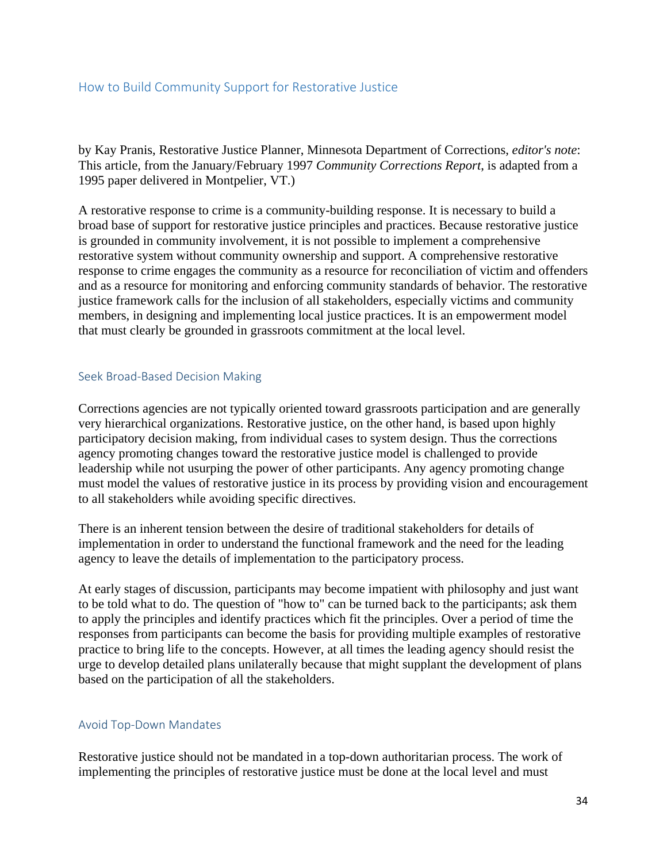#### How to Build Community Support for Restorative Justice

by Kay Pranis, Restorative Justice Planner, Minnesota Department of Corrections, *editor's note*: This article, from the January/February 1997 *Community Corrections Report*, is adapted from a 1995 paper delivered in Montpelier, VT.)

A restorative response to crime is a community-building response. It is necessary to build a broad base of support for restorative justice principles and practices. Because restorative justice is grounded in community involvement, it is not possible to implement a comprehensive restorative system without community ownership and support. A comprehensive restorative response to crime engages the community as a resource for reconciliation of victim and offenders and as a resource for monitoring and enforcing community standards of behavior. The restorative justice framework calls for the inclusion of all stakeholders, especially victims and community members, in designing and implementing local justice practices. It is an empowerment model that must clearly be grounded in grassroots commitment at the local level.

#### Seek Broad‐Based Decision Making

Corrections agencies are not typically oriented toward grassroots participation and are generally very hierarchical organizations. Restorative justice, on the other hand, is based upon highly participatory decision making, from individual cases to system design. Thus the corrections agency promoting changes toward the restorative justice model is challenged to provide leadership while not usurping the power of other participants. Any agency promoting change must model the values of restorative justice in its process by providing vision and encouragement to all stakeholders while avoiding specific directives.

There is an inherent tension between the desire of traditional stakeholders for details of implementation in order to understand the functional framework and the need for the leading agency to leave the details of implementation to the participatory process.

At early stages of discussion, participants may become impatient with philosophy and just want to be told what to do. The question of "how to" can be turned back to the participants; ask them to apply the principles and identify practices which fit the principles. Over a period of time the responses from participants can become the basis for providing multiple examples of restorative practice to bring life to the concepts. However, at all times the leading agency should resist the urge to develop detailed plans unilaterally because that might supplant the development of plans based on the participation of all the stakeholders.

#### Avoid Top‐Down Mandates

Restorative justice should not be mandated in a top-down authoritarian process. The work of implementing the principles of restorative justice must be done at the local level and must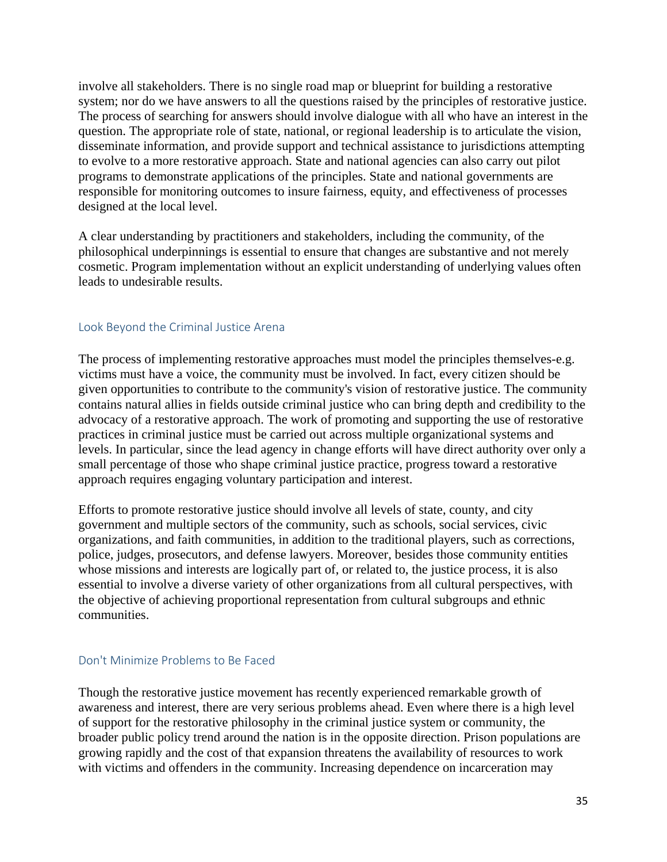involve all stakeholders. There is no single road map or blueprint for building a restorative system; nor do we have answers to all the questions raised by the principles of restorative justice. The process of searching for answers should involve dialogue with all who have an interest in the question. The appropriate role of state, national, or regional leadership is to articulate the vision, disseminate information, and provide support and technical assistance to jurisdictions attempting to evolve to a more restorative approach. State and national agencies can also carry out pilot programs to demonstrate applications of the principles. State and national governments are responsible for monitoring outcomes to insure fairness, equity, and effectiveness of processes designed at the local level.

A clear understanding by practitioners and stakeholders, including the community, of the philosophical underpinnings is essential to ensure that changes are substantive and not merely cosmetic. Program implementation without an explicit understanding of underlying values often leads to undesirable results.

#### Look Beyond the Criminal Justice Arena

The process of implementing restorative approaches must model the principles themselves-e.g. victims must have a voice, the community must be involved. In fact, every citizen should be given opportunities to contribute to the community's vision of restorative justice. The community contains natural allies in fields outside criminal justice who can bring depth and credibility to the advocacy of a restorative approach. The work of promoting and supporting the use of restorative practices in criminal justice must be carried out across multiple organizational systems and levels. In particular, since the lead agency in change efforts will have direct authority over only a small percentage of those who shape criminal justice practice, progress toward a restorative approach requires engaging voluntary participation and interest.

Efforts to promote restorative justice should involve all levels of state, county, and city government and multiple sectors of the community, such as schools, social services, civic organizations, and faith communities, in addition to the traditional players, such as corrections, police, judges, prosecutors, and defense lawyers. Moreover, besides those community entities whose missions and interests are logically part of, or related to, the justice process, it is also essential to involve a diverse variety of other organizations from all cultural perspectives, with the objective of achieving proportional representation from cultural subgroups and ethnic communities.

#### Don't Minimize Problems to Be Faced

Though the restorative justice movement has recently experienced remarkable growth of awareness and interest, there are very serious problems ahead. Even where there is a high level of support for the restorative philosophy in the criminal justice system or community, the broader public policy trend around the nation is in the opposite direction. Prison populations are growing rapidly and the cost of that expansion threatens the availability of resources to work with victims and offenders in the community. Increasing dependence on incarceration may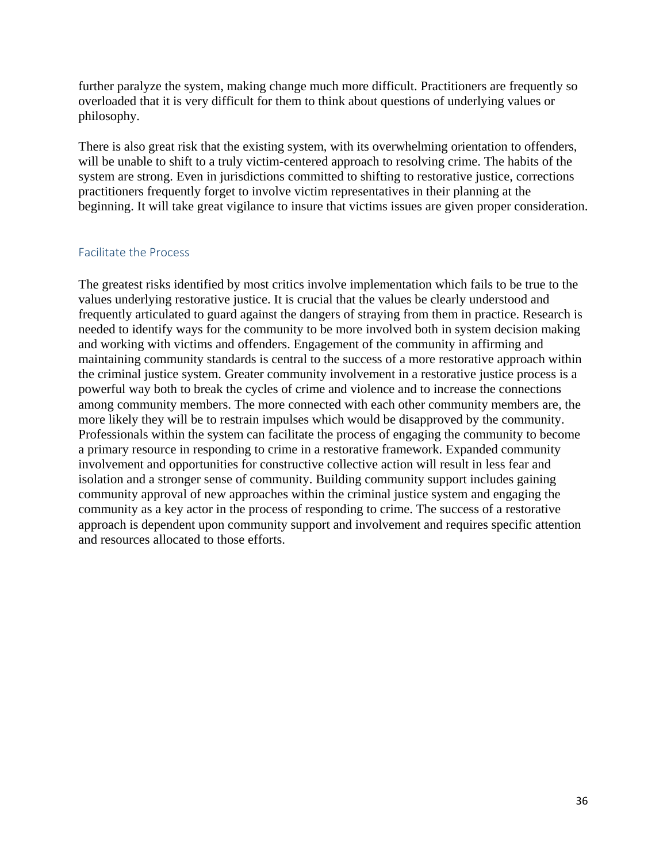further paralyze the system, making change much more difficult. Practitioners are frequently so overloaded that it is very difficult for them to think about questions of underlying values or philosophy.

There is also great risk that the existing system, with its overwhelming orientation to offenders, will be unable to shift to a truly victim-centered approach to resolving crime. The habits of the system are strong. Even in jurisdictions committed to shifting to restorative justice, corrections practitioners frequently forget to involve victim representatives in their planning at the beginning. It will take great vigilance to insure that victims issues are given proper consideration.

#### Facilitate the Process

The greatest risks identified by most critics involve implementation which fails to be true to the values underlying restorative justice. It is crucial that the values be clearly understood and frequently articulated to guard against the dangers of straying from them in practice. Research is needed to identify ways for the community to be more involved both in system decision making and working with victims and offenders. Engagement of the community in affirming and maintaining community standards is central to the success of a more restorative approach within the criminal justice system. Greater community involvement in a restorative justice process is a powerful way both to break the cycles of crime and violence and to increase the connections among community members. The more connected with each other community members are, the more likely they will be to restrain impulses which would be disapproved by the community. Professionals within the system can facilitate the process of engaging the community to become a primary resource in responding to crime in a restorative framework. Expanded community involvement and opportunities for constructive collective action will result in less fear and isolation and a stronger sense of community. Building community support includes gaining community approval of new approaches within the criminal justice system and engaging the community as a key actor in the process of responding to crime. The success of a restorative approach is dependent upon community support and involvement and requires specific attention and resources allocated to those efforts.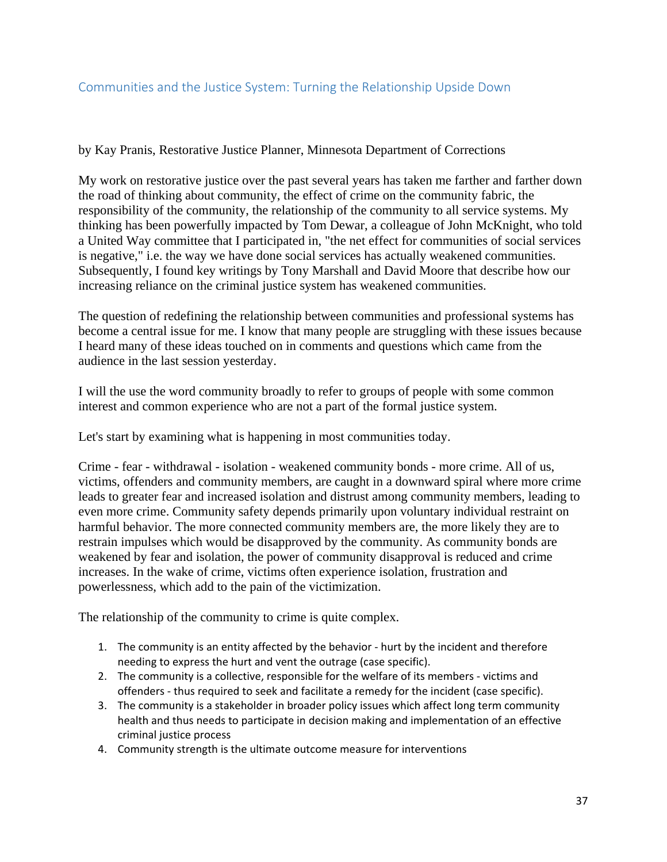# Communities and the Justice System: Turning the Relationship Upside Down

#### by Kay Pranis, Restorative Justice Planner, Minnesota Department of Corrections

My work on restorative justice over the past several years has taken me farther and farther down the road of thinking about community, the effect of crime on the community fabric, the responsibility of the community, the relationship of the community to all service systems. My thinking has been powerfully impacted by Tom Dewar, a colleague of John McKnight, who told a United Way committee that I participated in, "the net effect for communities of social services is negative," i.e. the way we have done social services has actually weakened communities. Subsequently, I found key writings by Tony Marshall and David Moore that describe how our increasing reliance on the criminal justice system has weakened communities.

The question of redefining the relationship between communities and professional systems has become a central issue for me. I know that many people are struggling with these issues because I heard many of these ideas touched on in comments and questions which came from the audience in the last session yesterday.

I will the use the word community broadly to refer to groups of people with some common interest and common experience who are not a part of the formal justice system.

Let's start by examining what is happening in most communities today.

Crime - fear - withdrawal - isolation - weakened community bonds - more crime. All of us, victims, offenders and community members, are caught in a downward spiral where more crime leads to greater fear and increased isolation and distrust among community members, leading to even more crime. Community safety depends primarily upon voluntary individual restraint on harmful behavior. The more connected community members are, the more likely they are to restrain impulses which would be disapproved by the community. As community bonds are weakened by fear and isolation, the power of community disapproval is reduced and crime increases. In the wake of crime, victims often experience isolation, frustration and powerlessness, which add to the pain of the victimization.

The relationship of the community to crime is quite complex.

- 1. The community is an entity affected by the behavior hurt by the incident and therefore needing to express the hurt and vent the outrage (case specific).
- 2. The community is a collective, responsible for the welfare of its members victims and offenders ‐ thus required to seek and facilitate a remedy for the incident (case specific).
- 3. The community is a stakeholder in broader policy issues which affect long term community health and thus needs to participate in decision making and implementation of an effective criminal justice process
- 4. Community strength is the ultimate outcome measure for interventions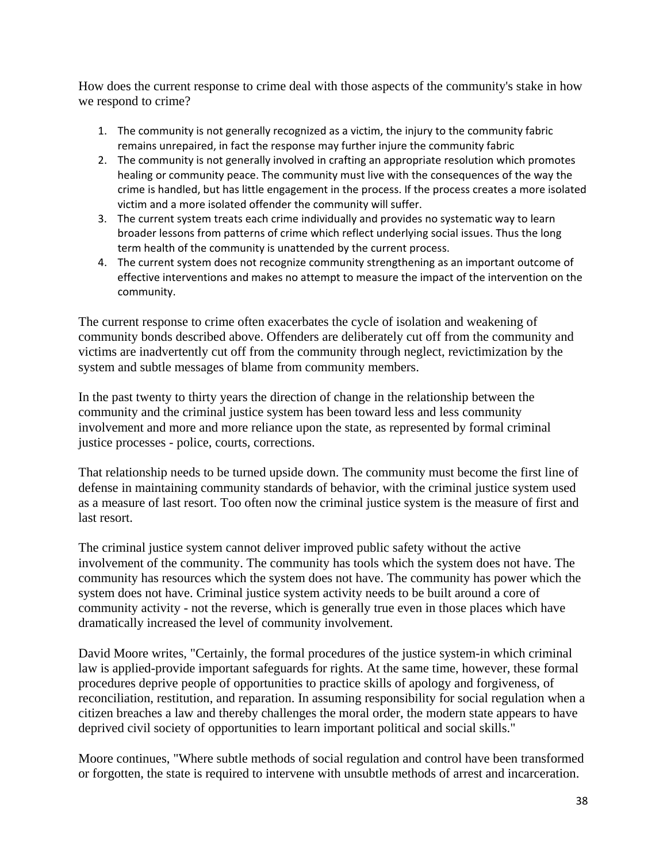How does the current response to crime deal with those aspects of the community's stake in how we respond to crime?

- 1. The community is not generally recognized as a victim, the injury to the community fabric remains unrepaired, in fact the response may further injure the community fabric
- 2. The community is not generally involved in crafting an appropriate resolution which promotes healing or community peace. The community must live with the consequences of the way the crime is handled, but has little engagement in the process. If the process creates a more isolated victim and a more isolated offender the community will suffer.
- 3. The current system treats each crime individually and provides no systematic way to learn broader lessons from patterns of crime which reflect underlying social issues. Thus the long term health of the community is unattended by the current process.
- 4. The current system does not recognize community strengthening as an important outcome of effective interventions and makes no attempt to measure the impact of the intervention on the community.

The current response to crime often exacerbates the cycle of isolation and weakening of community bonds described above. Offenders are deliberately cut off from the community and victims are inadvertently cut off from the community through neglect, revictimization by the system and subtle messages of blame from community members.

In the past twenty to thirty years the direction of change in the relationship between the community and the criminal justice system has been toward less and less community involvement and more and more reliance upon the state, as represented by formal criminal justice processes - police, courts, corrections.

That relationship needs to be turned upside down. The community must become the first line of defense in maintaining community standards of behavior, with the criminal justice system used as a measure of last resort. Too often now the criminal justice system is the measure of first and last resort.

The criminal justice system cannot deliver improved public safety without the active involvement of the community. The community has tools which the system does not have. The community has resources which the system does not have. The community has power which the system does not have. Criminal justice system activity needs to be built around a core of community activity - not the reverse, which is generally true even in those places which have dramatically increased the level of community involvement.

David Moore writes, "Certainly, the formal procedures of the justice system-in which criminal law is applied-provide important safeguards for rights. At the same time, however, these formal procedures deprive people of opportunities to practice skills of apology and forgiveness, of reconciliation, restitution, and reparation. In assuming responsibility for social regulation when a citizen breaches a law and thereby challenges the moral order, the modern state appears to have deprived civil society of opportunities to learn important political and social skills."

Moore continues, "Where subtle methods of social regulation and control have been transformed or forgotten, the state is required to intervene with unsubtle methods of arrest and incarceration.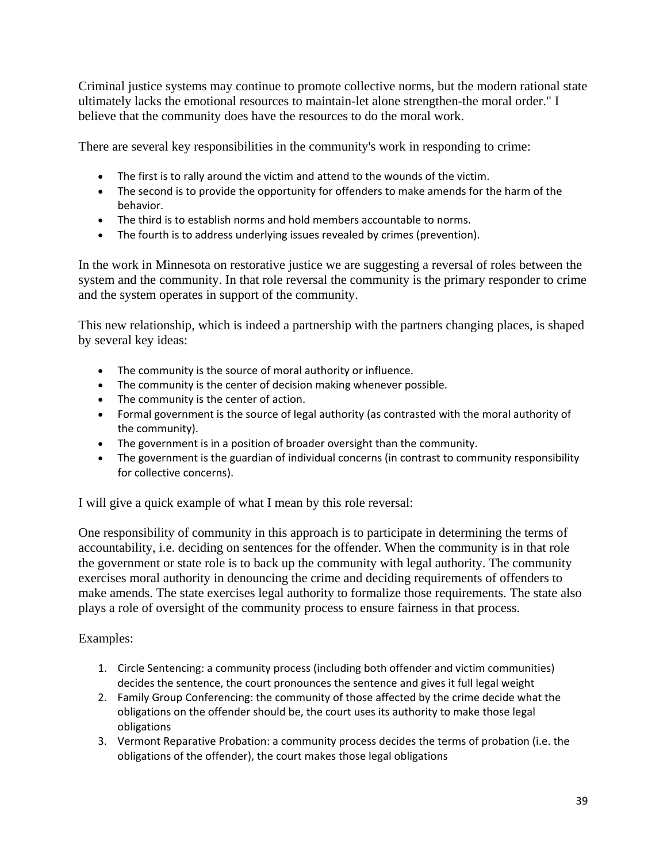Criminal justice systems may continue to promote collective norms, but the modern rational state ultimately lacks the emotional resources to maintain-let alone strengthen-the moral order." I believe that the community does have the resources to do the moral work.

There are several key responsibilities in the community's work in responding to crime:

- The first is to rally around the victim and attend to the wounds of the victim.
- The second is to provide the opportunity for offenders to make amends for the harm of the behavior.
- The third is to establish norms and hold members accountable to norms.
- The fourth is to address underlying issues revealed by crimes (prevention).

In the work in Minnesota on restorative justice we are suggesting a reversal of roles between the system and the community. In that role reversal the community is the primary responder to crime and the system operates in support of the community.

This new relationship, which is indeed a partnership with the partners changing places, is shaped by several key ideas:

- The community is the source of moral authority or influence.
- The community is the center of decision making whenever possible.
- The community is the center of action.
- Formal government is the source of legal authority (as contrasted with the moral authority of the community).
- The government is in a position of broader oversight than the community.
- for collective concerns). The government is the guardian of individual concerns (in contrast to community responsibility

I will give a quick example of what I mean by this role reversal:

One responsibility of community in this approach is to participate in determining the terms of accountability, i.e. deciding on sentences for the offender. When the community is in that role the government or state role is to back up the community with legal authority. The community exercises moral authority in denouncing the crime and deciding requirements of offenders to make amends. The state exercises legal authority to formalize those requirements. The state also plays a role of oversight of the community process to ensure fairness in that process.

# Examples:

- 1. Circle Sentencing: a community process (including both offender and victim communities) decides the sentence, the court pronounces the sentence and gives it full legal weight
- 2. Family Group Conferencing: the community of those affected by the crime decide what the obligations on the offender should be, the court uses its authority to make those legal obligations
- 3. Vermont Reparative Probation: a community process decides the terms of probation (i.e. the obligations of the offender), the court makes those legal obligations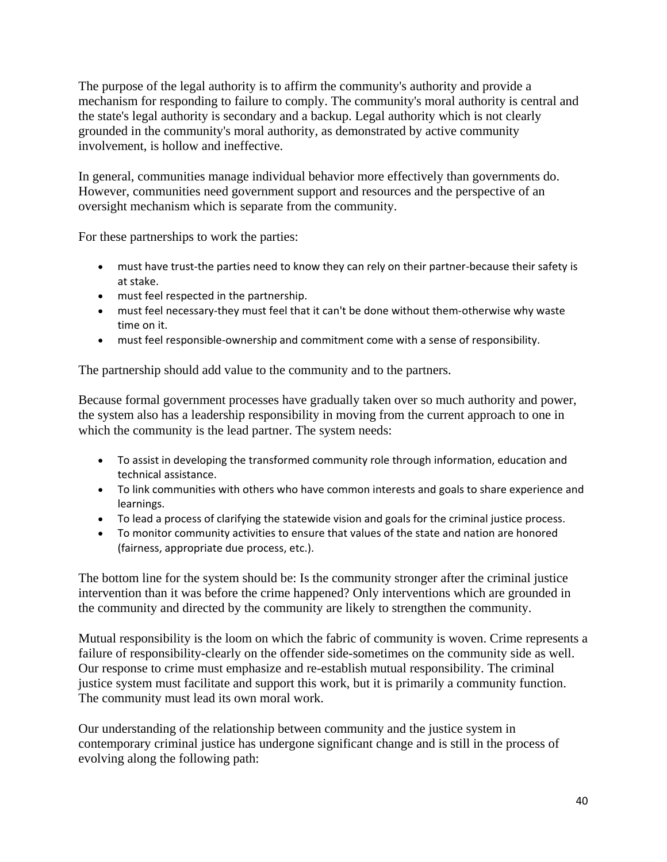The purpose of the legal authority is to affirm the community's authority and provide a mechanism for responding to failure to comply. The community's moral authority is central and the state's legal authority is secondary and a backup. Legal authority which is not clearly grounded in the community's moral authority, as demonstrated by active community involvement, is hollow and ineffective.

In general, communities manage individual behavior more effectively than governments do. However, communities need government support and resources and the perspective of an oversight mechanism which is separate from the community.

For these partnerships to work the parties:

- must have trust-the parties need to know they can rely on their partner-because their safety is at stake.
- must feel respected in the partnership.
- must feel necessary-they must feel that it can't be done without them-otherwise why waste time on it.
- must feel responsible‐ownership and commitment come with a sense of responsibility.

The partnership should add value to the community and to the partners.

Because formal government processes have gradually taken over so much authority and power, the system also has a leadership responsibility in moving from the current approach to one in which the community is the lead partner. The system needs:

- To assist in developing the transformed community role through information, education and technical assistance.
- To link communities with others who have common interests and goals to share experience and learnings.
- To lead a process of clarifying the statewide vision and goals for the criminal justice process.
- To monitor community activities to ensure that values of the state and nation are honored (fairness, appropriate due process, etc.).

The bottom line for the system should be: Is the community stronger after the criminal justice intervention than it was before the crime happened? Only interventions which are grounded in the community and directed by the community are likely to strengthen the community.

Mutual responsibility is the loom on which the fabric of community is woven. Crime represents a failure of responsibility-clearly on the offender side-sometimes on the community side as well. Our response to crime must emphasize and re-establish mutual responsibility. The criminal justice system must facilitate and support this work, but it is primarily a community function. The community must lead its own moral work.

Our understanding of the relationship between community and the justice system in contemporary criminal justice has undergone significant change and is still in the process of evolving along the following path: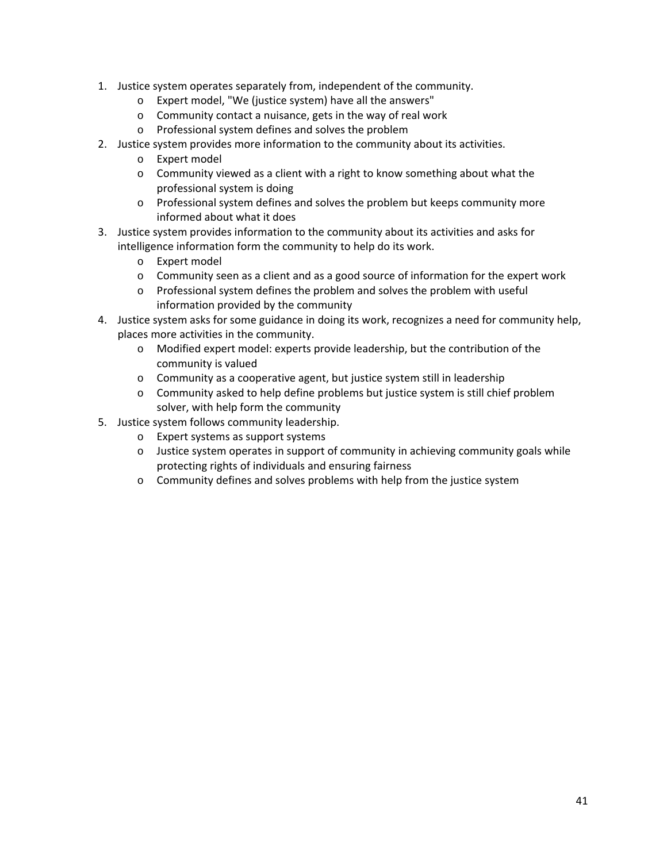- 1. Justice system operates separately from, independent of the community.
	- o Expert model, "We (justice system) have all the answers"
	- $\circ$  Community contact a nuisance, gets in the way of real work
	- o Professional system defines and solves the problem
- 2. Justice system provides more information to the community about its activities.
	- o Expert model
	- $\circ$  Community viewed as a client with a right to know something about what the professional system is doing
	- $\circ$  Professional system defines and solves the problem but keeps community more informed about what it does
- 3. Justice system provides information to the community about its activities and asks for intelligence information form the community to help do its work.
	- o Expert model
	- $\circ$  Community seen as a client and as a good source of information for the expert work
	- $\circ$  Professional system defines the problem and solves the problem with useful information provided by the community
- 4. Justice system asks for some guidance in doing its work, recognizes a need for community help, places more activities in the community.
	- $\circ$  Modified expert model: experts provide leadership, but the contribution of the community is valued
	- $\circ$  Community as a cooperative agent, but justice system still in leadership
	- $\circ$  Community asked to help define problems but justice system is still chief problem solver, with help form the community
- 5. Justice system follows community leadership.
	- o Expert systems as support systems
	- $\circ$  Justice system operates in support of community in achieving community goals while protecting rights of individuals and ensuring fairness
	- $\circ$  Community defines and solves problems with help from the justice system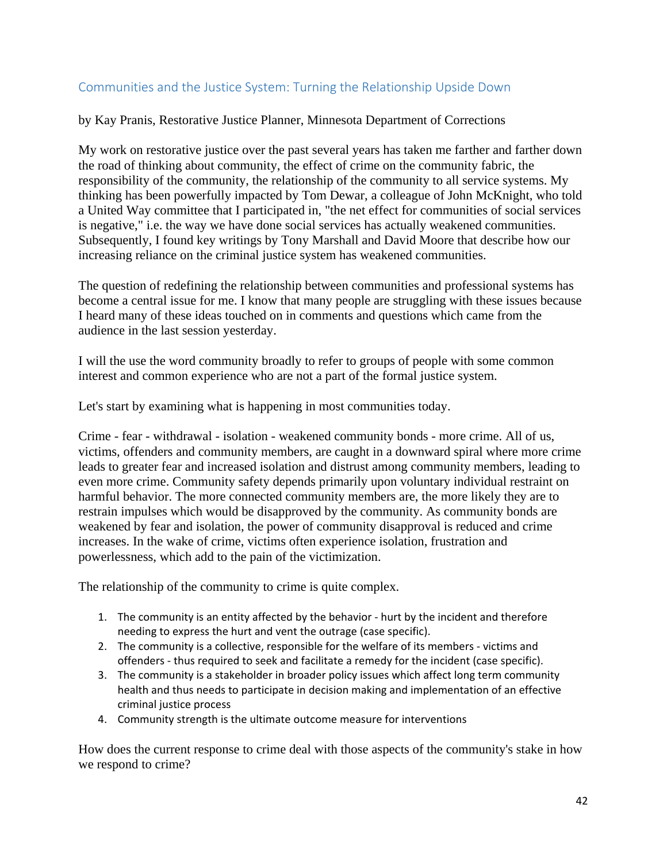# Communities and the Justice System: Turning the Relationship Upside Down

### by Kay Pranis, Restorative Justice Planner, Minnesota Department of Corrections

My work on restorative justice over the past several years has taken me farther and farther down the road of thinking about community, the effect of crime on the community fabric, the responsibility of the community, the relationship of the community to all service systems. My thinking has been powerfully impacted by Tom Dewar, a colleague of John McKnight, who told a United Way committee that I participated in, "the net effect for communities of social services is negative," i.e. the way we have done social services has actually weakened communities. Subsequently, I found key writings by Tony Marshall and David Moore that describe how our increasing reliance on the criminal justice system has weakened communities.

The question of redefining the relationship between communities and professional systems has become a central issue for me. I know that many people are struggling with these issues because I heard many of these ideas touched on in comments and questions which came from the audience in the last session yesterday.

I will the use the word community broadly to refer to groups of people with some common interest and common experience who are not a part of the formal justice system.

Let's start by examining what is happening in most communities today.

Crime - fear - withdrawal - isolation - weakened community bonds - more crime. All of us, victims, offenders and community members, are caught in a downward spiral where more crime leads to greater fear and increased isolation and distrust among community members, leading to even more crime. Community safety depends primarily upon voluntary individual restraint on harmful behavior. The more connected community members are, the more likely they are to restrain impulses which would be disapproved by the community. As community bonds are weakened by fear and isolation, the power of community disapproval is reduced and crime increases. In the wake of crime, victims often experience isolation, frustration and powerlessness, which add to the pain of the victimization.

The relationship of the community to crime is quite complex.

- 1. The community is an entity affected by the behavior hurt by the incident and therefore needing to express the hurt and vent the outrage (case specific).
- 2. The community is a collective, responsible for the welfare of its members victims and offenders ‐ thus required to seek and facilitate a remedy for the incident (case specific).
- 3. The community is a stakeholder in broader policy issues which affect long term community health and thus needs to participate in decision making and implementation of an effective criminal justice process
- 4. Community strength is the ultimate outcome measure for interventions

How does the current response to crime deal with those aspects of the community's stake in how we respond to crime?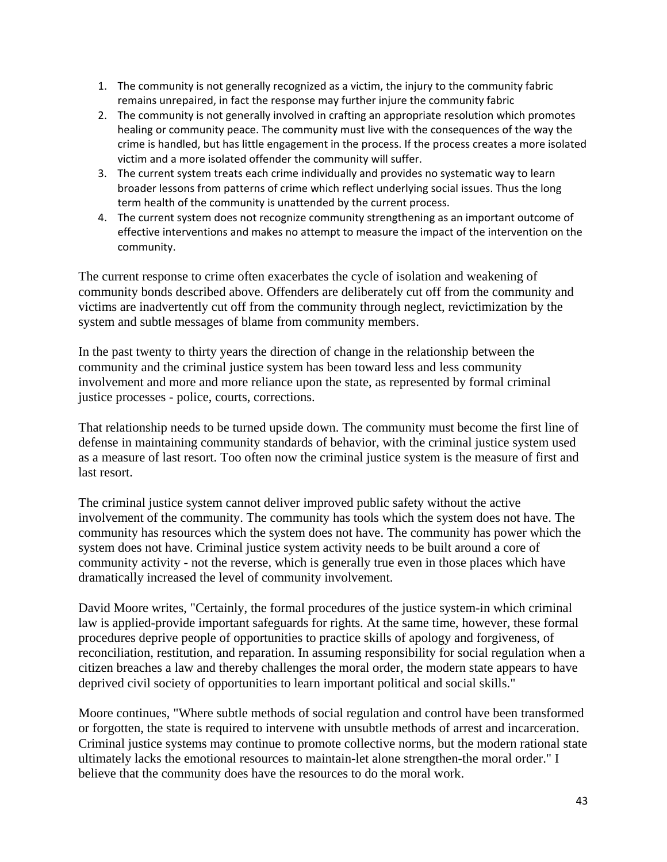- 1. The community is not generally recognized as a victim, the injury to the community fabric remains unrepaired, in fact the response may further injure the community fabric
- 2. The community is not generally involved in crafting an appropriate resolution which promotes healing or community peace. The community must live with the consequences of the way the crime is handled, but has little engagement in the process. If the process creates a more isolated victim and a more isolated offender the community will suffer.
- 3. The current system treats each crime individually and provides no systematic way to learn broader lessons from patterns of crime which reflect underlying social issues. Thus the long term health of the community is unattended by the current process.
- 4. The current system does not recognize community strengthening as an important outcome of effective interventions and makes no attempt to measure the impact of the intervention on the community.

The current response to crime often exacerbates the cycle of isolation and weakening of community bonds described above. Offenders are deliberately cut off from the community and victims are inadvertently cut off from the community through neglect, revictimization by the system and subtle messages of blame from community members.

In the past twenty to thirty years the direction of change in the relationship between the community and the criminal justice system has been toward less and less community involvement and more and more reliance upon the state, as represented by formal criminal justice processes - police, courts, corrections.

That relationship needs to be turned upside down. The community must become the first line of defense in maintaining community standards of behavior, with the criminal justice system used as a measure of last resort. Too often now the criminal justice system is the measure of first and last resort.

The criminal justice system cannot deliver improved public safety without the active involvement of the community. The community has tools which the system does not have. The community has resources which the system does not have. The community has power which the system does not have. Criminal justice system activity needs to be built around a core of community activity - not the reverse, which is generally true even in those places which have dramatically increased the level of community involvement.

David Moore writes, "Certainly, the formal procedures of the justice system-in which criminal law is applied-provide important safeguards for rights. At the same time, however, these formal procedures deprive people of opportunities to practice skills of apology and forgiveness, of reconciliation, restitution, and reparation. In assuming responsibility for social regulation when a citizen breaches a law and thereby challenges the moral order, the modern state appears to have deprived civil society of opportunities to learn important political and social skills."

Moore continues, "Where subtle methods of social regulation and control have been transformed or forgotten, the state is required to intervene with unsubtle methods of arrest and incarceration. Criminal justice systems may continue to promote collective norms, but the modern rational state ultimately lacks the emotional resources to maintain-let alone strengthen-the moral order." I believe that the community does have the resources to do the moral work.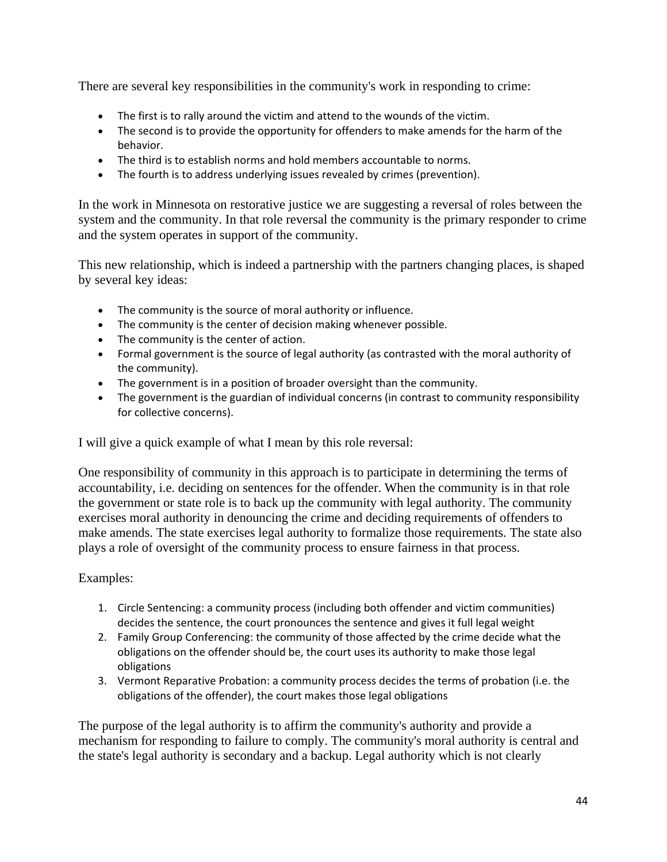There are several key responsibilities in the community's work in responding to crime:

- The first is to rally around the victim and attend to the wounds of the victim.
- The second is to provide the opportunity for offenders to make amends for the harm of the behavior.
- The third is to establish norms and hold members accountable to norms.
- The fourth is to address underlying issues revealed by crimes (prevention).

In the work in Minnesota on restorative justice we are suggesting a reversal of roles between the system and the community. In that role reversal the community is the primary responder to crime and the system operates in support of the community.

This new relationship, which is indeed a partnership with the partners changing places, is shaped by several key ideas:

- The community is the source of moral authority or influence.
- The community is the center of decision making whenever possible.
- The community is the center of action.
- Formal government is the source of legal authority (as contrasted with the moral authority of the community).
- The government is in a position of broader oversight than the community.
- for collective concerns). The government is the guardian of individual concerns (in contrast to community responsibility

I will give a quick example of what I mean by this role reversal:

One responsibility of community in this approach is to participate in determining the terms of accountability, i.e. deciding on sentences for the offender. When the community is in that role the government or state role is to back up the community with legal authority. The community exercises moral authority in denouncing the crime and deciding requirements of offenders to make amends. The state exercises legal authority to formalize those requirements. The state also plays a role of oversight of the community process to ensure fairness in that process.

## Examples:

- 1. Circle Sentencing: a community process (including both offender and victim communities) decides the sentence, the court pronounces the sentence and gives it full legal weight
- 2. Family Group Conferencing: the community of those affected by the crime decide what the obligations on the offender should be, the court uses its authority to make those legal obligations
- 3. Vermont Reparative Probation: a community process decides the terms of probation (i.e. the obligations of the offender), the court makes those legal obligations

The purpose of the legal authority is to affirm the community's authority and provide a mechanism for responding to failure to comply. The community's moral authority is central and the state's legal authority is secondary and a backup. Legal authority which is not clearly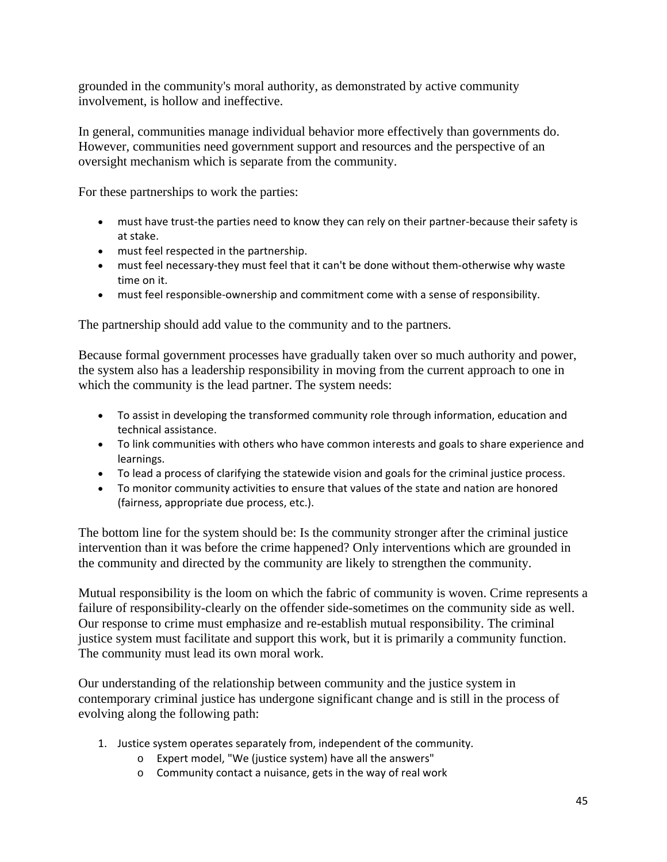grounded in the community's moral authority, as demonstrated by active community involvement, is hollow and ineffective.

In general, communities manage individual behavior more effectively than governments do. However, communities need government support and resources and the perspective of an oversight mechanism which is separate from the community.

For these partnerships to work the parties:

- must have trust-the parties need to know they can rely on their partner-because their safety is at stake.
- must feel respected in the partnership.
- must feel necessary-they must feel that it can't be done without them-otherwise why waste time on it.
- must feel responsible‐ownership and commitment come with a sense of responsibility.

The partnership should add value to the community and to the partners.

Because formal government processes have gradually taken over so much authority and power, the system also has a leadership responsibility in moving from the current approach to one in which the community is the lead partner. The system needs:

- To assist in developing the transformed community role through information, education and technical assistance.
- To link communities with others who have common interests and goals to share experience and learnings.
- To lead a process of clarifying the statewide vision and goals for the criminal justice process.
- To monitor community activities to ensure that values of the state and nation are honored (fairness, appropriate due process, etc.).

The bottom line for the system should be: Is the community stronger after the criminal justice intervention than it was before the crime happened? Only interventions which are grounded in the community and directed by the community are likely to strengthen the community.

Mutual responsibility is the loom on which the fabric of community is woven. Crime represents a failure of responsibility-clearly on the offender side-sometimes on the community side as well. Our response to crime must emphasize and re-establish mutual responsibility. The criminal justice system must facilitate and support this work, but it is primarily a community function. The community must lead its own moral work.

Our understanding of the relationship between community and the justice system in contemporary criminal justice has undergone significant change and is still in the process of evolving along the following path:

- 1. Justice system operates separately from, independent of the community.
	- o Expert model, "We (justice system) have all the answers"
	- o Community contact a nuisance, gets in the way of real work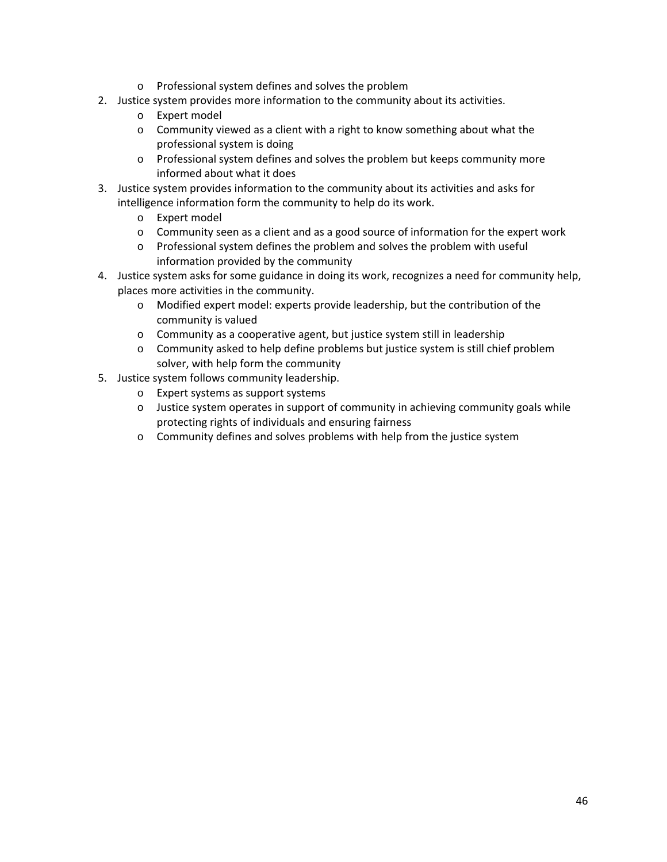- o Professional system defines and solves the problem
- 2. Justice system provides more information to the community about its activities.
	- o Expert model
	- $\circ$  Community viewed as a client with a right to know something about what the professional system is doing
	- o Professional system defines and solves the problem but keeps community more informed about what it does
- 3. Justice system provides information to the community about its activities and asks for intelligence information form the community to help do its work.
	- o **Expert model**
	- $\circ$  Community seen as a client and as a good source of information for the expert work
	- $\circ$  Professional system defines the problem and solves the problem with useful information provided by the community
- 4. Justice system asks for some guidance in doing its work, recognizes a need for community help, places more activities in the community.
	- $\circ$  Modified expert model: experts provide leadership, but the contribution of the community is valued
	- $\circ$  Community as a cooperative agent, but justice system still in leadership
	- $\circ$  Community asked to help define problems but justice system is still chief problem solver, with help form the community
- 5. Justice system follows community leadership.
	- o Expert systems as support systems
	- $\circ$  Justice system operates in support of community in achieving community goals while protecting rights of individuals and ensuring fairness
	- $\circ$  Community defines and solves problems with help from the justice system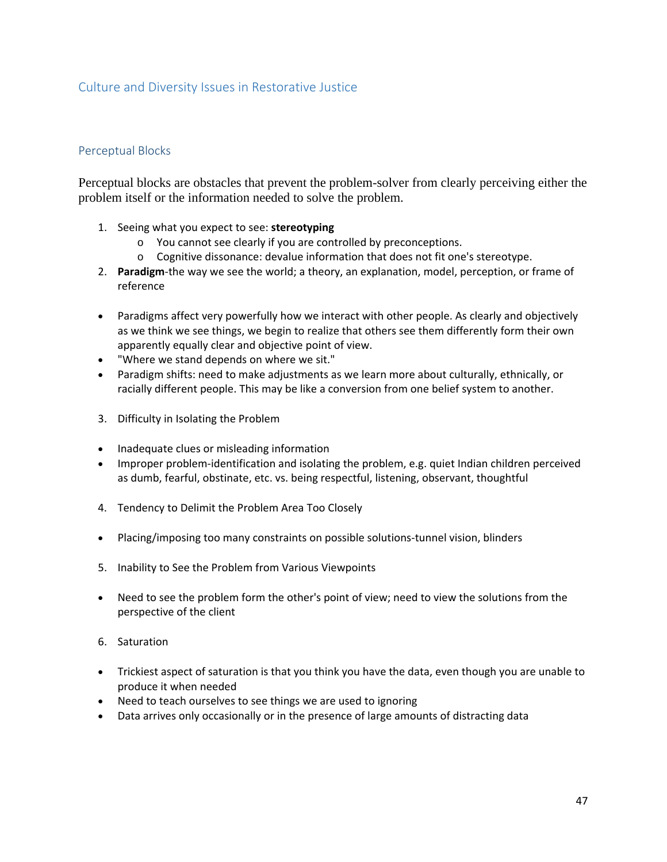# Culture and Diversity Issues in Restorative Justice

### Perceptual Blocks

 problem itself or the information needed to solve the problem. Perceptual blocks are obstacles that prevent the problem-solver from clearly perceiving either the

- 1. Seeing what you expect to see: **stereotyping**
	- $\circ$  You cannot see clearly if you are controlled by preconceptions.
	- o Cognitive dissonance: devalue information that does not fit one's stereotype.
- 2. Paradigm-the way we see the world; a theory, an explanation, model, perception, or frame of reference
- Paradigms affect very powerfully how we interact with other people. As clearly and objectively as we think we see things, we begin to realize that others see them differently form their own apparently equally clear and objective point of view.
- "Where we stand depends on where we sit."
- Paradigm shifts: need to make adjustments as we learn more about culturally, ethnically, or racially different people. This may be like a conversion from one belief system to another.
- 3. Difficulty in Isolating the Problem
- Inadequate clues or misleading information
- Improper problem-identification and isolating the problem, e.g. quiet Indian children perceived as dumb, fearful, obstinate, etc. vs. being respectful, listening, observant, thoughtful
- 4. Tendency to Delimit the Problem Area Too Closely
- Placing/imposing too many constraints on possible solutions-tunnel vision, blinders
- 5. Inability to See the Problem from Various Viewpoints
- Need to see the problem form the other's point of view; need to view the solutions from the perspective of the client
- 6. Saturation
- Trickiest aspect of saturation is that you think you have the data, even though you are unable to produce it when needed
- Need to teach ourselves to see things we are used to ignoring
- Data arrives only occasionally or in the presence of large amounts of distracting data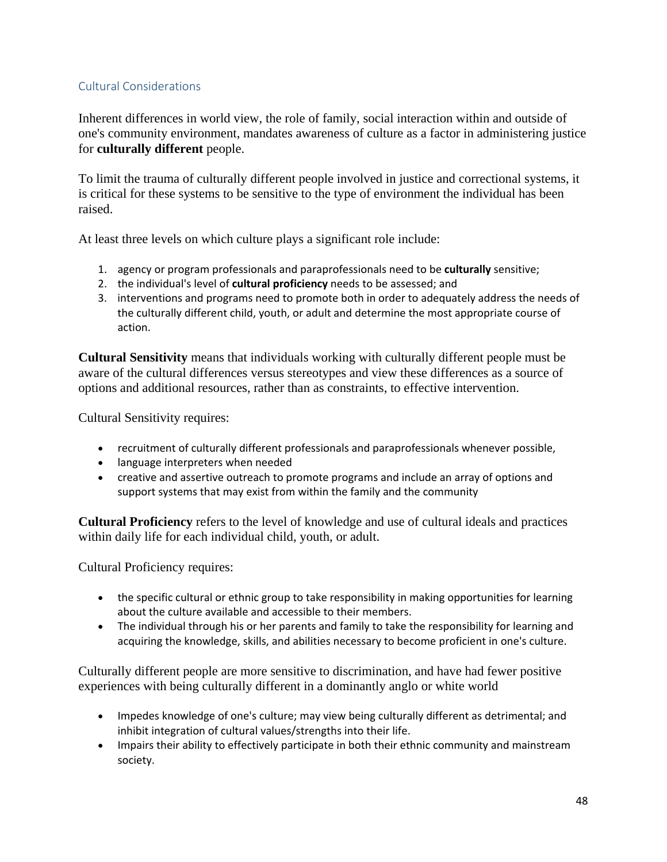## Cultural Considerations

Inherent differences in world view, the role of family, social interaction within and outside of one's community environment, mandates awareness of culture as a factor in administering justice for **culturally different** people.

To limit the trauma of culturally different people involved in justice and correctional systems, it is critical for these systems to be sensitive to the type of environment the individual has been raised.

At least three levels on which culture plays a significant role include:

- 1. agency or program professionals and paraprofessionals need to be culturally sensitive;
- 2. the individual's level of **cultural proficiency** needs to be assessed; and
- 3. interventions and programs need to promote both in order to adequately address the needs of the culturally different child, youth, or adult and determine the most appropriate course of action.

**Cultural Sensitivity** means that individuals working with culturally different people must be aware of the cultural differences versus stereotypes and view these differences as a source of options and additional resources, rather than as constraints, to effective intervention.

Cultural Sensitivity requires:

- recruitment of culturally different professionals and paraprofessionals whenever possible,
- language interpreters when needed
- creative and assertive outreach to promote programs and include an array of options and support systems that may exist from within the family and the community

**Cultural Proficiency** refers to the level of knowledge and use of cultural ideals and practices within daily life for each individual child, youth, or adult.

Cultural Proficiency requires:

- the specific cultural or ethnic group to take responsibility in making opportunities for learning about the culture available and accessible to their members.
- The individual through his or her parents and family to take the responsibility for learning and acquiring the knowledge, skills, and abilities necessary to become proficient in one's culture.

Culturally different people are more sensitive to discrimination, and have had fewer positive experiences with being culturally different in a dominantly anglo or white world

- Impedes knowledge of one's culture; may view being culturally different as detrimental; and inhibit integration of cultural values/strengths into their life.
- Impairs their ability to effectively participate in both their ethnic community and mainstream society.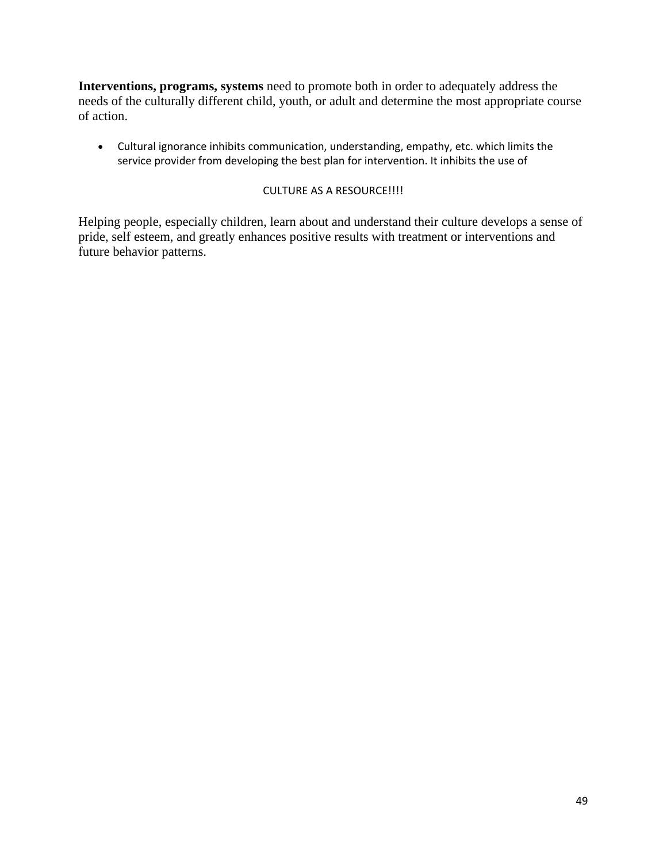**Interventions, programs, systems** need to promote both in order to adequately address the needs of the culturally different child, youth, or adult and determine the most appropriate course of action.

 Cultural ignorance inhibits communication, understanding, empathy, etc. which limits the service provider from developing the best plan for intervention. It inhibits the use of

#### CULTURE AS A RESOURCE!!!!

Helping people, especially children, learn about and understand their culture develops a sense of pride, self esteem, and greatly enhances positive results with treatment or interventions and future behavior patterns.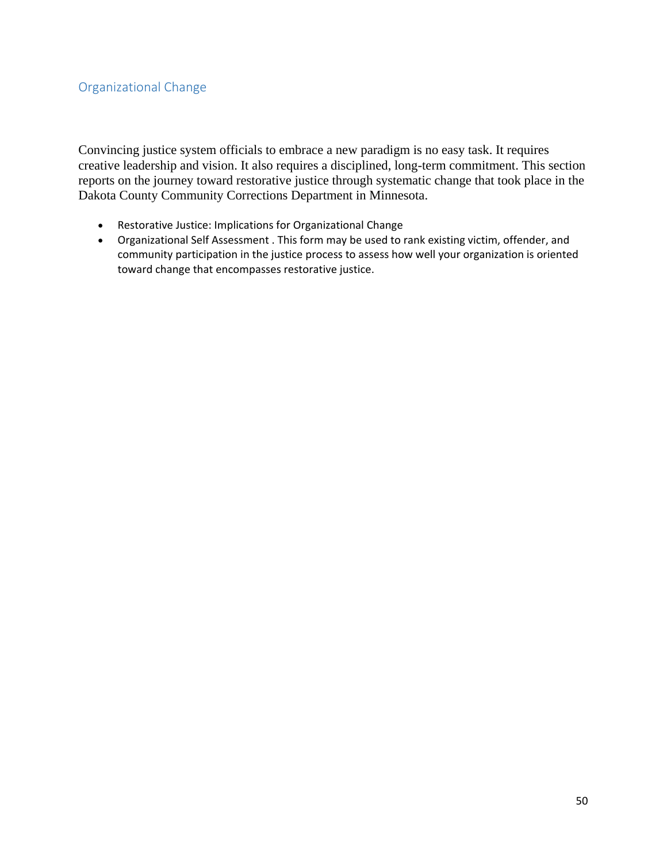# Organizational Change

Convincing justice system officials to embrace a new paradigm is no easy task. It requires creative leadership and vision. It also requires a disciplined, long-term commitment. This section reports on the journey toward restorative justice through systematic change that took place in the Dakota County Community Corrections Department in Minnesota.

- Restorative Justice: Implications for Organizational Change
- Organizational Self Assessment . This form may be used to rank existing victim, offender, and community participation in the justice process to assess how well your organization is oriented toward change that encompasses restorative justice.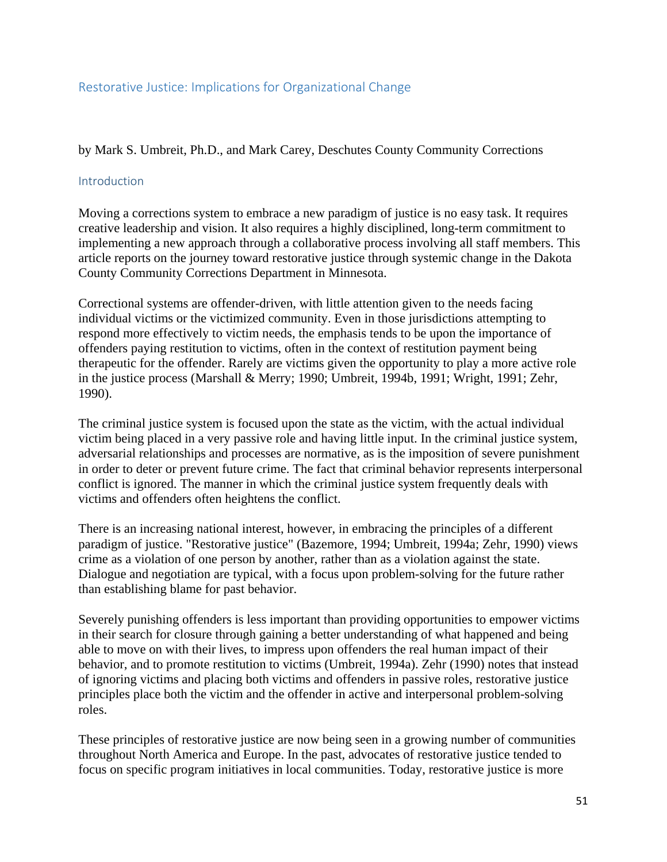by Mark S. Umbreit, Ph.D., and Mark Carey, Deschutes County Community Corrections

#### Introduction

Moving a corrections system to embrace a new paradigm of justice is no easy task. It requires creative leadership and vision. It also requires a highly disciplined, long-term commitment to implementing a new approach through a collaborative process involving all staff members. This article reports on the journey toward restorative justice through systemic change in the Dakota County Community Corrections Department in Minnesota.

Correctional systems are offender-driven, with little attention given to the needs facing individual victims or the victimized community. Even in those jurisdictions attempting to respond more effectively to victim needs, the emphasis tends to be upon the importance of offenders paying restitution to victims, often in the context of restitution payment being therapeutic for the offender. Rarely are victims given the opportunity to play a more active role in the justice process (Marshall & Merry; 1990; Umbreit, 1994b, 1991; Wright, 1991; Zehr, 1990).

The criminal justice system is focused upon the state as the victim, with the actual individual victim being placed in a very passive role and having little input. In the criminal justice system, adversarial relationships and processes are normative, as is the imposition of severe punishment in order to deter or prevent future crime. The fact that criminal behavior represents interpersonal conflict is ignored. The manner in which the criminal justice system frequently deals with victims and offenders often heightens the conflict.

There is an increasing national interest, however, in embracing the principles of a different paradigm of justice. "Restorative justice" (Bazemore, 1994; Umbreit, 1994a; Zehr, 1990) views crime as a violation of one person by another, rather than as a violation against the state. Dialogue and negotiation are typical, with a focus upon problem-solving for the future rather than establishing blame for past behavior.

Severely punishing offenders is less important than providing opportunities to empower victims in their search for closure through gaining a better understanding of what happened and being able to move on with their lives, to impress upon offenders the real human impact of their behavior, and to promote restitution to victims (Umbreit, 1994a). Zehr (1990) notes that instead of ignoring victims and placing both victims and offenders in passive roles, restorative justice principles place both the victim and the offender in active and interpersonal problem-solving roles.

These principles of restorative justice are now being seen in a growing number of communities throughout North America and Europe. In the past, advocates of restorative justice tended to focus on specific program initiatives in local communities. Today, restorative justice is more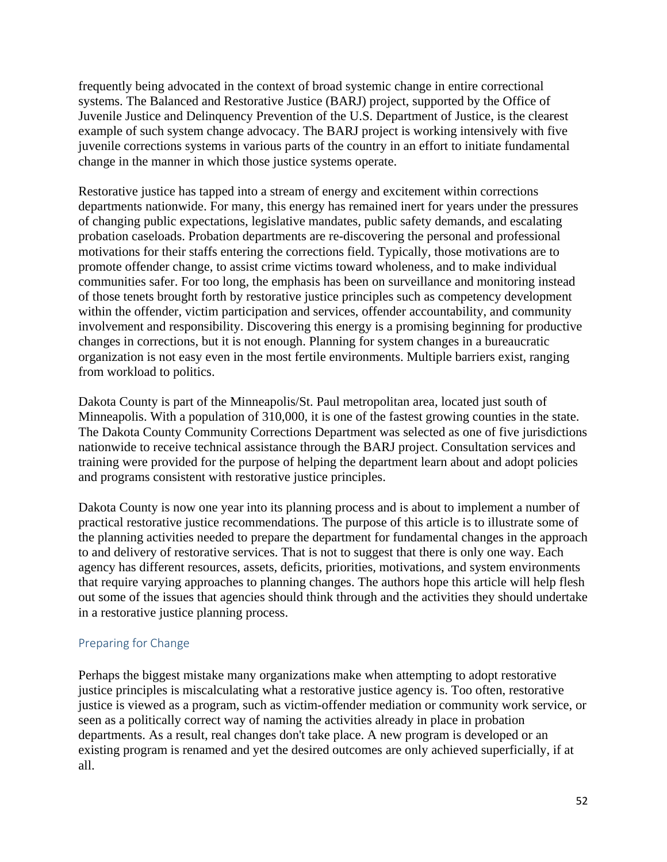frequently being advocated in the context of broad systemic change in entire correctional systems. The Balanced and Restorative Justice (BARJ) project, supported by the Office of Juvenile Justice and Delinquency Prevention of the U.S. Department of Justice, is the clearest example of such system change advocacy. The BARJ project is working intensively with five juvenile corrections systems in various parts of the country in an effort to initiate fundamental change in the manner in which those justice systems operate.

Restorative justice has tapped into a stream of energy and excitement within corrections departments nationwide. For many, this energy has remained inert for years under the pressures of changing public expectations, legislative mandates, public safety demands, and escalating probation caseloads. Probation departments are re-discovering the personal and professional motivations for their staffs entering the corrections field. Typically, those motivations are to promote offender change, to assist crime victims toward wholeness, and to make individual communities safer. For too long, the emphasis has been on surveillance and monitoring instead of those tenets brought forth by restorative justice principles such as competency development within the offender, victim participation and services, offender accountability, and community involvement and responsibility. Discovering this energy is a promising beginning for productive changes in corrections, but it is not enough. Planning for system changes in a bureaucratic organization is not easy even in the most fertile environments. Multiple barriers exist, ranging from workload to politics.

Dakota County is part of the Minneapolis/St. Paul metropolitan area, located just south of Minneapolis. With a population of 310,000, it is one of the fastest growing counties in the state. The Dakota County Community Corrections Department was selected as one of five jurisdictions nationwide to receive technical assistance through the BARJ project. Consultation services and training were provided for the purpose of helping the department learn about and adopt policies and programs consistent with restorative justice principles.

Dakota County is now one year into its planning process and is about to implement a number of practical restorative justice recommendations. The purpose of this article is to illustrate some of the planning activities needed to prepare the department for fundamental changes in the approach to and delivery of restorative services. That is not to suggest that there is only one way. Each agency has different resources, assets, deficits, priorities, motivations, and system environments that require varying approaches to planning changes. The authors hope this article will help flesh out some of the issues that agencies should think through and the activities they should undertake in a restorative justice planning process.

# Preparing for Change

Perhaps the biggest mistake many organizations make when attempting to adopt restorative justice principles is miscalculating what a restorative justice agency is. Too often, restorative justice is viewed as a program, such as victim-offender mediation or community work service, or seen as a politically correct way of naming the activities already in place in probation departments. As a result, real changes don't take place. A new program is developed or an existing program is renamed and yet the desired outcomes are only achieved superficially, if at all.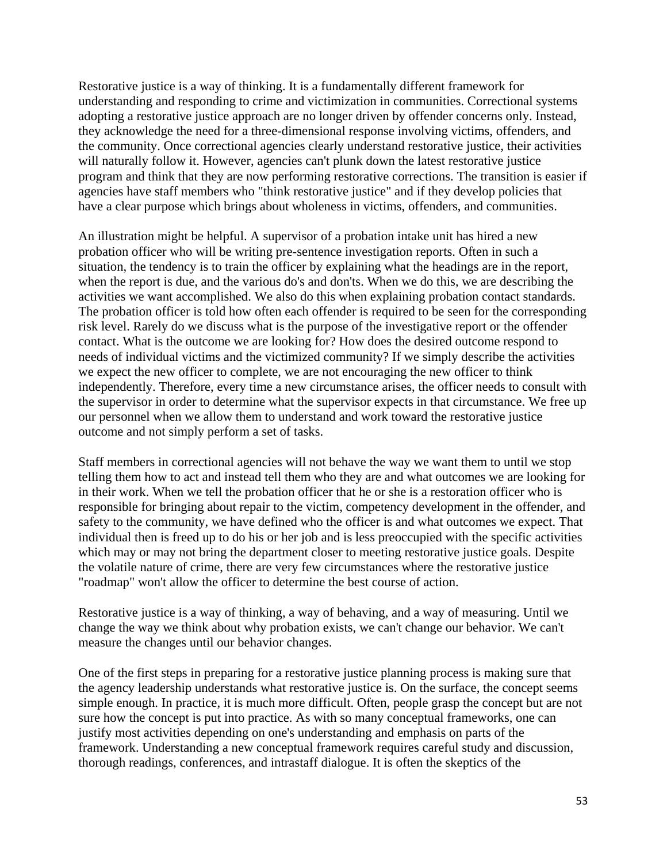Restorative justice is a way of thinking. It is a fundamentally different framework for understanding and responding to crime and victimization in communities. Correctional systems adopting a restorative justice approach are no longer driven by offender concerns only. Instead, they acknowledge the need for a three-dimensional response involving victims, offenders, and the community. Once correctional agencies clearly understand restorative justice, their activities will naturally follow it. However, agencies can't plunk down the latest restorative justice program and think that they are now performing restorative corrections. The transition is easier if agencies have staff members who "think restorative justice" and if they develop policies that have a clear purpose which brings about wholeness in victims, offenders, and communities.

An illustration might be helpful. A supervisor of a probation intake unit has hired a new probation officer who will be writing pre-sentence investigation reports. Often in such a situation, the tendency is to train the officer by explaining what the headings are in the report, when the report is due, and the various do's and don'ts. When we do this, we are describing the activities we want accomplished. We also do this when explaining probation contact standards. The probation officer is told how often each offender is required to be seen for the corresponding risk level. Rarely do we discuss what is the purpose of the investigative report or the offender contact. What is the outcome we are looking for? How does the desired outcome respond to needs of individual victims and the victimized community? If we simply describe the activities we expect the new officer to complete, we are not encouraging the new officer to think independently. Therefore, every time a new circumstance arises, the officer needs to consult with the supervisor in order to determine what the supervisor expects in that circumstance. We free up our personnel when we allow them to understand and work toward the restorative justice outcome and not simply perform a set of tasks.

Staff members in correctional agencies will not behave the way we want them to until we stop telling them how to act and instead tell them who they are and what outcomes we are looking for in their work. When we tell the probation officer that he or she is a restoration officer who is responsible for bringing about repair to the victim, competency development in the offender, and safety to the community, we have defined who the officer is and what outcomes we expect. That individual then is freed up to do his or her job and is less preoccupied with the specific activities which may or may not bring the department closer to meeting restorative justice goals. Despite the volatile nature of crime, there are very few circumstances where the restorative justice "roadmap" won't allow the officer to determine the best course of action.

Restorative justice is a way of thinking, a way of behaving, and a way of measuring. Until we change the way we think about why probation exists, we can't change our behavior. We can't measure the changes until our behavior changes.

One of the first steps in preparing for a restorative justice planning process is making sure that the agency leadership understands what restorative justice is. On the surface, the concept seems simple enough. In practice, it is much more difficult. Often, people grasp the concept but are not sure how the concept is put into practice. As with so many conceptual frameworks, one can justify most activities depending on one's understanding and emphasis on parts of the framework. Understanding a new conceptual framework requires careful study and discussion, thorough readings, conferences, and intrastaff dialogue. It is often the skeptics of the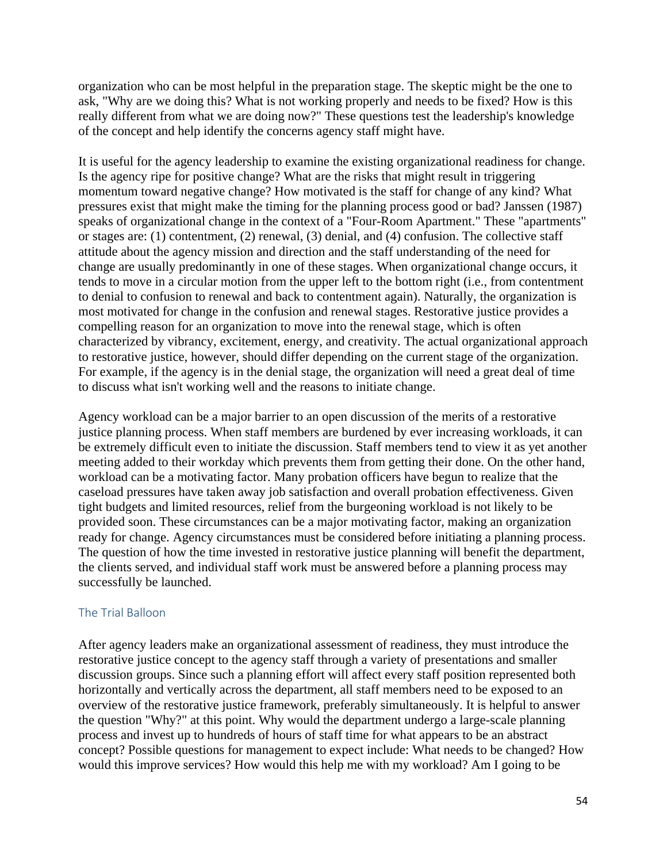organization who can be most helpful in the preparation stage. The skeptic might be the one to ask, "Why are we doing this? What is not working properly and needs to be fixed? How is this really different from what we are doing now?" These questions test the leadership's knowledge of the concept and help identify the concerns agency staff might have.

It is useful for the agency leadership to examine the existing organizational readiness for change. Is the agency ripe for positive change? What are the risks that might result in triggering momentum toward negative change? How motivated is the staff for change of any kind? What pressures exist that might make the timing for the planning process good or bad? Janssen (1987) speaks of organizational change in the context of a "Four-Room Apartment." These "apartments" or stages are: (1) contentment, (2) renewal, (3) denial, and (4) confusion. The collective staff attitude about the agency mission and direction and the staff understanding of the need for change are usually predominantly in one of these stages. When organizational change occurs, it tends to move in a circular motion from the upper left to the bottom right (i.e., from contentment to denial to confusion to renewal and back to contentment again). Naturally, the organization is most motivated for change in the confusion and renewal stages. Restorative justice provides a compelling reason for an organization to move into the renewal stage, which is often characterized by vibrancy, excitement, energy, and creativity. The actual organizational approach to restorative justice, however, should differ depending on the current stage of the organization. For example, if the agency is in the denial stage, the organization will need a great deal of time to discuss what isn't working well and the reasons to initiate change.

Agency workload can be a major barrier to an open discussion of the merits of a restorative justice planning process. When staff members are burdened by ever increasing workloads, it can be extremely difficult even to initiate the discussion. Staff members tend to view it as yet another meeting added to their workday which prevents them from getting their done. On the other hand, workload can be a motivating factor. Many probation officers have begun to realize that the caseload pressures have taken away job satisfaction and overall probation effectiveness. Given tight budgets and limited resources, relief from the burgeoning workload is not likely to be provided soon. These circumstances can be a major motivating factor, making an organization ready for change. Agency circumstances must be considered before initiating a planning process. The question of how the time invested in restorative justice planning will benefit the department, the clients served, and individual staff work must be answered before a planning process may successfully be launched.

# The Trial Balloon

After agency leaders make an organizational assessment of readiness, they must introduce the restorative justice concept to the agency staff through a variety of presentations and smaller discussion groups. Since such a planning effort will affect every staff position represented both horizontally and vertically across the department, all staff members need to be exposed to an overview of the restorative justice framework, preferably simultaneously. It is helpful to answer the question "Why?" at this point. Why would the department undergo a large-scale planning process and invest up to hundreds of hours of staff time for what appears to be an abstract concept? Possible questions for management to expect include: What needs to be changed? How would this improve services? How would this help me with my workload? Am I going to be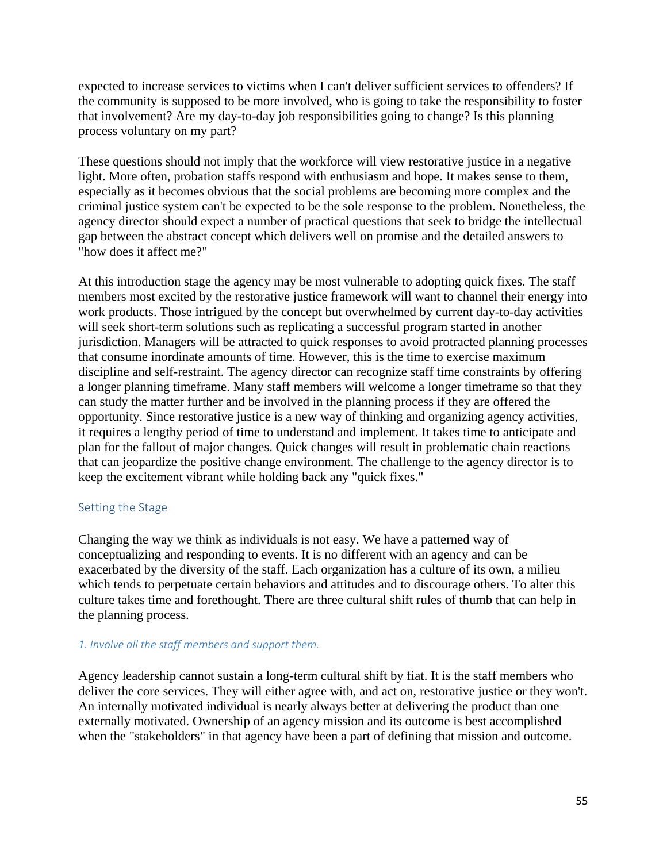process voluntary on my part? expected to increase services to victims when I can't deliver sufficient services to offenders? If the community is supposed to be more involved, who is going to take the responsibility to foster that involvement? Are my day-to-day job responsibilities going to change? Is this planning

"how does it affect me?" These questions should not imply that the workforce will view restorative justice in a negative light. More often, probation staffs respond with enthusiasm and hope. It makes sense to them, especially as it becomes obvious that the social problems are becoming more complex and the criminal justice system can't be expected to be the sole response to the problem. Nonetheless, the agency director should expect a number of practical questions that seek to bridge the intellectual gap between the abstract concept which delivers well on promise and the detailed answers to

At this introduction stage the agency may be most vulnerable to adopting quick fixes. The staff members most excited by the restorative justice framework will want to channel their energy into work products. Those intrigued by the concept but overwhelmed by current day-to-day activities will seek short-term solutions such as replicating a successful program started in another jurisdiction. Managers will be attracted to quick responses to avoid protracted planning processes that consume inordinate amounts of time. However, this is the time to exercise maximum discipline and self-restraint. The agency director can recognize staff time constraints by offering a longer planning timeframe. Many staff members will welcome a longer timeframe so that they can study the matter further and be involved in the planning process if they are offered the opportunity. Since restorative justice is a new way of thinking and organizing agency activities, it requires a lengthy period of time to understand and implement. It takes time to anticipate and plan for the fallout of major changes. Quick changes will result in problematic chain reactions that can jeopardize the positive change environment. The challenge to the agency director is to keep the excitement vibrant while holding back any "quick fixes."

### Setting the Stage

Changing the way we think as individuals is not easy. We have a patterned way of conceptualizing and responding to events. It is no different with an agency and can be exacerbated by the diversity of the staff. Each organization has a culture of its own, a milieu which tends to perpetuate certain behaviors and attitudes and to discourage others. To alter this culture takes time and forethought. There are three cultural shift rules of thumb that can help in the planning process.

#### *1. Involve all the staff members and support them.*

Agency leadership cannot sustain a long-term cultural shift by fiat. It is the staff members who deliver the core services. They will either agree with, and act on, restorative justice or they won't. An internally motivated individual is nearly always better at delivering the product than one externally motivated. Ownership of an agency mission and its outcome is best accomplished when the "stakeholders" in that agency have been a part of defining that mission and outcome.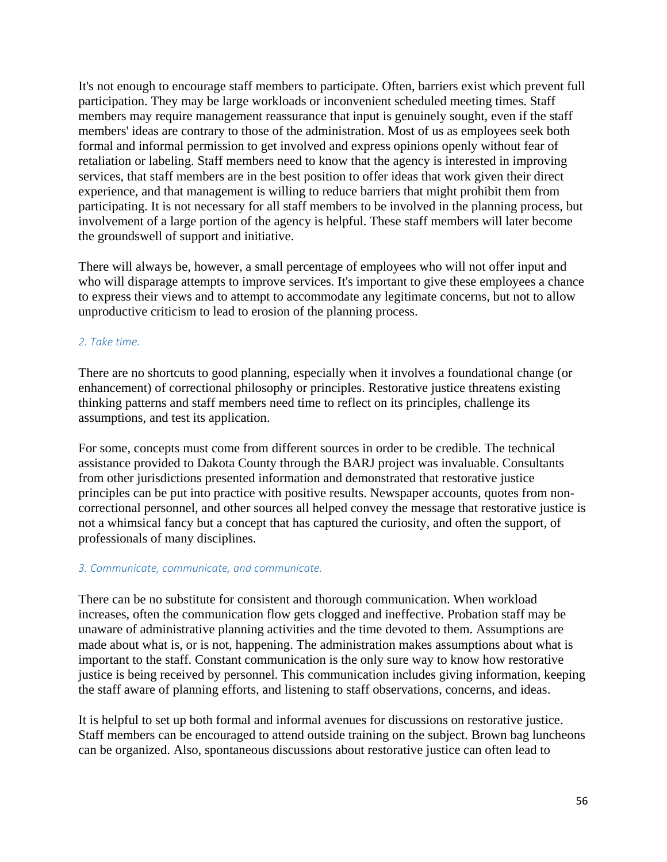It's not enough to encourage staff members to participate. Often, barriers exist which prevent full participation. They may be large workloads or inconvenient scheduled meeting times. Staff members may require management reassurance that input is genuinely sought, even if the staff members' ideas are contrary to those of the administration. Most of us as employees seek both formal and informal permission to get involved and express opinions openly without fear of retaliation or labeling. Staff members need to know that the agency is interested in improving services, that staff members are in the best position to offer ideas that work given their direct experience, and that management is willing to reduce barriers that might prohibit them from participating. It is not necessary for all staff members to be involved in the planning process, but involvement of a large portion of the agency is helpful. These staff members will later become the groundswell of support and initiative.

There will always be, however, a small percentage of employees who will not offer input and who will disparage attempts to improve services. It's important to give these employees a chance to express their views and to attempt to accommodate any legitimate concerns, but not to allow unproductive criticism to lead to erosion of the planning process.

#### *2. Take time.*

There are no shortcuts to good planning, especially when it involves a foundational change (or enhancement) of correctional philosophy or principles. Restorative justice threatens existing thinking patterns and staff members need time to reflect on its principles, challenge its assumptions, and test its application.

For some, concepts must come from different sources in order to be credible. The technical assistance provided to Dakota County through the BARJ project was invaluable. Consultants from other jurisdictions presented information and demonstrated that restorative justice principles can be put into practice with positive results. Newspaper accounts, quotes from noncorrectional personnel, and other sources all helped convey the message that restorative justice is not a whimsical fancy but a concept that has captured the curiosity, and often the support, of professionals of many disciplines.

#### *3. Communicate, communicate, and communicate.*

There can be no substitute for consistent and thorough communication. When workload increases, often the communication flow gets clogged and ineffective. Probation staff may be unaware of administrative planning activities and the time devoted to them. Assumptions are made about what is, or is not, happening. The administration makes assumptions about what is important to the staff. Constant communication is the only sure way to know how restorative justice is being received by personnel. This communication includes giving information, keeping the staff aware of planning efforts, and listening to staff observations, concerns, and ideas.

It is helpful to set up both formal and informal avenues for discussions on restorative justice. Staff members can be encouraged to attend outside training on the subject. Brown bag luncheons can be organized. Also, spontaneous discussions about restorative justice can often lead to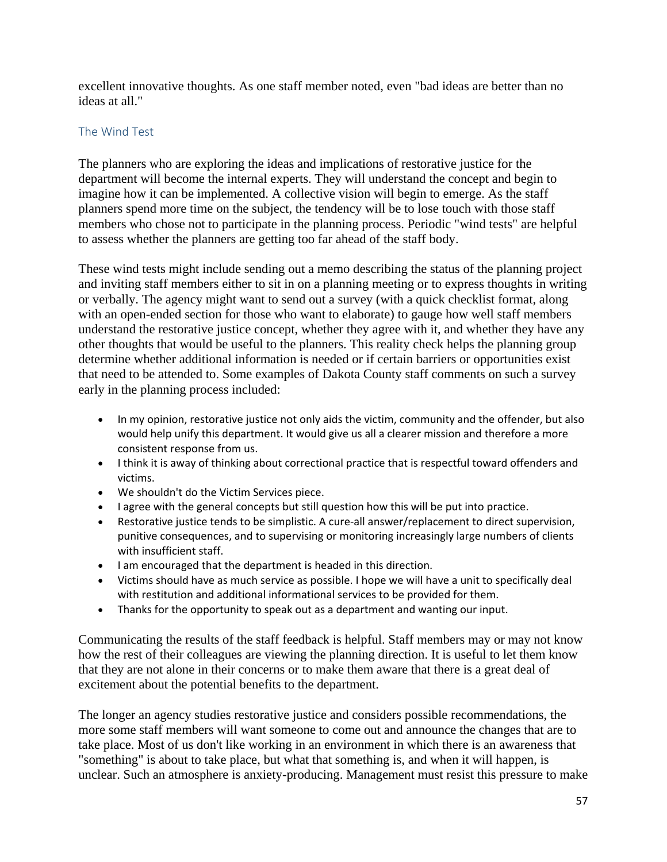excellent innovative thoughts. As one staff member noted, even "bad ideas are better than no ideas at all."

### The Wind Test

The planners who are exploring the ideas and implications of restorative justice for the department will become the internal experts. They will understand the concept and begin to imagine how it can be implemented. A collective vision will begin to emerge. As the staff planners spend more time on the subject, the tendency will be to lose touch with those staff members who chose not to participate in the planning process. Periodic "wind tests" are helpful to assess whether the planners are getting too far ahead of the staff body.

These wind tests might include sending out a memo describing the status of the planning project and inviting staff members either to sit in on a planning meeting or to express thoughts in writing or verbally. The agency might want to send out a survey (with a quick checklist format, along with an open-ended section for those who want to elaborate) to gauge how well staff members understand the restorative justice concept, whether they agree with it, and whether they have any other thoughts that would be useful to the planners. This reality check helps the planning group determine whether additional information is needed or if certain barriers or opportunities exist that need to be attended to. Some examples of Dakota County staff comments on such a survey early in the planning process included:

- In my opinion, restorative justice not only aids the victim, community and the offender, but also would help unify this department. It would give us all a clearer mission and therefore a more consistent response from us.
- I think it is away of thinking about correctional practice that is respectful toward offenders and victims.
- We shouldn't do the Victim Services piece.
- I agree with the general concepts but still question how this will be put into practice.
- Restorative justice tends to be simplistic. A cure-all answer/replacement to direct supervision, punitive consequences, and to supervising or monitoring increasingly large numbers of clients with insufficient staff.
- I am encouraged that the department is headed in this direction.
- Victims should have as much service as possible. I hope we will have a unit to specifically deal with restitution and additional informational services to be provided for them.
- Thanks for the opportunity to speak out as a department and wanting our input.

Communicating the results of the staff feedback is helpful. Staff members may or may not know how the rest of their colleagues are viewing the planning direction. It is useful to let them know that they are not alone in their concerns or to make them aware that there is a great deal of excitement about the potential benefits to the department.

The longer an agency studies restorative justice and considers possible recommendations, the more some staff members will want someone to come out and announce the changes that are to take place. Most of us don't like working in an environment in which there is an awareness that "something" is about to take place, but what that something is, and when it will happen, is unclear. Such an atmosphere is anxiety-producing. Management must resist this pressure to make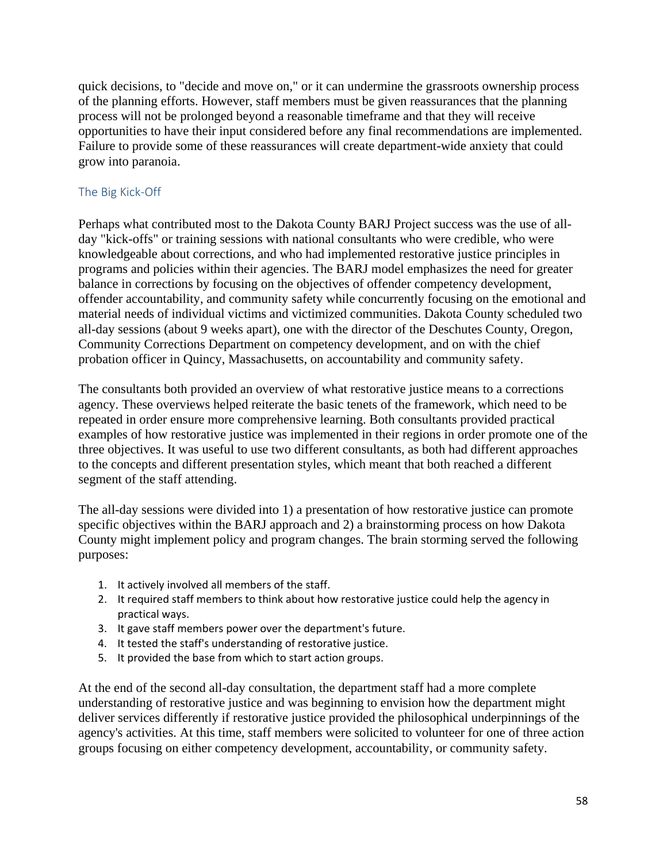quick decisions, to "decide and move on," or it can undermine the grassroots ownership process of the planning efforts. However, staff members must be given reassurances that the planning process will not be prolonged beyond a reasonable timeframe and that they will receive opportunities to have their input considered before any final recommendations are implemented. Failure to provide some of these reassurances will create department-wide anxiety that could grow into paranoia.

# The Big Kick‐Off

Perhaps what contributed most to the Dakota County BARJ Project success was the use of allday "kick-offs" or training sessions with national consultants who were credible, who were knowledgeable about corrections, and who had implemented restorative justice principles in programs and policies within their agencies. The BARJ model emphasizes the need for greater balance in corrections by focusing on the objectives of offender competency development, offender accountability, and community safety while concurrently focusing on the emotional and material needs of individual victims and victimized communities. Dakota County scheduled two all-day sessions (about 9 weeks apart), one with the director of the Deschutes County, Oregon, Community Corrections Department on competency development, and on with the chief probation officer in Quincy, Massachusetts, on accountability and community safety.

The consultants both provided an overview of what restorative justice means to a corrections agency. These overviews helped reiterate the basic tenets of the framework, which need to be repeated in order ensure more comprehensive learning. Both consultants provided practical examples of how restorative justice was implemented in their regions in order promote one of the three objectives. It was useful to use two different consultants, as both had different approaches to the concepts and different presentation styles, which meant that both reached a different segment of the staff attending.

The all-day sessions were divided into 1) a presentation of how restorative justice can promote specific objectives within the BARJ approach and 2) a brainstorming process on how Dakota County might implement policy and program changes. The brain storming served the following purposes:

- 1. It actively involved all members of the staff.
- 2. It required staff members to think about how restorative justice could help the agency in practical ways.
- 3. It gave staff members power over the department's future.
- 4. It tested the staff's understanding of restorative justice.
- 5. It provided the base from which to start action groups.

At the end of the second all-day consultation, the department staff had a more complete understanding of restorative justice and was beginning to envision how the department might deliver services differently if restorative justice provided the philosophical underpinnings of the agency's activities. At this time, staff members were solicited to volunteer for one of three action groups focusing on either competency development, accountability, or community safety.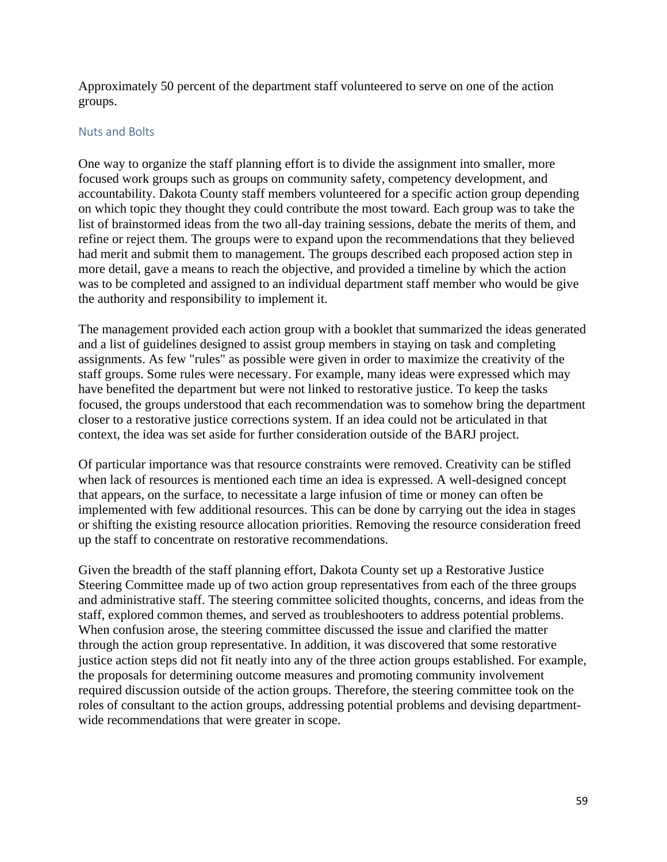Approximately 50 percent of the department staff volunteered to serve on one of the action groups.

#### Nuts and Bolts

One way to organize the staff planning effort is to divide the assignment into smaller, more focused work groups such as groups on community safety, competency development, and accountability. Dakota County staff members volunteered for a specific action group depending on which topic they thought they could contribute the most toward. Each group was to take the list of brainstormed ideas from the two all-day training sessions, debate the merits of them, and refine or reject them. The groups were to expand upon the recommendations that they believed had merit and submit them to management. The groups described each proposed action step in more detail, gave a means to reach the objective, and provided a timeline by which the action was to be completed and assigned to an individual department staff member who would be give the authority and responsibility to implement it.

The management provided each action group with a booklet that summarized the ideas generated and a list of guidelines designed to assist group members in staying on task and completing assignments. As few "rules" as possible were given in order to maximize the creativity of the staff groups. Some rules were necessary. For example, many ideas were expressed which may have benefited the department but were not linked to restorative justice. To keep the tasks focused, the groups understood that each recommendation was to somehow bring the department closer to a restorative justice corrections system. If an idea could not be articulated in that context, the idea was set aside for further consideration outside of the BARJ project.

Of particular importance was that resource constraints were removed. Creativity can be stifled when lack of resources is mentioned each time an idea is expressed. A well-designed concept that appears, on the surface, to necessitate a large infusion of time or money can often be implemented with few additional resources. This can be done by carrying out the idea in stages or shifting the existing resource allocation priorities. Removing the resource consideration freed up the staff to concentrate on restorative recommendations.

Given the breadth of the staff planning effort, Dakota County set up a Restorative Justice Steering Committee made up of two action group representatives from each of the three groups and administrative staff. The steering committee solicited thoughts, concerns, and ideas from the staff, explored common themes, and served as troubleshooters to address potential problems. When confusion arose, the steering committee discussed the issue and clarified the matter through the action group representative. In addition, it was discovered that some restorative justice action steps did not fit neatly into any of the three action groups established. For example, the proposals for determining outcome measures and promoting community involvement required discussion outside of the action groups. Therefore, the steering committee took on the roles of consultant to the action groups, addressing potential problems and devising departmentwide recommendations that were greater in scope.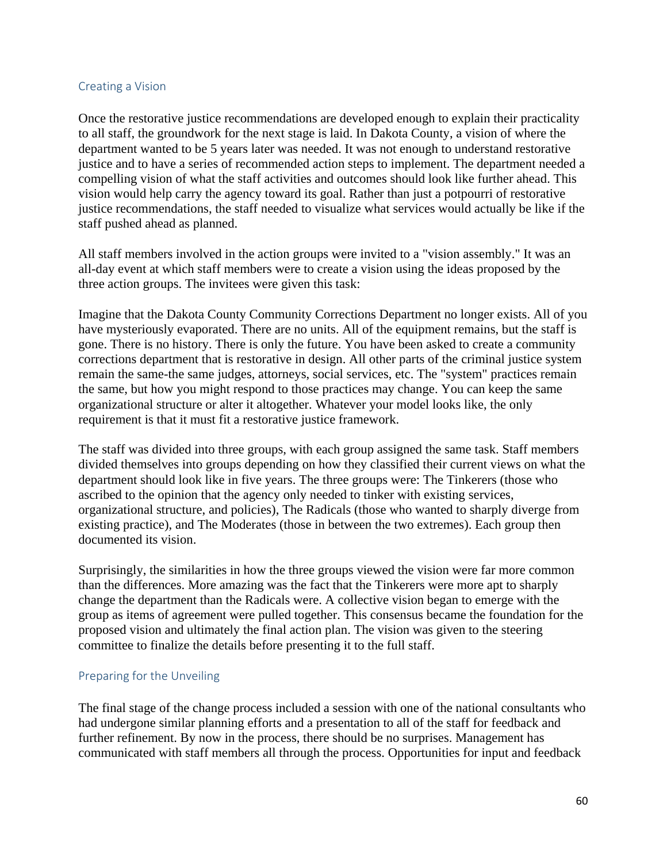### Creating a Vision

Once the restorative justice recommendations are developed enough to explain their practicality to all staff, the groundwork for the next stage is laid. In Dakota County, a vision of where the department wanted to be 5 years later was needed. It was not enough to understand restorative justice and to have a series of recommended action steps to implement. The department needed a compelling vision of what the staff activities and outcomes should look like further ahead. This vision would help carry the agency toward its goal. Rather than just a potpourri of restorative justice recommendations, the staff needed to visualize what services would actually be like if the staff pushed ahead as planned.

All staff members involved in the action groups were invited to a "vision assembly." It was an all-day event at which staff members were to create a vision using the ideas proposed by the three action groups. The invitees were given this task:

Imagine that the Dakota County Community Corrections Department no longer exists. All of you have mysteriously evaporated. There are no units. All of the equipment remains, but the staff is gone. There is no history. There is only the future. You have been asked to create a community corrections department that is restorative in design. All other parts of the criminal justice system remain the same-the same judges, attorneys, social services, etc. The "system" practices remain the same, but how you might respond to those practices may change. You can keep the same organizational structure or alter it altogether. Whatever your model looks like, the only requirement is that it must fit a restorative justice framework.

The staff was divided into three groups, with each group assigned the same task. Staff members divided themselves into groups depending on how they classified their current views on what the department should look like in five years. The three groups were: The Tinkerers (those who ascribed to the opinion that the agency only needed to tinker with existing services, organizational structure, and policies), The Radicals (those who wanted to sharply diverge from existing practice), and The Moderates (those in between the two extremes). Each group then documented its vision.

 committee to finalize the details before presenting it to the full staff. Surprisingly, the similarities in how the three groups viewed the vision were far more common than the differences. More amazing was the fact that the Tinkerers were more apt to sharply change the department than the Radicals were. A collective vision began to emerge with the group as items of agreement were pulled together. This consensus became the foundation for the proposed vision and ultimately the final action plan. The vision was given to the steering

### Preparing for the Unveiling

The final stage of the change process included a session with one of the national consultants who had undergone similar planning efforts and a presentation to all of the staff for feedback and further refinement. By now in the process, there should be no surprises. Management has communicated with staff members all through the process. Opportunities for input and feedback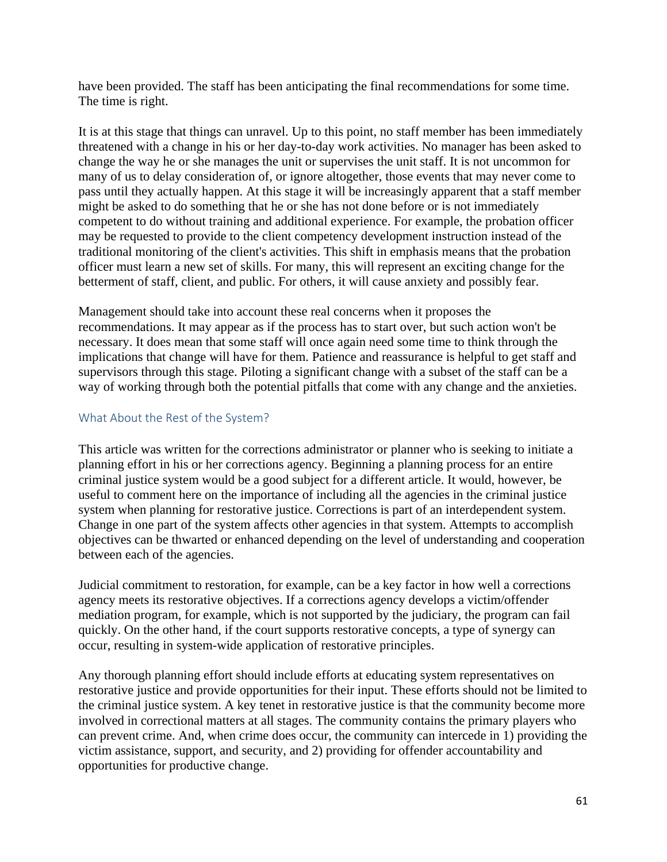have been provided. The staff has been anticipating the final recommendations for some time. The time is right.

It is at this stage that things can unravel. Up to this point, no staff member has been immediately threatened with a change in his or her day-to-day work activities. No manager has been asked to change the way he or she manages the unit or supervises the unit staff. It is not uncommon for many of us to delay consideration of, or ignore altogether, those events that may never come to pass until they actually happen. At this stage it will be increasingly apparent that a staff member might be asked to do something that he or she has not done before or is not immediately competent to do without training and additional experience. For example, the probation officer may be requested to provide to the client competency development instruction instead of the traditional monitoring of the client's activities. This shift in emphasis means that the probation officer must learn a new set of skills. For many, this will represent an exciting change for the betterment of staff, client, and public. For others, it will cause anxiety and possibly fear.

Management should take into account these real concerns when it proposes the recommendations. It may appear as if the process has to start over, but such action won't be necessary. It does mean that some staff will once again need some time to think through the implications that change will have for them. Patience and reassurance is helpful to get staff and supervisors through this stage. Piloting a significant change with a subset of the staff can be a way of working through both the potential pitfalls that come with any change and the anxieties.

### What About the Rest of the System?

This article was written for the corrections administrator or planner who is seeking to initiate a planning effort in his or her corrections agency. Beginning a planning process for an entire criminal justice system would be a good subject for a different article. It would, however, be useful to comment here on the importance of including all the agencies in the criminal justice system when planning for restorative justice. Corrections is part of an interdependent system. Change in one part of the system affects other agencies in that system. Attempts to accomplish objectives can be thwarted or enhanced depending on the level of understanding and cooperation between each of the agencies.

Judicial commitment to restoration, for example, can be a key factor in how well a corrections agency meets its restorative objectives. If a corrections agency develops a victim/offender mediation program, for example, which is not supported by the judiciary, the program can fail quickly. On the other hand, if the court supports restorative concepts, a type of synergy can occur, resulting in system-wide application of restorative principles.

Any thorough planning effort should include efforts at educating system representatives on restorative justice and provide opportunities for their input. These efforts should not be limited to the criminal justice system. A key tenet in restorative justice is that the community become more involved in correctional matters at all stages. The community contains the primary players who can prevent crime. And, when crime does occur, the community can intercede in 1) providing the victim assistance, support, and security, and 2) providing for offender accountability and opportunities for productive change.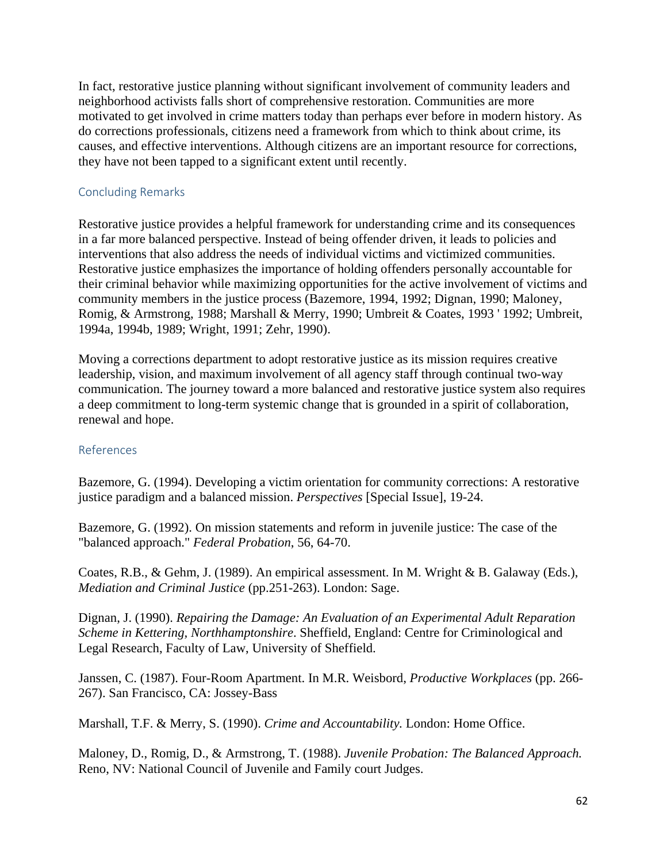they have not been tapped to a significant extent until recently. In fact, restorative justice planning without significant involvement of community leaders and neighborhood activists falls short of comprehensive restoration. Communities are more motivated to get involved in crime matters today than perhaps ever before in modern history. As do corrections professionals, citizens need a framework from which to think about crime, its causes, and effective interventions. Although citizens are an important resource for corrections,

# Concluding Remarks

Restorative justice provides a helpful framework for understanding crime and its consequences in a far more balanced perspective. Instead of being offender driven, it leads to policies and interventions that also address the needs of individual victims and victimized communities. Restorative justice emphasizes the importance of holding offenders personally accountable for their criminal behavior while maximizing opportunities for the active involvement of victims and community members in the justice process (Bazemore, 1994, 1992; Dignan, 1990; Maloney, Romig, & Armstrong, 1988; Marshall & Merry, 1990; Umbreit & Coates, 1993 ' 1992; Umbreit, 1994a, 1994b, 1989; Wright, 1991; Zehr, 1990).

Moving a corrections department to adopt restorative justice as its mission requires creative leadership, vision, and maximum involvement of all agency staff through continual two-way communication. The journey toward a more balanced and restorative justice system also requires a deep commitment to long-term systemic change that is grounded in a spirit of collaboration, renewal and hope.

## References

Bazemore, G. (1994). Developing a victim orientation for community corrections: A restorative justice paradigm and a balanced mission. *Perspectives* [Special Issue], 19-24.

Bazemore, G. (1992). On mission statements and reform in juvenile justice: The case of the "balanced approach." *Federal Probation*, 56, 64-70.

Coates, R.B., & Gehm, J. (1989). An empirical assessment. In M. Wright & B. Galaway (Eds.), *Mediation and Criminal Justice* (pp.251-263). London: Sage.

Dignan, J. (1990). *Repairing the Damage: An Evaluation of an Experimental Adult Reparation Scheme in Kettering, Northhamptonshire*. Sheffield, England: Centre for Criminological and Legal Research, Faculty of Law, University of Sheffield.

Janssen, C. (1987). Four-Room Apartment. In M.R. Weisbord, *Productive Workplaces* (pp. 266- 267). San Francisco, CA: Jossey-Bass

Marshall, T.F. & Merry, S. (1990). *Crime and Accountability.* London: Home Office.

Maloney, D., Romig, D., & Armstrong, T. (1988). *Juvenile Probation: The Balanced Approach.*  Reno, NV: National Council of Juvenile and Family court Judges.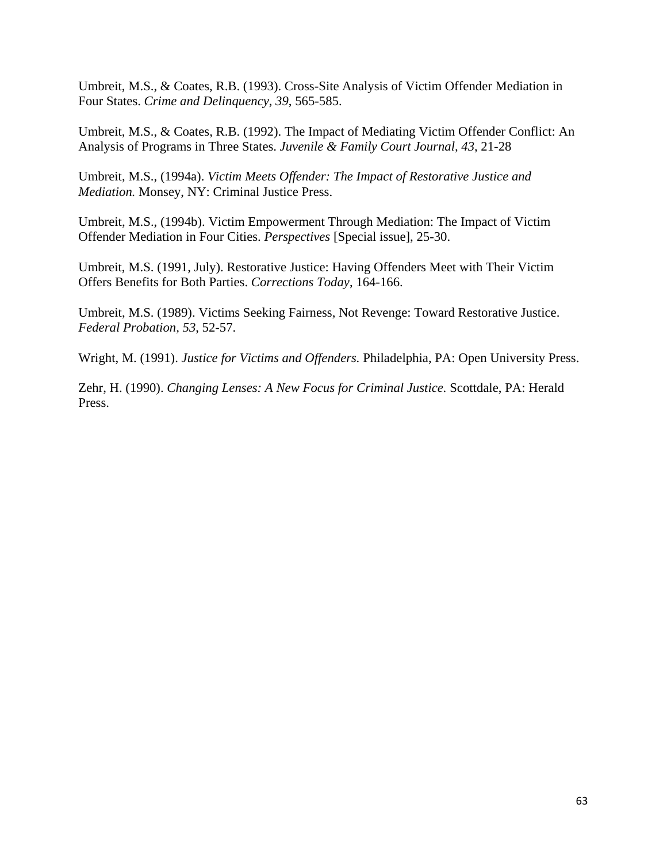Umbreit, M.S., & Coates, R.B. (1993). Cross-Site Analysis of Victim Offender Mediation in Four States. *Crime and Delinquency*, *39*, 565-585.

Umbreit, M.S., & Coates, R.B. (1992). The Impact of Mediating Victim Offender Conflict: An Analysis of Programs in Three States. *Juvenile & Family Court Journal, 43*, 21-28

Umbreit, M.S., (1994a). *Victim Meets Offender: The Impact of Restorative Justice and Mediation.* Monsey, NY: Criminal Justice Press.

Umbreit, M.S., (1994b). Victim Empowerment Through Mediation: The Impact of Victim Offender Mediation in Four Cities. *Perspectives* [Special issue], 25-30.

Umbreit, M.S. (1991, July). Restorative Justice: Having Offenders Meet with Their Victim Offers Benefits for Both Parties. *Corrections Today*, 164-166.

Umbreit, M.S. (1989). Victims Seeking Fairness, Not Revenge: Toward Restorative Justice. *Federal Probation, 53*, 52-57.

Wright, M. (1991). *Justice for Victims and Offenders.* Philadelphia, PA: Open University Press.

Zehr, H. (1990). *Changing Lenses: A New Focus for Criminal Justice.* Scottdale, PA: Herald Press.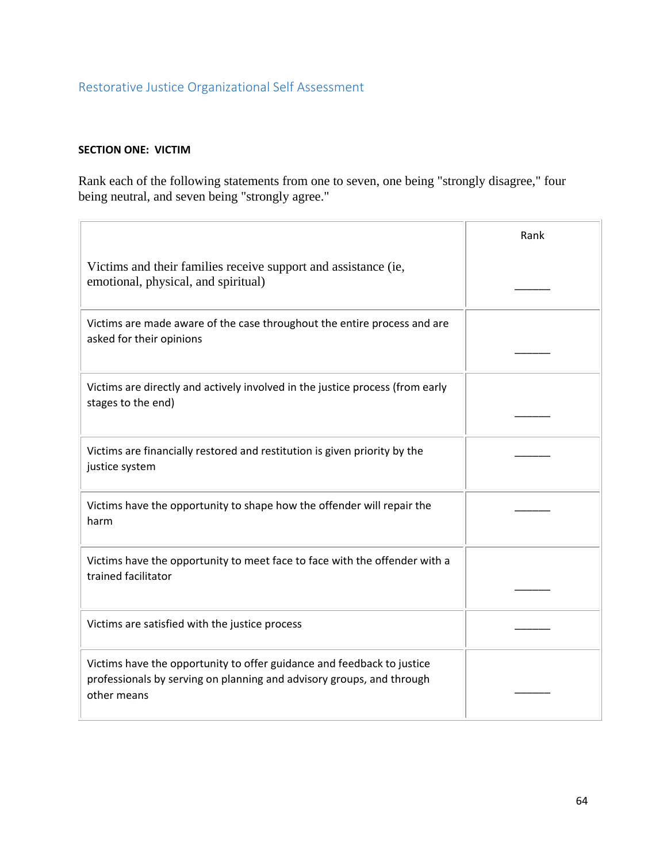# Restorative Justice Organizational Self Assessment

#### **SECTION ONE: VICTIM**

Rank each of the following statements from one to seven, one being "strongly disagree," four being neutral, and seven being "strongly agree."

|                                                                                                                                                                | Rank |
|----------------------------------------------------------------------------------------------------------------------------------------------------------------|------|
| Victims and their families receive support and assistance (ie,<br>emotional, physical, and spiritual)                                                          |      |
| Victims are made aware of the case throughout the entire process and are<br>asked for their opinions                                                           |      |
| Victims are directly and actively involved in the justice process (from early<br>stages to the end)                                                            |      |
| Victims are financially restored and restitution is given priority by the<br>justice system                                                                    |      |
| Victims have the opportunity to shape how the offender will repair the<br>harm                                                                                 |      |
| Victims have the opportunity to meet face to face with the offender with a<br>trained facilitator                                                              |      |
| Victims are satisfied with the justice process                                                                                                                 |      |
| Victims have the opportunity to offer guidance and feedback to justice<br>professionals by serving on planning and advisory groups, and through<br>other means |      |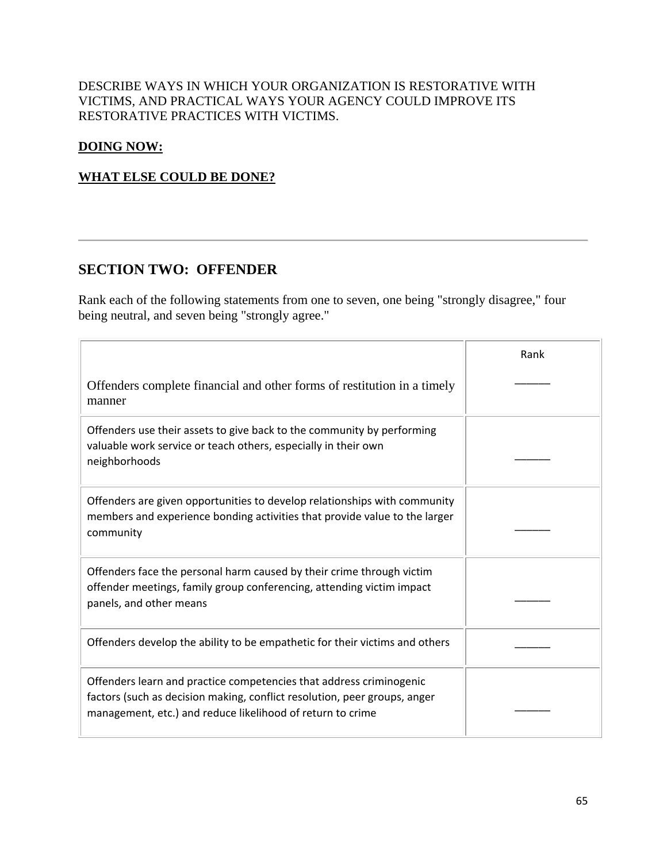## DESCRIBE WAYS IN WHICH YOUR ORGANIZATION IS RESTORATIVE WITH VICTIMS, AND PRACTICAL WAYS YOUR AGENCY COULD IMPROVE ITS RESTORATIVE PRACTICES WITH VICTIMS.

# **DOING NOW:**

# **WHAT ELSE COULD BE DONE?**

# **SECTION TWO: OFFENDER**

Rank each of the following statements from one to seven, one being "strongly disagree," four being neutral, and seven being "strongly agree."

<u> 1980 - Jan Samuel Barbara, president de la provincia de la provincia de la provincia de la provincia de la p</u>

|                                                                                                                                                                                                                | Rank |
|----------------------------------------------------------------------------------------------------------------------------------------------------------------------------------------------------------------|------|
| Offenders complete financial and other forms of restitution in a timely<br>manner                                                                                                                              |      |
| Offenders use their assets to give back to the community by performing<br>valuable work service or teach others, especially in their own<br>neighborhoods                                                      |      |
| Offenders are given opportunities to develop relationships with community<br>members and experience bonding activities that provide value to the larger<br>community                                           |      |
| Offenders face the personal harm caused by their crime through victim<br>offender meetings, family group conferencing, attending victim impact<br>panels, and other means                                      |      |
| Offenders develop the ability to be empathetic for their victims and others                                                                                                                                    |      |
| Offenders learn and practice competencies that address criminogenic<br>factors (such as decision making, conflict resolution, peer groups, anger<br>management, etc.) and reduce likelihood of return to crime |      |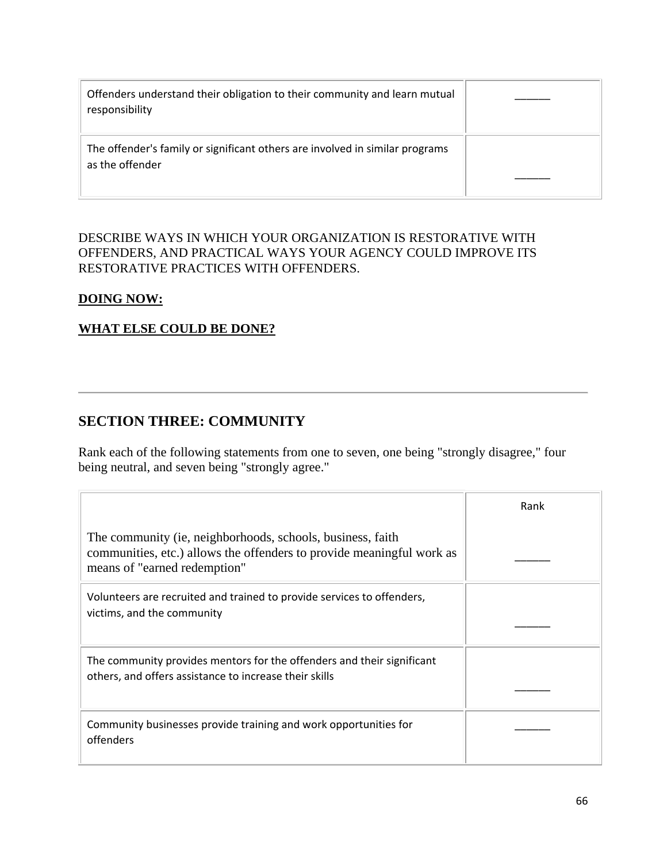| Offenders understand their obligation to their community and learn mutual<br>responsibility     |  |
|-------------------------------------------------------------------------------------------------|--|
| The offender's family or significant others are involved in similar programs<br>as the offender |  |

## DESCRIBE WAYS IN WHICH YOUR ORGANIZATION IS RESTORATIVE WITH OFFENDERS, AND PRACTICAL WAYS YOUR AGENCY COULD IMPROVE ITS RESTORATIVE PRACTICES WITH OFFENDERS.

## **DOING NOW:**

# **WHAT ELSE COULD BE DONE?**

# **SECTION THREE: COMMUNITY**

Rank each of the following statements from one to seven, one being "strongly disagree," four being neutral, and seven being "strongly agree."

|                                                                                                                                                                     | Rank |
|---------------------------------------------------------------------------------------------------------------------------------------------------------------------|------|
| The community (ie, neighborhoods, schools, business, faith<br>communities, etc.) allows the offenders to provide meaningful work as<br>means of "earned redemption" |      |
| Volunteers are recruited and trained to provide services to offenders,<br>victims, and the community                                                                |      |
| The community provides mentors for the offenders and their significant<br>others, and offers assistance to increase their skills                                    |      |
| Community businesses provide training and work opportunities for<br>offenders                                                                                       |      |

 $\overline{1}$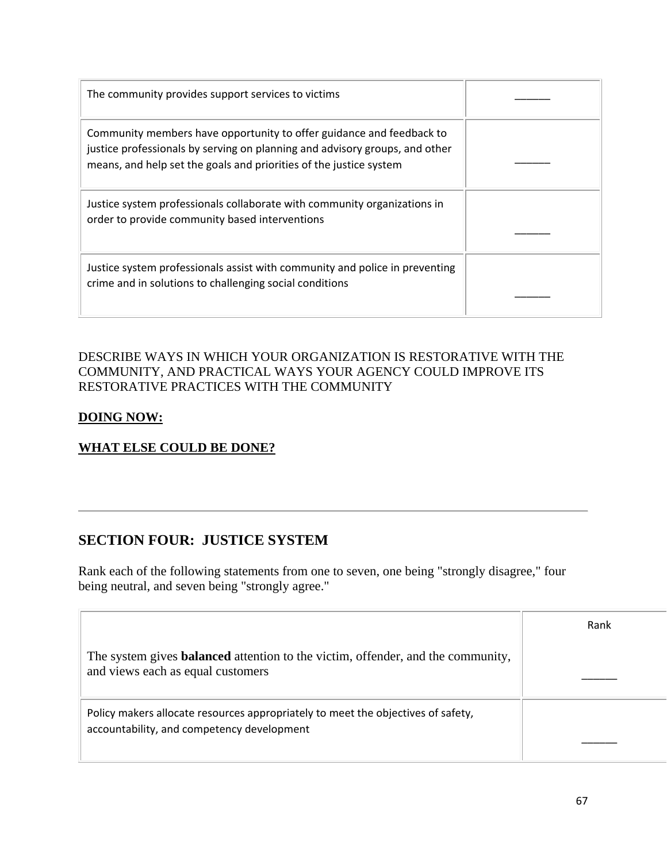| The community provides support services to victims                                                                                                                                                                        |  |
|---------------------------------------------------------------------------------------------------------------------------------------------------------------------------------------------------------------------------|--|
| Community members have opportunity to offer guidance and feedback to<br>justice professionals by serving on planning and advisory groups, and other<br>means, and help set the goals and priorities of the justice system |  |
| Justice system professionals collaborate with community organizations in<br>order to provide community based interventions                                                                                                |  |
| Justice system professionals assist with community and police in preventing<br>crime and in solutions to challenging social conditions                                                                                    |  |

# DESCRIBE WAYS IN WHICH YOUR ORGANIZATION IS RESTORATIVE WITH THE COMMUNITY, AND PRACTICAL WAYS YOUR AGENCY COULD IMPROVE ITS RESTORATIVE PRACTICES WITH THE COMMUNITY

# **DOING NOW:**

# **WHAT ELSE COULD BE DONE?**

# **SECTION FOUR: JUSTICE SYSTEM**

Rank each of the following statements from one to seven, one being "strongly disagree," four being neutral, and seven being "strongly agree."

|                                                                                                                                | Rank |
|--------------------------------------------------------------------------------------------------------------------------------|------|
| The system gives <b>balanced</b> attention to the victim, offender, and the community,<br>and views each as equal customers    |      |
| Policy makers allocate resources appropriately to meet the objectives of safety,<br>accountability, and competency development |      |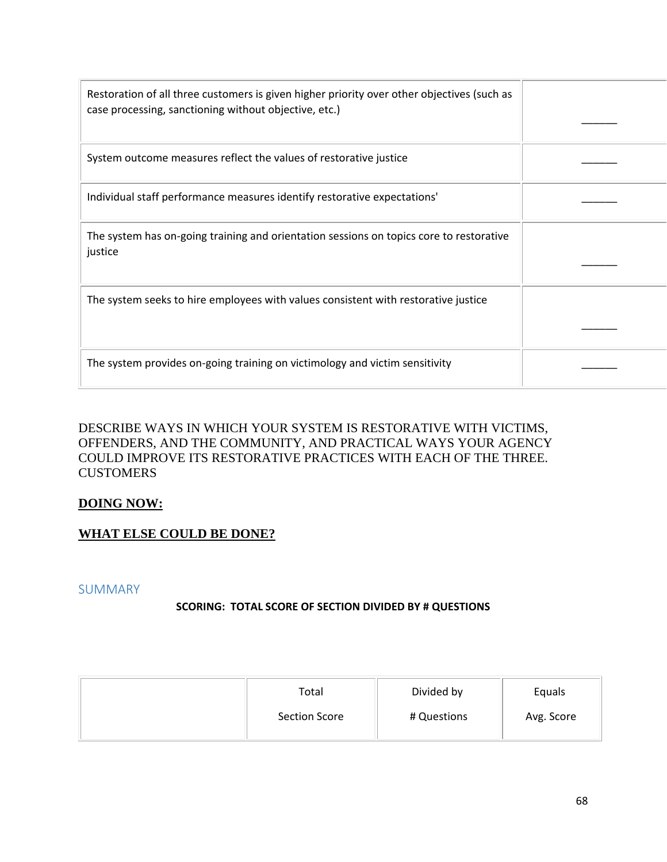| Restoration of all three customers is given higher priority over other objectives (such as<br>case processing, sanctioning without objective, etc.) |  |
|-----------------------------------------------------------------------------------------------------------------------------------------------------|--|
| System outcome measures reflect the values of restorative justice                                                                                   |  |
| Individual staff performance measures identify restorative expectations'                                                                            |  |
| The system has on-going training and orientation sessions on topics core to restorative<br>justice                                                  |  |
| The system seeks to hire employees with values consistent with restorative justice                                                                  |  |
| The system provides on-going training on victimology and victim sensitivity                                                                         |  |

## DESCRIBE WAYS IN WHICH YOUR SYSTEM IS RESTORATIVE WITH VICTIMS, OFFENDERS, AND THE COMMUNITY, AND PRACTICAL WAYS YOUR AGENCY COULD IMPROVE ITS RESTORATIVE PRACTICES WITH EACH OF THE THREE. **CUSTOMERS**

# **DOING NOW:**

# **WHAT ELSE COULD BE DONE?**

#### SUMMARY

## **SCORING: TOTAL SCORE OF SECTION DIVIDED BY # QUESTIONS**

| Total         | Divided by  | Equals     |
|---------------|-------------|------------|
| Section Score | # Questions | Avg. Score |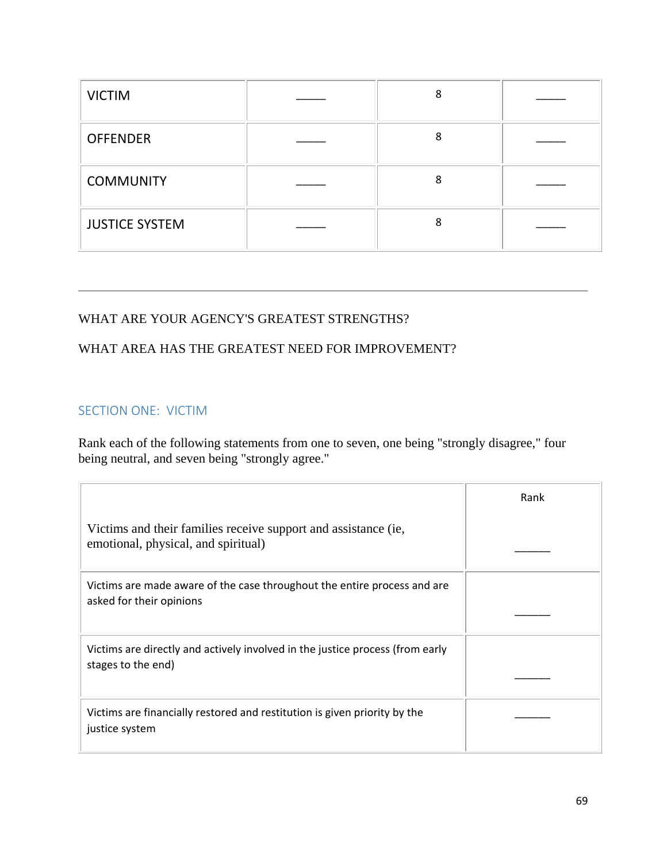| <b>VICTIM</b>         | 8 |  |
|-----------------------|---|--|
| <b>OFFENDER</b>       | 8 |  |
| <b>COMMUNITY</b>      | 8 |  |
| <b>JUSTICE SYSTEM</b> | 8 |  |

# WHAT ARE YOUR AGENCY'S GREATEST STRENGTHS?

## WHAT AREA HAS THE GREATEST NEED FOR IMPROVEMENT?

## SECTION ONE: VICTIM

Rank each of the following statements from one to seven, one being "strongly disagree," four being neutral, and seven being "strongly agree."

|                                                                                                       | Rank |
|-------------------------------------------------------------------------------------------------------|------|
| Victims and their families receive support and assistance (ie,<br>emotional, physical, and spiritual) |      |
| Victims are made aware of the case throughout the entire process and are<br>asked for their opinions  |      |
| Victims are directly and actively involved in the justice process (from early<br>stages to the end)   |      |
| Victims are financially restored and restitution is given priority by the<br>justice system           |      |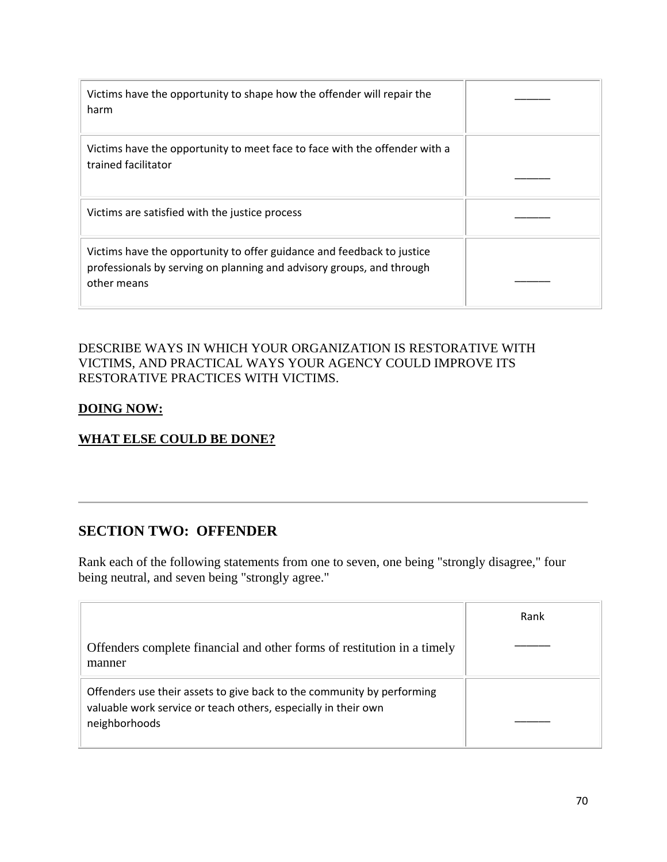| Victims have the opportunity to shape how the offender will repair the<br>harm                                                                                 |  |
|----------------------------------------------------------------------------------------------------------------------------------------------------------------|--|
| Victims have the opportunity to meet face to face with the offender with a<br>trained facilitator                                                              |  |
| Victims are satisfied with the justice process                                                                                                                 |  |
| Victims have the opportunity to offer guidance and feedback to justice<br>professionals by serving on planning and advisory groups, and through<br>other means |  |

### DESCRIBE WAYS IN WHICH YOUR ORGANIZATION IS RESTORATIVE WITH VICTIMS, AND PRACTICAL WAYS YOUR AGENCY COULD IMPROVE ITS RESTORATIVE PRACTICES WITH VICTIMS.

## **DOING NOW:**

# **WHAT ELSE COULD BE DONE?**

# **SECTION TWO: OFFENDER**

Rank each of the following statements from one to seven, one being "strongly disagree," four being neutral, and seven being "strongly agree."

|                                                                                                                                                           | Rank |
|-----------------------------------------------------------------------------------------------------------------------------------------------------------|------|
| Offenders complete financial and other forms of restitution in a timely<br>manner                                                                         |      |
| Offenders use their assets to give back to the community by performing<br>valuable work service or teach others, especially in their own<br>neighborhoods |      |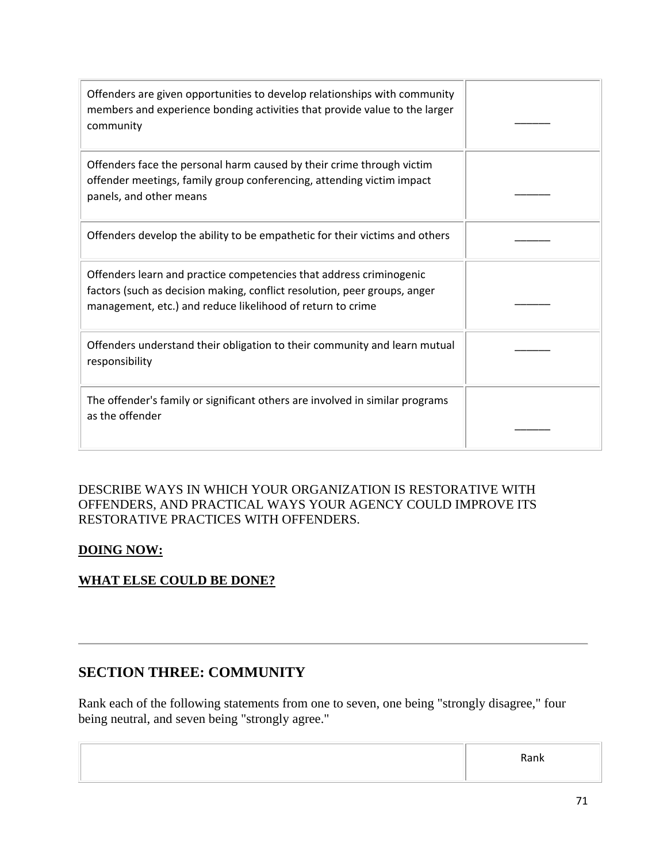| Offenders are given opportunities to develop relationships with community<br>members and experience bonding activities that provide value to the larger<br>community                                           |  |
|----------------------------------------------------------------------------------------------------------------------------------------------------------------------------------------------------------------|--|
| Offenders face the personal harm caused by their crime through victim<br>offender meetings, family group conferencing, attending victim impact<br>panels, and other means                                      |  |
| Offenders develop the ability to be empathetic for their victims and others                                                                                                                                    |  |
| Offenders learn and practice competencies that address criminogenic<br>factors (such as decision making, conflict resolution, peer groups, anger<br>management, etc.) and reduce likelihood of return to crime |  |
| Offenders understand their obligation to their community and learn mutual<br>responsibility                                                                                                                    |  |
| The offender's family or significant others are involved in similar programs<br>as the offender                                                                                                                |  |

#### DESCRIBE WAYS IN WHICH YOUR ORGANIZATION IS RESTORATIVE WITH OFFENDERS, AND PRACTICAL WAYS YOUR AGENCY COULD IMPROVE ITS RESTORATIVE PRACTICES WITH OFFENDERS.

## **DOING NOW:**

# **WHAT ELSE COULD BE DONE?**

# **SECTION THREE: COMMUNITY**

Rank each of the following statements from one to seven, one being "strongly disagree," four being neutral, and seven being "strongly agree."

Rank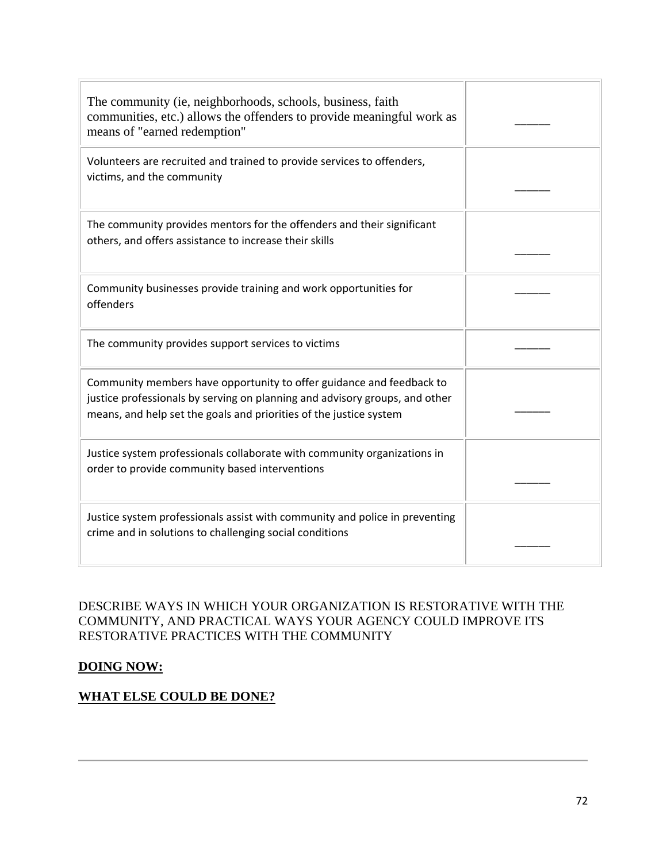| The community (ie, neighborhoods, schools, business, faith<br>communities, etc.) allows the offenders to provide meaningful work as<br>means of "earned redemption"                                                       |  |
|---------------------------------------------------------------------------------------------------------------------------------------------------------------------------------------------------------------------------|--|
| Volunteers are recruited and trained to provide services to offenders,<br>victims, and the community                                                                                                                      |  |
| The community provides mentors for the offenders and their significant<br>others, and offers assistance to increase their skills                                                                                          |  |
| Community businesses provide training and work opportunities for<br>offenders                                                                                                                                             |  |
| The community provides support services to victims                                                                                                                                                                        |  |
| Community members have opportunity to offer guidance and feedback to<br>justice professionals by serving on planning and advisory groups, and other<br>means, and help set the goals and priorities of the justice system |  |
| Justice system professionals collaborate with community organizations in<br>order to provide community based interventions                                                                                                |  |
| Justice system professionals assist with community and police in preventing<br>crime and in solutions to challenging social conditions                                                                                    |  |

# DESCRIBE WAYS IN WHICH YOUR ORGANIZATION IS RESTORATIVE WITH THE COMMUNITY, AND PRACTICAL WAYS YOUR AGENCY COULD IMPROVE ITS RESTORATIVE PRACTICES WITH THE COMMUNITY

# **DOING NOW:**

# **WHAT ELSE COULD BE DONE?**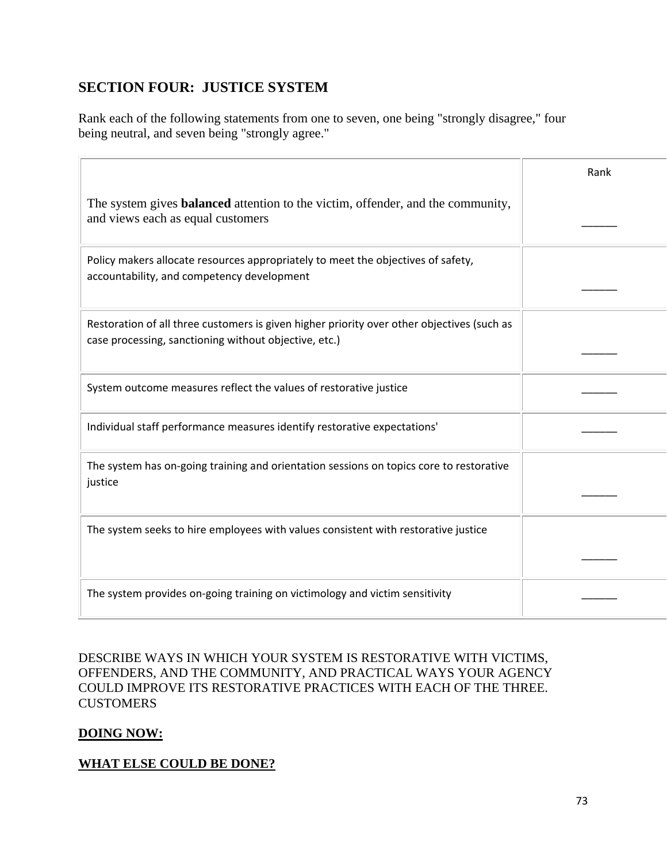# **SECTION FOUR: JUSTICE SYSTEM**

Rank each of the following statements from one to seven, one being "strongly disagree," four being neutral, and seven being "strongly agree."

|                                                                                                                                                     | Rank |
|-----------------------------------------------------------------------------------------------------------------------------------------------------|------|
| The system gives <b>balanced</b> attention to the victim, offender, and the community,<br>and views each as equal customers                         |      |
| Policy makers allocate resources appropriately to meet the objectives of safety,<br>accountability, and competency development                      |      |
| Restoration of all three customers is given higher priority over other objectives (such as<br>case processing, sanctioning without objective, etc.) |      |
| System outcome measures reflect the values of restorative justice                                                                                   |      |
| Individual staff performance measures identify restorative expectations'                                                                            |      |
| The system has on-going training and orientation sessions on topics core to restorative<br>justice                                                  |      |
| The system seeks to hire employees with values consistent with restorative justice                                                                  |      |
| The system provides on-going training on victimology and victim sensitivity                                                                         |      |

## DESCRIBE WAYS IN WHICH YOUR SYSTEM IS RESTORATIVE WITH VICTIMS, OFFENDERS, AND THE COMMUNITY, AND PRACTICAL WAYS YOUR AGENCY COULD IMPROVE ITS RESTORATIVE PRACTICES WITH EACH OF THE THREE. **CUSTOMERS**

## **DOING NOW:**

## **WHAT ELSE COULD BE DONE?**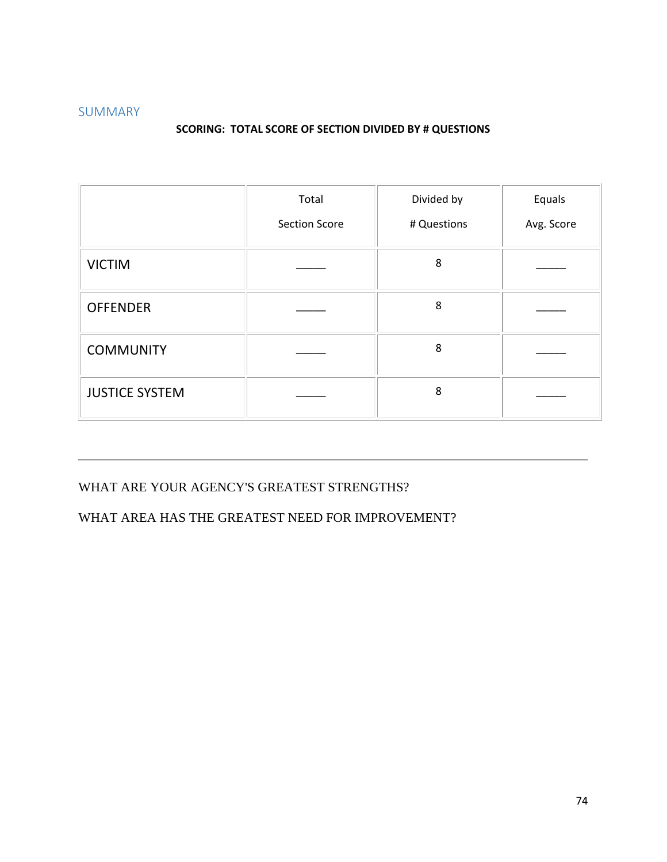#### SUMMARY

#### **SCORING: TOTAL SCORE OF SECTION DIVIDED BY # QUESTIONS**

|                       | Total                | Divided by  | Equals     |
|-----------------------|----------------------|-------------|------------|
|                       | <b>Section Score</b> | # Questions | Avg. Score |
| <b>VICTIM</b>         |                      | 8           |            |
| <b>OFFENDER</b>       |                      | 8           |            |
| <b>COMMUNITY</b>      |                      | 8           |            |
| <b>JUSTICE SYSTEM</b> |                      | 8           |            |

# WHAT ARE YOUR AGENCY'S GREATEST STRENGTHS?

# WHAT AREA HAS THE GREATEST NEED FOR IMPROVEMENT?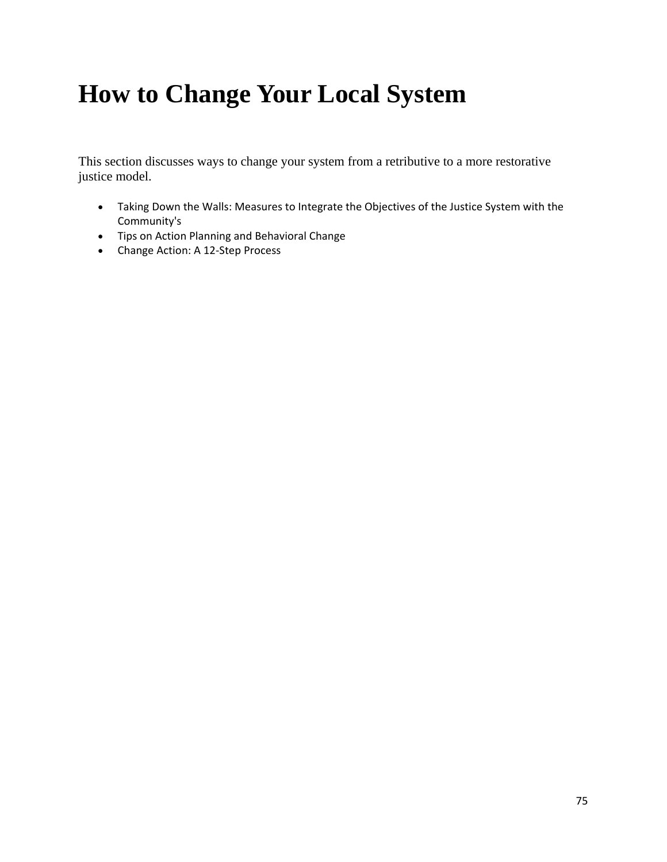# **How to Change Your Local System**

This section discusses ways to change your system from a retributive to a more restorative justice model.

- Taking Down the Walls: Measures to Integrate the Objectives of the Justice System with the Community's
- Tips on Action Planning and Behavioral Change
- Change Action: A 12-Step Process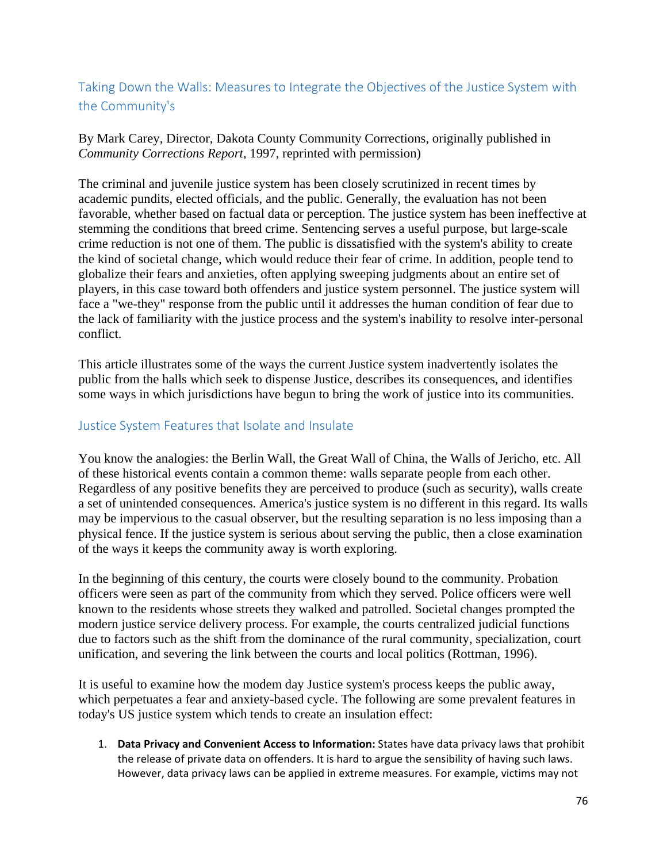# Taking Down the Walls: Measures to Integrate the Objectives of the Justice System with the Community's

## By Mark Carey, Director, Dakota County Community Corrections, originally published in *Community Corrections Report*, 1997, reprinted with permission)

The criminal and juvenile justice system has been closely scrutinized in recent times by academic pundits, elected officials, and the public. Generally, the evaluation has not been favorable, whether based on factual data or perception. The justice system has been ineffective at stemming the conditions that breed crime. Sentencing serves a useful purpose, but large-scale crime reduction is not one of them. The public is dissatisfied with the system's ability to create the kind of societal change, which would reduce their fear of crime. In addition, people tend to globalize their fears and anxieties, often applying sweeping judgments about an entire set of players, in this case toward both offenders and justice system personnel. The justice system will face a "we-they" response from the public until it addresses the human condition of fear due to the lack of familiarity with the justice process and the system's inability to resolve inter-personal conflict.

This article illustrates some of the ways the current Justice system inadvertently isolates the public from the halls which seek to dispense Justice, describes its consequences, and identifies some ways in which jurisdictions have begun to bring the work of justice into its communities.

# Justice System Features that Isolate and Insulate

You know the analogies: the Berlin Wall, the Great Wall of China, the Walls of Jericho, etc. All of these historical events contain a common theme: walls separate people from each other. Regardless of any positive benefits they are perceived to produce (such as security), walls create a set of unintended consequences. America's justice system is no different in this regard. Its walls may be impervious to the casual observer, but the resulting separation is no less imposing than a physical fence. If the justice system is serious about serving the public, then a close examination of the ways it keeps the community away is worth exploring.

In the beginning of this century, the courts were closely bound to the community. Probation officers were seen as part of the community from which they served. Police officers were well known to the residents whose streets they walked and patrolled. Societal changes prompted the modern justice service delivery process. For example, the courts centralized judicial functions due to factors such as the shift from the dominance of the rural community, specialization, court unification, and severing the link between the courts and local politics (Rottman, 1996).

It is useful to examine how the modem day Justice system's process keeps the public away, which perpetuates a fear and anxiety-based cycle. The following are some prevalent features in today's US justice system which tends to create an insulation effect:

 1. **Data Privacy and Convenient Access to Information:** States have data privacy laws that prohibit the release of private data on offenders. It is hard to argue the sensibility of having such laws. However, data privacy laws can be applied in extreme measures. For example, victims may not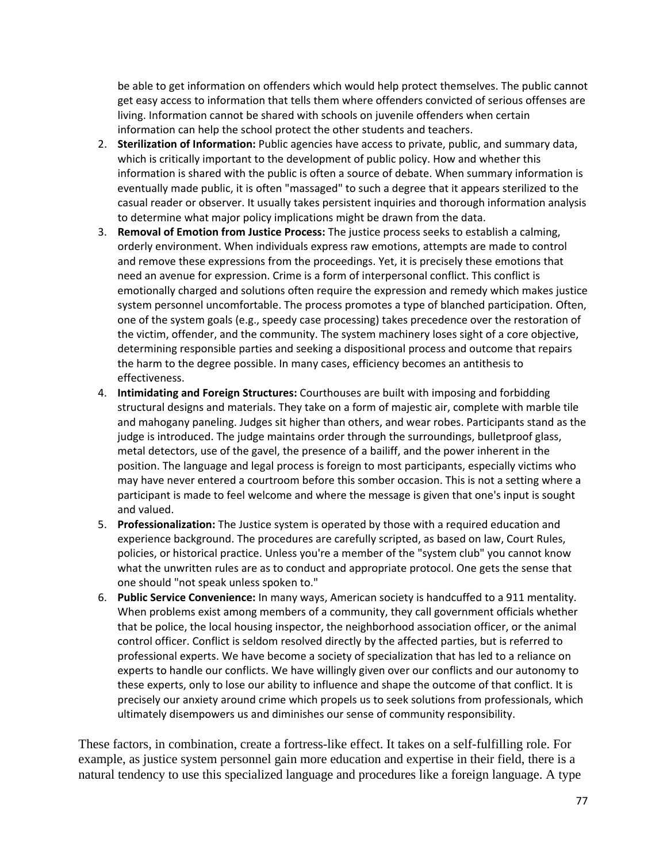be able to get information on offenders which would help protect themselves. The public cannot get easy access to information that tells them where offenders convicted of serious offenses are living. Information cannot be shared with schools on juvenile offenders when certain information can help the school protect the other students and teachers.

- 2. **Sterilization of Information:** Public agencies have access to private, public, and summary data, which is critically important to the development of public policy. How and whether this information is shared with the public is often a source of debate. When summary information is eventually made public, it is often "massaged" to such a degree that it appears sterilized to the casual reader or observer. It usually takes persistent inquiries and thorough information analysis to determine what major policy implications might be drawn from the data.
- 3. **Removal of Emotion from Justice Process:** The justice process seeks to establish a calming, orderly environment. When individuals express raw emotions, attempts are made to control and remove these expressions from the proceedings. Yet, it is precisely these emotions that need an avenue for expression. Crime is a form of interpersonal conflict. This conflict is emotionally charged and solutions often require the expression and remedy which makes justice system personnel uncomfortable. The process promotes a type of blanched participation. Often, one of the system goals (e.g., speedy case processing) takes precedence over the restoration of the victim, offender, and the community. The system machinery loses sight of a core objective, determining responsible parties and seeking a dispositional process and outcome that repairs the harm to the degree possible. In many cases, efficiency becomes an antithesis to effectiveness.
- 4. **Intimidating and Foreign Structures:** Courthouses are built with imposing and forbidding structural designs and materials. They take on a form of majestic air, complete with marble tile and mahogany paneling. Judges sit higher than others, and wear robes. Participants stand as the judge is introduced. The judge maintains order through the surroundings, bulletproof glass, metal detectors, use of the gavel, the presence of a bailiff, and the power inherent in the position. The language and legal process is foreign to most participants, especially victims who may have never entered a courtroom before this somber occasion. This is not a setting where a participant is made to feel welcome and where the message is given that one's input is sought and valued.
- 5. Professionalization: The Justice system is operated by those with a required education and experience background. The procedures are carefully scripted, as based on law, Court Rules, policies, or historical practice. Unless you're a member of the "system club" you cannot know what the unwritten rules are as to conduct and appropriate protocol. One gets the sense that one should "not speak unless spoken to."
- 6. **Public Service Convenience:** In many ways, American society is handcuffed to a 911 mentality. When problems exist among members of a community, they call government officials whether that be police, the local housing inspector, the neighborhood association officer, or the animal control officer. Conflict is seldom resolved directly by the affected parties, but is referred to professional experts. We have become a society of specialization that has led to a reliance on experts to handle our conflicts. We have willingly given over our conflicts and our autonomy to these experts, only to lose our ability to influence and shape the outcome of that conflict. It is precisely our anxiety around crime which propels us to seek solutions from professionals, which ultimately disempowers us and diminishes our sense of community responsibility.

These factors, in combination, create a fortress-like effect. It takes on a self-fulfilling role. For example, as justice system personnel gain more education and expertise in their field, there is a natural tendency to use this specialized language and procedures like a foreign language. A type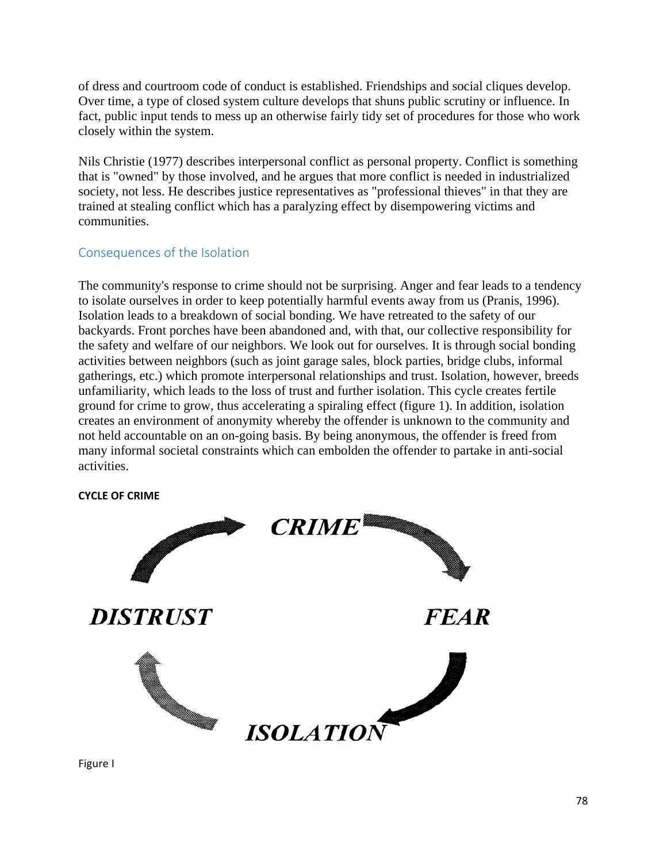of dress and courtroom code of conduct is established. Friendships and social cliques develop. Over time, a type of closed system culture develops that shuns public scrutiny or influence. In fact, public input tends to mess up an otherwise fairly tidy set of procedures for those who work closely within the system.

Nils Christie (1977) describes interpersonal conflict as personal property. Conflict is something that is "owned" by those involved, and he argues that more conflict is needed in industrialized society, not less. He describes justice representatives as "professional thieves" in that they are trained at stealing conflict which has a paralyzing effect by disempowering victims and communities.

# Consequences of the Isolation

The community's response to crime should not be surprising. Anger and fear leads to a tendency to isolate ourselves in order to keep potentially harmful events away from us (Pranis, 1996). Isolation leads to a breakdown of social bonding. We have retreated to the safety of our backyards. Front porches have been abandoned and, with that, our collective responsibility for the safety and welfare of our neighbors. We look out for ourselves. It is through social bonding activities between neighbors (such as joint garage sales, block parties, bridge clubs, informal gatherings, etc.) which promote interpersonal relationships and trust. Isolation, however, breeds unfamiliarity, which leads to the loss of trust and further isolation. This cycle creates fertile ground for crime to grow, thus accelerating a spiraling effect (figure 1). In addition, isolation creates an environment of anonymity whereby the offender is unknown to the community and not held accountable on an on-going basis. By being anonymous, the offender is freed from many informal societal constraints which can embolden the offender to partake in anti-social activities.

#### **CYCLE OF CRIME**



Figure I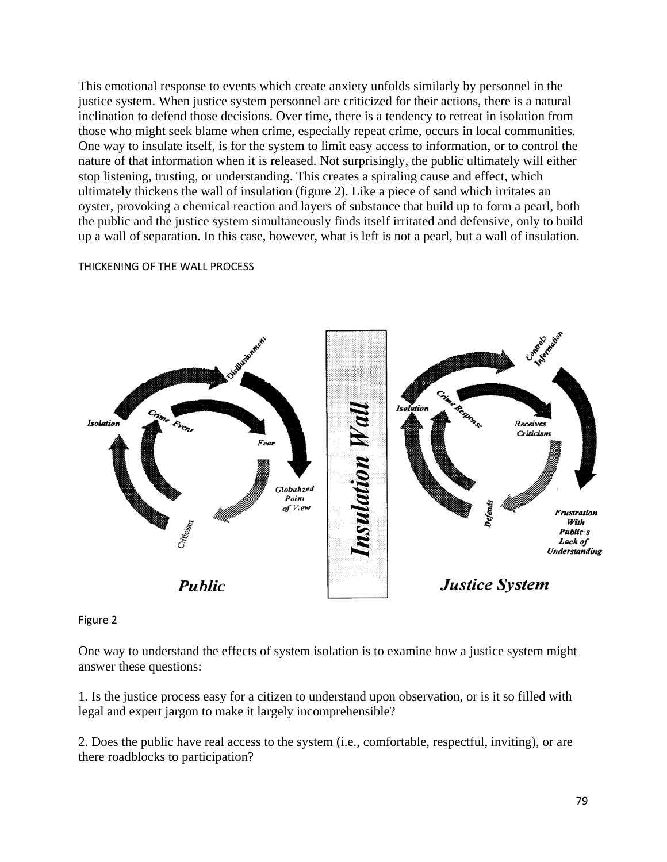This emotional response to events which create anxiety unfolds similarly by personnel in the justice system. When justice system personnel are criticized for their actions, there is a natural inclination to defend those decisions. Over time, there is a tendency to retreat in isolation from those who might seek blame when crime, especially repeat crime, occurs in local communities. One way to insulate itself, is for the system to limit easy access to information, or to control the nature of that information when it is released. Not surprisingly, the public ultimately will either stop listening, trusting, or understanding. This creates a spiraling cause and effect, which ultimately thickens the wall of insulation (figure 2). Like a piece of sand which irritates an oyster, provoking a chemical reaction and layers of substance that build up to form a pearl, both the public and the justice system simultaneously finds itself irritated and defensive, only to build up a wall of separation. In this case, however, what is left is not a pearl, but a wall of insulation.

#### THICKENING OF THE WALL PROCESS



Figure 2

One way to understand the effects of system isolation is to examine how a justice system might answer these questions:

legal and expert jargon to make it largely incomprehensible? 1. Is the justice process easy for a citizen to understand upon observation, or is it so filled with

2. Does the public have real access to the system (i.e., comfortable, respectful, inviting), or are there roadblocks to participation?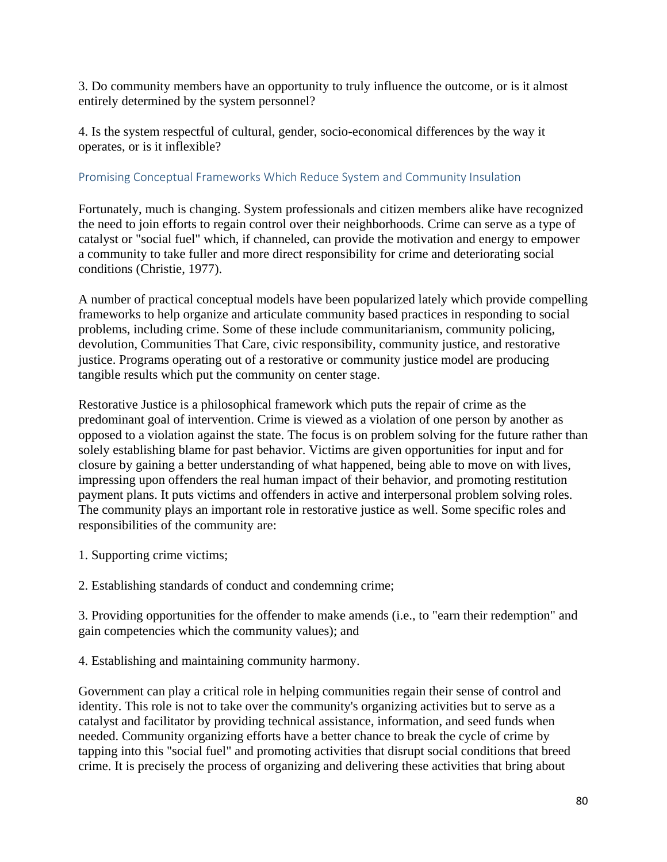entirely determined by the system personnel? 3. Do community members have an opportunity to truly influence the outcome, or is it almost

4. Is the system respectful of cultural, gender, socio-economical differences by the way it operates, or is it inflexible?

## Promising Conceptual Frameworks Which Reduce System and Community Insulation

Fortunately, much is changing. System professionals and citizen members alike have recognized the need to join efforts to regain control over their neighborhoods. Crime can serve as a type of catalyst or "social fuel" which, if channeled, can provide the motivation and energy to empower a community to take fuller and more direct responsibility for crime and deteriorating social conditions (Christie, 1977).

A number of practical conceptual models have been popularized lately which provide compelling frameworks to help organize and articulate community based practices in responding to social problems, including crime. Some of these include communitarianism, community policing, devolution, Communities That Care, civic responsibility, community justice, and restorative justice. Programs operating out of a restorative or community justice model are producing tangible results which put the community on center stage.

Restorative Justice is a philosophical framework which puts the repair of crime as the predominant goal of intervention. Crime is viewed as a violation of one person by another as opposed to a violation against the state. The focus is on problem solving for the future rather than solely establishing blame for past behavior. Victims are given opportunities for input and for closure by gaining a better understanding of what happened, being able to move on with lives, impressing upon offenders the real human impact of their behavior, and promoting restitution payment plans. It puts victims and offenders in active and interpersonal problem solving roles. The community plays an important role in restorative justice as well. Some specific roles and responsibilities of the community are:

1. Supporting crime victims;

2. Establishing standards of conduct and condemning crime;

3. Providing opportunities for the offender to make amends (i.e., to "earn their redemption" and gain competencies which the community values); and

4. Establishing and maintaining community harmony.

Government can play a critical role in helping communities regain their sense of control and identity. This role is not to take over the community's organizing activities but to serve as a catalyst and facilitator by providing technical assistance, information, and seed funds when needed. Community organizing efforts have a better chance to break the cycle of crime by tapping into this "social fuel" and promoting activities that disrupt social conditions that breed crime. It is precisely the process of organizing and delivering these activities that bring about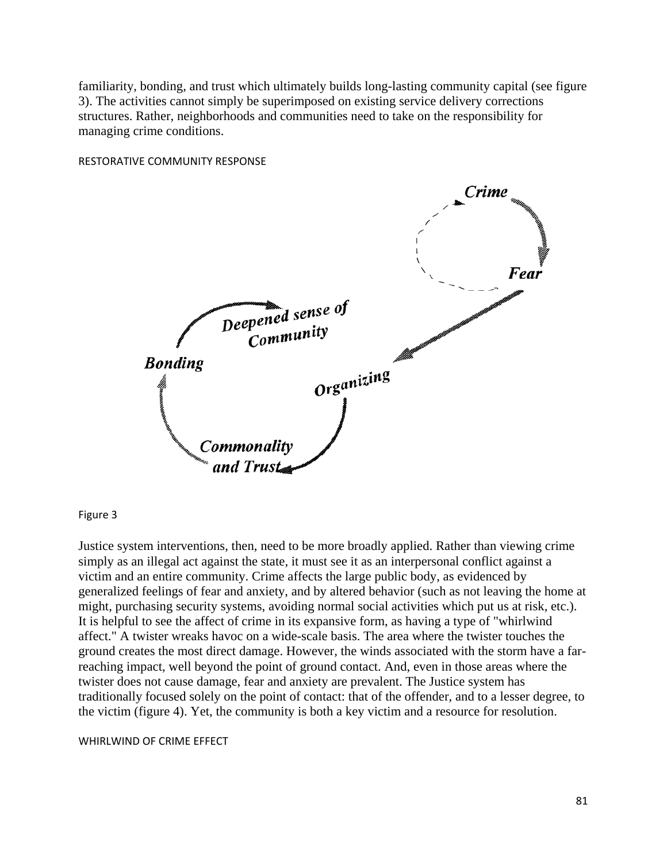familiarity, bonding, and trust which ultimately builds long-lasting community capital (see figure 3). The activities cannot simply be superimposed on existing service delivery corrections structures. Rather, neighborhoods and communities need to take on the responsibility for managing crime conditions.

#### RESTORATIVE COMMUNITY RESPONSE



#### Figure 3

Justice system interventions, then, need to be more broadly applied. Rather than viewing crime simply as an illegal act against the state, it must see it as an interpersonal conflict against a victim and an entire community. Crime affects the large public body, as evidenced by generalized feelings of fear and anxiety, and by altered behavior (such as not leaving the home at might, purchasing security systems, avoiding normal social activities which put us at risk, etc.). It is helpful to see the affect of crime in its expansive form, as having a type of "whirlwind affect." A twister wreaks havoc on a wide-scale basis. The area where the twister touches the ground creates the most direct damage. However, the winds associated with the storm have a farreaching impact, well beyond the point of ground contact. And, even in those areas where the twister does not cause damage, fear and anxiety are prevalent. The Justice system has traditionally focused solely on the point of contact: that of the offender, and to a lesser degree, to the victim (figure 4). Yet, the community is both a key victim and a resource for resolution.

#### WHIRLWIND OF CRIME EFFECT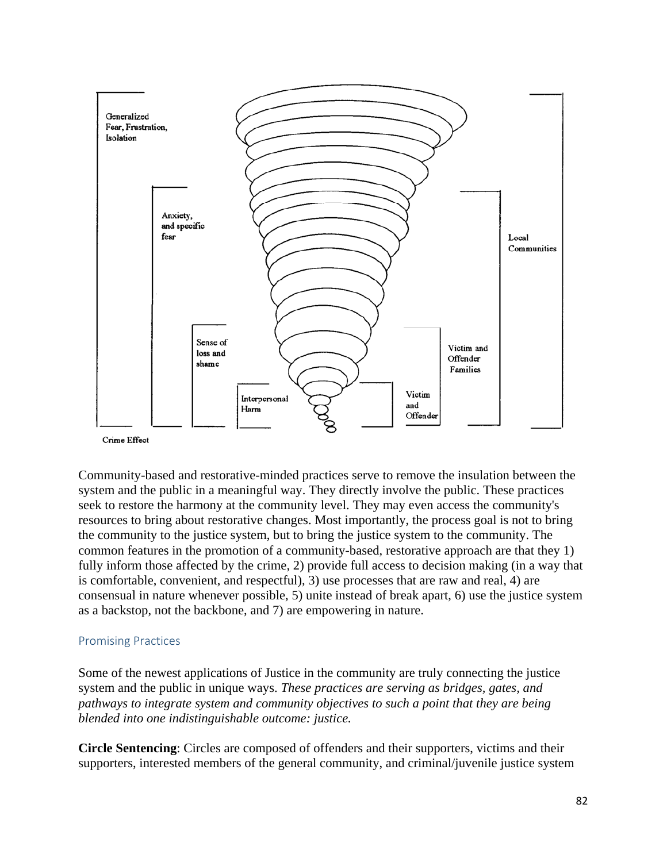

Crime Effect

Community-based and restorative-minded practices serve to remove the insulation between the system and the public in a meaningful way. They directly involve the public. These practices seek to restore the harmony at the community level. They may even access the community's resources to bring about restorative changes. Most importantly, the process goal is not to bring the community to the justice system, but to bring the justice system to the community. The common features in the promotion of a community-based, restorative approach are that they 1) fully inform those affected by the crime, 2) provide full access to decision making (in a way that is comfortable, convenient, and respectful), 3) use processes that are raw and real, 4) are consensual in nature whenever possible, 5) unite instead of break apart, 6) use the justice system as a backstop, not the backbone, and 7) are empowering in nature.

# Promising Practices

Some of the newest applications of Justice in the community are truly connecting the justice system and the public in unique ways. *These practices are serving as bridges, gates, and pathways to integrate system and community objectives to such a point that they are being blended into one indistinguishable outcome: justice.* 

**Circle Sentencing**: Circles are composed of offenders and their supporters, victims and their supporters, interested members of the general community, and criminal/juvenile justice system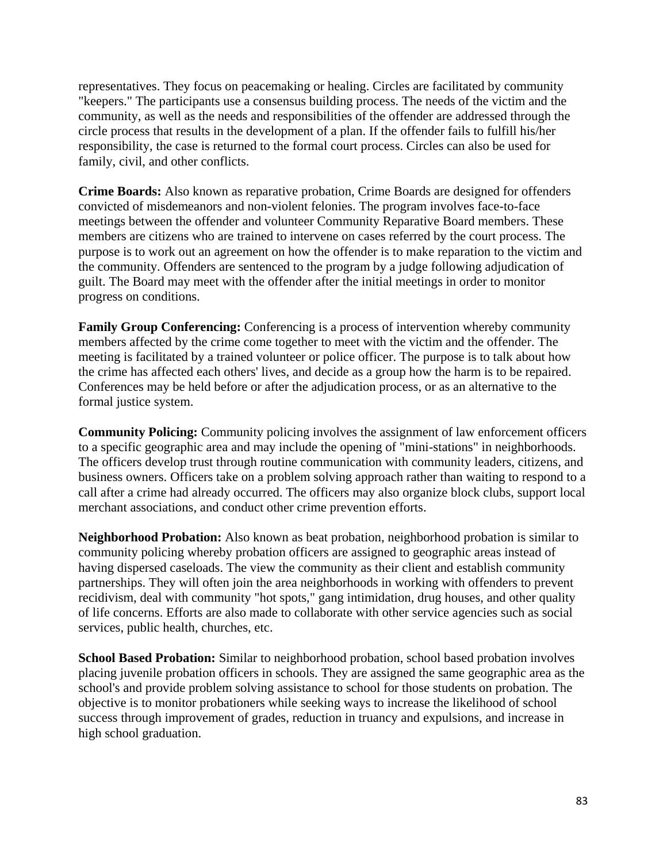representatives. They focus on peacemaking or healing. Circles are facilitated by community "keepers." The participants use a consensus building process. The needs of the victim and the community, as well as the needs and responsibilities of the offender are addressed through the circle process that results in the development of a plan. If the offender fails to fulfill his/her responsibility, the case is returned to the formal court process. Circles can also be used for family, civil, and other conflicts.

**Crime Boards:** Also known as reparative probation, Crime Boards are designed for offenders convicted of misdemeanors and non-violent felonies. The program involves face-to-face meetings between the offender and volunteer Community Reparative Board members. These members are citizens who are trained to intervene on cases referred by the court process. The purpose is to work out an agreement on how the offender is to make reparation to the victim and the community. Offenders are sentenced to the program by a judge following adjudication of guilt. The Board may meet with the offender after the initial meetings in order to monitor progress on conditions.

**Family Group Conferencing:** Conferencing is a process of intervention whereby community members affected by the crime come together to meet with the victim and the offender. The meeting is facilitated by a trained volunteer or police officer. The purpose is to talk about how the crime has affected each others' lives, and decide as a group how the harm is to be repaired. Conferences may be held before or after the adjudication process, or as an alternative to the formal justice system.

**Community Policing:** Community policing involves the assignment of law enforcement officers to a specific geographic area and may include the opening of "mini-stations" in neighborhoods. The officers develop trust through routine communication with community leaders, citizens, and business owners. Officers take on a problem solving approach rather than waiting to respond to a call after a crime had already occurred. The officers may also organize block clubs, support local merchant associations, and conduct other crime prevention efforts.

**Neighborhood Probation:** Also known as beat probation, neighborhood probation is similar to community policing whereby probation officers are assigned to geographic areas instead of having dispersed caseloads. The view the community as their client and establish community partnerships. They will often join the area neighborhoods in working with offenders to prevent recidivism, deal with community "hot spots," gang intimidation, drug houses, and other quality of life concerns. Efforts are also made to collaborate with other service agencies such as social services, public health, churches, etc.

**School Based Probation:** Similar to neighborhood probation, school based probation involves placing juvenile probation officers in schools. They are assigned the same geographic area as the school's and provide problem solving assistance to school for those students on probation. The objective is to monitor probationers while seeking ways to increase the likelihood of school success through improvement of grades, reduction in truancy and expulsions, and increase in high school graduation.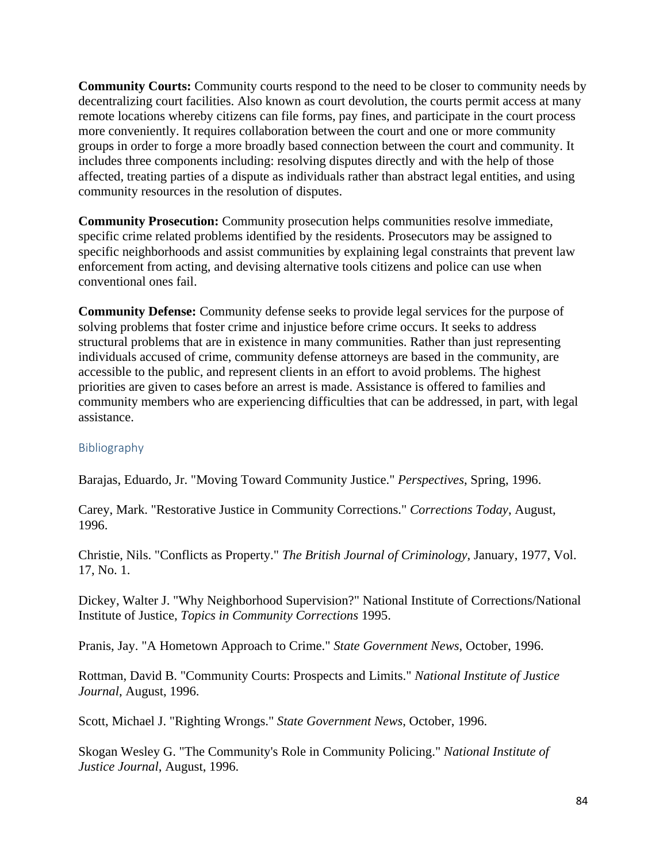**Community Courts:** Community courts respond to the need to be closer to community needs by decentralizing court facilities. Also known as court devolution, the courts permit access at many remote locations whereby citizens can file forms, pay fines, and participate in the court process more conveniently. It requires collaboration between the court and one or more community groups in order to forge a more broadly based connection between the court and community. It includes three components including: resolving disputes directly and with the help of those affected, treating parties of a dispute as individuals rather than abstract legal entities, and using community resources in the resolution of disputes.

**Community Prosecution:** Community prosecution helps communities resolve immediate, specific crime related problems identified by the residents. Prosecutors may be assigned to specific neighborhoods and assist communities by explaining legal constraints that prevent law enforcement from acting, and devising alternative tools citizens and police can use when conventional ones fail.

**Community Defense:** Community defense seeks to provide legal services for the purpose of solving problems that foster crime and injustice before crime occurs. It seeks to address structural problems that are in existence in many communities. Rather than just representing individuals accused of crime, community defense attorneys are based in the community, are accessible to the public, and represent clients in an effort to avoid problems. The highest priorities are given to cases before an arrest is made. Assistance is offered to families and community members who are experiencing difficulties that can be addressed, in part, with legal assistance.

#### Bibliography

Barajas, Eduardo, Jr. "Moving Toward Community Justice." *Perspectives*, Spring, 1996.

Carey, Mark. "Restorative Justice in Community Corrections." *Corrections Today*, August, 1996.

Christie, Nils. "Conflicts as Property." *The British Journal of Criminology*, January, 1977, Vol. 17, No. 1.

Dickey, Walter J. "Why Neighborhood Supervision?" National Institute of Corrections/National Institute of Justice, *Topics in Community Corrections* 1995.

Pranis, Jay. "A Hometown Approach to Crime." *State Government News*, October, 1996.

Rottman, David B. "Community Courts: Prospects and Limits." *National Institute of Justice Journal*, August, 1996.

Scott, Michael J. "Righting Wrongs." *State Government News*, October, 1996.

Skogan Wesley G. "The Community's Role in Community Policing." *National Institute of Justice Journal*, August, 1996.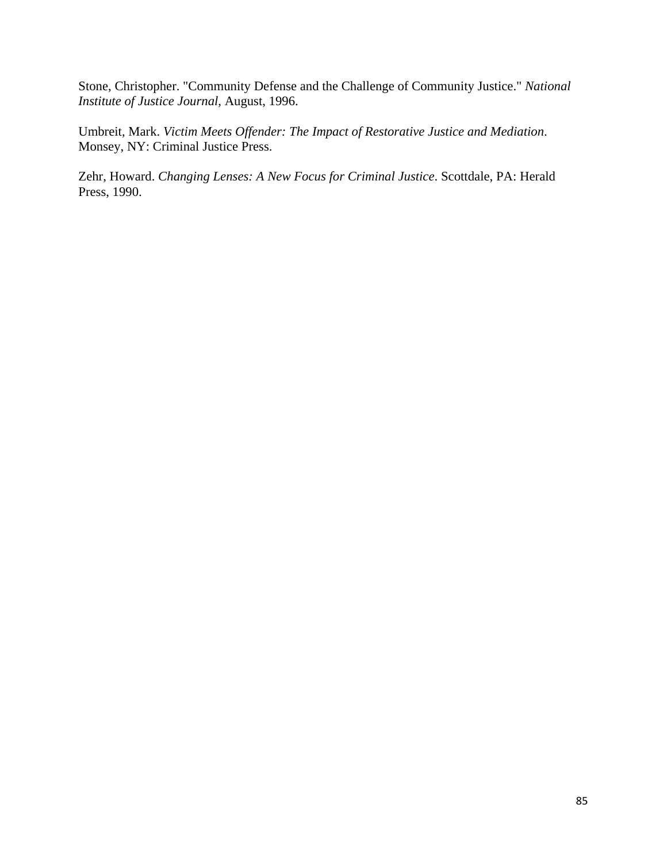Stone, Christopher. "Community Defense and the Challenge of Community Justice." *National Institute of Justice Journal*, August, 1996.

Umbreit, Mark. *Victim Meets Offender: The Impact of Restorative Justice and Mediation*. Monsey, NY: Criminal Justice Press.

Zehr, Howard. *Changing Lenses: A New Focus for Criminal Justice*. Scottdale, PA: Herald Press, 1990.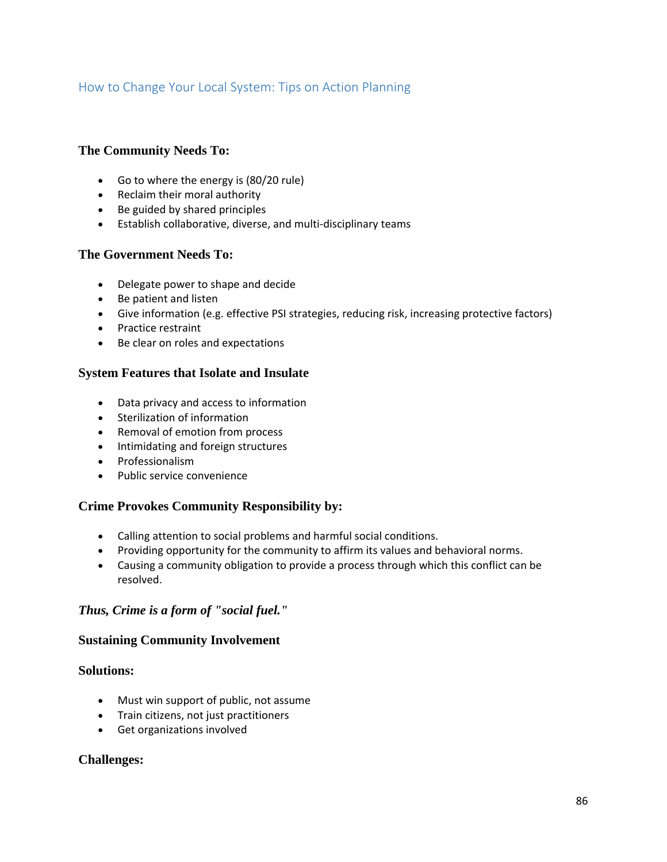# How to Change Your Local System: Tips on Action Planning

#### **The Community Needs To:**

- Go to where the energy is (80/20 rule)
- Reclaim their moral authority
- Be guided by shared principles
- Establish collaborative, diverse, and multi-disciplinary teams

## **The Government Needs To:**

- Delegate power to shape and decide
- Be patient and listen
- Give information (e.g. effective PSI strategies, reducing risk, increasing protective factors)
- Practice restraint
- Be clear on roles and expectations

## **System Features that Isolate and Insulate**

- Data privacy and access to information
- Sterilization of information
- Removal of emotion from process
- Intimidating and foreign structures
- Professionalism
- Public service convenience

#### **Crime Provokes Community Responsibility by:**

- Calling attention to social problems and harmful social conditions.
- Providing opportunity for the community to affirm its values and behavioral norms.
- Causing a community obligation to provide a process through which this conflict can be resolved.

#### *Thus, Crime is a form of "social fuel."*

#### **Sustaining Community Involvement**

#### **Solutions:**

- Must win support of public, not assume
- Train citizens, not just practitioners
- Get organizations involved

#### **Challenges:**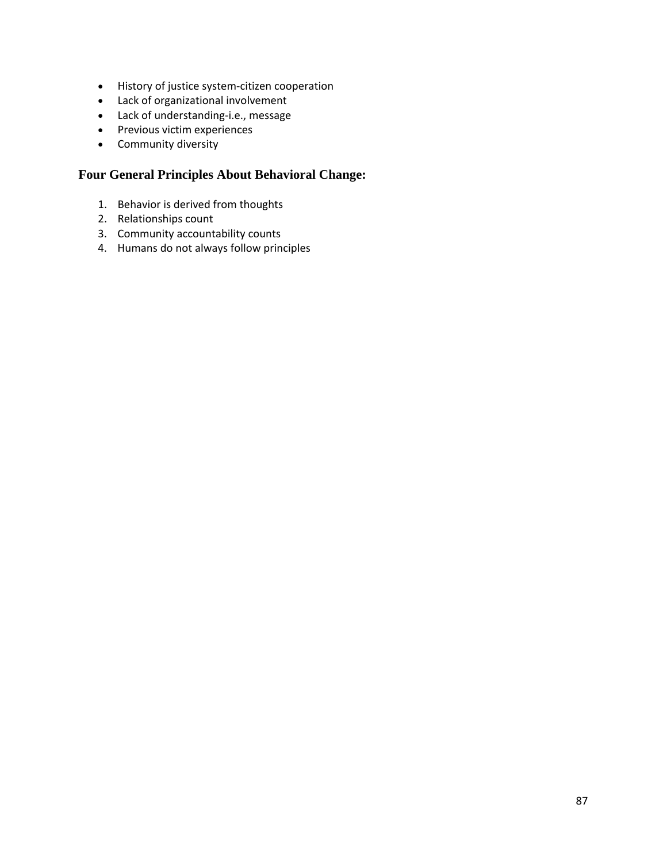- History of justice system-citizen cooperation
- Lack of organizational involvement
- Lack of understanding-i.e., message
- Previous victim experiences
- Community diversity

## **Four General Principles About Behavioral Change:**

- 1. Behavior is derived from thoughts
- 2. Relationships count
- 3. Community accountability counts
- 4. Humans do not always follow principles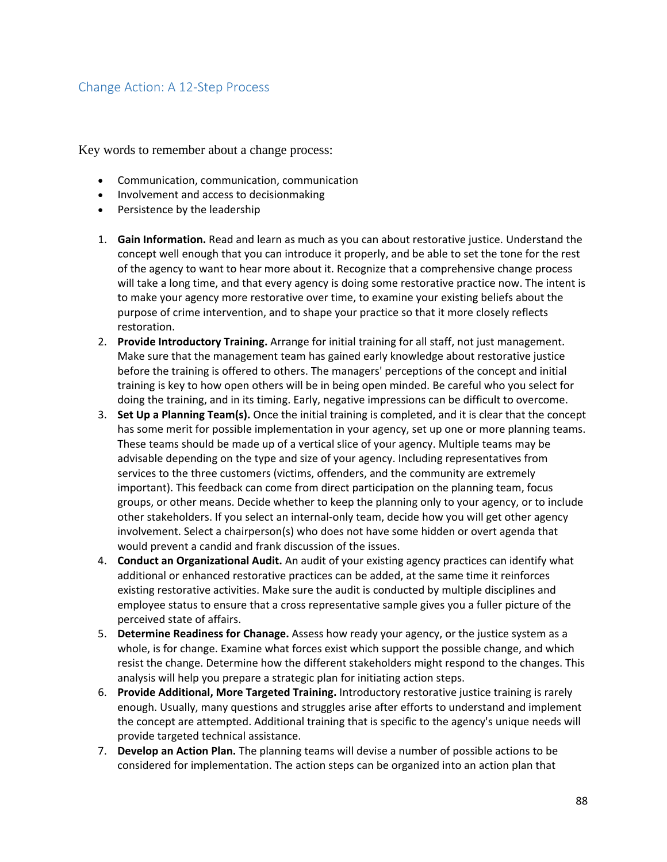# Change Action: A 12‐Step Process

Key words to remember about a change process:

- Communication, communication, communication
- Involvement and access to decisionmaking
- Persistence by the leadership
- 1. **Gain Information.** Read and learn as much as you can about restorative justice. Understand the concept well enough that you can introduce it properly, and be able to set the tone for the rest of the agency to want to hear more about it. Recognize that a comprehensive change process will take a long time, and that every agency is doing some restorative practice now. The intent is to make your agency more restorative over time, to examine your existing beliefs about the purpose of crime intervention, and to shape your practice so that it more closely reflects restoration.
- 2. **Provide Introductory Training.** Arrange for initial training for all staff, not just management. Make sure that the management team has gained early knowledge about restorative justice before the training is offered to others. The managers' perceptions of the concept and initial training is key to how open others will be in being open minded. Be careful who you select for doing the training, and in its timing. Early, negative impressions can be difficult to overcome.
- 3. **Set Up a Planning Team(s).** Once the initial training is completed, and it is clear that the concept has some merit for possible implementation in your agency, set up one or more planning teams. These teams should be made up of a vertical slice of your agency. Multiple teams may be advisable depending on the type and size of your agency. Including representatives from services to the three customers (victims, offenders, and the community are extremely important). This feedback can come from direct participation on the planning team, focus groups, or other means. Decide whether to keep the planning only to your agency, or to include other stakeholders. If you select an internal‐only team, decide how you will get other agency involvement. Select a chairperson(s) who does not have some hidden or overt agenda that would prevent a candid and frank discussion of the issues.
- 4. **Conduct an Organizational Audit.** An audit of your existing agency practices can identify what additional or enhanced restorative practices can be added, at the same time it reinforces existing restorative activities. Make sure the audit is conducted by multiple disciplines and employee status to ensure that a cross representative sample gives you a fuller picture of the perceived state of affairs.
- 5. **Determine Readiness for Chanage.** Assess how ready your agency, or the justice system as a whole, is for change. Examine what forces exist which support the possible change, and which resist the change. Determine how the different stakeholders might respond to the changes. This analysis will help you prepare a strategic plan for initiating action steps.
- 6. **Provide Additional, More Targeted Training.** Introductory restorative justice training is rarely enough. Usually, many questions and struggles arise after efforts to understand and implement the concept are attempted. Additional training that is specific to the agency's unique needs will provide targeted technical assistance.
- 7. **Develop an Action Plan.** The planning teams will devise a number of possible actions to be considered for implementation. The action steps can be organized into an action plan that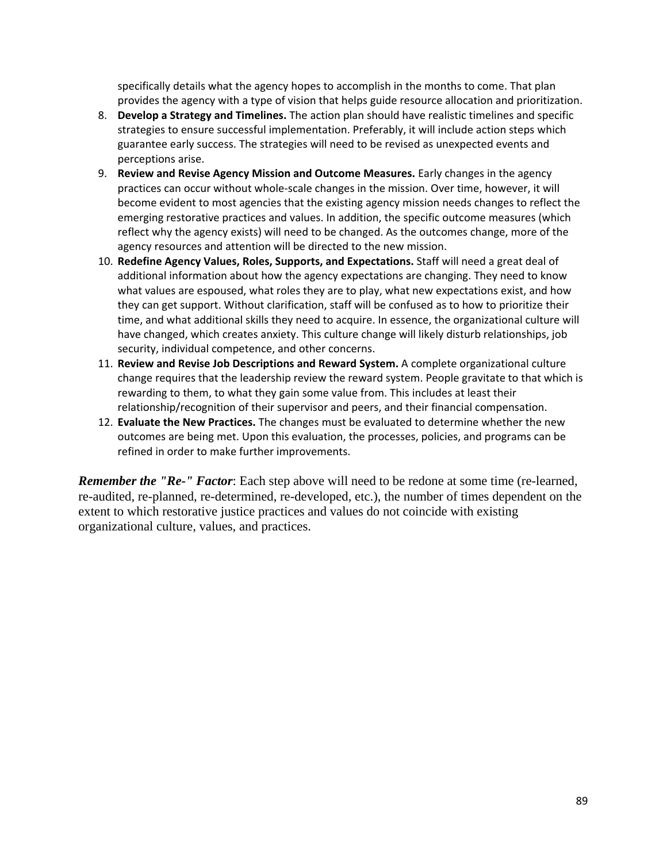specifically details what the agency hopes to accomplish in the months to come. That plan provides the agency with a type of vision that helps guide resource allocation and prioritization.

- 8. **Develop a Strategy and Timelines.** The action plan should have realistic timelines and specific strategies to ensure successful implementation. Preferably, it will include action steps which guarantee early success. The strategies will need to be revised as unexpected events and perceptions arise.
- 9. **Review and Revise Agency Mission and Outcome Measures.** Early changes in the agency practices can occur without whole‐scale changes in the mission. Over time, however, it will become evident to most agencies that the existing agency mission needs changes to reflect the emerging restorative practices and values. In addition, the specific outcome measures (which reflect why the agency exists) will need to be changed. As the outcomes change, more of the agency resources and attention will be directed to the new mission.
- 10. **Redefine Agency Values, Roles, Supports, and Expectations.** Staff will need a great deal of additional information about how the agency expectations are changing. They need to know what values are espoused, what roles they are to play, what new expectations exist, and how they can get support. Without clarification, staff will be confused as to how to prioritize their time, and what additional skills they need to acquire. In essence, the organizational culture will have changed, which creates anxiety. This culture change will likely disturb relationships, job security, individual competence, and other concerns.
- 11. **Review and Revise Job Descriptions and Reward System.** A complete organizational culture change requires that the leadership review the reward system. People gravitate to that which is rewarding to them, to what they gain some value from. This includes at least their relationship/recognition of their supervisor and peers, and their financial compensation.
- 12. **Evaluate the New Practices.** The changes must be evaluated to determine whether the new outcomes are being met. Upon this evaluation, the processes, policies, and programs can be refined in order to make further improvements.

*Remember the "Re-" Factor*: Each step above will need to be redone at some time (re-learned, re-audited, re-planned, re-determined, re-developed, etc.), the number of times dependent on the extent to which restorative justice practices and values do not coincide with existing organizational culture, values, and practices.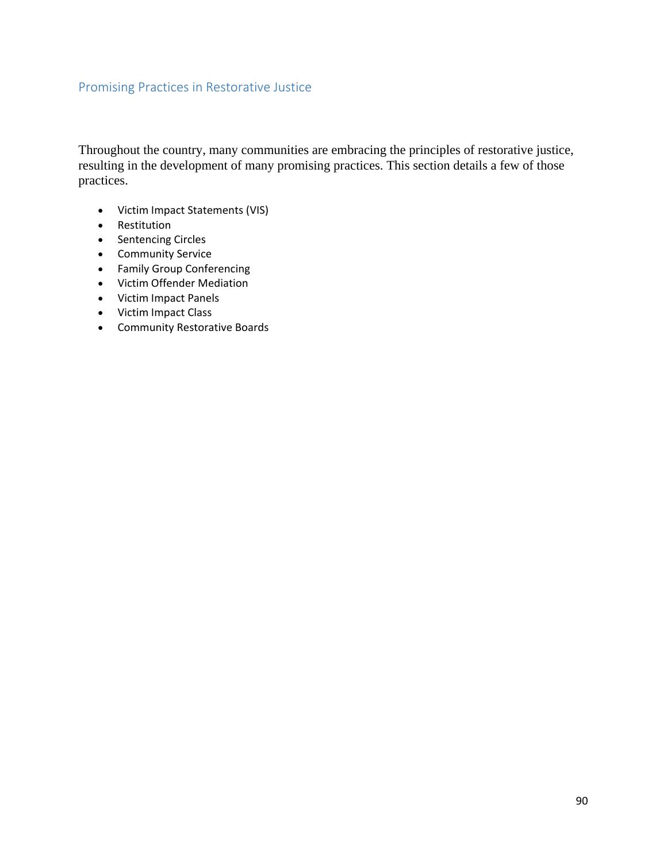# Promising Practices in Restorative Justice

Throughout the country, many communities are embracing the principles of restorative justice, resulting in the development of many promising practices. This section details a few of those practices.

- Victim Impact Statements (VIS)
- Restitution
- Sentencing Circles
- **•** Community Service
- **•** Family Group Conferencing
- Victim Offender Mediation
- Victim Impact Panels
- Victim Impact Class
- Community Restorative Boards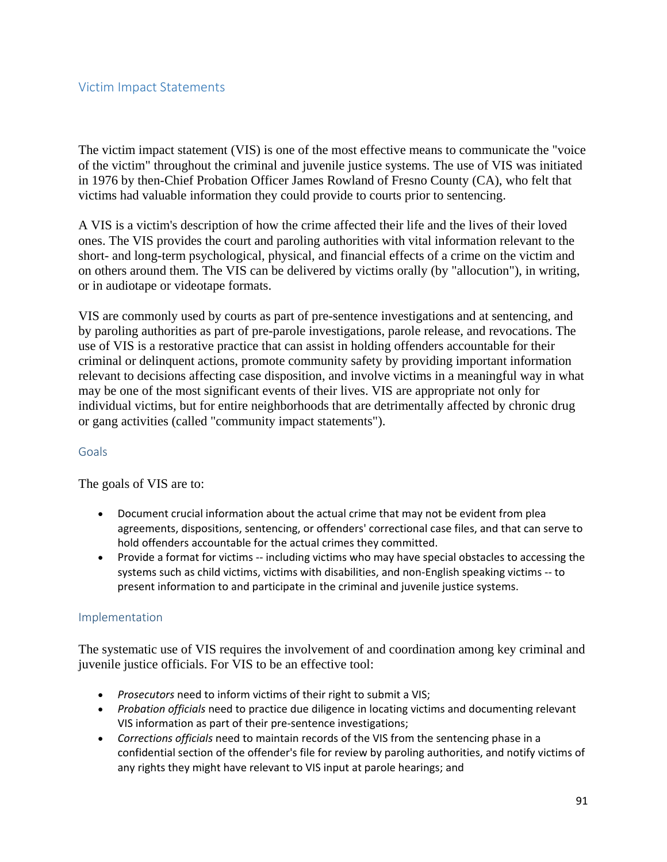# Victim Impact Statements

The victim impact statement (VIS) is one of the most effective means to communicate the "voice of the victim" throughout the criminal and juvenile justice systems. The use of VIS was initiated in 1976 by then-Chief Probation Officer James Rowland of Fresno County (CA), who felt that victims had valuable information they could provide to courts prior to sentencing.

A VIS is a victim's description of how the crime affected their life and the lives of their loved ones. The VIS provides the court and paroling authorities with vital information relevant to the short- and long-term psychological, physical, and financial effects of a crime on the victim and on others around them. The VIS can be delivered by victims orally (by "allocution"), in writing, or in audiotape or videotape formats.

VIS are commonly used by courts as part of pre-sentence investigations and at sentencing, and by paroling authorities as part of pre-parole investigations, parole release, and revocations. The use of VIS is a restorative practice that can assist in holding offenders accountable for their criminal or delinquent actions, promote community safety by providing important information relevant to decisions affecting case disposition, and involve victims in a meaningful way in what may be one of the most significant events of their lives. VIS are appropriate not only for individual victims, but for entire neighborhoods that are detrimentally affected by chronic drug or gang activities (called "community impact statements").

#### Goals

The goals of VIS are to:

- Document crucial information about the actual crime that may not be evident from plea agreements, dispositions, sentencing, or offenders' correctional case files, and that can serve to hold offenders accountable for the actual crimes they committed.
- Provide a format for victims -- including victims who may have special obstacles to accessing the systems such as child victims, victims with disabilities, and non‐English speaking victims ‐‐ to present information to and participate in the criminal and juvenile justice systems.

#### Implementation

The systematic use of VIS requires the involvement of and coordination among key criminal and juvenile justice officials. For VIS to be an effective tool:

- *Prosecutors* need to inform victims of their right to submit a VIS;
- *Probation officials* need to practice due diligence in locating victims and documenting relevant VIS information as part of their pre‐sentence investigations;
- *Corrections officials* need to maintain records of the VIS from the sentencing phase in a confidential section of the offender's file for review by paroling authorities, and notify victims of any rights they might have relevant to VIS input at parole hearings; and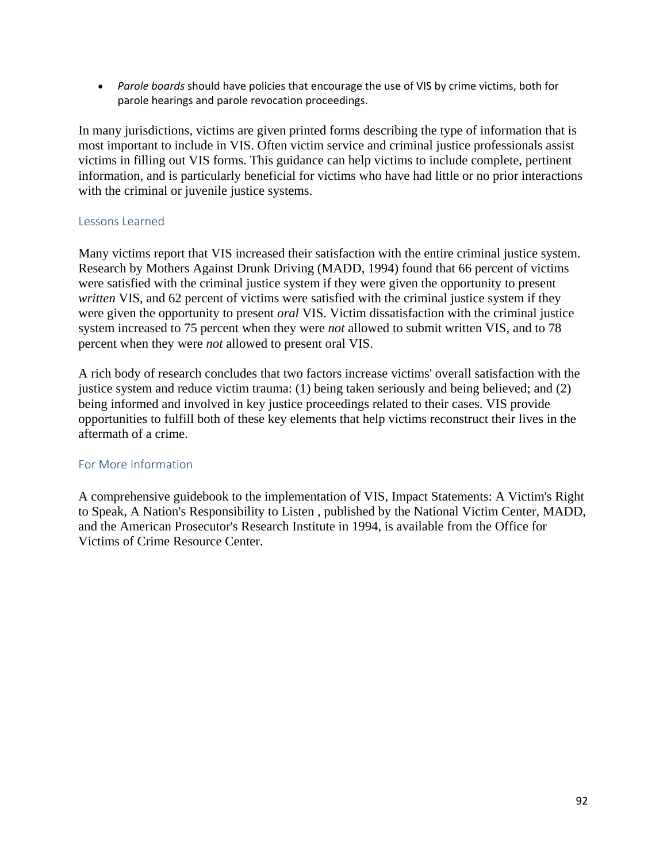*Parole boards* should have policies that encourage the use of VIS by crime victims, both for parole hearings and parole revocation proceedings.

In many jurisdictions, victims are given printed forms describing the type of information that is most important to include in VIS. Often victim service and criminal justice professionals assist victims in filling out VIS forms. This guidance can help victims to include complete, pertinent information, and is particularly beneficial for victims who have had little or no prior interactions with the criminal or juvenile justice systems.

## Lessons Learned

Many victims report that VIS increased their satisfaction with the entire criminal justice system. Research by Mothers Against Drunk Driving (MADD, 1994) found that 66 percent of victims were satisfied with the criminal justice system if they were given the opportunity to present *written* VIS, and 62 percent of victims were satisfied with the criminal justice system if they were given the opportunity to present *oral* VIS. Victim dissatisfaction with the criminal justice system increased to 75 percent when they were *not* allowed to submit written VIS, and to 78 percent when they were *not* allowed to present oral VIS.

A rich body of research concludes that two factors increase victims' overall satisfaction with the justice system and reduce victim trauma: (1) being taken seriously and being believed; and (2) being informed and involved in key justice proceedings related to their cases. VIS provide opportunities to fulfill both of these key elements that help victims reconstruct their lives in the aftermath of a crime.

# For More Information

A comprehensive guidebook to the implementation of VIS, Impact Statements: A Victim's Right to Speak, A Nation's Responsibility to Listen , published by the National Victim Center, MADD, and the American Prosecutor's Research Institute in 1994, is available from the Office for Victims of Crime Resource Center.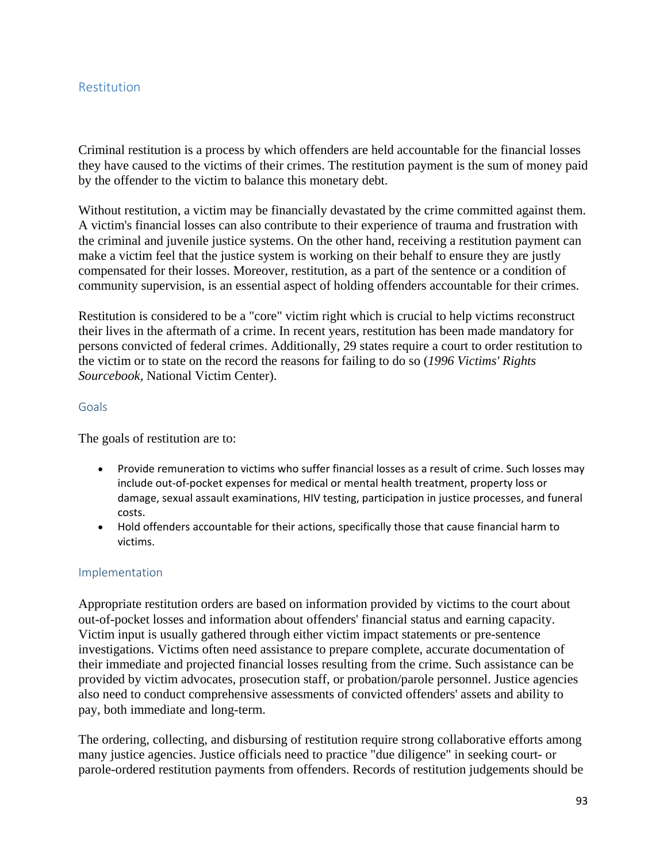## Restitution

Criminal restitution is a process by which offenders are held accountable for the financial losses they have caused to the victims of their crimes. The restitution payment is the sum of money paid by the offender to the victim to balance this monetary debt.

Without restitution, a victim may be financially devastated by the crime committed against them. A victim's financial losses can also contribute to their experience of trauma and frustration with the criminal and juvenile justice systems. On the other hand, receiving a restitution payment can make a victim feel that the justice system is working on their behalf to ensure they are justly compensated for their losses. Moreover, restitution, as a part of the sentence or a condition of community supervision, is an essential aspect of holding offenders accountable for their crimes.

Restitution is considered to be a "core" victim right which is crucial to help victims reconstruct their lives in the aftermath of a crime. In recent years, restitution has been made mandatory for persons convicted of federal crimes. Additionally, 29 states require a court to order restitution to the victim or to state on the record the reasons for failing to do so (*1996 Victims' Rights Sourcebook,* National Victim Center).

#### Goals

The goals of restitution are to:

- Provide remuneration to victims who suffer financial losses as a result of crime. Such losses may include out‐of‐pocket expenses for medical or mental health treatment, property loss or damage, sexual assault examinations, HIV testing, participation in justice processes, and funeral costs.
- Hold offenders accountable for their actions, specifically those that cause financial harm to victims.

#### Implementation

Appropriate restitution orders are based on information provided by victims to the court about out-of-pocket losses and information about offenders' financial status and earning capacity. Victim input is usually gathered through either victim impact statements or pre-sentence investigations. Victims often need assistance to prepare complete, accurate documentation of their immediate and projected financial losses resulting from the crime. Such assistance can be provided by victim advocates, prosecution staff, or probation/parole personnel. Justice agencies also need to conduct comprehensive assessments of convicted offenders' assets and ability to pay, both immediate and long-term.

The ordering, collecting, and disbursing of restitution require strong collaborative efforts among many justice agencies. Justice officials need to practice "due diligence" in seeking court- or parole-ordered restitution payments from offenders. Records of restitution judgements should be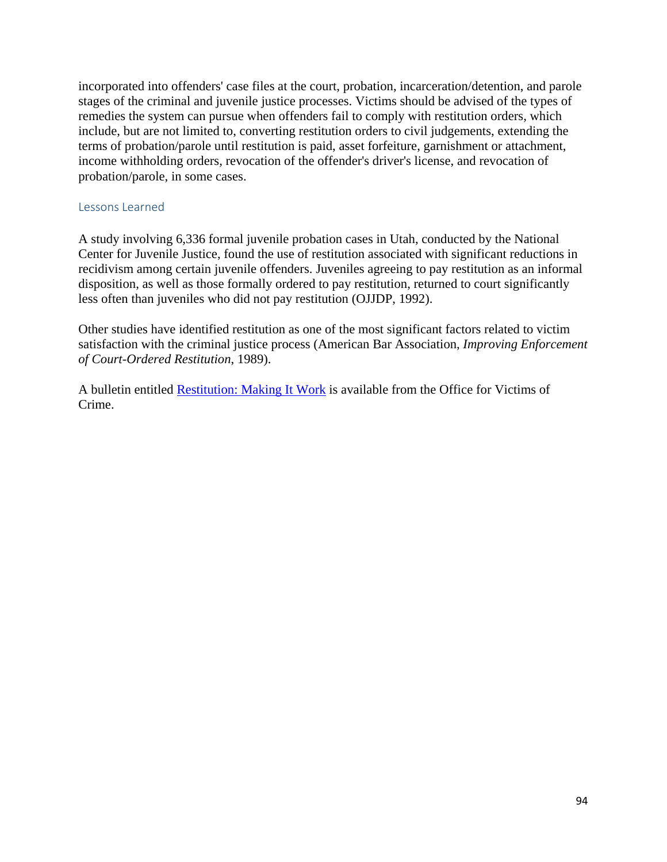incorporated into offenders' case files at the court, probation, incarceration/detention, and parole stages of the criminal and juvenile justice processes. Victims should be advised of the types of remedies the system can pursue when offenders fail to comply with restitution orders, which include, but are not limited to, converting restitution orders to civil judgements, extending the terms of probation/parole until restitution is paid, asset forfeiture, garnishment or attachment, income withholding orders, revocation of the offender's driver's license, and revocation of probation/parole, in some cases.

#### Lessons Learned

A study involving 6,336 formal juvenile probation cases in Utah, conducted by the National Center for Juvenile Justice, found the use of restitution associated with significant reductions in recidivism among certain juvenile offenders. Juveniles agreeing to pay restitution as an informal disposition, as well as those formally ordered to pay restitution, returned to court significantly less often than juveniles who did not pay restitution (OJJDP, 1992).

Other studies have identified restitution as one of the most significant factors related to victim satisfaction with the criminal justice process (American Bar Association, *Improving Enforcement of Court-Ordered Restitution*, 1989).

A bulletin entitled Restitution: Making It Work is available from the Office for Victims of Crime.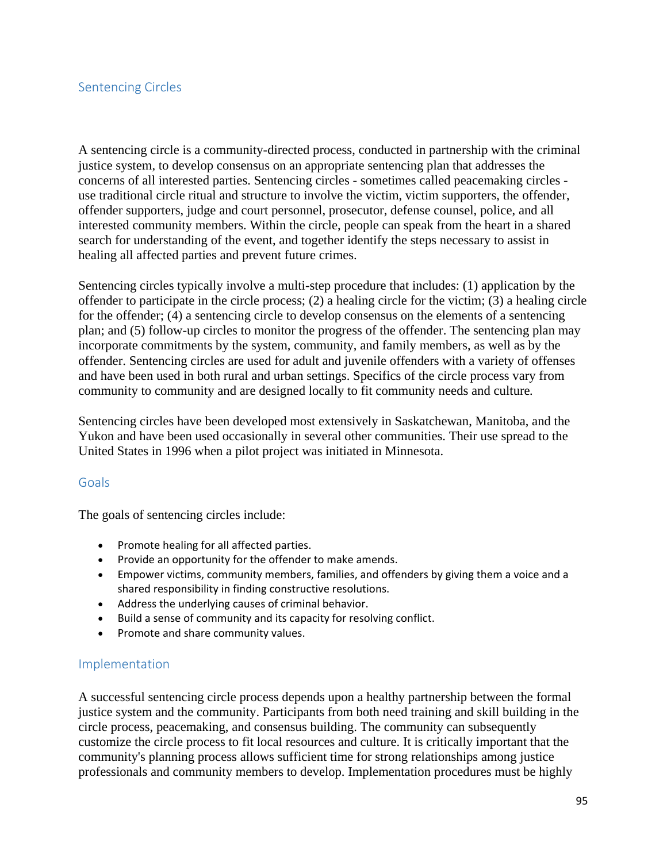# Sentencing Circles

A sentencing circle is a community-directed process, conducted in partnership with the criminal justice system, to develop consensus on an appropriate sentencing plan that addresses the concerns of all interested parties. Sentencing circles - sometimes called peacemaking circles use traditional circle ritual and structure to involve the victim, victim supporters, the offender, offender supporters, judge and court personnel, prosecutor, defense counsel, police, and all interested community members. Within the circle, people can speak from the heart in a shared search for understanding of the event, and together identify the steps necessary to assist in healing all affected parties and prevent future crimes.

Sentencing circles typically involve a multi-step procedure that includes: (1) application by the offender to participate in the circle process; (2) a healing circle for the victim; (3) a healing circle for the offender; (4) a sentencing circle to develop consensus on the elements of a sentencing plan; and (5) follow-up circles to monitor the progress of the offender. The sentencing plan may incorporate commitments by the system, community, and family members, as well as by the offender. Sentencing circles are used for adult and juvenile offenders with a variety of offenses and have been used in both rural and urban settings. Specifics of the circle process vary from community to community and are designed locally to fit community needs and culture*.* 

Sentencing circles have been developed most extensively in Saskatchewan, Manitoba, and the Yukon and have been used occasionally in several other communities. Their use spread to the United States in 1996 when a pilot project was initiated in Minnesota.

#### Goals

The goals of sentencing circles include:

- Promote healing for all affected parties.
- Provide an opportunity for the offender to make amends.
- Empower victims, community members, families, and offenders by giving them a voice and a shared responsibility in finding constructive resolutions.
- Address the underlying causes of criminal behavior.
- Build a sense of community and its capacity for resolving conflict.
- Promote and share community values.

#### Implementation

A successful sentencing circle process depends upon a healthy partnership between the formal justice system and the community. Participants from both need training and skill building in the circle process, peacemaking, and consensus building. The community can subsequently customize the circle process to fit local resources and culture. It is critically important that the community's planning process allows sufficient time for strong relationships among justice professionals and community members to develop. Implementation procedures must be highly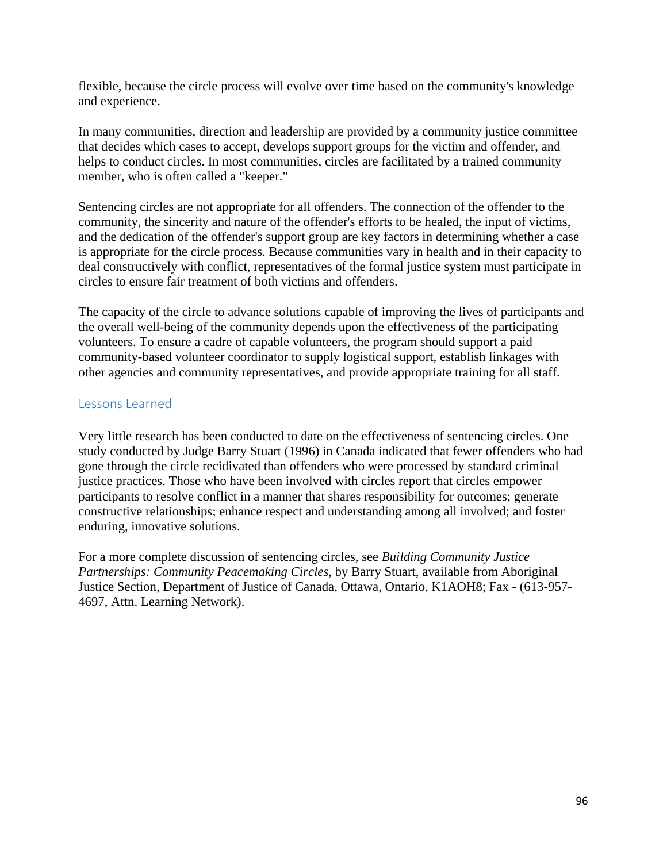flexible, because the circle process will evolve over time based on the community's knowledge and experience.

In many communities, direction and leadership are provided by a community justice committee that decides which cases to accept, develops support groups for the victim and offender, and helps to conduct circles. In most communities, circles are facilitated by a trained community member, who is often called a "keeper."

Sentencing circles are not appropriate for all offenders. The connection of the offender to the community, the sincerity and nature of the offender's efforts to be healed, the input of victims, and the dedication of the offender's support group are key factors in determining whether a case is appropriate for the circle process. Because communities vary in health and in their capacity to deal constructively with conflict, representatives of the formal justice system must participate in circles to ensure fair treatment of both victims and offenders.

 other agencies and community representatives, and provide appropriate training for all staff. The capacity of the circle to advance solutions capable of improving the lives of participants and the overall well-being of the community depends upon the effectiveness of the participating volunteers. To ensure a cadre of capable volunteers, the program should support a paid community-based volunteer coordinator to supply logistical support, establish linkages with

# Lessons Learned

Very little research has been conducted to date on the effectiveness of sentencing circles. One study conducted by Judge Barry Stuart (1996) in Canada indicated that fewer offenders who had gone through the circle recidivated than offenders who were processed by standard criminal justice practices. Those who have been involved with circles report that circles empower participants to resolve conflict in a manner that shares responsibility for outcomes; generate constructive relationships; enhance respect and understanding among all involved; and foster enduring, innovative solutions.

For a more complete discussion of sentencing circles, see *Building Community Justice Partnerships: Community Peacemaking Circles*, by Barry Stuart, available from Aboriginal Justice Section, Department of Justice of Canada, Ottawa, Ontario, K1AOH8; Fax - (613-957- 4697, Attn. Learning Network).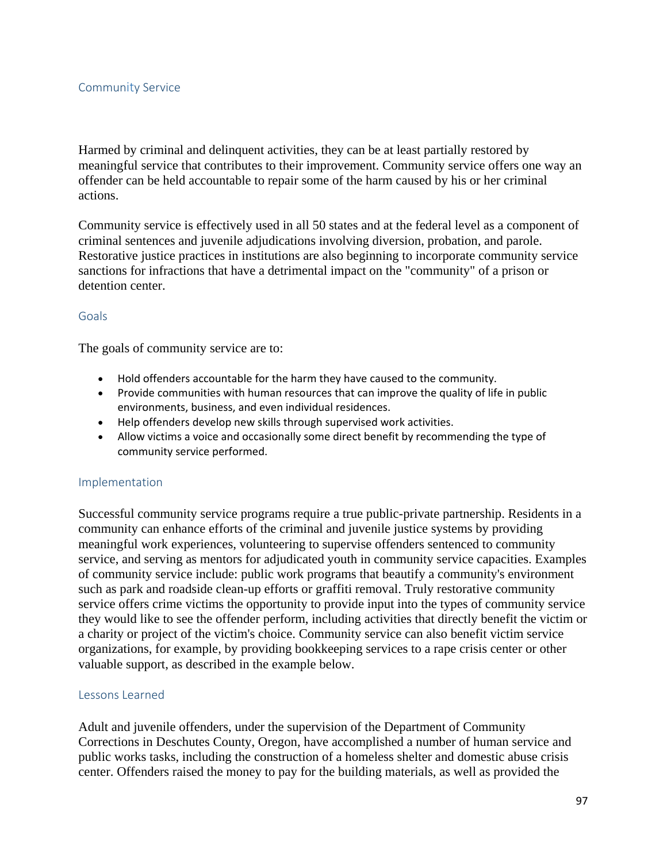Harmed by criminal and delinquent activities, they can be at least partially restored by meaningful service that contributes to their improvement. Community service offers one way an offender can be held accountable to repair some of the harm caused by his or her criminal actions.

Community service is effectively used in all 50 states and at the federal level as a component of criminal sentences and juvenile adjudications involving diversion, probation, and parole. Restorative justice practices in institutions are also beginning to incorporate community service sanctions for infractions that have a detrimental impact on the "community" of a prison or detention center.

#### Goals

The goals of community service are to:

- Hold offenders accountable for the harm they have caused to the community.
- Provide communities with human resources that can improve the quality of life in public environments, business, and even individual residences.
- Help offenders develop new skills through supervised work activities.
- Allow victims a voice and occasionally some direct benefit by recommending the type of community service performed.

#### Implementation

Successful community service programs require a true public-private partnership. Residents in a community can enhance efforts of the criminal and juvenile justice systems by providing meaningful work experiences, volunteering to supervise offenders sentenced to community service, and serving as mentors for adjudicated youth in community service capacities. Examples of community service include: public work programs that beautify a community's environment such as park and roadside clean-up efforts or graffiti removal. Truly restorative community service offers crime victims the opportunity to provide input into the types of community service they would like to see the offender perform, including activities that directly benefit the victim or a charity or project of the victim's choice. Community service can also benefit victim service organizations, for example, by providing bookkeeping services to a rape crisis center or other valuable support, as described in the example below.

## Lessons Learned

Adult and juvenile offenders, under the supervision of the Department of Community Corrections in Deschutes County, Oregon, have accomplished a number of human service and public works tasks, including the construction of a homeless shelter and domestic abuse crisis center. Offenders raised the money to pay for the building materials, as well as provided the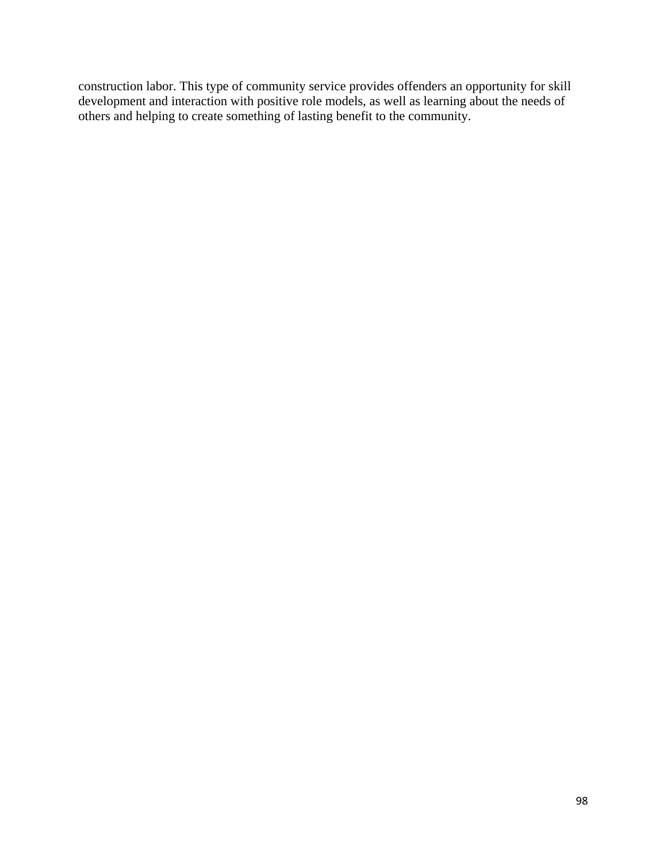construction labor. This type of community service provides offenders an opportunity for skill development and interaction with positive role models, as well as learning about the needs of others and helping to create something of lasting benefit to the community.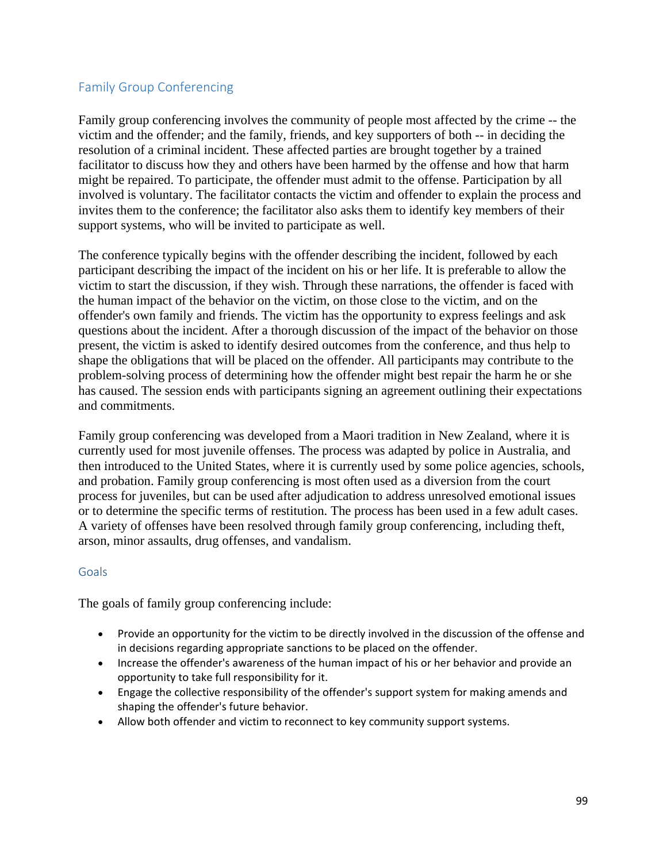# Family Group Conferencing

Family group conferencing involves the community of people most affected by the crime -- the victim and the offender; and the family, friends, and key supporters of both -- in deciding the resolution of a criminal incident. These affected parties are brought together by a trained facilitator to discuss how they and others have been harmed by the offense and how that harm might be repaired. To participate, the offender must admit to the offense. Participation by all involved is voluntary. The facilitator contacts the victim and offender to explain the process and invites them to the conference; the facilitator also asks them to identify key members of their support systems, who will be invited to participate as well.

The conference typically begins with the offender describing the incident, followed by each participant describing the impact of the incident on his or her life. It is preferable to allow the victim to start the discussion, if they wish. Through these narrations, the offender is faced with the human impact of the behavior on the victim, on those close to the victim, and on the offender's own family and friends. The victim has the opportunity to express feelings and ask questions about the incident. After a thorough discussion of the impact of the behavior on those present, the victim is asked to identify desired outcomes from the conference, and thus help to shape the obligations that will be placed on the offender. All participants may contribute to the problem-solving process of determining how the offender might best repair the harm he or she has caused. The session ends with participants signing an agreement outlining their expectations and commitments.

Family group conferencing was developed from a Maori tradition in New Zealand, where it is currently used for most juvenile offenses. The process was adapted by police in Australia, and then introduced to the United States, where it is currently used by some police agencies, schools, and probation. Family group conferencing is most often used as a diversion from the court process for juveniles, but can be used after adjudication to address unresolved emotional issues or to determine the specific terms of restitution. The process has been used in a few adult cases. A variety of offenses have been resolved through family group conferencing, including theft, arson, minor assaults, drug offenses, and vandalism.

#### Goals

The goals of family group conferencing include:

- Provide an opportunity for the victim to be directly involved in the discussion of the offense and in decisions regarding appropriate sanctions to be placed on the offender.
- Increase the offender's awareness of the human impact of his or her behavior and provide an opportunity to take full responsibility for it.
- Engage the collective responsibility of the offender's support system for making amends and shaping the offender's future behavior.
- Allow both offender and victim to reconnect to key community support systems.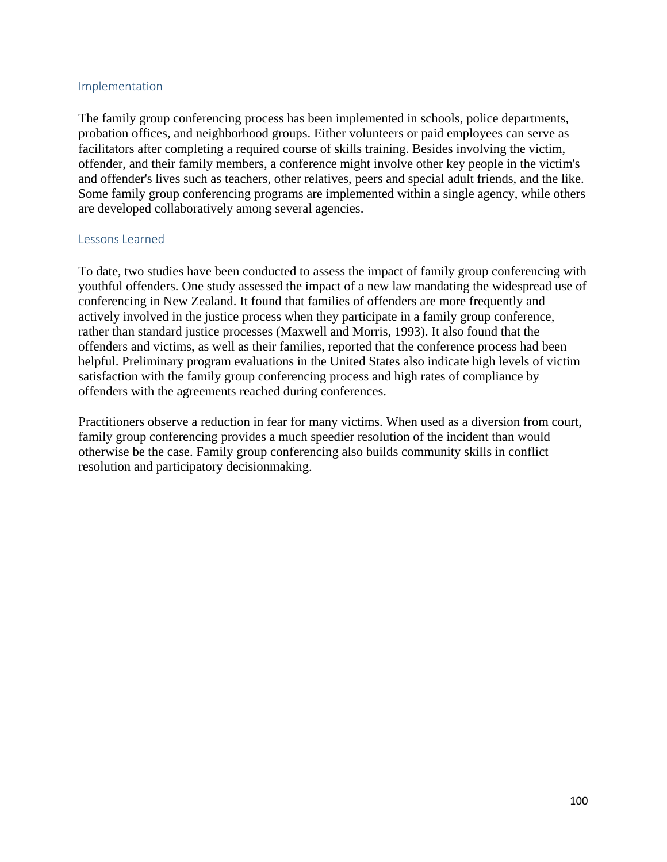#### Implementation

The family group conferencing process has been implemented in schools, police departments, probation offices, and neighborhood groups. Either volunteers or paid employees can serve as facilitators after completing a required course of skills training. Besides involving the victim, offender, and their family members, a conference might involve other key people in the victim's and offender's lives such as teachers, other relatives, peers and special adult friends, and the like. Some family group conferencing programs are implemented within a single agency, while others are developed collaboratively among several agencies.

## Lessons Learned

To date, two studies have been conducted to assess the impact of family group conferencing with youthful offenders. One study assessed the impact of a new law mandating the widespread use of conferencing in New Zealand. It found that families of offenders are more frequently and actively involved in the justice process when they participate in a family group conference, rather than standard justice processes (Maxwell and Morris, 1993). It also found that the offenders and victims, as well as their families, reported that the conference process had been helpful. Preliminary program evaluations in the United States also indicate high levels of victim satisfaction with the family group conferencing process and high rates of compliance by offenders with the agreements reached during conferences.

Practitioners observe a reduction in fear for many victims. When used as a diversion from court, family group conferencing provides a much speedier resolution of the incident than would otherwise be the case. Family group conferencing also builds community skills in conflict resolution and participatory decisionmaking.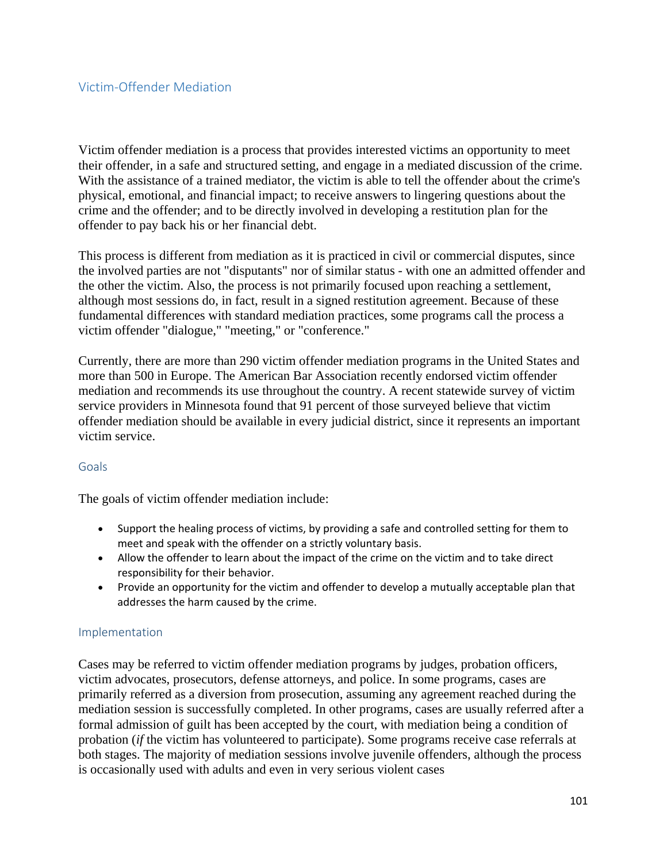Victim offender mediation is a process that provides interested victims an opportunity to meet their offender, in a safe and structured setting, and engage in a mediated discussion of the crime. With the assistance of a trained mediator, the victim is able to tell the offender about the crime's physical, emotional, and financial impact; to receive answers to lingering questions about the crime and the offender; and to be directly involved in developing a restitution plan for the offender to pay back his or her financial debt.

This process is different from mediation as it is practiced in civil or commercial disputes, since the involved parties are not "disputants" nor of similar status - with one an admitted offender and the other the victim. Also, the process is not primarily focused upon reaching a settlement, although most sessions do, in fact, result in a signed restitution agreement. Because of these fundamental differences with standard mediation practices, some programs call the process a victim offender "dialogue," "meeting," or "conference."

Currently, there are more than 290 victim offender mediation programs in the United States and more than 500 in Europe. The American Bar Association recently endorsed victim offender mediation and recommends its use throughout the country. A recent statewide survey of victim service providers in Minnesota found that 91 percent of those surveyed believe that victim offender mediation should be available in every judicial district, since it represents an important victim service.

#### Goals

The goals of victim offender mediation include:

- Support the healing process of victims, by providing a safe and controlled setting for them to meet and speak with the offender on a strictly voluntary basis.
- Allow the offender to learn about the impact of the crime on the victim and to take direct responsibility for their behavior.
- Provide an opportunity for the victim and offender to develop a mutually acceptable plan that addresses the harm caused by the crime.

#### Implementation

Cases may be referred to victim offender mediation programs by judges, probation officers, victim advocates, prosecutors, defense attorneys, and police. In some programs, cases are primarily referred as a diversion from prosecution, assuming any agreement reached during the mediation session is successfully completed. In other programs, cases are usually referred after a formal admission of guilt has been accepted by the court, with mediation being a condition of probation (*if* the victim has volunteered to participate). Some programs receive case referrals at both stages. The majority of mediation sessions involve juvenile offenders, although the process is occasionally used with adults and even in very serious violent cases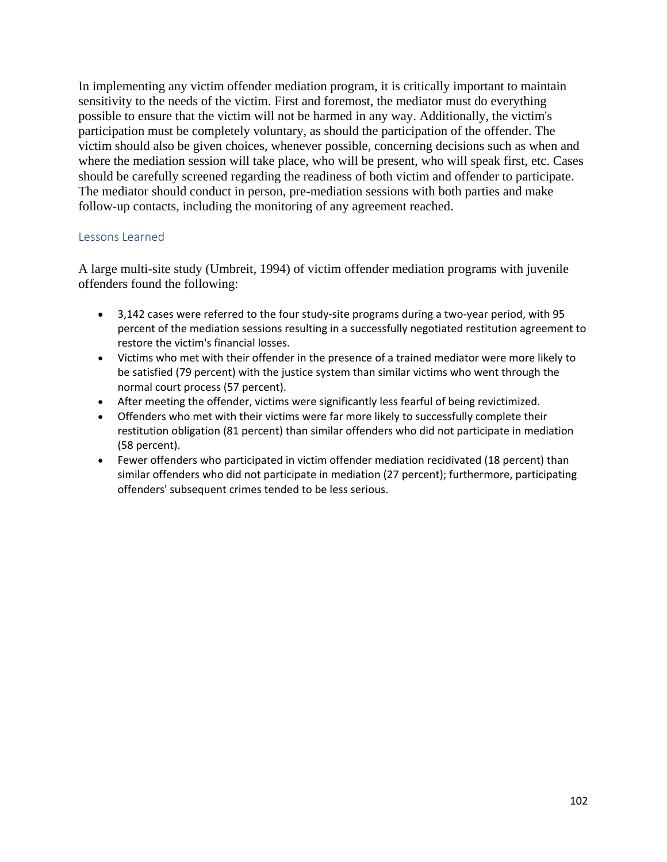In implementing any victim offender mediation program, it is critically important to maintain sensitivity to the needs of the victim. First and foremost, the mediator must do everything possible to ensure that the victim will not be harmed in any way. Additionally, the victim's participation must be completely voluntary, as should the participation of the offender. The victim should also be given choices, whenever possible, concerning decisions such as when and where the mediation session will take place, who will be present, who will speak first, etc. Cases should be carefully screened regarding the readiness of both victim and offender to participate. The mediator should conduct in person, pre-mediation sessions with both parties and make follow-up contacts, including the monitoring of any agreement reached.

## Lessons Learned

A large multi-site study (Umbreit, 1994) of victim offender mediation programs with juvenile offenders found the following:

- 3,142 cases were referred to the four study‐site programs during a two‐year period, with 95 percent of the mediation sessions resulting in a successfully negotiated restitution agreement to restore the victim's financial losses.
- Victims who met with their offender in the presence of a trained mediator were more likely to be satisfied (79 percent) with the justice system than similar victims who went through the normal court process (57 percent).
- After meeting the offender, victims were significantly less fearful of being revictimized.
- Offenders who met with their victims were far more likely to successfully complete their restitution obligation (81 percent) than similar offenders who did not participate in mediation (58 percent).
- Fewer offenders who participated in victim offender mediation recidivated (18 percent) than similar offenders who did not participate in mediation (27 percent); furthermore, participating offenders' subsequent crimes tended to be less serious.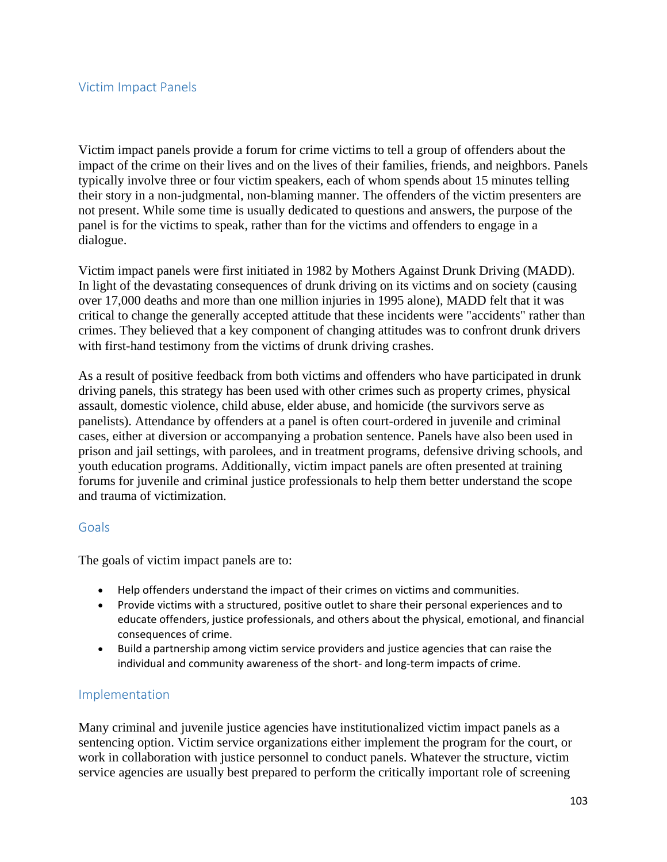Victim impact panels provide a forum for crime victims to tell a group of offenders about the impact of the crime on their lives and on the lives of their families, friends, and neighbors. Panels typically involve three or four victim speakers, each of whom spends about 15 minutes telling their story in a non-judgmental, non-blaming manner. The offenders of the victim presenters are not present. While some time is usually dedicated to questions and answers, the purpose of the panel is for the victims to speak, rather than for the victims and offenders to engage in a dialogue.

Victim impact panels were first initiated in 1982 by Mothers Against Drunk Driving (MADD). In light of the devastating consequences of drunk driving on its victims and on society (causing over 17,000 deaths and more than one million injuries in 1995 alone), MADD felt that it was critical to change the generally accepted attitude that these incidents were "accidents" rather than crimes. They believed that a key component of changing attitudes was to confront drunk drivers with first-hand testimony from the victims of drunk driving crashes.

As a result of positive feedback from both victims and offenders who have participated in drunk driving panels, this strategy has been used with other crimes such as property crimes, physical assault, domestic violence, child abuse, elder abuse, and homicide (the survivors serve as panelists). Attendance by offenders at a panel is often court-ordered in juvenile and criminal cases, either at diversion or accompanying a probation sentence. Panels have also been used in prison and jail settings, with parolees, and in treatment programs, defensive driving schools, and youth education programs. Additionally, victim impact panels are often presented at training forums for juvenile and criminal justice professionals to help them better understand the scope and trauma of victimization.

#### Goals

The goals of victim impact panels are to:

- Help offenders understand the impact of their crimes on victims and communities.
- Provide victims with a structured, positive outlet to share their personal experiences and to educate offenders, justice professionals, and others about the physical, emotional, and financial consequences of crime.
- Build a partnership among victim service providers and justice agencies that can raise the individual and community awareness of the short‐ and long‐term impacts of crime.

## Implementation

Many criminal and juvenile justice agencies have institutionalized victim impact panels as a sentencing option. Victim service organizations either implement the program for the court, or work in collaboration with justice personnel to conduct panels. Whatever the structure, victim service agencies are usually best prepared to perform the critically important role of screening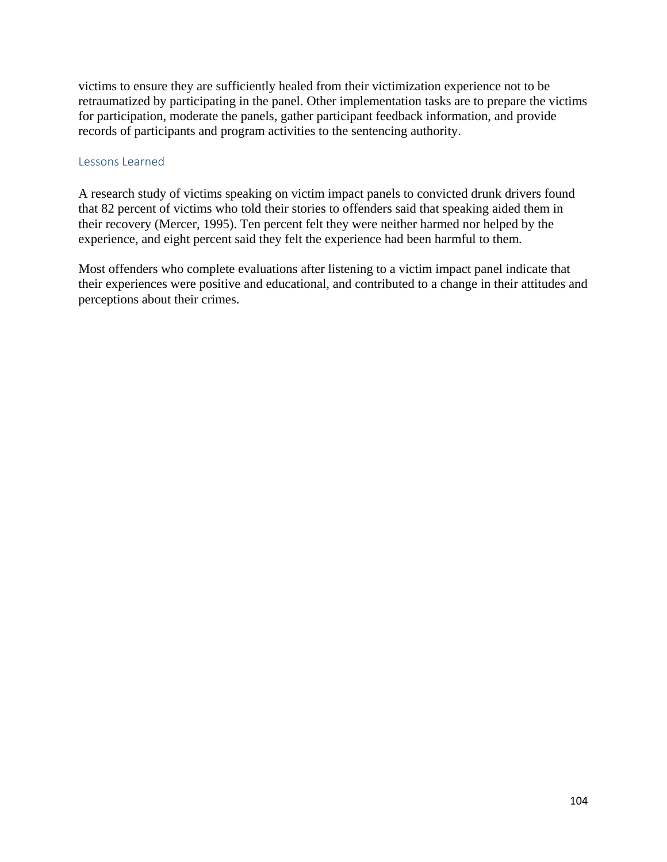records of participants and program activities to the sentencing authority. victims to ensure they are sufficiently healed from their victimization experience not to be retraumatized by participating in the panel. Other implementation tasks are to prepare the victims for participation, moderate the panels, gather participant feedback information, and provide

## Lessons Learned

A research study of victims speaking on victim impact panels to convicted drunk drivers found that 82 percent of victims who told their stories to offenders said that speaking aided them in their recovery (Mercer, 1995). Ten percent felt they were neither harmed nor helped by the experience, and eight percent said they felt the experience had been harmful to them.

Most offenders who complete evaluations after listening to a victim impact panel indicate that their experiences were positive and educational, and contributed to a change in their attitudes and perceptions about their crimes.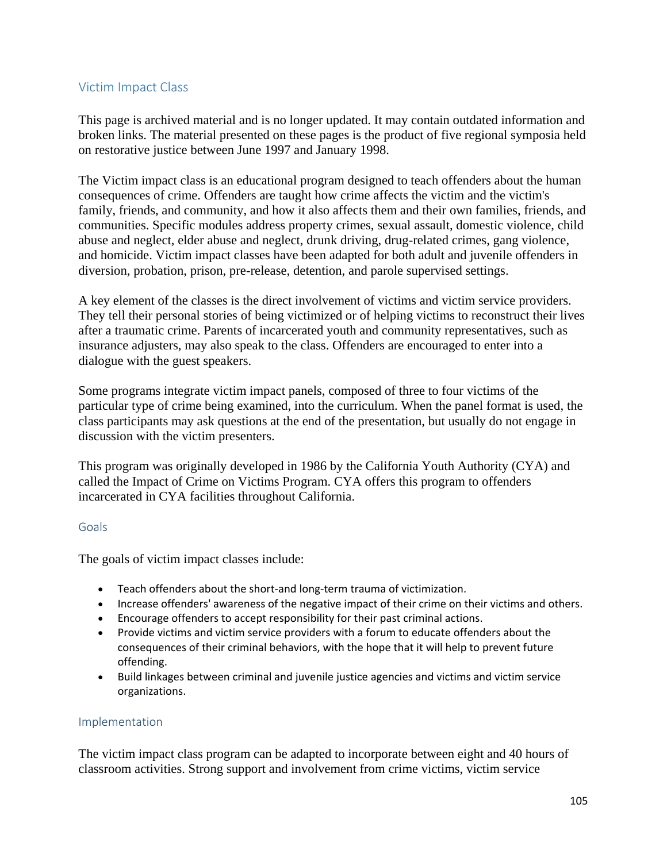# Victim Impact Class

This page is archived material and is no longer updated. It may contain outdated information and broken links. The material presented on these pages is the product of five regional symposia held on restorative justice between June 1997 and January 1998.

The Victim impact class is an educational program designed to teach offenders about the human consequences of crime. Offenders are taught how crime affects the victim and the victim's family, friends, and community, and how it also affects them and their own families, friends, and communities. Specific modules address property crimes, sexual assault, domestic violence, child abuse and neglect, elder abuse and neglect, drunk driving, drug-related crimes, gang violence, and homicide. Victim impact classes have been adapted for both adult and juvenile offenders in diversion, probation, prison, pre-release, detention, and parole supervised settings.

A key element of the classes is the direct involvement of victims and victim service providers. They tell their personal stories of being victimized or of helping victims to reconstruct their lives after a traumatic crime. Parents of incarcerated youth and community representatives, such as insurance adjusters, may also speak to the class. Offenders are encouraged to enter into a dialogue with the guest speakers.

Some programs integrate victim impact panels, composed of three to four victims of the particular type of crime being examined, into the curriculum. When the panel format is used, the class participants may ask questions at the end of the presentation, but usually do not engage in discussion with the victim presenters.

This program was originally developed in 1986 by the California Youth Authority (CYA) and called the Impact of Crime on Victims Program. CYA offers this program to offenders incarcerated in CYA facilities throughout California.

#### Goals

The goals of victim impact classes include:

- Teach offenders about the short‐and long‐term trauma of victimization.
- Increase offenders' awareness of the negative impact of their crime on their victims and others.
- Encourage offenders to accept responsibility for their past criminal actions.
- Provide victims and victim service providers with a forum to educate offenders about the consequences of their criminal behaviors, with the hope that it will help to prevent future offending.
- Build linkages between criminal and juvenile justice agencies and victims and victim service organizations.

#### Implementation

The victim impact class program can be adapted to incorporate between eight and 40 hours of classroom activities. Strong support and involvement from crime victims, victim service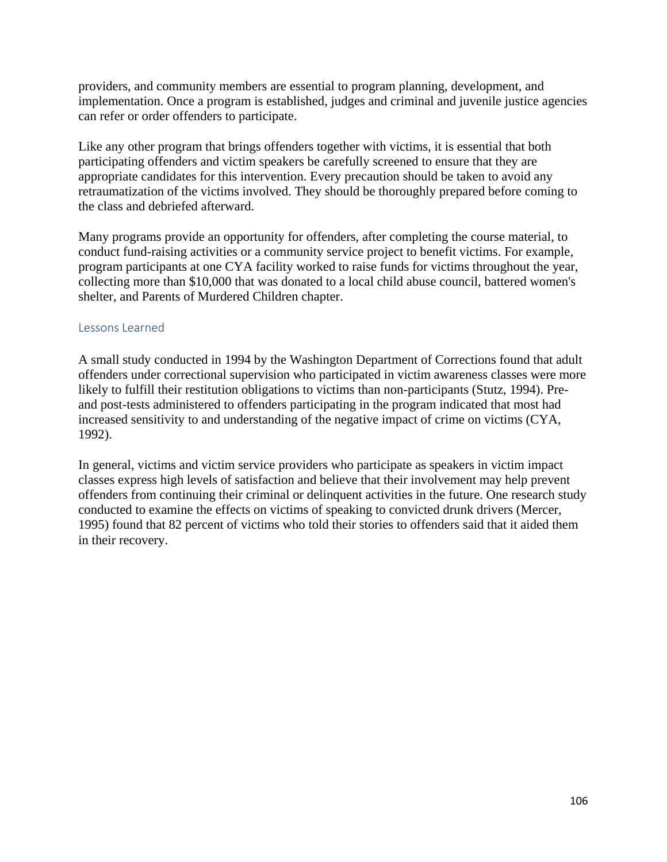providers, and community members are essential to program planning, development, and implementation. Once a program is established, judges and criminal and juvenile justice agencies can refer or order offenders to participate.

Like any other program that brings offenders together with victims, it is essential that both participating offenders and victim speakers be carefully screened to ensure that they are appropriate candidates for this intervention. Every precaution should be taken to avoid any retraumatization of the victims involved. They should be thoroughly prepared before coming to the class and debriefed afterward.

Many programs provide an opportunity for offenders, after completing the course material, to conduct fund-raising activities or a community service project to benefit victims. For example, program participants at one CYA facility worked to raise funds for victims throughout the year, collecting more than \$10,000 that was donated to a local child abuse council, battered women's shelter, and Parents of Murdered Children chapter.

## Lessons Learned

A small study conducted in 1994 by the Washington Department of Corrections found that adult offenders under correctional supervision who participated in victim awareness classes were more likely to fulfill their restitution obligations to victims than non-participants (Stutz, 1994). Preand post-tests administered to offenders participating in the program indicated that most had increased sensitivity to and understanding of the negative impact of crime on victims (CYA, 1992).

In general, victims and victim service providers who participate as speakers in victim impact classes express high levels of satisfaction and believe that their involvement may help prevent offenders from continuing their criminal or delinquent activities in the future. One research study conducted to examine the effects on victims of speaking to convicted drunk drivers (Mercer, 1995) found that 82 percent of victims who told their stories to offenders said that it aided them in their recovery.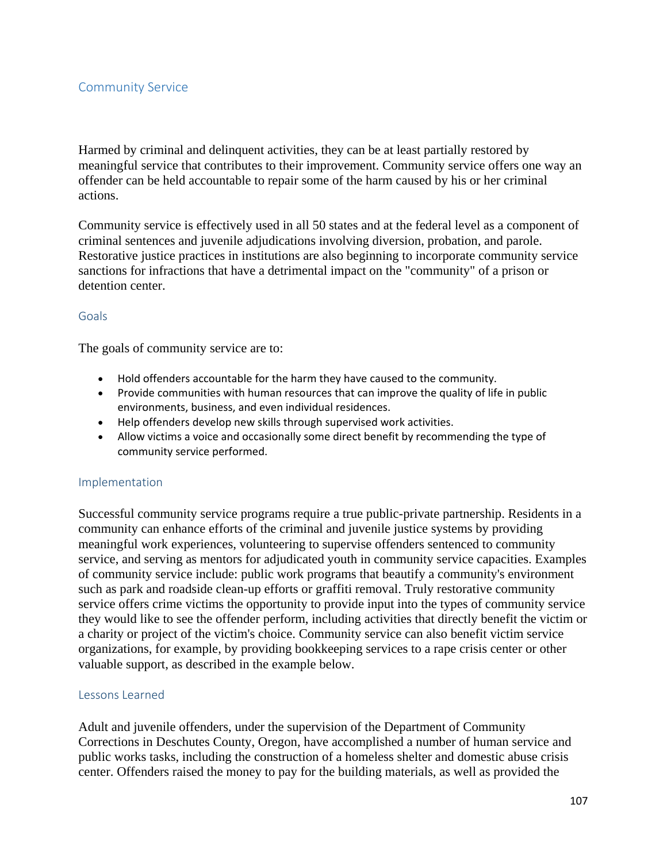Harmed by criminal and delinquent activities, they can be at least partially restored by meaningful service that contributes to their improvement. Community service offers one way an offender can be held accountable to repair some of the harm caused by his or her criminal actions.

Community service is effectively used in all 50 states and at the federal level as a component of criminal sentences and juvenile adjudications involving diversion, probation, and parole. Restorative justice practices in institutions are also beginning to incorporate community service sanctions for infractions that have a detrimental impact on the "community" of a prison or detention center.

#### Goals

The goals of community service are to:

- Hold offenders accountable for the harm they have caused to the community.
- Provide communities with human resources that can improve the quality of life in public environments, business, and even individual residences.
- Help offenders develop new skills through supervised work activities.
- Allow victims a voice and occasionally some direct benefit by recommending the type of community service performed.

#### Implementation

Successful community service programs require a true public-private partnership. Residents in a community can enhance efforts of the criminal and juvenile justice systems by providing meaningful work experiences, volunteering to supervise offenders sentenced to community service, and serving as mentors for adjudicated youth in community service capacities. Examples of community service include: public work programs that beautify a community's environment such as park and roadside clean-up efforts or graffiti removal. Truly restorative community service offers crime victims the opportunity to provide input into the types of community service they would like to see the offender perform, including activities that directly benefit the victim or a charity or project of the victim's choice. Community service can also benefit victim service organizations, for example, by providing bookkeeping services to a rape crisis center or other valuable support, as described in the example below.

## Lessons Learned

Adult and juvenile offenders, under the supervision of the Department of Community Corrections in Deschutes County, Oregon, have accomplished a number of human service and public works tasks, including the construction of a homeless shelter and domestic abuse crisis center. Offenders raised the money to pay for the building materials, as well as provided the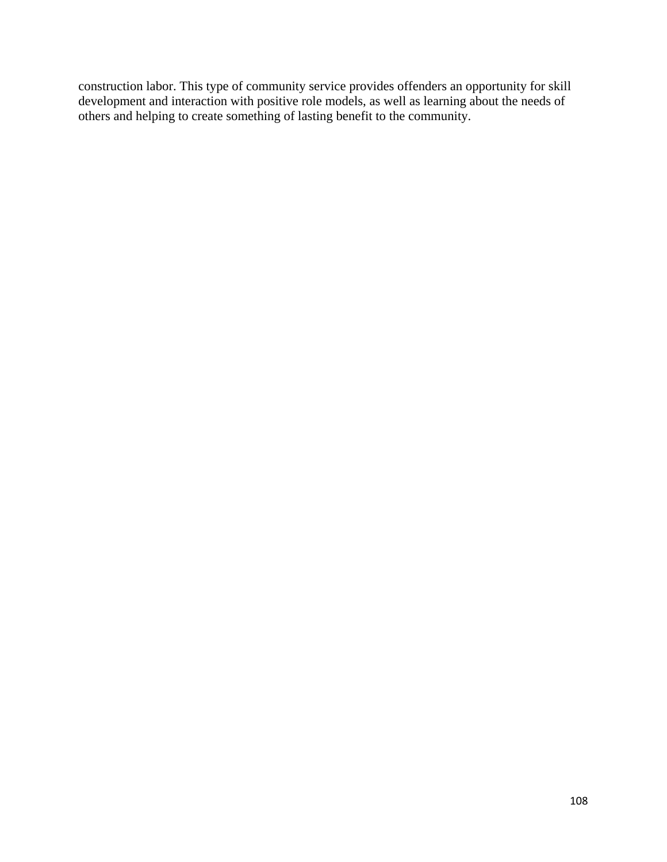construction labor. This type of community service provides offenders an opportunity for skill development and interaction with positive role models, as well as learning about the needs of others and helping to create something of lasting benefit to the community.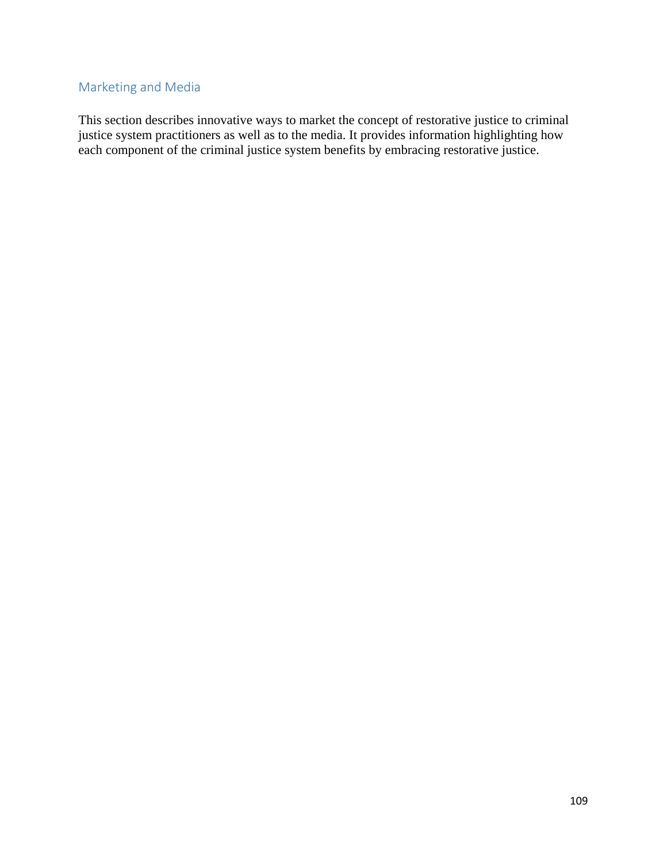## Marketing and Media

This section describes innovative ways to market the concept of restorative justice to criminal justice system practitioners as well as to the media. It provides information highlighting how each component of the criminal justice system benefits by embracing restorative justice.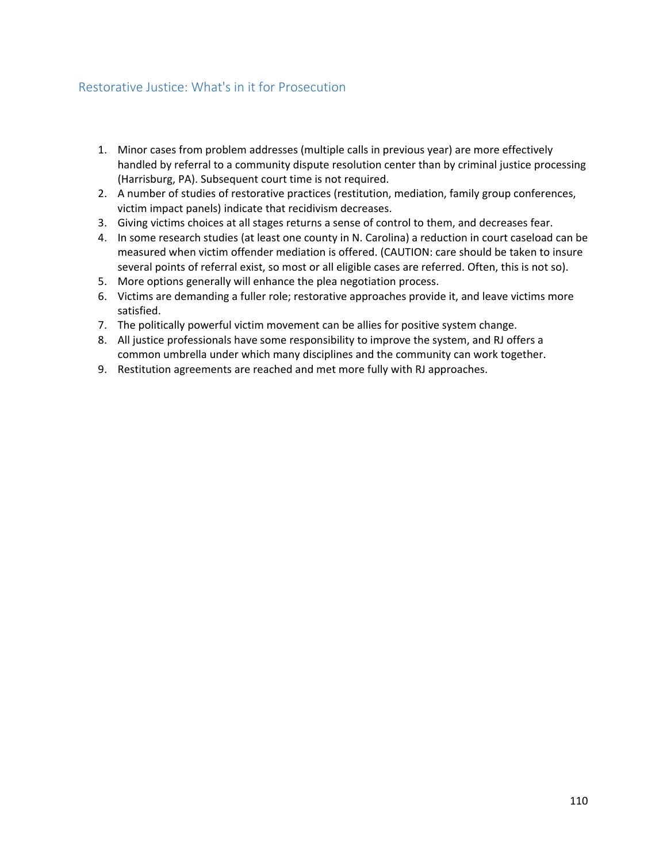# Restorative Justice: What's in it for Prosecution

- 1. Minor cases from problem addresses (multiple calls in previous year) are more effectively handled by referral to a community dispute resolution center than by criminal justice processing (Harrisburg, PA). Subsequent court time is not required.
- 2. A number of studies of restorative practices (restitution, mediation, family group conferences, victim impact panels) indicate that recidivism decreases.
- 3. Giving victims choices at all stages returns a sense of control to them, and decreases fear.
- 4. In some research studies (at least one county in N. Carolina) a reduction in court caseload can be measured when victim offender mediation is offered. (CAUTION: care should be taken to insure several points of referral exist, so most or all eligible cases are referred. Often, this is not so).
- 5. More options generally will enhance the plea negotiation process.
- 6. Victims are demanding a fuller role; restorative approaches provide it, and leave victims more satisfied.
- 7. The politically powerful victim movement can be allies for positive system change.
- 8. All justice professionals have some responsibility to improve the system, and RJ offers a common umbrella under which many disciplines and the community can work together.
- 9. Restitution agreements are reached and met more fully with RJ approaches.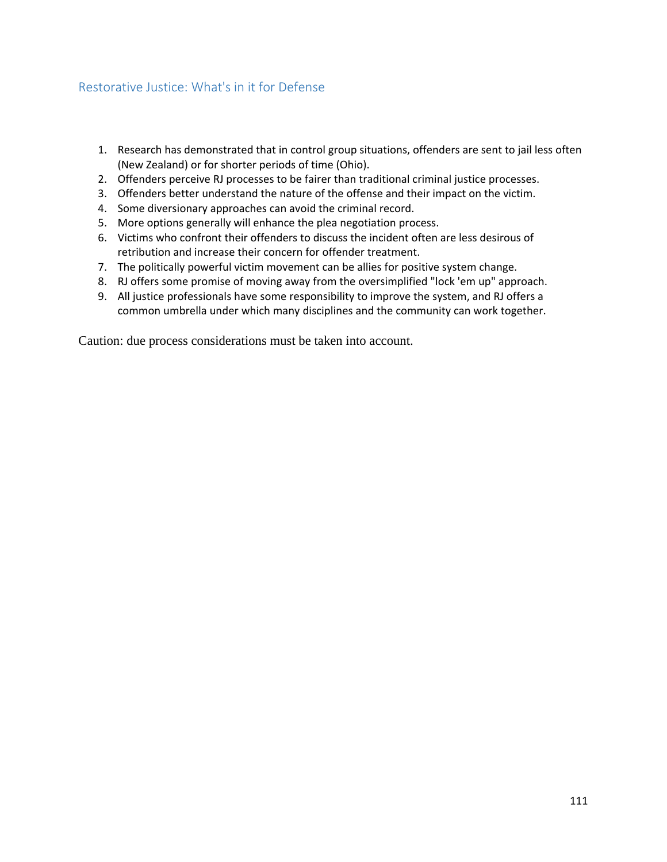## Restorative Justice: What's in it for Defense

- 1. Research has demonstrated that in control group situations, offenders are sent to jail less often (New Zealand) or for shorter periods of time (Ohio).
- 2. Offenders perceive RJ processes to be fairer than traditional criminal justice processes.
- 3. Offenders better understand the nature of the offense and their impact on the victim.
- 4. Some diversionary approaches can avoid the criminal record.
- 5. More options generally will enhance the plea negotiation process.
- 6. Victims who confront their offenders to discuss the incident often are less desirous of retribution and increase their concern for offender treatment.
- 7. The politically powerful victim movement can be allies for positive system change.
- 8. RJ offers some promise of moving away from the oversimplified "lock 'em up" approach.
- 9. All justice professionals have some responsibility to improve the system, and RJ offers a common umbrella under which many disciplines and the community can work together.

Caution: due process considerations must be taken into account.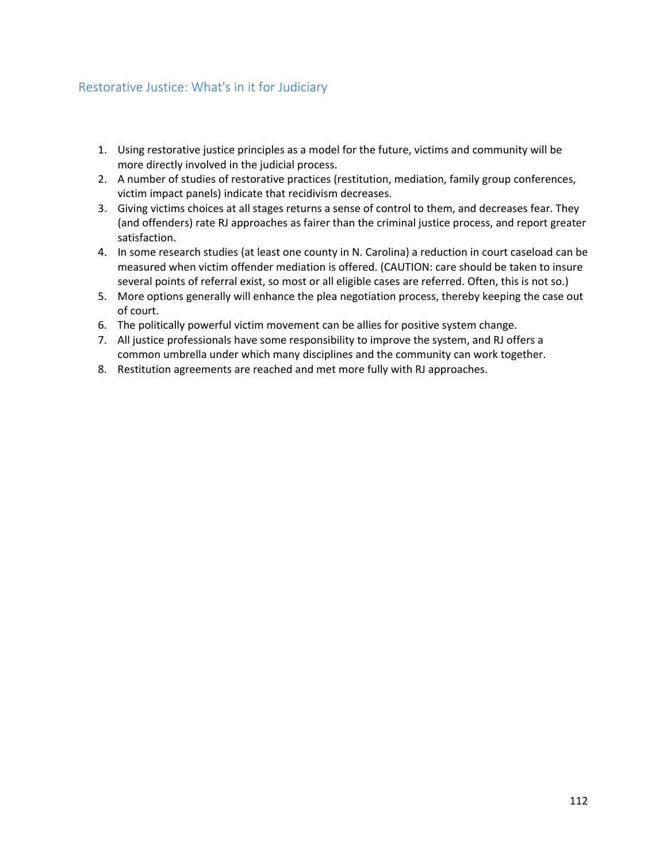## Restorative Justice: What's in it for Judiciary

- 1. Using restorative justice principles as a model for the future, victims and community will be more directly involved in the judicial process.
- 2. A number of studies of restorative practices (restitution, mediation, family group conferences, victim impact panels) indicate that recidivism decreases.
- 3. Giving victims choices at all stages returns a sense of control to them, and decreases fear. They (and offenders) rate RJ approaches as fairer than the criminal justice process, and report greater satisfaction.
- 4. In some research studies (at least one county in N. Carolina) a reduction in court caseload can be measured when victim offender mediation is offered. (CAUTION: care should be taken to insure several points of referral exist, so most or all eligible cases are referred. Often, this is not so.)
- 5. More options generally will enhance the plea negotiation process, thereby keeping the case out of court.
- 6. The politically powerful victim movement can be allies for positive system change.
- 7. All justice professionals have some responsibility to improve the system, and RJ offers a common umbrella under which many disciplines and the community can work together.
- 8. Restitution agreements are reached and met more fully with RJ approaches.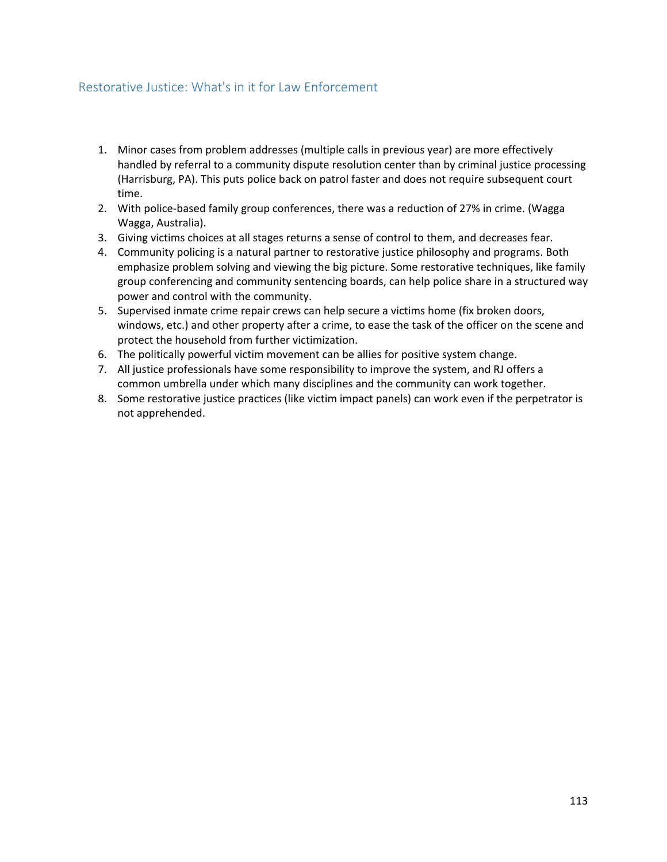# Restorative Justice: What's in it for Law Enforcement

- 1. Minor cases from problem addresses (multiple calls in previous year) are more effectively handled by referral to a community dispute resolution center than by criminal justice processing (Harrisburg, PA). This puts police back on patrol faster and does not require subsequent court time.
- 2. With police-based family group conferences, there was a reduction of 27% in crime. (Wagga Wagga, Australia).
- 3. Giving victims choices at all stages returns a sense of control to them, and decreases fear.
- 4. Community policing is a natural partner to restorative justice philosophy and programs. Both emphasize problem solving and viewing the big picture. Some restorative techniques, like family group conferencing and community sentencing boards, can help police share in a structured way power and control with the community.
- 5. Supervised inmate crime repair crews can help secure a victims home (fix broken doors, windows, etc.) and other property after a crime, to ease the task of the officer on the scene and protect the household from further victimization.
- 6. The politically powerful victim movement can be allies for positive system change.
- 7. All justice professionals have some responsibility to improve the system, and RJ offers a common umbrella under which many disciplines and the community can work together.
- 8. Some restorative justice practices (like victim impact panels) can work even if the perpetrator is not apprehended.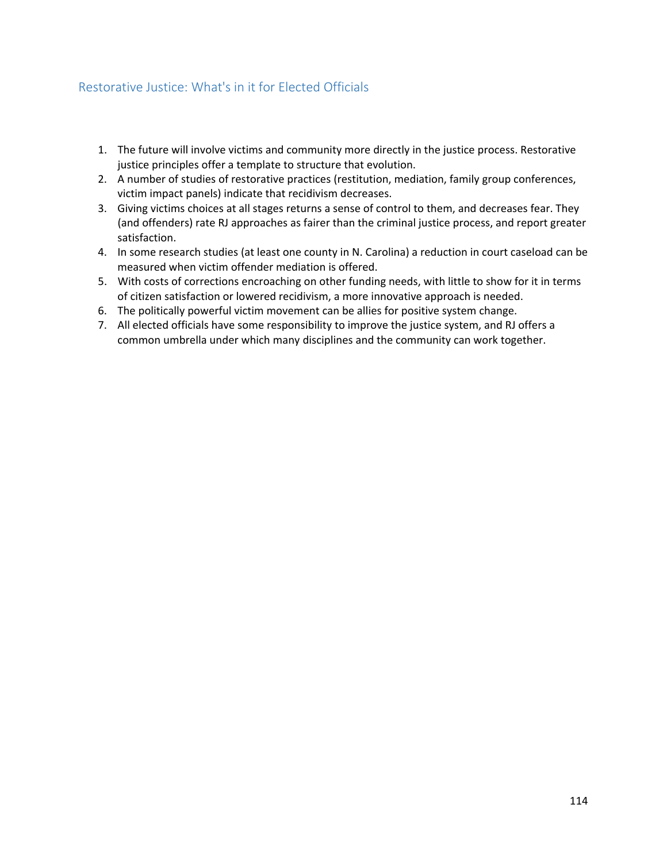# Restorative Justice: What's in it for Elected Officials

- 1. The future will involve victims and community more directly in the justice process. Restorative justice principles offer a template to structure that evolution.
- 2. A number of studies of restorative practices (restitution, mediation, family group conferences, victim impact panels) indicate that recidivism decreases.
- 3. Giving victims choices at all stages returns a sense of control to them, and decreases fear. They (and offenders) rate RJ approaches as fairer than the criminal justice process, and report greater satisfaction.
- 4. In some research studies (at least one county in N. Carolina) a reduction in court caseload can be measured when victim offender mediation is offered.
- 5. With costs of corrections encroaching on other funding needs, with little to show for it in terms of citizen satisfaction or lowered recidivism, a more innovative approach is needed.
- 6. The politically powerful victim movement can be allies for positive system change.
- 7. All elected officials have some responsibility to improve the justice system, and RJ offers a common umbrella under which many disciplines and the community can work together.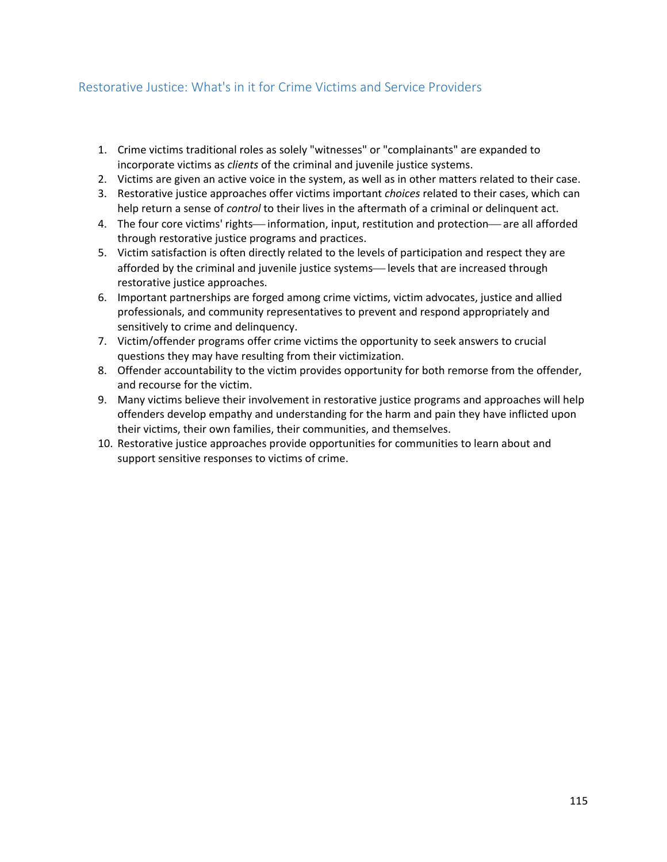# Restorative Justice: What's in it for Crime Victims and Service Providers

- 1. Crime victims traditional roles as solely "witnesses" or "complainants" are expanded to incorporate victims as *clients* of the criminal and juvenile justice systems.
- 2. Victims are given an active voice in the system, as well as in other matters related to their case.
- 3. Restorative justice approaches offer victims important *choices* related to their cases, which can help return a sense of *control* to their lives in the aftermath of a criminal or delinquent act.
- 4. The four core victims' rights-information, input, restitution and protection-are all afforded through restorative justice programs and practices.
- 5. Victim satisfaction is often directly related to the levels of participation and respect they are afforded by the criminal and juvenile justice systems-levels that are increased through restorative justice approaches.
- 6. Important partnerships are forged among crime victims, victim advocates, justice and allied professionals, and community representatives to prevent and respond appropriately and sensitively to crime and delinquency.
- 7. Victim/offender programs offer crime victims the opportunity to seek answers to crucial questions they may have resulting from their victimization.
- 8. Offender accountability to the victim provides opportunity for both remorse from the offender, and recourse for the victim.
- 9. Many victims believe their involvement in restorative justice programs and approaches will help offenders develop empathy and understanding for the harm and pain they have inflicted upon their victims, their own families, their communities, and themselves.
- 10. Restorative justice approaches provide opportunities for communities to learn about and support sensitive responses to victims of crime.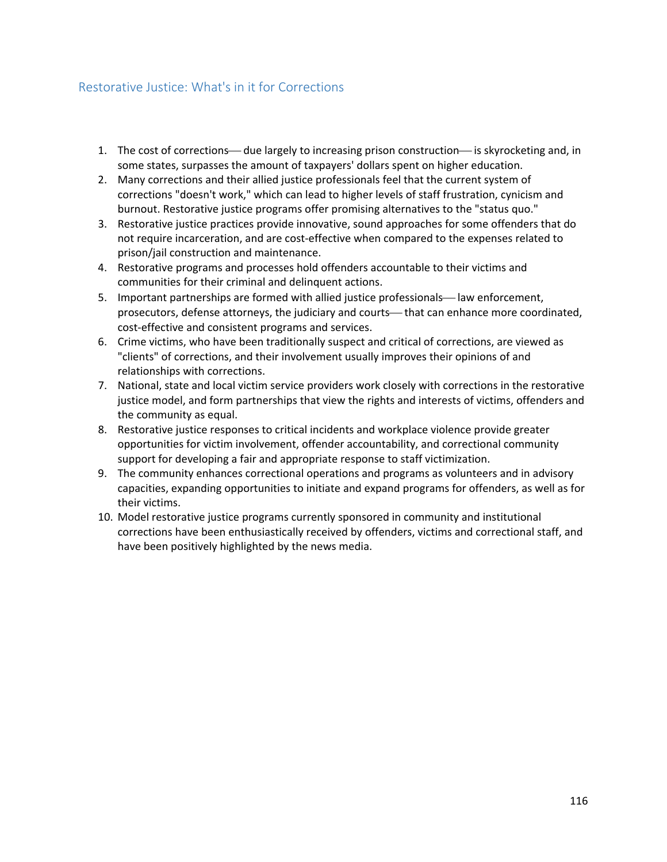## Restorative Justice: What's in it for Corrections

- 1. The cost of corrections— due largely to increasing prison construction— is skyrocketing and, in some states, surpasses the amount of taxpayers' dollars spent on higher education.
- 2. Many corrections and their allied justice professionals feel that the current system of corrections "doesn't work," which can lead to higher levels of staff frustration, cynicism and burnout. Restorative justice programs offer promising alternatives to the "status quo."
- 3. Restorative justice practices provide innovative, sound approaches for some offenders that do not require incarceration, and are cost‐effective when compared to the expenses related to prison/jail construction and maintenance.
- 4. Restorative programs and processes hold offenders accountable to their victims and communities for their criminal and delinquent actions.
- 5. Important partnerships are formed with allied justice professionals— law enforcement, prosecutors, defense attorneys, the judiciary and courts—that can enhance more coordinated, cost‐effective and consistent programs and services.
- 6. Crime victims, who have been traditionally suspect and critical of corrections, are viewed as "clients" of corrections, and their involvement usually improves their opinions of and relationships with corrections.
- 7. National, state and local victim service providers work closely with corrections in the restorative justice model, and form partnerships that view the rights and interests of victims, offenders and the community as equal.
- 8. Restorative justice responses to critical incidents and workplace violence provide greater opportunities for victim involvement, offender accountability, and correctional community support for developing a fair and appropriate response to staff victimization.
- 9. The community enhances correctional operations and programs as volunteers and in advisory capacities, expanding opportunities to initiate and expand programs for offenders, as well as for their victims.
- 10. Model restorative justice programs currently sponsored in community and institutional corrections have been enthusiastically received by offenders, victims and correctional staff, and have been positively highlighted by the news media.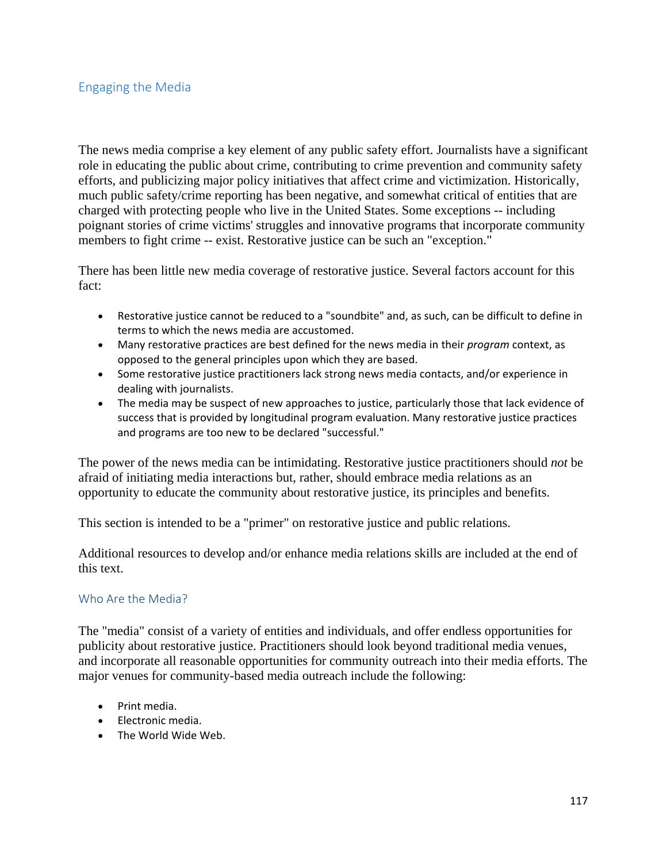The news media comprise a key element of any public safety effort. Journalists have a significant role in educating the public about crime, contributing to crime prevention and community safety efforts, and publicizing major policy initiatives that affect crime and victimization. Historically, much public safety/crime reporting has been negative, and somewhat critical of entities that are charged with protecting people who live in the United States. Some exceptions -- including poignant stories of crime victims' struggles and innovative programs that incorporate community members to fight crime -- exist. Restorative justice can be such an "exception."

There has been little new media coverage of restorative justice. Several factors account for this fact:

- Restorative justice cannot be reduced to a "soundbite" and, as such, can be difficult to define in terms to which the news media are accustomed.
- Many restorative practices are best defined for the news media in their *program* context, as opposed to the general principles upon which they are based.
- Some restorative justice practitioners lack strong news media contacts, and/or experience in dealing with journalists.
- The media may be suspect of new approaches to justice, particularly those that lack evidence of success that is provided by longitudinal program evaluation. Many restorative justice practices and programs are too new to be declared "successful."

The power of the news media can be intimidating. Restorative justice practitioners should *not* be afraid of initiating media interactions but, rather, should embrace media relations as an opportunity to educate the community about restorative justice, its principles and benefits.

This section is intended to be a "primer" on restorative justice and public relations.

Additional resources to develop and/or enhance media relations skills are included at the end of this text.

## Who Are the Media?

The "media" consist of a variety of entities and individuals, and offer endless opportunities for publicity about restorative justice. Practitioners should look beyond traditional media venues, and incorporate all reasonable opportunities for community outreach into their media efforts. The major venues for community-based media outreach include the following:

- Print media.
- Electronic media.
- The World Wide Web.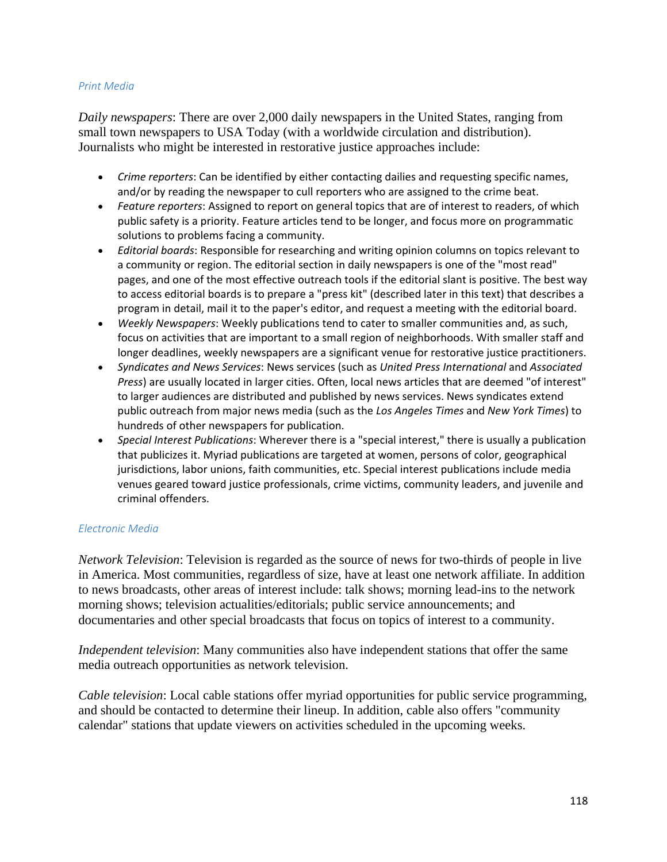#### *Print Media*

*Daily newspapers*: There are over 2,000 daily newspapers in the United States, ranging from small town newspapers to USA Today (with a worldwide circulation and distribution). Journalists who might be interested in restorative justice approaches include:

- *Crime reporters*: Can be identified by either contacting dailies and requesting specific names, and/or by reading the newspaper to cull reporters who are assigned to the crime beat.
- *Feature reporters*: Assigned to report on general topics that are of interest to readers, of which public safety is a priority. Feature articles tend to be longer, and focus more on programmatic solutions to problems facing a community.
- *Editorial boards*: Responsible for researching and writing opinion columns on topics relevant to a community or region. The editorial section in daily newspapers is one of the "most read" pages, and one of the most effective outreach tools if the editorial slant is positive. The best way to access editorial boards is to prepare a "press kit" (described later in this text) that describes a program in detail, mail it to the paper's editor, and request a meeting with the editorial board.
- *Weekly Newspapers*: Weekly publications tend to cater to smaller communities and, as such, focus on activities that are important to a small region of neighborhoods. With smaller staff and longer deadlines, weekly newspapers are a significant venue for restorative justice practitioners.
- *Syndicates and News Services*: News services (such as *United Press International* and *Associated Press*) are usually located in larger cities. Often, local news articles that are deemed "of interest" to larger audiences are distributed and published by news services. News syndicates extend  public outreach from major news media (such as the *Los Angeles Times* and *New York Times*) to hundreds of other newspapers for publication.
- *Special Interest Publications*: Wherever there is a "special interest," there is usually a publication that publicizes it. Myriad publications are targeted at women, persons of color, geographical jurisdictions, labor unions, faith communities, etc. Special interest publications include media venues geared toward justice professionals, crime victims, community leaders, and juvenile and criminal offenders.

#### *Electronic Media*

*Network Television*: Television is regarded as the source of news for two-thirds of people in live in America. Most communities, regardless of size, have at least one network affiliate. In addition to news broadcasts, other areas of interest include: talk shows; morning lead-ins to the network morning shows; television actualities/editorials; public service announcements; and documentaries and other special broadcasts that focus on topics of interest to a community.

*Independent television*: Many communities also have independent stations that offer the same media outreach opportunities as network television.

*Cable television*: Local cable stations offer myriad opportunities for public service programming, and should be contacted to determine their lineup. In addition, cable also offers "community calendar" stations that update viewers on activities scheduled in the upcoming weeks.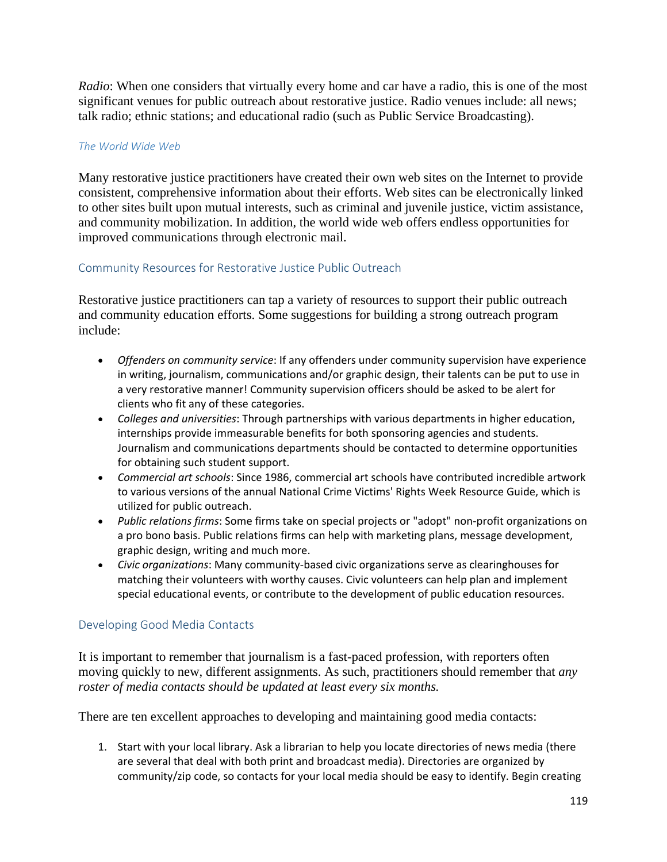*Radio*: When one considers that virtually every home and car have a radio, this is one of the most significant venues for public outreach about restorative justice. Radio venues include: all news; talk radio; ethnic stations; and educational radio (such as Public Service Broadcasting).

### *The World Wide Web*

Many restorative justice practitioners have created their own web sites on the Internet to provide consistent, comprehensive information about their efforts. Web sites can be electronically linked to other sites built upon mutual interests, such as criminal and juvenile justice, victim assistance, and community mobilization. In addition, the world wide web offers endless opportunities for improved communications through electronic mail.

### Community Resources for Restorative Justice Public Outreach

Restorative justice practitioners can tap a variety of resources to support their public outreach and community education efforts. Some suggestions for building a strong outreach program include:

- *Offenders on community service*: If any offenders under community supervision have experience in writing, journalism, communications and/or graphic design, their talents can be put to use in a very restorative manner! Community supervision officers should be asked to be alert for clients who fit any of these categories.
- *Colleges and universities*: Through partnerships with various departments in higher education, internships provide immeasurable benefits for both sponsoring agencies and students. Journalism and communications departments should be contacted to determine opportunities for obtaining such student support.
- *Commercial art schools*: Since 1986, commercial art schools have contributed incredible artwork to various versions of the annual National Crime Victims' Rights Week Resource Guide, which is utilized for public outreach.
- *Public relations firms*: Some firms take on special projects or "adopt" non‐profit organizations on a pro bono basis. Public relations firms can help with marketing plans, message development, graphic design, writing and much more.
- *Civic organizations*: Many community‐based civic organizations serve as clearinghouses for matching their volunteers with worthy causes. Civic volunteers can help plan and implement special educational events, or contribute to the development of public education resources.

## Developing Good Media Contacts

It is important to remember that journalism is a fast-paced profession, with reporters often moving quickly to new, different assignments. As such, practitioners should remember that *any roster of media contacts should be updated at least every six months.* 

There are ten excellent approaches to developing and maintaining good media contacts:

1. Start with your local library. Ask a librarian to help you locate directories of news media (there are several that deal with both print and broadcast media). Directories are organized by community/zip code, so contacts for your local media should be easy to identify. Begin creating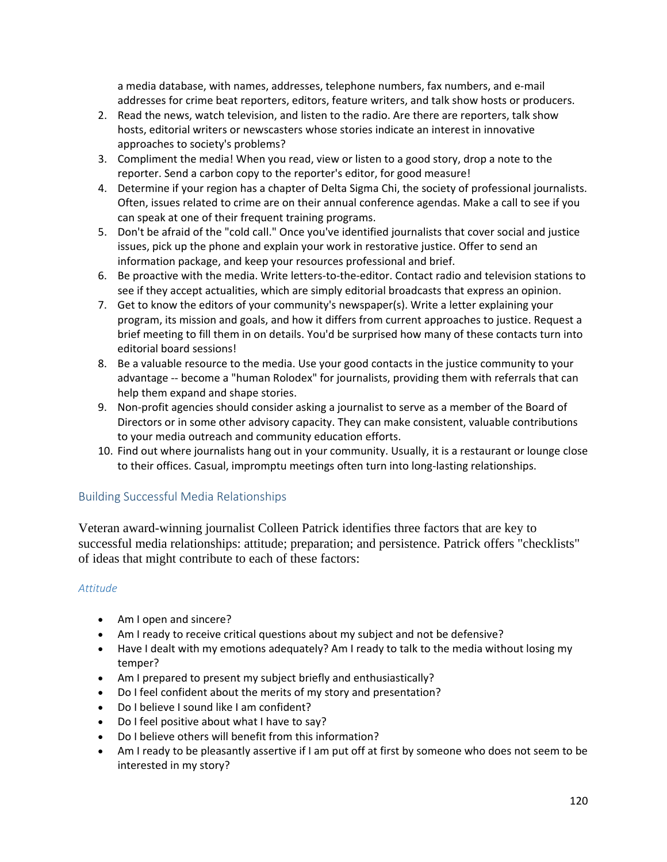a media database, with names, addresses, telephone numbers, fax numbers, and e‐mail addresses for crime beat reporters, editors, feature writers, and talk show hosts or producers.

- 2. Read the news, watch television, and listen to the radio. Are there are reporters, talk show hosts, editorial writers or newscasters whose stories indicate an interest in innovative approaches to society's problems?
- 3. Compliment the media! When you read, view or listen to a good story, drop a note to the reporter. Send a carbon copy to the reporter's editor, for good measure!
- 4. Determine if your region has a chapter of Delta Sigma Chi, the society of professional journalists. Often, issues related to crime are on their annual conference agendas. Make a call to see if you can speak at one of their frequent training programs.
- 5. Don't be afraid of the "cold call." Once you've identified journalists that cover social and justice issues, pick up the phone and explain your work in restorative justice. Offer to send an information package, and keep your resources professional and brief.
- 6. Be proactive with the media. Write letters-to-the-editor. Contact radio and television stations to see if they accept actualities, which are simply editorial broadcasts that express an opinion.
- 7. Get to know the editors of your community's newspaper(s). Write a letter explaining your program, its mission and goals, and how it differs from current approaches to justice. Request a brief meeting to fill them in on details. You'd be surprised how many of these contacts turn into editorial board sessions!
- 8. Be a valuable resource to the media. Use your good contacts in the justice community to your advantage ‐‐ become a "human Rolodex" for journalists, providing them with referrals that can help them expand and shape stories.
- 9. Non-profit agencies should consider asking a journalist to serve as a member of the Board of Directors or in some other advisory capacity. They can make consistent, valuable contributions to your media outreach and community education efforts.
- 10. Find out where journalists hang out in your community. Usually, it is a restaurant or lounge close to their offices. Casual, impromptu meetings often turn into long‐lasting relationships.

### Building Successful Media Relationships

Veteran award-winning journalist Colleen Patrick identifies three factors that are key to successful media relationships: attitude; preparation; and persistence. Patrick offers "checklists" of ideas that might contribute to each of these factors:

#### *Attitude*

- Am I open and sincere?
- Am I ready to receive critical questions about my subject and not be defensive?
- Have I dealt with my emotions adequately? Am I ready to talk to the media without losing my temper?
- Am I prepared to present my subject briefly and enthusiastically?
- Do I feel confident about the merits of my story and presentation?
- Do I believe I sound like I am confident?
- Do I feel positive about what I have to say?
- Do I believe others will benefit from this information?
- Am I ready to be pleasantly assertive if I am put off at first by someone who does not seem to be interested in my story?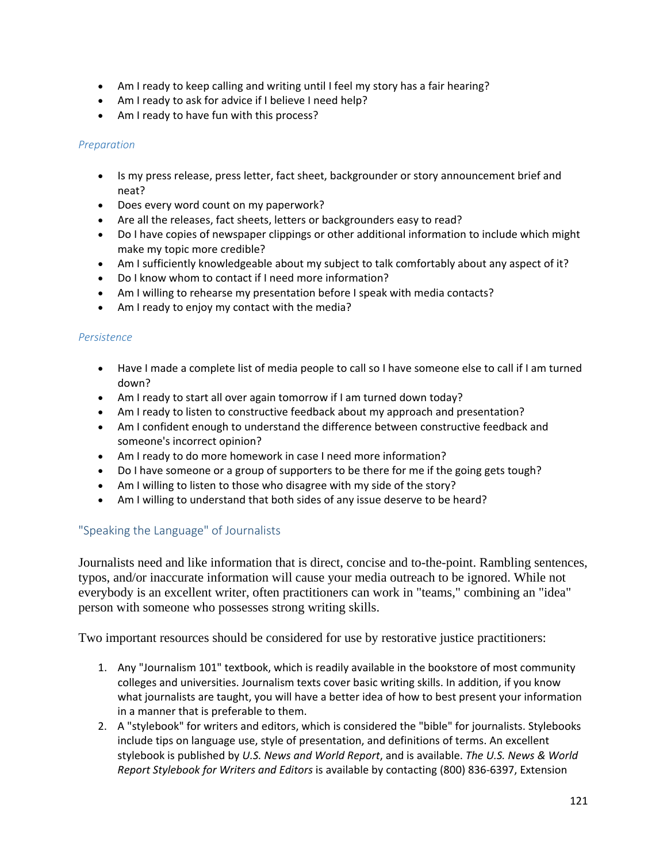- Am I ready to keep calling and writing until I feel my story has a fair hearing?
- Am I ready to ask for advice if I believe I need help?
- Am I ready to have fun with this process?

#### *Preparation*

- Is my press release, press letter, fact sheet, backgrounder or story announcement brief and neat?
- Does every word count on my paperwork?
- Are all the releases, fact sheets, letters or backgrounders easy to read?
- Do I have copies of newspaper clippings or other additional information to include which might make my topic more credible?
- Am I sufficiently knowledgeable about my subject to talk comfortably about any aspect of it?
- Do I know whom to contact if I need more information?
- Am I willing to rehearse my presentation before I speak with media contacts?
- Am I ready to enjoy my contact with the media?

#### *Persistence*

- Have I made a complete list of media people to call so I have someone else to call if I am turned down?
- Am I ready to start all over again tomorrow if I am turned down today?
- Am I ready to listen to constructive feedback about my approach and presentation?
- Am I confident enough to understand the difference between constructive feedback and someone's incorrect opinion?
- Am I ready to do more homework in case I need more information?
- Do I have someone or a group of supporters to be there for me if the going gets tough?
- Am I willing to listen to those who disagree with my side of the story?
- Am I willing to understand that both sides of any issue deserve to be heard?

## "Speaking the Language" of Journalists

Journalists need and like information that is direct, concise and to-the-point. Rambling sentences, typos, and/or inaccurate information will cause your media outreach to be ignored. While not everybody is an excellent writer, often practitioners can work in "teams," combining an "idea" person with someone who possesses strong writing skills.

Two important resources should be considered for use by restorative justice practitioners:

- 1. Any "Journalism 101" textbook, which is readily available in the bookstore of most community colleges and universities. Journalism texts cover basic writing skills. In addition, if you know what journalists are taught, you will have a better idea of how to best present your information in a manner that is preferable to them.
- 2. A "stylebook" for writers and editors, which is considered the "bible" for journalists. Stylebooks include tips on language use, style of presentation, and definitions of terms. An excellent  stylebook is published by *U.S. News and World Report*, and is available. *The U.S. News & World Report Stylebook for Writers and Editors* is available by contacting (800) 836‐6397, Extension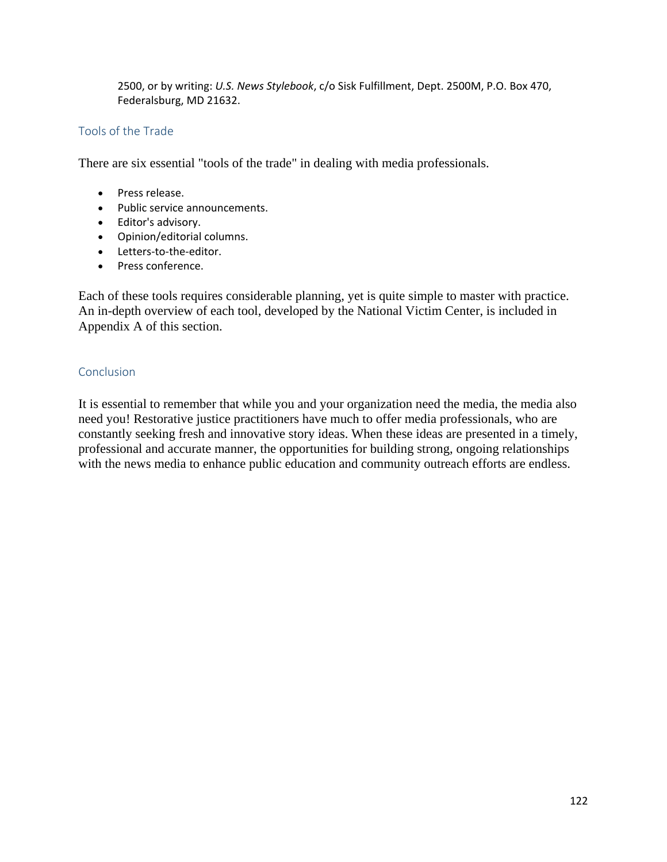2500, or by writing: *U.S. News Stylebook*, c/o Sisk Fulfillment, Dept. 2500M, P.O. Box 470, Federalsburg, MD 21632.

### Tools of the Trade

There are six essential "tools of the trade" in dealing with media professionals.

- Press release.
- Public service announcements.
- Editor's advisory.
- Opinion/editorial columns.
- Letters-to-the-editor.
- Press conference.

Each of these tools requires considerable planning, yet is quite simple to master with practice. An in-depth overview of each tool, developed by the National Victim Center, is included in Appendix A of this section.

#### **Conclusion**

It is essential to remember that while you and your organization need the media, the media also need you! Restorative justice practitioners have much to offer media professionals, who are constantly seeking fresh and innovative story ideas. When these ideas are presented in a timely, professional and accurate manner, the opportunities for building strong, ongoing relationships with the news media to enhance public education and community outreach efforts are endless.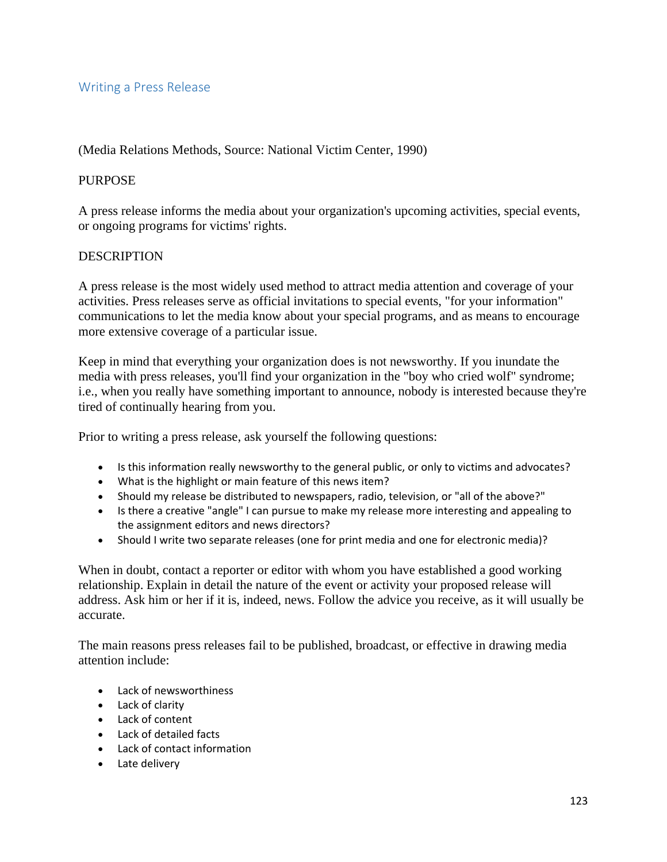(Media Relations Methods, Source: National Victim Center, 1990)

### PURPOSE

A press release informs the media about your organization's upcoming activities, special events, or ongoing programs for victims' rights.

### **DESCRIPTION**

A press release is the most widely used method to attract media attention and coverage of your activities. Press releases serve as official invitations to special events, "for your information" communications to let the media know about your special programs, and as means to encourage more extensive coverage of a particular issue.

Keep in mind that everything your organization does is not newsworthy. If you inundate the media with press releases, you'll find your organization in the "boy who cried wolf" syndrome; i.e., when you really have something important to announce, nobody is interested because they're tired of continually hearing from you.

Prior to writing a press release, ask yourself the following questions:

- Is this information really newsworthy to the general public, or only to victims and advocates?
- What is the highlight or main feature of this news item?
- Should my release be distributed to newspapers, radio, television, or "all of the above?"
- Is there a creative "angle" I can pursue to make my release more interesting and appealing to the assignment editors and news directors?
- Should I write two separate releases (one for print media and one for electronic media)?

When in doubt, contact a reporter or editor with whom you have established a good working relationship. Explain in detail the nature of the event or activity your proposed release will address. Ask him or her if it is, indeed, news. Follow the advice you receive, as it will usually be accurate.

The main reasons press releases fail to be published, broadcast, or effective in drawing media attention include:

- Lack of newsworthiness
- Lack of clarity
- Lack of content
- Lack of detailed facts
- Lack of contact information
- Late delivery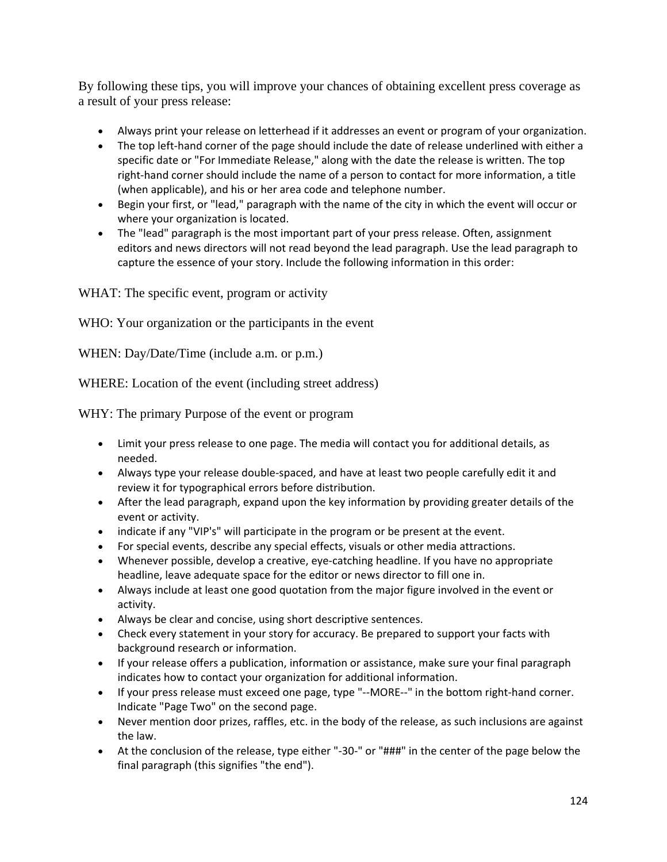By following these tips, you will improve your chances of obtaining excellent press coverage as a result of your press release:

- Always print your release on letterhead if it addresses an event or program of your organization.
- The top left-hand corner of the page should include the date of release underlined with either a specific date or "For Immediate Release," along with the date the release is written. The top right‐hand corner should include the name of a person to contact for more information, a title (when applicable), and his or her area code and telephone number.
- Begin your first, or "lead," paragraph with the name of the city in which the event will occur or where your organization is located.
- The "lead" paragraph is the most important part of your press release. Often, assignment editors and news directors will not read beyond the lead paragraph. Use the lead paragraph to capture the essence of your story. Include the following information in this order:

WHAT: The specific event, program or activity

WHO: Your organization or the participants in the event

WHEN: Day/Date/Time (include a.m. or p.m.)

WHERE: Location of the event (including street address)

WHY: The primary Purpose of the event or program

- Limit your press release to one page. The media will contact you for additional details, as needed.
- Always type your release double-spaced, and have at least two people carefully edit it and review it for typographical errors before distribution.
- After the lead paragraph, expand upon the key information by providing greater details of the event or activity.
- indicate if any "VIP's" will participate in the program or be present at the event.
- For special events, describe any special effects, visuals or other media attractions.
- Whenever possible, develop a creative, eye-catching headline. If you have no appropriate headline, leave adequate space for the editor or news director to fill one in.
- Always include at least one good quotation from the major figure involved in the event or activity.
- Always be clear and concise, using short descriptive sentences.
- Check every statement in your story for accuracy. Be prepared to support your facts with background research or information.
- If your release offers a publication, information or assistance, make sure your final paragraph indicates how to contact your organization for additional information.
- If your press release must exceed one page, type "--MORE--" in the bottom right-hand corner. Indicate "Page Two" on the second page.
- Never mention door prizes, raffles, etc. in the body of the release, as such inclusions are against the law.
- At the conclusion of the release, type either "-30-" or "###" in the center of the page below the final paragraph (this signifies "the end").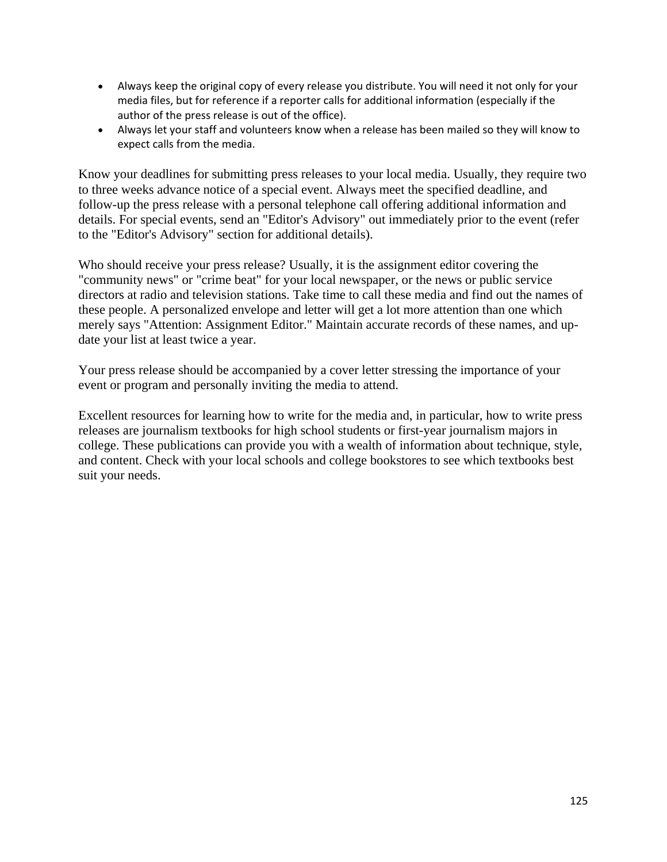- Always keep the original copy of every release you distribute. You will need it not only for your media files, but for reference if a reporter calls for additional information (especially if the author of the press release is out of the office).
- expect calls from the media. Always let your staff and volunteers know when a release has been mailed so they will know to

Know your deadlines for submitting press releases to your local media. Usually, they require two to three weeks advance notice of a special event. Always meet the specified deadline, and follow-up the press release with a personal telephone call offering additional information and details. For special events, send an "Editor's Advisory" out immediately prior to the event (refer to the "Editor's Advisory" section for additional details).

Who should receive your press release? Usually, it is the assignment editor covering the "community news" or "crime beat" for your local newspaper, or the news or public service directors at radio and television stations. Take time to call these media and find out the names of these people. A personalized envelope and letter will get a lot more attention than one which merely says "Attention: Assignment Editor." Maintain accurate records of these names, and update your list at least twice a year.

Your press release should be accompanied by a cover letter stressing the importance of your event or program and personally inviting the media to attend.

Excellent resources for learning how to write for the media and, in particular, how to write press releases are journalism textbooks for high school students or first-year journalism majors in college. These publications can provide you with a wealth of information about technique, style, and content. Check with your local schools and college bookstores to see which textbooks best suit your needs.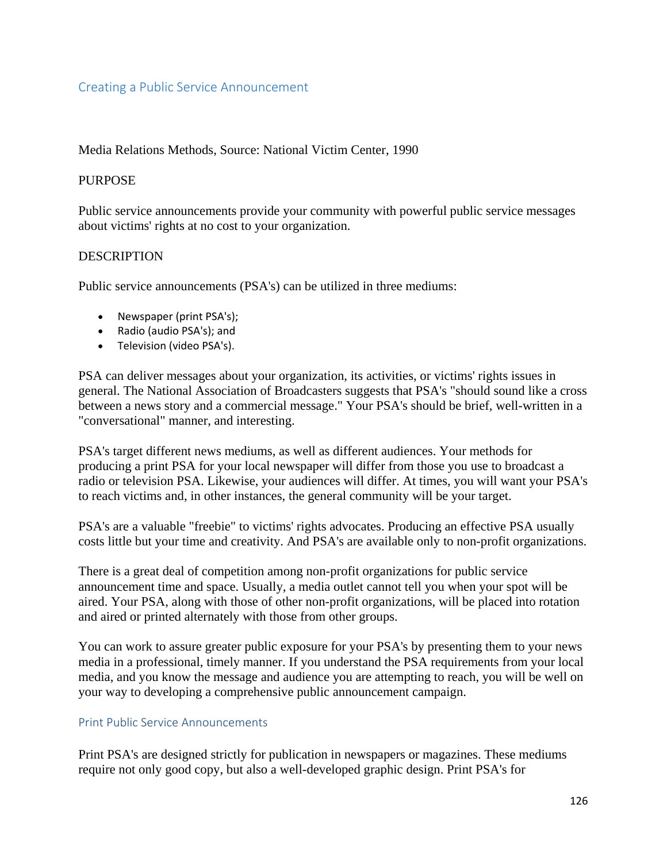## Creating a Public Service Announcement

### Media Relations Methods, Source: National Victim Center, 1990

### PURPOSE

Public service announcements provide your community with powerful public service messages about victims' rights at no cost to your organization.

#### **DESCRIPTION**

Public service announcements (PSA's) can be utilized in three mediums:

- Newspaper (print PSA's);
- Radio (audio PSA's); and
- Television (video PSA's).

PSA can deliver messages about your organization, its activities, or victims' rights issues in general. The National Association of Broadcasters suggests that PSA's "should sound like a cross between a news story and a commercial message." Your PSA's should be brief, well-written in a "conversational" manner, and interesting.

PSA's target different news mediums, as well as different audiences. Your methods for producing a print PSA for your local newspaper will differ from those you use to broadcast a radio or television PSA. Likewise, your audiences will differ. At times, you will want your PSA's to reach victims and, in other instances, the general community will be your target.

PSA's are a valuable "freebie" to victims' rights advocates. Producing an effective PSA usually costs little but your time and creativity. And PSA's are available only to non-profit organizations.

There is a great deal of competition among non-profit organizations for public service announcement time and space. Usually, a media outlet cannot tell you when your spot will be aired. Your PSA, along with those of other non-profit organizations, will be placed into rotation and aired or printed alternately with those from other groups.

You can work to assure greater public exposure for your PSA's by presenting them to your news media in a professional, timely manner. If you understand the PSA requirements from your local media, and you know the message and audience you are attempting to reach, you will be well on your way to developing a comprehensive public announcement campaign.

### Print Public Service Announcements

Print PSA's are designed strictly for publication in newspapers or magazines. These mediums require not only good copy, but also a well-developed graphic design. Print PSA's for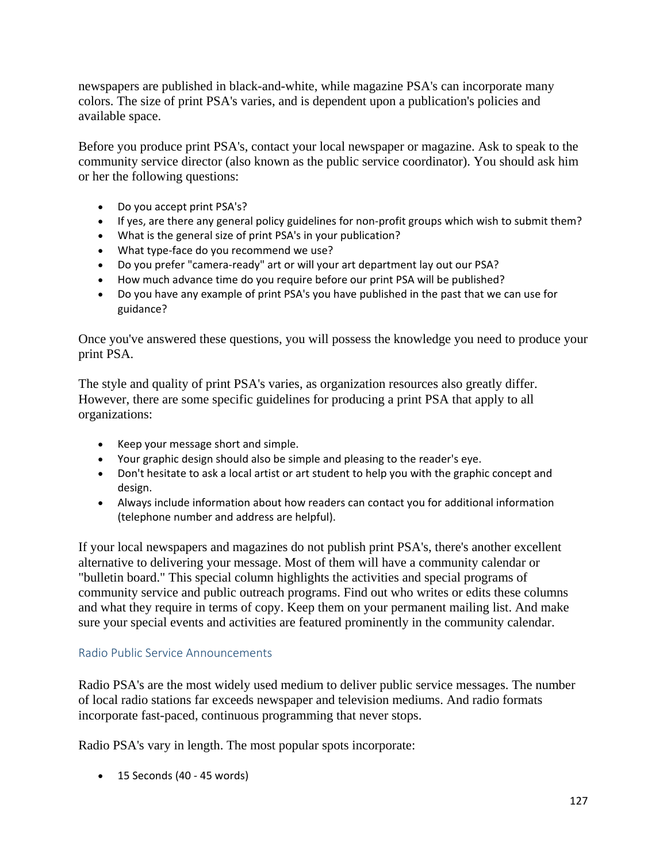newspapers are published in black-and-white, while magazine PSA's can incorporate many colors. The size of print PSA's varies, and is dependent upon a publication's policies and available space.

Before you produce print PSA's, contact your local newspaper or magazine. Ask to speak to the community service director (also known as the public service coordinator). You should ask him or her the following questions:

- Do you accept print PSA's?
- If yes, are there any general policy guidelines for non-profit groups which wish to submit them?
- What is the general size of print PSA's in your publication?
- What type‐face do you recommend we use?
- Do you prefer "camera‐ready" art or will your art department lay out our PSA?
- How much advance time do you require before our print PSA will be published?
- Do you have any example of print PSA's you have published in the past that we can use for guidance?

Once you've answered these questions, you will possess the knowledge you need to produce your print PSA.

The style and quality of print PSA's varies, as organization resources also greatly differ. However, there are some specific guidelines for producing a print PSA that apply to all organizations:

- Keep your message short and simple.
- Your graphic design should also be simple and pleasing to the reader's eye.
- Don't hesitate to ask a local artist or art student to help you with the graphic concept and design.
- Always include information about how readers can contact you for additional information (telephone number and address are helpful).

If your local newspapers and magazines do not publish print PSA's, there's another excellent alternative to delivering your message. Most of them will have a community calendar or "bulletin board." This special column highlights the activities and special programs of community service and public outreach programs. Find out who writes or edits these columns and what they require in terms of copy. Keep them on your permanent mailing list. And make sure your special events and activities are featured prominently in the community calendar.

## Radio Public Service Announcements

Radio PSA's are the most widely used medium to deliver public service messages. The number of local radio stations far exceeds newspaper and television mediums. And radio formats incorporate fast-paced, continuous programming that never stops.

Radio PSA's vary in length. The most popular spots incorporate:

15 Seconds (40 ‐ 45 words)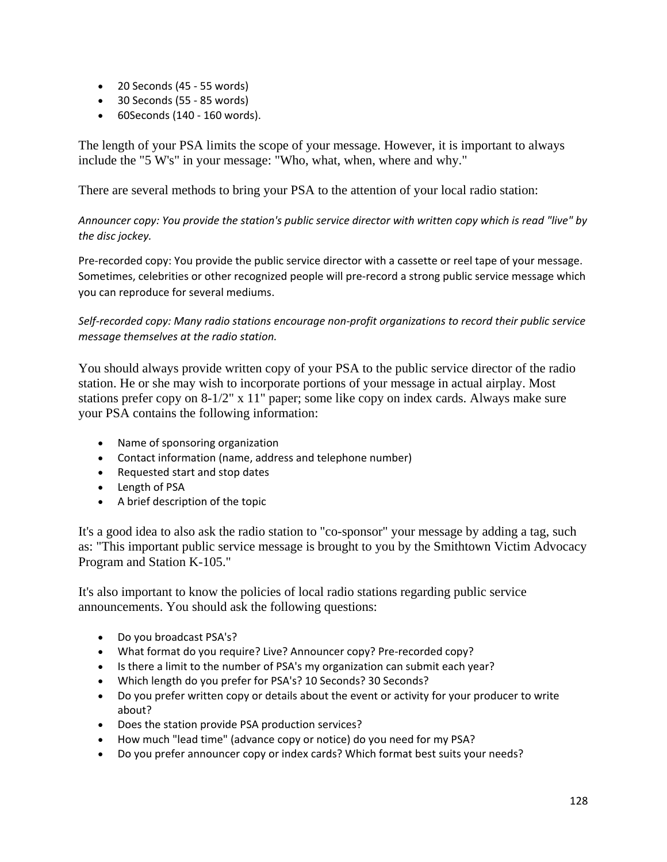- 20 Seconds (45 55 words)
- 30 Seconds (55 ‐ 85 words)
- 60Seconds (140 ‐ 160 words).

The length of your PSA limits the scope of your message. However, it is important to always include the "5 W's" in your message: "Who, what, when, where and why."

There are several methods to bring your PSA to the attention of your local radio station:

Announcer copy: You provide the station's public service director with written copy which is read "live" by  *the disc jockey.*

 Pre‐recorded copy: You provide the public service director with a cassette or reel tape of your message. Sometimes, celebrities or other recognized people will pre‐record a strong public service message which you can reproduce for several mediums.

Self-recorded copy: Many radio stations encourage non-profit organizations to record their public service  *message themselves at the radio station.*

You should always provide written copy of your PSA to the public service director of the radio station. He or she may wish to incorporate portions of your message in actual airplay. Most stations prefer copy on 8-1/2" x 11" paper; some like copy on index cards. Always make sure your PSA contains the following information:

- Name of sponsoring organization
- Contact information (name, address and telephone number)
- Requested start and stop dates
- Length of PSA
- A brief description of the topic

It's a good idea to also ask the radio station to "co-sponsor" your message by adding a tag, such as: "This important public service message is brought to you by the Smithtown Victim Advocacy Program and Station K-105."

It's also important to know the policies of local radio stations regarding public service announcements. You should ask the following questions:

- Do you broadcast PSA's?
- What format do you require? Live? Announcer copy? Pre‐recorded copy?
- Is there a limit to the number of PSA's my organization can submit each year?
- Which length do you prefer for PSA's? 10 Seconds? 30 Seconds?
- Do you prefer written copy or details about the event or activity for your producer to write about?
- Does the station provide PSA production services?
- How much "lead time" (advance copy or notice) do you need for my PSA?
- Do you prefer announcer copy or index cards? Which format best suits your needs?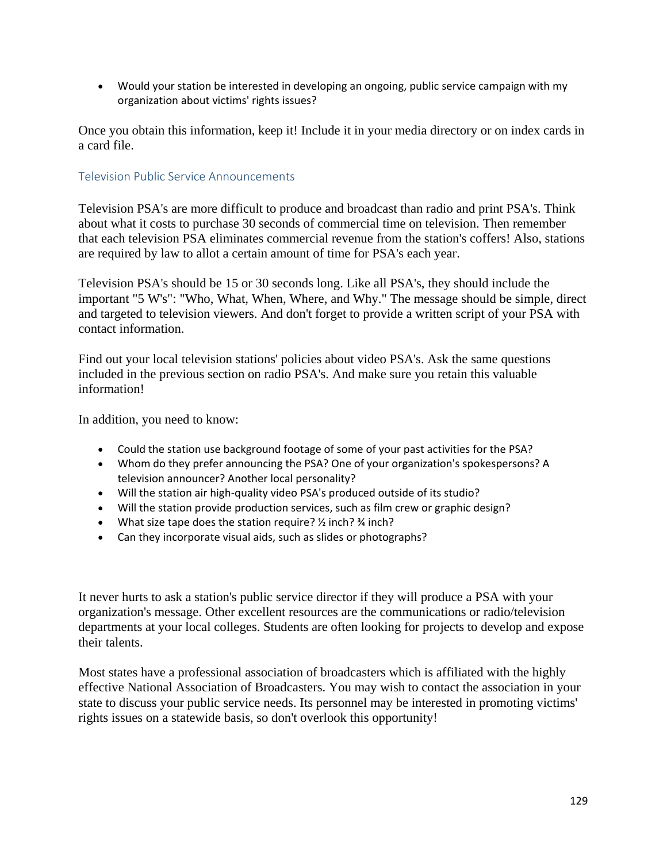Would your station be interested in developing an ongoing, public service campaign with my organization about victims' rights issues?

Once you obtain this information, keep it! Include it in your media directory or on index cards in a card file.

## Television Public Service Announcements

Television PSA's are more difficult to produce and broadcast than radio and print PSA's. Think about what it costs to purchase 30 seconds of commercial time on television. Then remember that each television PSA eliminates commercial revenue from the station's coffers! Also, stations are required by law to allot a certain amount of time for PSA's each year.

Television PSA's should be 15 or 30 seconds long. Like all PSA's, they should include the important "5 W's": "Who, What, When, Where, and Why." The message should be simple, direct and targeted to television viewers. And don't forget to provide a written script of your PSA with contact information.

Find out your local television stations' policies about video PSA's. Ask the same questions included in the previous section on radio PSA's. And make sure you retain this valuable information!

In addition, you need to know:

- Could the station use background footage of some of your past activities for the PSA?
- Whom do they prefer announcing the PSA? One of your organization's spokespersons? A television announcer? Another local personality?
- Will the station air high-quality video PSA's produced outside of its studio?
- Will the station provide production services, such as film crew or graphic design?
- What size tape does the station require? ½ inch? ¾ inch?
- Can they incorporate visual aids, such as slides or photographs?

their talents. It never hurts to ask a station's public service director if they will produce a PSA with your organization's message. Other excellent resources are the communications or radio/television departments at your local colleges. Students are often looking for projects to develop and expose

Most states have a professional association of broadcasters which is affiliated with the highly effective National Association of Broadcasters. You may wish to contact the association in your state to discuss your public service needs. Its personnel may be interested in promoting victims' rights issues on a statewide basis, so don't overlook this opportunity!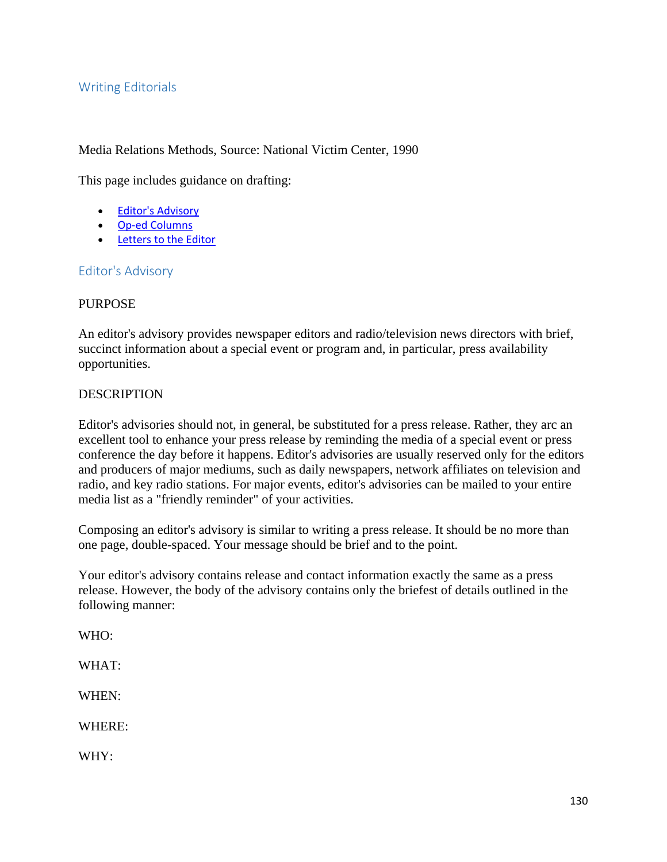# Writing Editorials

### Media Relations Methods, Source: National Victim Center, 1990

This page includes guidance on drafting:

- **•** Editor's Advisory
- Op‐ed Columns
- Letters to the Editor

### Editor's Advisory

### PURPOSE

An editor's advisory provides newspaper editors and radio/television news directors with brief, succinct information about a special event or program and, in particular, press availability opportunities.

#### **DESCRIPTION**

Editor's advisories should not, in general, be substituted for a press release. Rather, they arc an excellent tool to enhance your press release by reminding the media of a special event or press conference the day before it happens. Editor's advisories are usually reserved only for the editors and producers of major mediums, such as daily newspapers, network affiliates on television and radio, and key radio stations. For major events, editor's advisories can be mailed to your entire media list as a "friendly reminder" of your activities.

Composing an editor's advisory is similar to writing a press release. It should be no more than one page, double-spaced. Your message should be brief and to the point.

Your editor's advisory contains release and contact information exactly the same as a press release. However, the body of the advisory contains only the briefest of details outlined in the following manner:

WHO:

WHAT:

WHEN:

WHERE:

WHY: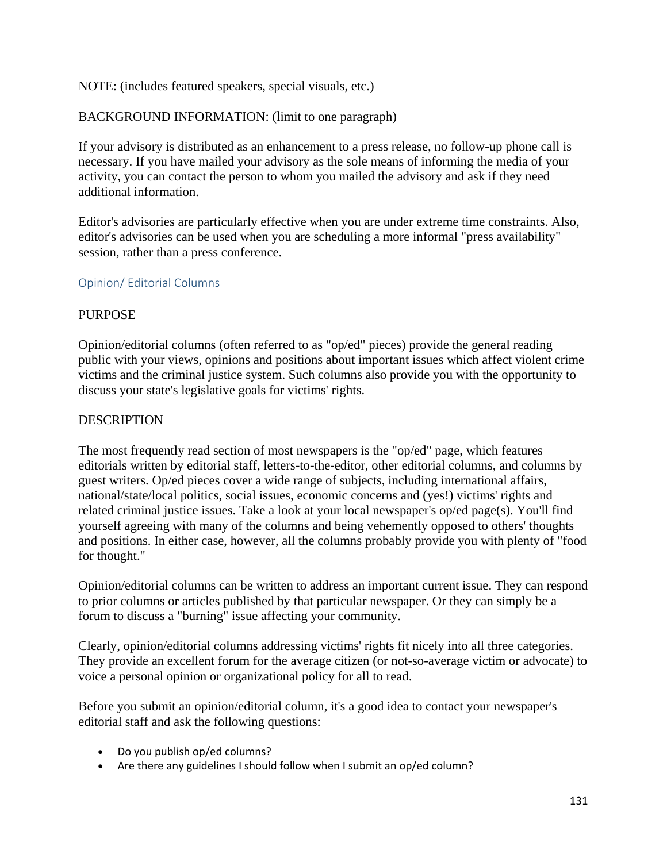NOTE: (includes featured speakers, special visuals, etc.)

## BACKGROUND INFORMATION: (limit to one paragraph)

If your advisory is distributed as an enhancement to a press release, no follow-up phone call is necessary. If you have mailed your advisory as the sole means of informing the media of your activity, you can contact the person to whom you mailed the advisory and ask if they need additional information.

Editor's advisories are particularly effective when you are under extreme time constraints. Also, editor's advisories can be used when you are scheduling a more informal "press availability" session, rather than a press conference.

## Opinion/ Editorial Columns

### PURPOSE

Opinion/editorial columns (often referred to as "op/ed" pieces) provide the general reading public with your views, opinions and positions about important issues which affect violent crime victims and the criminal justice system. Such columns also provide you with the opportunity to discuss your state's legislative goals for victims' rights.

### DESCRIPTION

The most frequently read section of most newspapers is the "op/ed" page, which features editorials written by editorial staff, letters-to-the-editor, other editorial columns, and columns by guest writers. Op/ed pieces cover a wide range of subjects, including international affairs, national/state/local politics, social issues, economic concerns and (yes!) victims' rights and related criminal justice issues. Take a look at your local newspaper's op/ed page(s). You'll find yourself agreeing with many of the columns and being vehemently opposed to others' thoughts and positions. In either case, however, all the columns probably provide you with plenty of "food for thought."

Opinion/editorial columns can be written to address an important current issue. They can respond to prior columns or articles published by that particular newspaper. Or they can simply be a forum to discuss a "burning" issue affecting your community.

Clearly, opinion/editorial columns addressing victims' rights fit nicely into all three categories. They provide an excellent forum for the average citizen (or not-so-average victim or advocate) to voice a personal opinion or organizational policy for all to read.

Before you submit an opinion/editorial column, it's a good idea to contact your newspaper's editorial staff and ask the following questions:

- Do you publish op/ed columns?
- Are there any guidelines I should follow when I submit an op/ed column?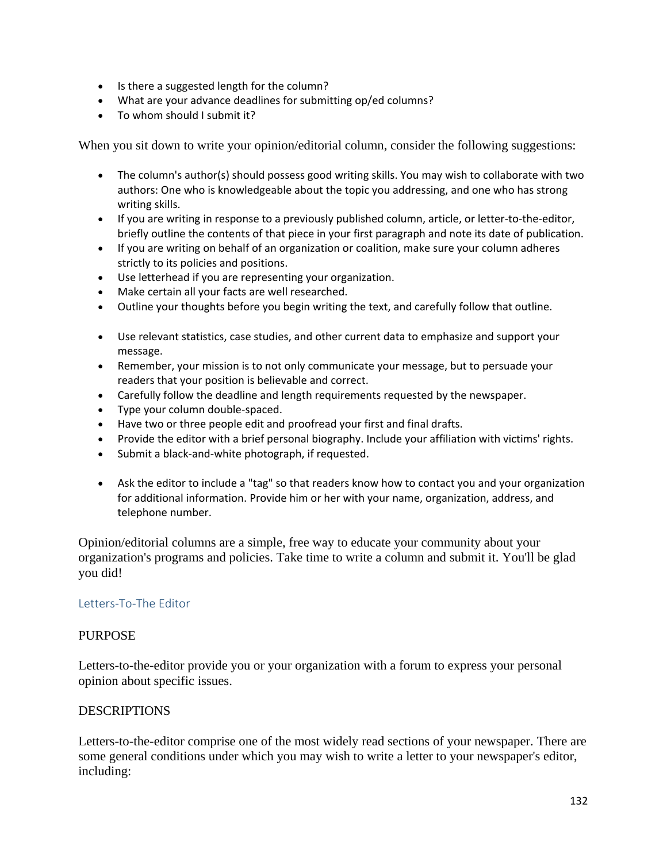- Is there a suggested length for the column?
- What are your advance deadlines for submitting op/ed columns?
- To whom should I submit it?

When you sit down to write your opinion/editorial column, consider the following suggestions:

- The column's author(s) should possess good writing skills. You may wish to collaborate with two authors: One who is knowledgeable about the topic you addressing, and one who has strong writing skills.
- If you are writing in response to a previously published column, article, or letter-to-the-editor, briefly outline the contents of that piece in your first paragraph and note its date of publication.
- If you are writing on behalf of an organization or coalition, make sure your column adheres strictly to its policies and positions.
- Use letterhead if you are representing your organization.
- Make certain all your facts are well researched.
- Outline your thoughts before you begin writing the text, and carefully follow that outline.
- Use relevant statistics, case studies, and other current data to emphasize and support your message.
- Remember, your mission is to not only communicate your message, but to persuade your readers that your position is believable and correct.
- Carefully follow the deadline and length requirements requested by the newspaper.
- Type your column double‐spaced.
- Have two or three people edit and proofread your first and final drafts.
- Provide the editor with a brief personal biography. Include your affiliation with victims' rights.
- Submit a black-and-white photograph, if requested.
- Ask the editor to include a "tag" so that readers know how to contact you and your organization for additional information. Provide him or her with your name, organization, address, and telephone number.

Opinion/editorial columns are a simple, free way to educate your community about your organization's programs and policies. Take time to write a column and submit it. You'll be glad you did!

### Letters‐To‐The Editor

## PURPOSE

Letters-to-the-editor provide you or your organization with a forum to express your personal opinion about specific issues.

## **DESCRIPTIONS**

Letters-to-the-editor comprise one of the most widely read sections of your newspaper. There are some general conditions under which you may wish to write a letter to your newspaper's editor, including: